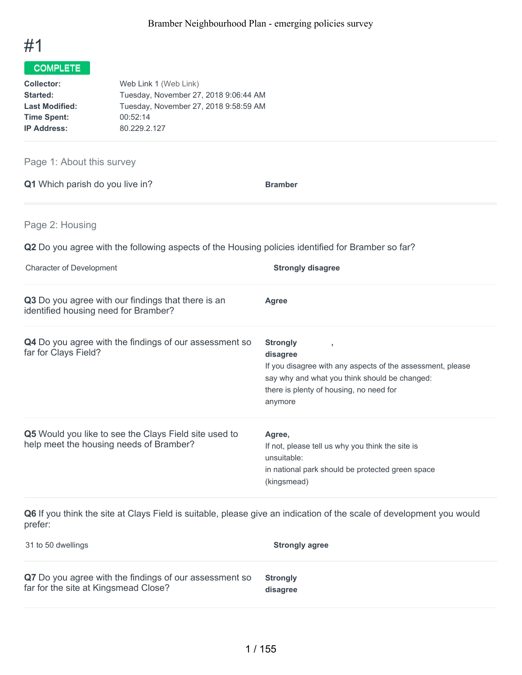

| <b>Collector:</b>     | Web Link 1 (Web Link)                 |
|-----------------------|---------------------------------------|
| Started:              | Tuesday, November 27, 2018 9:06:44 AM |
| <b>Last Modified:</b> | Tuesday, November 27, 2018 9:58:59 AM |
| <b>Time Spent:</b>    | 00:52:14                              |
| <b>IP Address:</b>    | 80.229.2.127                          |

Page 1: About this survey

**Q1** Which parish do you live in? **Bramber** 

Page 2: Housing

**Q2** Do you agree with the following aspects of the Housing policies identified for Bramber so far?

| <b>Character of Development</b>                                                                  | <b>Strongly disagree</b>                                                                                                                                                                               |
|--------------------------------------------------------------------------------------------------|--------------------------------------------------------------------------------------------------------------------------------------------------------------------------------------------------------|
| Q3 Do you agree with our findings that there is an<br>identified housing need for Bramber?       | Agree                                                                                                                                                                                                  |
| <b>Q4</b> Do you agree with the findings of our assessment so<br>far for Clays Field?            | <b>Strongly</b><br>л.<br>disagree<br>If you disagree with any aspects of the assessment, please<br>say why and what you think should be changed:<br>there is plenty of housing, no need for<br>anymore |
| Q5 Would you like to see the Clays Field site used to<br>help meet the housing needs of Bramber? | Agree,<br>If not, please tell us why you think the site is<br>unsuitable:<br>in national park should be protected green space<br>(kingsmead)                                                           |

**Q6** If you think the site at Clays Field is suitable, please give an indication of the scale of development you would prefer:

| 31 to 50 dwellings                                     | <b>Strongly agree</b> |
|--------------------------------------------------------|-----------------------|
| Q7 Do you agree with the findings of our assessment so | <b>Strongly</b>       |
| far for the site at Kingsmead Close?                   | disagree              |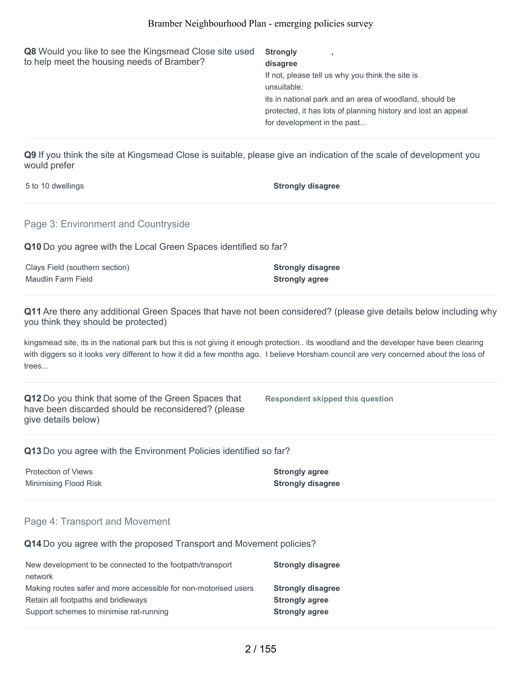| Q8 Would you like to see the Kingsmead Close site used<br>to help meet the housing needs of Bramber? | <b>Strongly</b><br>disagree<br>If not, please tell us why you think the site is<br>unsuitable:<br>its in national park and an area of woodland, should be<br>protected, it has lots of planning history and lost an appeal<br>for development in the past |
|------------------------------------------------------------------------------------------------------|-----------------------------------------------------------------------------------------------------------------------------------------------------------------------------------------------------------------------------------------------------------|
|                                                                                                      |                                                                                                                                                                                                                                                           |

**Q9** If you think the site at Kingsmead Close is suitable, please give an indication of the scale of development you would prefer

| 5 to 10 dwellings                                               | <b>Strongly disagree</b>                                                                                                                                                                                                                                                        |
|-----------------------------------------------------------------|---------------------------------------------------------------------------------------------------------------------------------------------------------------------------------------------------------------------------------------------------------------------------------|
| Page 3: Environment and Countryside                             |                                                                                                                                                                                                                                                                                 |
| Q10 Do you agree with the Local Green Spaces identified so far? |                                                                                                                                                                                                                                                                                 |
| Clays Field (southern section)                                  | <b>Strongly disagree</b>                                                                                                                                                                                                                                                        |
| Maudlin Farm Field                                              | <b>Strongly agree</b>                                                                                                                                                                                                                                                           |
| you think they should be protected)                             | <b>Q11</b> Are there any additional Green Spaces that have not been considered? (please give details below including why                                                                                                                                                        |
|                                                                 | kingsmead site, its in the national park but this is not giving it enough protection its woodland and the developer have been clearing<br>with diggers so it looks very different to how it did a few months ago I believe Horsham council are very concerned about the loss of |

with diggers so it looks very different to how it did a few months ago. I believe Horsham council are very concerned about the loss of trees...

**Q12** Do you think that some of the Green Spaces that have been discarded should be reconsidered? (please give details below)

**Respondent skipped this question**

**Q13** Do you agree with the Environment Policies identified so far?

**Protection of Views Strongly agree** Minimising Flood Risk **Strongly disagree**

#### Page 4: Transport and Movement

**Q14** Do you agree with the proposed Transport and Movement policies?

| New development to be connected to the footpath/transport       | <b>Strongly disagree</b> |
|-----------------------------------------------------------------|--------------------------|
| network                                                         |                          |
| Making routes safer and more accessible for non-motorised users | <b>Strongly disagree</b> |
| Retain all footpaths and bridleways                             | <b>Strongly agree</b>    |
| Support schemes to minimise rat-running                         | <b>Strongly agree</b>    |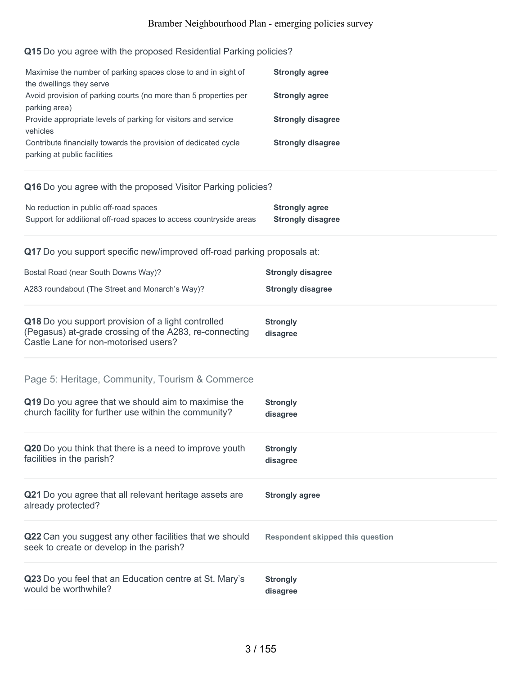### **Q15** Do you agree with the proposed Residential Parking policies?

| Maximise the number of parking spaces close to and in sight of<br>the dwellings they serve<br>Avoid provision of parking courts (no more than 5 properties per<br>parking area)<br>Provide appropriate levels of parking for visitors and service<br>vehicles<br>Contribute financially towards the provision of dedicated cycle<br>parking at public facilities | <b>Strongly agree</b><br><b>Strongly agree</b><br><b>Strongly disagree</b><br><b>Strongly disagree</b> |
|------------------------------------------------------------------------------------------------------------------------------------------------------------------------------------------------------------------------------------------------------------------------------------------------------------------------------------------------------------------|--------------------------------------------------------------------------------------------------------|
| Q16 Do you agree with the proposed Visitor Parking policies?                                                                                                                                                                                                                                                                                                     |                                                                                                        |
| No reduction in public off-road spaces<br>Support for additional off-road spaces to access countryside areas                                                                                                                                                                                                                                                     | <b>Strongly agree</b><br><b>Strongly disagree</b>                                                      |
| Q17 Do you support specific new/improved off-road parking proposals at:                                                                                                                                                                                                                                                                                          |                                                                                                        |
| Bostal Road (near South Downs Way)?                                                                                                                                                                                                                                                                                                                              | <b>Strongly disagree</b>                                                                               |
| A283 roundabout (The Street and Monarch's Way)?                                                                                                                                                                                                                                                                                                                  | <b>Strongly disagree</b>                                                                               |
| Q18 Do you support provision of a light controlled<br>(Pegasus) at-grade crossing of the A283, re-connecting<br>Castle Lane for non-motorised users?                                                                                                                                                                                                             | <b>Strongly</b><br>disagree                                                                            |
| Page 5: Heritage, Community, Tourism & Commerce                                                                                                                                                                                                                                                                                                                  |                                                                                                        |
| Q19 Do you agree that we should aim to maximise the<br>church facility for further use within the community?                                                                                                                                                                                                                                                     | <b>Strongly</b><br>disagree                                                                            |
| Q20 Do you think that there is a need to improve youth<br>facilities in the parish?                                                                                                                                                                                                                                                                              | <b>Strongly</b><br>disagree                                                                            |
| Q21 Do you agree that all relevant heritage assets are<br>already protected?                                                                                                                                                                                                                                                                                     | <b>Strongly agree</b>                                                                                  |
| Q22 Can you suggest any other facilities that we should<br>seek to create or develop in the parish?                                                                                                                                                                                                                                                              | <b>Respondent skipped this question</b>                                                                |
| Q23 Do you feel that an Education centre at St. Mary's<br>would be worthwhile?                                                                                                                                                                                                                                                                                   | <b>Strongly</b><br>disagree                                                                            |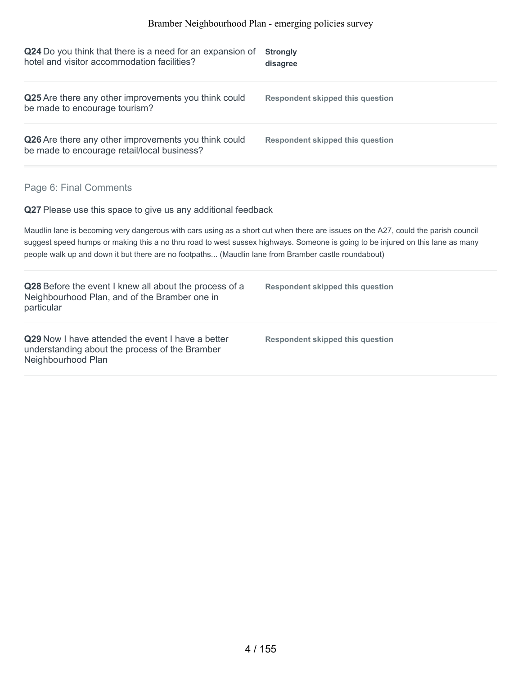| <b>Strongly</b><br>disagree                                                                                                                                                                                                                                                                                                                                                |
|----------------------------------------------------------------------------------------------------------------------------------------------------------------------------------------------------------------------------------------------------------------------------------------------------------------------------------------------------------------------------|
| <b>Respondent skipped this question</b>                                                                                                                                                                                                                                                                                                                                    |
| <b>Respondent skipped this question</b>                                                                                                                                                                                                                                                                                                                                    |
|                                                                                                                                                                                                                                                                                                                                                                            |
| Q27 Please use this space to give us any additional feedback                                                                                                                                                                                                                                                                                                               |
| Maudlin lane is becoming very dangerous with cars using as a short cut when there are issues on the A27, could the parish council<br>suggest speed humps or making this a no thru road to west sussex highways. Someone is going to be injured on this lane as many<br>people walk up and down it but there are no footpaths (Maudlin lane from Bramber castle roundabout) |
| <b>Respondent skipped this question</b>                                                                                                                                                                                                                                                                                                                                    |
| <b>Respondent skipped this question</b>                                                                                                                                                                                                                                                                                                                                    |
|                                                                                                                                                                                                                                                                                                                                                                            |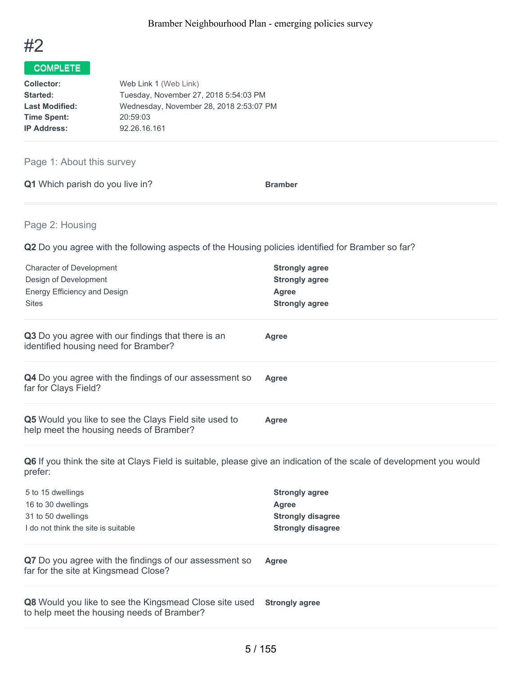

| Web Link 1 (Web Link)                   |
|-----------------------------------------|
| Tuesday, November 27, 2018 5:54:03 PM   |
| Wednesday, November 28, 2018 2:53:07 PM |
| 20:59:03                                |
| 92.26.16.161                            |
|                                         |

### Page 1: About this survey

| Q1 Which parish do you live in? | <b>Bramber</b> |
|---------------------------------|----------------|
|---------------------------------|----------------|

### Page 2: Housing

**Q2** Do you agree with the following aspects of the Housing policies identified for Bramber so far?

| <b>Character of Development</b>                                                                                                 | <b>Strongly agree</b>    |  |
|---------------------------------------------------------------------------------------------------------------------------------|--------------------------|--|
| Design of Development                                                                                                           | <b>Strongly agree</b>    |  |
| <b>Energy Efficiency and Design</b>                                                                                             | Agree                    |  |
| <b>Sites</b>                                                                                                                    | <b>Strongly agree</b>    |  |
| Q3 Do you agree with our findings that there is an<br>identified housing need for Bramber?                                      | <b>Agree</b>             |  |
| Q4 Do you agree with the findings of our assessment so<br>far for Clays Field?                                                  | <b>Agree</b>             |  |
| Q5 Would you like to see the Clays Field site used to<br>help meet the housing needs of Bramber?                                | <b>Agree</b>             |  |
| Q6 If you think the site at Clays Field is suitable, please give an indication of the scale of development you would<br>prefer: |                          |  |
| 5 to 15 dwellings                                                                                                               | <b>Strongly agree</b>    |  |
| 16 to 30 dwellings                                                                                                              | <b>Agree</b>             |  |
| 31 to 50 dwellings                                                                                                              | <b>Strongly disagree</b> |  |
| I do not think the site is suitable                                                                                             | <b>Strongly disagree</b> |  |
| Q7 Do you agree with the findings of our assessment so<br>far for the site at Kingsmead Close?                                  | <b>Agree</b>             |  |
| Q8 Would you like to see the Kingsmead Close site used<br>to help meet the housing needs of Bramber?                            | <b>Strongly agree</b>    |  |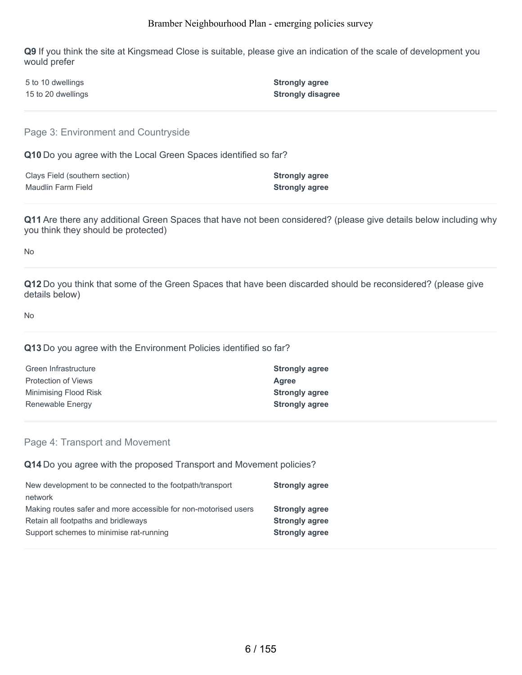**Q9** If you think the site at Kingsmead Close is suitable, please give an indication of the scale of development you would prefer

| 5 to 10 dwellings  | <b>Strongly agree</b>    |
|--------------------|--------------------------|
| 15 to 20 dwellings | <b>Strongly disagree</b> |

Page 3: Environment and Countryside

**Q10** Do you agree with the Local Green Spaces identified so far?

| Clays Field (southern section) | <b>Strongly agree</b> |
|--------------------------------|-----------------------|
| Maudlin Farm Field             | <b>Strongly agree</b> |

**Q11** Are there any additional Green Spaces that have not been considered? (please give details below including why you think they should be protected)

No

**Q12** Do you think that some of the Green Spaces that have been discarded should be reconsidered? (please give details below)

No

#### **Q13** Do you agree with the Environment Policies identified so far?

| <b>Strongly agree</b> |
|-----------------------|
| Agree                 |
| <b>Strongly agree</b> |
| <b>Strongly agree</b> |
|                       |

#### Page 4: Transport and Movement

**Q14** Do you agree with the proposed Transport and Movement policies?

| New development to be connected to the footpath/transport       | <b>Strongly agree</b> |
|-----------------------------------------------------------------|-----------------------|
| network                                                         |                       |
| Making routes safer and more accessible for non-motorised users | <b>Strongly agree</b> |
| Retain all footpaths and bridleways                             | <b>Strongly agree</b> |
| Support schemes to minimise rat-running                         | <b>Strongly agree</b> |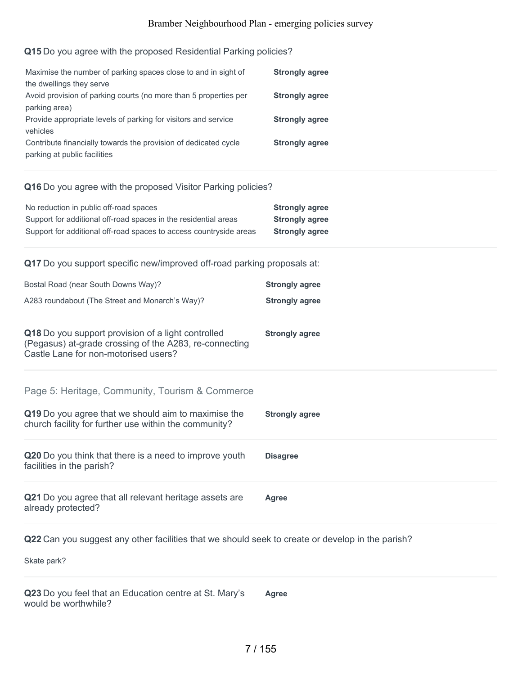### **Q15** Do you agree with the proposed Residential Parking policies?

| Maximise the number of parking spaces close to and in sight of   | <b>Strongly agree</b> |
|------------------------------------------------------------------|-----------------------|
| the dwellings they serve                                         |                       |
| Avoid provision of parking courts (no more than 5 properties per | <b>Strongly agree</b> |
| parking area)                                                    |                       |
| Provide appropriate levels of parking for visitors and service   | <b>Strongly agree</b> |
| vehicles                                                         |                       |
| Contribute financially towards the provision of dedicated cycle  | <b>Strongly agree</b> |
| parking at public facilities                                     |                       |

#### **Q16** Do you agree with the proposed Visitor Parking policies?

| No reduction in public off-road spaces                             | <b>Strongly agree</b> |
|--------------------------------------------------------------------|-----------------------|
| Support for additional off-road spaces in the residential areas    | <b>Strongly agree</b> |
| Support for additional off-road spaces to access countryside areas | <b>Strongly agree</b> |

**Q17** Do you support specific new/improved off-road parking proposals at:

| Bostal Road (near South Downs Way)?<br>A283 roundabout (The Street and Monarch's Way)?                                                                          | <b>Strongly agree</b><br><b>Strongly agree</b> |
|-----------------------------------------------------------------------------------------------------------------------------------------------------------------|------------------------------------------------|
| Q18 Do you support provision of a light controlled<br>(Pegasus) at-grade crossing of the A283, re-connecting<br>Castle Lane for non-motorised users?            | <b>Strongly agree</b>                          |
| Page 5: Heritage, Community, Tourism & Commerce<br>Q19 Do you agree that we should aim to maximise the<br>church facility for further use within the community? | <b>Strongly agree</b>                          |
| Q20 Do you think that there is a need to improve youth<br>facilities in the parish?                                                                             | <b>Disagree</b>                                |
| Q21 Do you agree that all relevant heritage assets are<br>already protected?                                                                                    | Agree                                          |

**Q22** Can you suggest any other facilities that we should seek to create or develop in the parish?

Skate park?

**Q23** Do you feel that an Education centre at St. Mary's would be worthwhile? **Agree**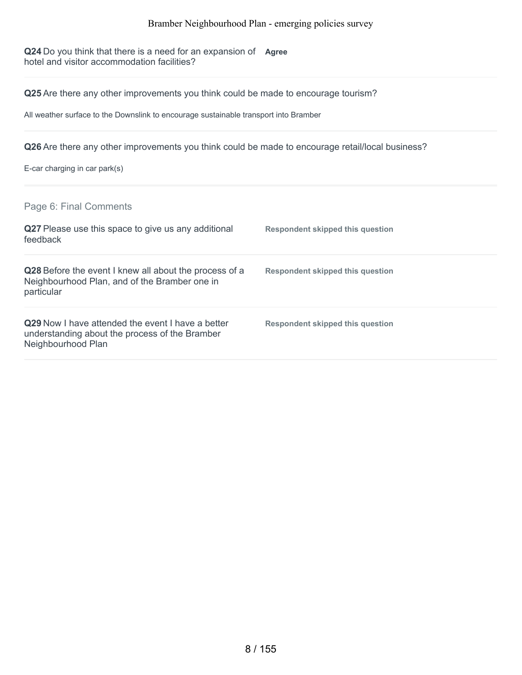**Q24** Do you think that there is a need for an expansion of **Agree** hotel and visitor accommodation facilities?

**Q25** Are there any other improvements you think could be made to encourage tourism?

All weather surface to the Downslink to encourage sustainable transport into Bramber

**Q26** Are there any other improvements you think could be made to encourage retail/local business?

E-car charging in car park(s)

Page 6: Final Comments

| Q27 Please use this space to give us any additional<br>feedback                                                           | <b>Respondent skipped this question</b> |
|---------------------------------------------------------------------------------------------------------------------------|-----------------------------------------|
| Q28 Before the event I knew all about the process of a<br>Neighbourhood Plan, and of the Bramber one in<br>particular     | Respondent skipped this question        |
| Q29 Now I have attended the event I have a better<br>understanding about the process of the Bramber<br>Neighbourhood Plan | Respondent skipped this question        |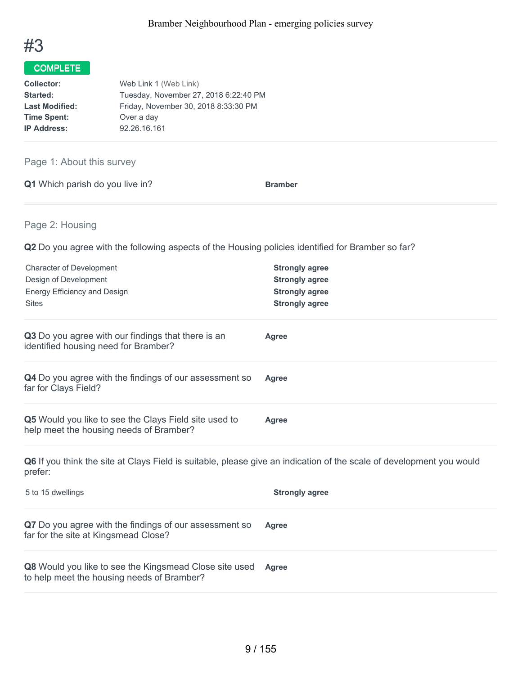

| <b>Collector:</b>     | Web Link 1 (Web Link)                 |
|-----------------------|---------------------------------------|
| Started:              | Tuesday, November 27, 2018 6:22:40 PM |
| <b>Last Modified:</b> | Friday, November 30, 2018 8:33:30 PM  |
| <b>Time Spent:</b>    | Over a day                            |
| <b>IP Address:</b>    | 92.26.16.161                          |

Page 1: About this survey

**Q1** Which parish do you live in? **Bramber** 

Page 2: Housing

**Q2** Do you agree with the following aspects of the Housing policies identified for Bramber so far?

| <b>Character of Development</b><br>Design of Development<br>Energy Efficiency and Design<br><b>Sites</b>                        | <b>Strongly agree</b><br><b>Strongly agree</b><br><b>Strongly agree</b><br><b>Strongly agree</b> |
|---------------------------------------------------------------------------------------------------------------------------------|--------------------------------------------------------------------------------------------------|
| Q3 Do you agree with our findings that there is an<br>identified housing need for Bramber?                                      | Agree                                                                                            |
| Q4 Do you agree with the findings of our assessment so<br>far for Clays Field?                                                  | <b>Agree</b>                                                                                     |
| Q5 Would you like to see the Clays Field site used to<br>help meet the housing needs of Bramber?                                | <b>Agree</b>                                                                                     |
| Q6 If you think the site at Clays Field is suitable, please give an indication of the scale of development you would<br>prefer: |                                                                                                  |
| 5 to 15 dwellings                                                                                                               | <b>Strongly agree</b>                                                                            |
| Q7 Do you agree with the findings of our assessment so<br>far for the site at Kingsmead Close?                                  | <b>Agree</b>                                                                                     |
| Q8 Would you like to see the Kingsmead Close site used                                                                          | Agree                                                                                            |

to help meet the housing needs of Bramber?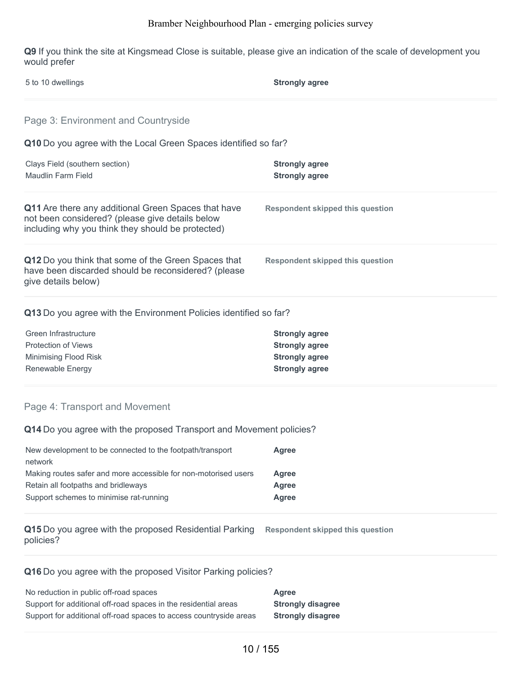**Q9** If you think the site at Kingsmead Close is suitable, please give an indication of the scale of development you would prefer

| 5 to 10 dwellings                                                                                                                                           | <b>Strongly agree</b>                                                                            |
|-------------------------------------------------------------------------------------------------------------------------------------------------------------|--------------------------------------------------------------------------------------------------|
| Page 3: Environment and Countryside                                                                                                                         |                                                                                                  |
| Q10 Do you agree with the Local Green Spaces identified so far?                                                                                             |                                                                                                  |
| Clays Field (southern section)<br>Maudlin Farm Field                                                                                                        | <b>Strongly agree</b><br><b>Strongly agree</b>                                                   |
| Q11 Are there any additional Green Spaces that have<br>not been considered? (please give details below<br>including why you think they should be protected) | <b>Respondent skipped this question</b>                                                          |
| Q12 Do you think that some of the Green Spaces that<br>have been discarded should be reconsidered? (please<br>give details below)                           | <b>Respondent skipped this question</b>                                                          |
| Q13 Do you agree with the Environment Policies identified so far?                                                                                           |                                                                                                  |
| Green Infrastructure<br><b>Protection of Views</b><br>Minimising Flood Risk<br>Renewable Energy                                                             | <b>Strongly agree</b><br><b>Strongly agree</b><br><b>Strongly agree</b><br><b>Strongly agree</b> |
| Page 4: Transport and Movement                                                                                                                              |                                                                                                  |
| Q14 Do you agree with the proposed Transport and Movement policies?                                                                                         |                                                                                                  |
| New development to be connected to the footpath/transport<br>network                                                                                        | Agree                                                                                            |

| Making routes safer and more accessible for non-motorised users | Agree |
|-----------------------------------------------------------------|-------|
| Retain all footpaths and bridleways                             | Agree |
| Support schemes to minimise rat-running                         | Agree |
|                                                                 |       |

**Q15** Do you agree with the proposed Residential Parking **Respondent skipped this question** policies?

### **Q16** Do you agree with the proposed Visitor Parking policies?

| No reduction in public off-road spaces                             | Agree                    |
|--------------------------------------------------------------------|--------------------------|
| Support for additional off-road spaces in the residential areas    | <b>Strongly disagree</b> |
| Support for additional off-road spaces to access countryside areas | <b>Strongly disagree</b> |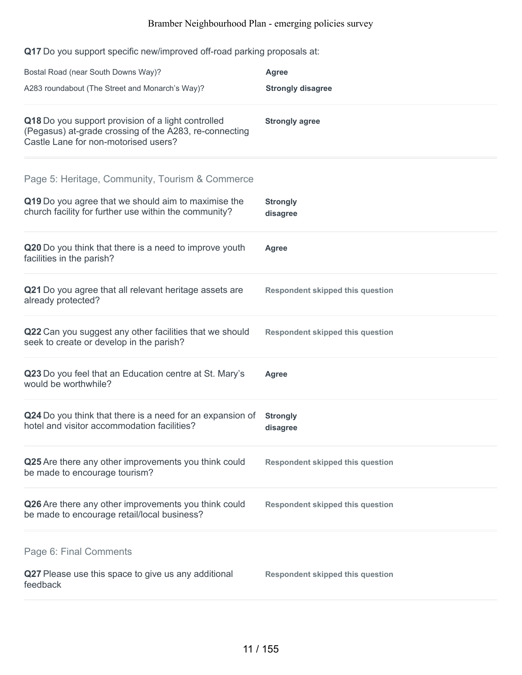**Q17** Do you support specific new/improved off-road parking proposals at:

| Bostal Road (near South Downs Way)?                                                                                                                             | <b>Agree</b>                            |
|-----------------------------------------------------------------------------------------------------------------------------------------------------------------|-----------------------------------------|
| A283 roundabout (The Street and Monarch's Way)?                                                                                                                 | <b>Strongly disagree</b>                |
| Q18 Do you support provision of a light controlled<br>(Pegasus) at-grade crossing of the A283, re-connecting<br>Castle Lane for non-motorised users?            | <b>Strongly agree</b>                   |
| Page 5: Heritage, Community, Tourism & Commerce<br>Q19 Do you agree that we should aim to maximise the<br>church facility for further use within the community? | <b>Strongly</b><br>disagree             |
| Q20 Do you think that there is a need to improve youth<br>facilities in the parish?                                                                             | <b>Agree</b>                            |
| Q21 Do you agree that all relevant heritage assets are<br>already protected?                                                                                    | <b>Respondent skipped this question</b> |
| Q22 Can you suggest any other facilities that we should<br>seek to create or develop in the parish?                                                             | <b>Respondent skipped this question</b> |
| Q23 Do you feel that an Education centre at St. Mary's<br>would be worthwhile?                                                                                  | <b>Agree</b>                            |
| Q24 Do you think that there is a need for an expansion of<br>hotel and visitor accommodation facilities?                                                        | <b>Strongly</b><br>disagree             |
| Q25 Are there any other improvements you think could<br>be made to encourage tourism?                                                                           | <b>Respondent skipped this question</b> |
| Q26 Are there any other improvements you think could<br>be made to encourage retail/local business?                                                             | <b>Respondent skipped this question</b> |
| Page 6: Final Comments<br>Q27 Please use this space to give us any additional<br>feedback                                                                       | <b>Respondent skipped this question</b> |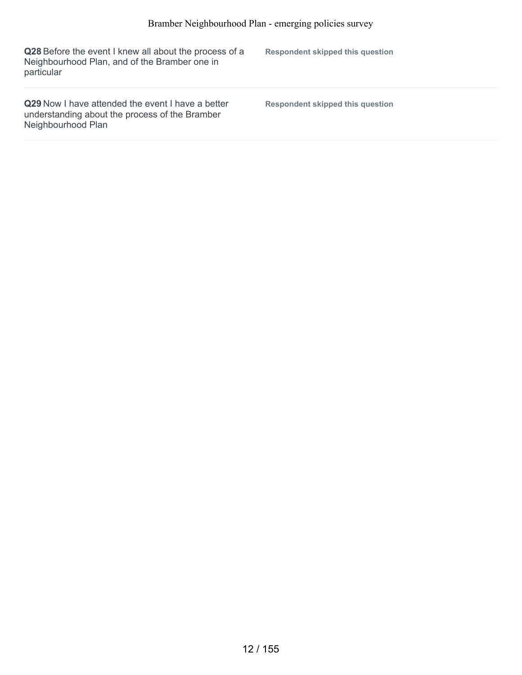| Q28 Before the event I knew all about the process of a<br>Neighbourhood Plan, and of the Bramber one in<br>particular            | Respondent skipped this question |
|----------------------------------------------------------------------------------------------------------------------------------|----------------------------------|
| <b>Q29</b> Now I have attended the event I have a better<br>understanding about the process of the Bramber<br>Neighbourhood Plan | Respondent skipped this question |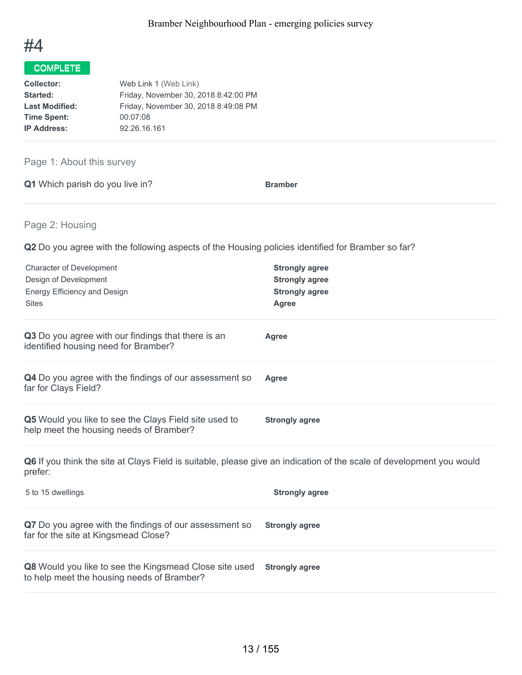

| Web Link 1 (Web Link)                |
|--------------------------------------|
| Friday, November 30, 2018 8:42:00 PM |
| Friday, November 30, 2018 8:49:08 PM |
| 00:07:08                             |
| 92.26.16.161                         |
|                                      |

### Page 1: About this survey

| Q1 Which parish do you live in? | <b>Bramber</b> |
|---------------------------------|----------------|
|---------------------------------|----------------|

### Page 2: Housing

**Q2** Do you agree with the following aspects of the Housing policies identified for Bramber so far?

| <b>Character of Development</b><br>Design of Development<br><b>Energy Efficiency and Design</b><br><b>Sites</b>                 | <b>Strongly agree</b><br><b>Strongly agree</b><br><b>Strongly agree</b><br><b>Agree</b> |
|---------------------------------------------------------------------------------------------------------------------------------|-----------------------------------------------------------------------------------------|
| Q3 Do you agree with our findings that there is an<br>identified housing need for Bramber?                                      | Agree                                                                                   |
| Q4 Do you agree with the findings of our assessment so<br>far for Clays Field?                                                  | <b>Agree</b>                                                                            |
| Q5 Would you like to see the Clays Field site used to<br>help meet the housing needs of Bramber?                                | <b>Strongly agree</b>                                                                   |
| Q6 If you think the site at Clays Field is suitable, please give an indication of the scale of development you would<br>prefer: |                                                                                         |
| 5 to 15 dwellings                                                                                                               | <b>Strongly agree</b>                                                                   |
| Q7 Do you agree with the findings of our assessment so<br>far for the site at Kingsmead Close?                                  | <b>Strongly agree</b>                                                                   |
| Q8 Would you like to see the Kingsmead Close site used<br>to help meet the housing needs of Bramber?                            | <b>Strongly agree</b>                                                                   |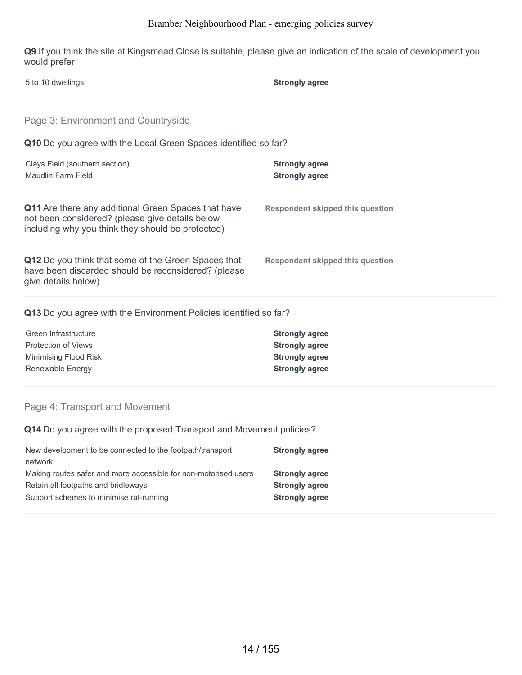**Q9** If you think the site at Kingsmead Close is suitable, please give an indication of the scale of development you would prefer

| 5 to 10 dwellings                                                                                                                                           | <b>Strongly agree</b>                          |
|-------------------------------------------------------------------------------------------------------------------------------------------------------------|------------------------------------------------|
| Page 3: Environment and Countryside                                                                                                                         |                                                |
| Q10 Do you agree with the Local Green Spaces identified so far?                                                                                             |                                                |
| Clays Field (southern section)<br>Maudlin Farm Field                                                                                                        | <b>Strongly agree</b><br><b>Strongly agree</b> |
| Q11 Are there any additional Green Spaces that have<br>not been considered? (please give details below<br>including why you think they should be protected) | <b>Respondent skipped this question</b>        |
| Q12 Do you think that some of the Green Spaces that<br>have been discarded should be reconsidered? (please<br>give details below)                           | <b>Respondent skipped this question</b>        |
| Q13 Do you agree with the Environment Policies identified so far?                                                                                           |                                                |
| Green Infrastructure                                                                                                                                        | <b>Strongly agree</b>                          |
| <b>Protection of Views</b>                                                                                                                                  | <b>Strongly agree</b>                          |
| Minimising Flood Risk                                                                                                                                       | <b>Strongly agree</b>                          |
|                                                                                                                                                             | <b>Strongly agree</b>                          |

**Q14** Do you agree with the proposed Transport and Movement policies?

| New development to be connected to the footpath/transport<br>network | <b>Strongly agree</b> |
|----------------------------------------------------------------------|-----------------------|
| Making routes safer and more accessible for non-motorised users      | <b>Strongly agree</b> |
| Retain all footpaths and bridleways                                  | <b>Strongly agree</b> |
| Support schemes to minimise rat-running                              | <b>Strongly agree</b> |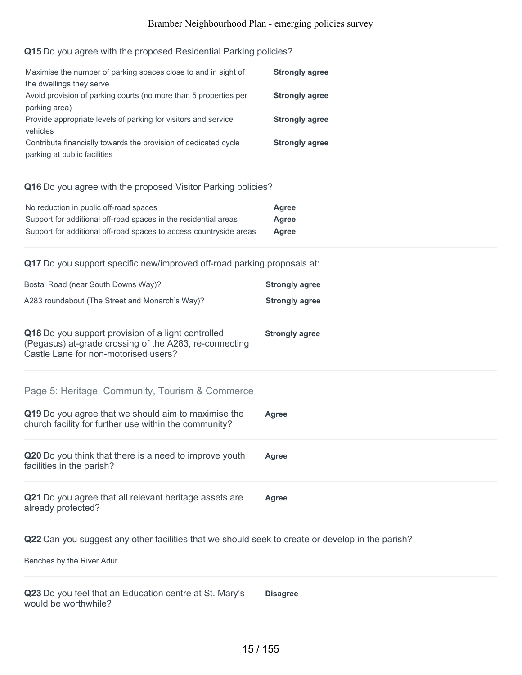### **Q15** Do you agree with the proposed Residential Parking policies?

| Maximise the number of parking spaces close to and in sight of   | <b>Strongly agree</b> |
|------------------------------------------------------------------|-----------------------|
| the dwellings they serve                                         |                       |
| Avoid provision of parking courts (no more than 5 properties per | <b>Strongly agree</b> |
| parking area)                                                    |                       |
| Provide appropriate levels of parking for visitors and service   | <b>Strongly agree</b> |
| vehicles                                                         |                       |
| Contribute financially towards the provision of dedicated cycle  | <b>Strongly agree</b> |
| parking at public facilities                                     |                       |

#### **Q16** Do you agree with the proposed Visitor Parking policies?

| No reduction in public off-road spaces                             | Agree |
|--------------------------------------------------------------------|-------|
| Support for additional off-road spaces in the residential areas    | Agree |
| Support for additional off-road spaces to access countryside areas | Agree |

**Q17** Do you support specific new/improved off-road parking proposals at:

| Bostal Road (near South Downs Way)?<br>A283 roundabout (The Street and Monarch's Way)?                                                               | <b>Strongly agree</b><br><b>Strongly agree</b> |
|------------------------------------------------------------------------------------------------------------------------------------------------------|------------------------------------------------|
|                                                                                                                                                      |                                                |
| Q18 Do you support provision of a light controlled<br>(Pegasus) at-grade crossing of the A283, re-connecting<br>Castle Lane for non-motorised users? | <b>Strongly agree</b>                          |
| Page 5: Heritage, Community, Tourism & Commerce                                                                                                      |                                                |
| Q19 Do you agree that we should aim to maximise the<br>church facility for further use within the community?                                         | Agree                                          |
| Q20 Do you think that there is a need to improve youth<br>facilities in the parish?                                                                  | Agree                                          |
| Q21 Do you agree that all relevant heritage assets are<br>already protected?                                                                         | Agree                                          |

**Q22** Can you suggest any other facilities that we should seek to create or develop in the parish?

Benches by the River Adur

**Q23** Do you feel that an Education centre at St. Mary's would be worthwhile? **Disagree**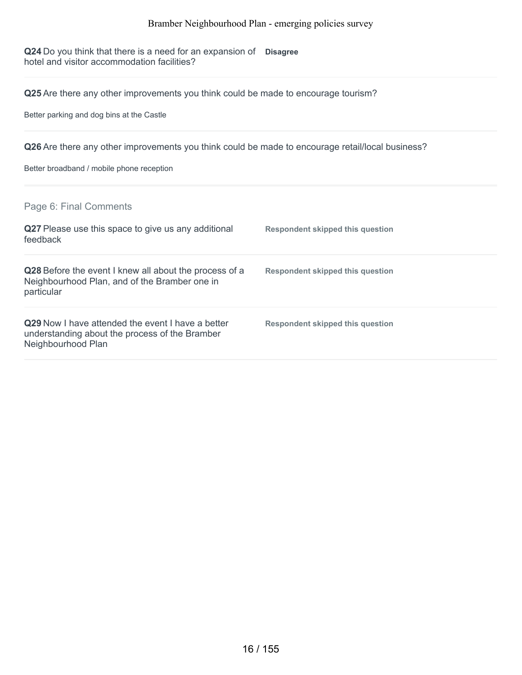**Q24** Do you think that there is a need for an expansion of **Disagree** hotel and visitor accommodation facilities?

**Q25** Are there any other improvements you think could be made to encourage tourism?

Better parking and dog bins at the Castle

**Q26** Are there any other improvements you think could be made to encourage retail/local business?

Better broadband / mobile phone reception

Page 6: Final Comments

| Q27 Please use this space to give us any additional<br>feedback                                                                  | Respondent skipped this question |
|----------------------------------------------------------------------------------------------------------------------------------|----------------------------------|
| Q28 Before the event I knew all about the process of a<br>Neighbourhood Plan, and of the Bramber one in<br>particular            | Respondent skipped this question |
| <b>Q29</b> Now I have attended the event I have a better<br>understanding about the process of the Bramber<br>Neighbourhood Plan | Respondent skipped this question |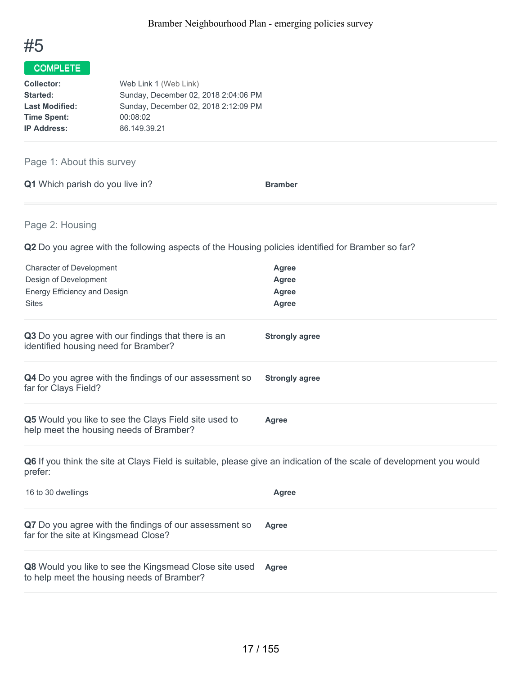

| Web Link 1 (Web Link)                |
|--------------------------------------|
| Sunday, December 02, 2018 2:04:06 PM |
| Sunday, December 02, 2018 2:12:09 PM |
| 00:08:02                             |
| 86.149.39.21                         |
|                                      |

### Page 1: About this survey

| Q1 Which parish do you live in? | <b>Bramber</b> |
|---------------------------------|----------------|
|                                 |                |

Page 2: Housing

**Q2** Do you agree with the following aspects of the Housing policies identified for Bramber so far?

| <b>Character of Development</b>                                                                                                 | Agree                 |
|---------------------------------------------------------------------------------------------------------------------------------|-----------------------|
| Design of Development                                                                                                           | Agree                 |
| Energy Efficiency and Design                                                                                                    | Agree                 |
| <b>Sites</b>                                                                                                                    | Agree                 |
| Q3 Do you agree with our findings that there is an<br>identified housing need for Bramber?                                      | <b>Strongly agree</b> |
| Q4 Do you agree with the findings of our assessment so<br>far for Clays Field?                                                  | <b>Strongly agree</b> |
| Q5 Would you like to see the Clays Field site used to<br>help meet the housing needs of Bramber?                                | <b>Agree</b>          |
| Q6 If you think the site at Clays Field is suitable, please give an indication of the scale of development you would<br>prefer: |                       |
| 16 to 30 dwellings                                                                                                              | <b>Agree</b>          |
| Q7 Do you agree with the findings of our assessment so                                                                          | Agree                 |

far for the site at Kingsmead Close?

**Q8** Would you like to see the Kingsmead Close site used to help meet the housing needs of Bramber? **Agree**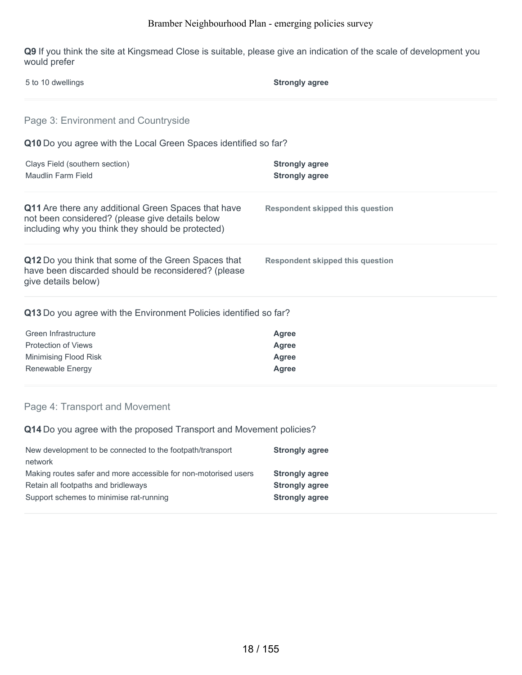**Q9** If you think the site at Kingsmead Close is suitable, please give an indication of the scale of development you would prefer

| 5 to 10 dwellings                                                                                                                                           | <b>Strongly agree</b>                                        |  |
|-------------------------------------------------------------------------------------------------------------------------------------------------------------|--------------------------------------------------------------|--|
| Page 3: Environment and Countryside                                                                                                                         |                                                              |  |
| Q10 Do you agree with the Local Green Spaces identified so far?                                                                                             |                                                              |  |
| Clays Field (southern section)<br>Maudlin Farm Field                                                                                                        | <b>Strongly agree</b><br><b>Strongly agree</b>               |  |
| Q11 Are there any additional Green Spaces that have<br>not been considered? (please give details below<br>including why you think they should be protected) | Respondent skipped this question                             |  |
| Q12 Do you think that some of the Green Spaces that<br>have been discarded should be reconsidered? (please<br>give details below)                           | <b>Respondent skipped this question</b>                      |  |
| Q13 Do you agree with the Environment Policies identified so far?                                                                                           |                                                              |  |
| Green Infrastructure<br><b>Protection of Views</b><br>Minimising Flood Risk<br>Renewable Energy                                                             | <b>Agree</b><br><b>Agree</b><br><b>Agree</b><br><b>Agree</b> |  |

### Page 4: Transport and Movement

**Q14** Do you agree with the proposed Transport and Movement policies?

| New development to be connected to the footpath/transport<br>network | <b>Strongly agree</b> |
|----------------------------------------------------------------------|-----------------------|
| Making routes safer and more accessible for non-motorised users      | <b>Strongly agree</b> |
| Retain all footpaths and bridleways                                  | <b>Strongly agree</b> |
| Support schemes to minimise rat-running                              | <b>Strongly agree</b> |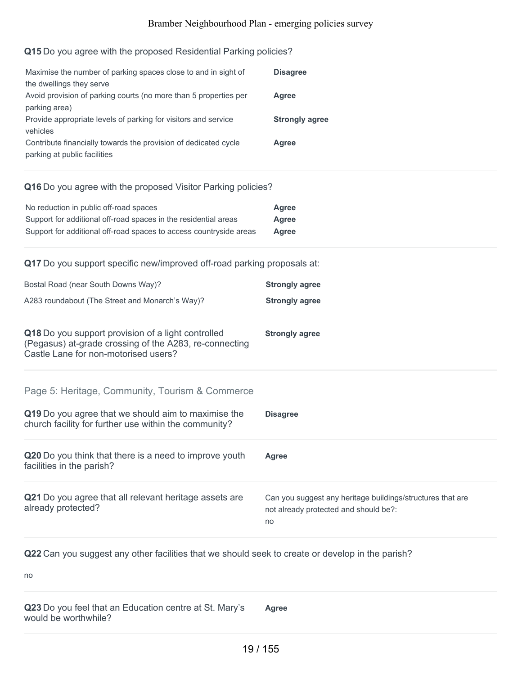### **Q15** Do you agree with the proposed Residential Parking policies?

| Maximise the number of parking spaces close to and in sight of                                                                                       | <b>Disagree</b>       |
|------------------------------------------------------------------------------------------------------------------------------------------------------|-----------------------|
| the dwellings they serve<br>Avoid provision of parking courts (no more than 5 properties per<br>parking area)                                        | Agree                 |
| Provide appropriate levels of parking for visitors and service<br>vehicles                                                                           | <b>Strongly agree</b> |
| Contribute financially towards the provision of dedicated cycle<br>parking at public facilities                                                      | Agree                 |
| Q16 Do you agree with the proposed Visitor Parking policies?                                                                                         |                       |
| No reduction in public off-road spaces                                                                                                               | Agree                 |
| Support for additional off-road spaces in the residential areas                                                                                      | <b>Agree</b>          |
| Support for additional off-road spaces to access countryside areas                                                                                   | Agree                 |
| Q17 Do you support specific new/improved off-road parking proposals at:                                                                              |                       |
| Bostal Road (near South Downs Way)?                                                                                                                  | <b>Strongly agree</b> |
| A283 roundabout (The Street and Monarch's Way)?                                                                                                      | <b>Strongly agree</b> |
| Q18 Do you support provision of a light controlled<br>(Pegasus) at-grade crossing of the A283, re-connecting<br>Castle Lane for non-motorised users? | <b>Strongly agree</b> |
| Page 5: Heritage, Community, Tourism & Commerce                                                                                                      |                       |
| Q19 Do you agree that we should aim to maximise the<br>church facility for further use within the community?                                         | <b>Disagree</b>       |
| Q20 Do you think that there is a need to improve youth<br>facilities in the parish?                                                                  | Agree                 |
|                                                                                                                                                      |                       |

**Q21** Do you agree that all relevant heritage assets are already protected? no Can you suggest any heritage buildings/structures that are not already protected and should be?:

**Q22** Can you suggest any other facilities that we should seek to create or develop in the parish?

no

**Q23** Do you feel that an Education centre at St. Mary's would be worthwhile?

**Agree**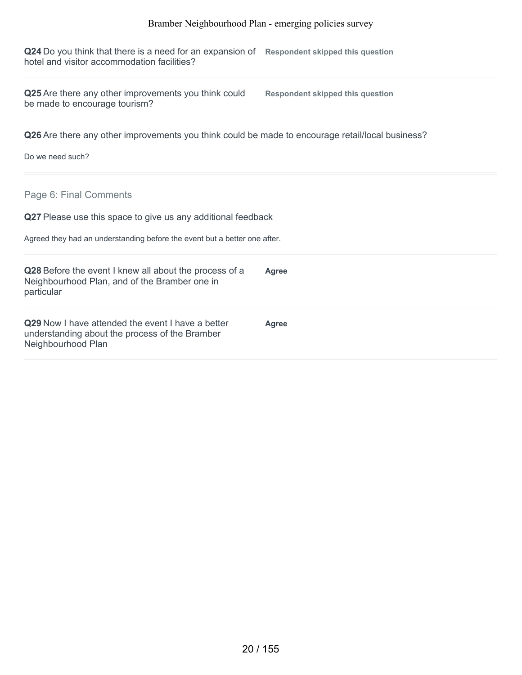**Q24** Do you think that there is a need for an expansion of **Respondent skipped this question** hotel and visitor accommodation facilities?

**Q25** Are there any other improvements you think could be made to encourage tourism?

**Respondent skipped this question**

**Q26** Are there any other improvements you think could be made to encourage retail/local business?

Do we need such?

Page 6: Final Comments

**Q27** Please use this space to give us any additional feedback

Agreed they had an understanding before the event but a better one after.

| Q28 Before the event I knew all about the process of a<br>Neighbourhood Plan, and of the Bramber one in<br>particular            | Agree |
|----------------------------------------------------------------------------------------------------------------------------------|-------|
| <b>Q29</b> Now I have attended the event I have a better<br>understanding about the process of the Bramber<br>Neighbourhood Plan | Agree |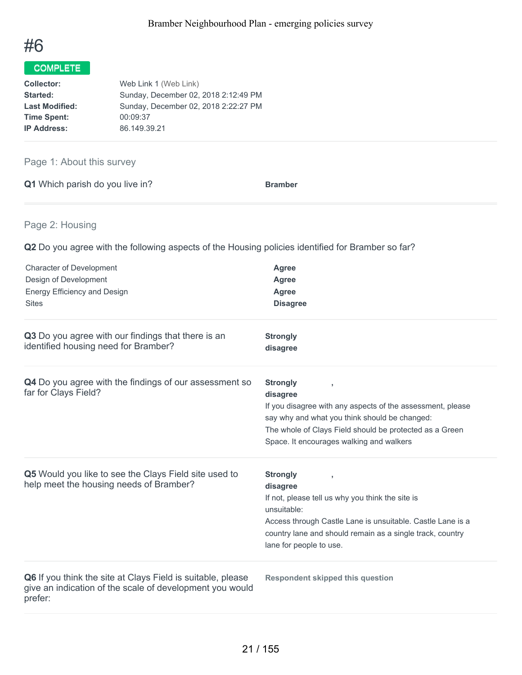

| Web Link 1 (Web Link)                |
|--------------------------------------|
| Sunday, December 02, 2018 2:12:49 PM |
| Sunday, December 02, 2018 2:22:27 PM |
| 00:09:37                             |
| 86.149.39.21                         |
|                                      |

### Page 1: About this survey

|  | <b>Q1</b> Which parish do you live in? | <b>Bramber</b> |
|--|----------------------------------------|----------------|
|  |                                        |                |

### Page 2: Housing

**Q2** Do you agree with the following aspects of the Housing policies identified for Bramber so far?

| <b>Character of Development</b><br>Design of Development<br><b>Energy Efficiency and Design</b><br><b>Sites</b>                    | <b>Agree</b><br>Agree<br><b>Agree</b><br><b>Disagree</b>                                                                                                                                                                                                  |
|------------------------------------------------------------------------------------------------------------------------------------|-----------------------------------------------------------------------------------------------------------------------------------------------------------------------------------------------------------------------------------------------------------|
| Q3 Do you agree with our findings that there is an<br>identified housing need for Bramber?                                         | <b>Strongly</b><br>disagree                                                                                                                                                                                                                               |
| Q4 Do you agree with the findings of our assessment so<br>far for Clays Field?                                                     | <b>Strongly</b><br>disagree<br>If you disagree with any aspects of the assessment, please<br>say why and what you think should be changed:<br>The whole of Clays Field should be protected as a Green<br>Space. It encourages walking and walkers         |
| Q5 Would you like to see the Clays Field site used to<br>help meet the housing needs of Bramber?                                   | <b>Strongly</b><br>y<br>disagree<br>If not, please tell us why you think the site is<br>unsuitable:<br>Access through Castle Lane is unsuitable. Castle Lane is a<br>country lane and should remain as a single track, country<br>lane for people to use. |
| Q6 If you think the site at Clays Field is suitable, please<br>give an indication of the scale of development you would<br>prefer: | <b>Respondent skipped this question</b>                                                                                                                                                                                                                   |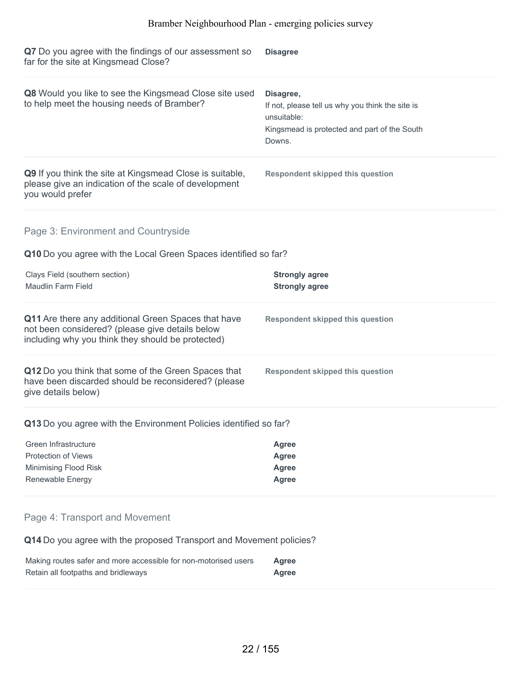| Q7 Do you agree with the findings of our assessment so<br>far for the site at Kingsmead Close?                                                              | <b>Disagree</b>                                                                                                                        |  |
|-------------------------------------------------------------------------------------------------------------------------------------------------------------|----------------------------------------------------------------------------------------------------------------------------------------|--|
| Q8 Would you like to see the Kingsmead Close site used<br>to help meet the housing needs of Bramber?                                                        | Disagree,<br>If not, please tell us why you think the site is<br>unsuitable:<br>Kingsmead is protected and part of the South<br>Downs. |  |
| Q9 If you think the site at Kingsmead Close is suitable,<br>please give an indication of the scale of development<br>you would prefer                       | <b>Respondent skipped this question</b>                                                                                                |  |
| Page 3: Environment and Countryside                                                                                                                         |                                                                                                                                        |  |
| Q10 Do you agree with the Local Green Spaces identified so far?                                                                                             |                                                                                                                                        |  |
| Clays Field (southern section)<br>Maudlin Farm Field                                                                                                        | <b>Strongly agree</b><br><b>Strongly agree</b>                                                                                         |  |
| Q11 Are there any additional Green Spaces that have<br>not been considered? (please give details below<br>including why you think they should be protected) | <b>Respondent skipped this question</b>                                                                                                |  |
| Q12 Do you think that some of the Green Spaces that<br>have been discarded should be reconsidered? (please<br>give details below)                           | <b>Respondent skipped this question</b>                                                                                                |  |
| Q13 Do you agree with the Environment Policies identified so far?                                                                                           |                                                                                                                                        |  |
| Green Infrastructure                                                                                                                                        | <b>Agree</b>                                                                                                                           |  |
| Protection of Views                                                                                                                                         | <b>Agree</b>                                                                                                                           |  |
| Minimising Flood Risk                                                                                                                                       | <b>Agree</b>                                                                                                                           |  |
| Renewable Energy                                                                                                                                            | <b>Agree</b>                                                                                                                           |  |
| Page 4: Transport and Movement                                                                                                                              |                                                                                                                                        |  |
| Q14 Do you agree with the proposed Transport and Movement policies?                                                                                         |                                                                                                                                        |  |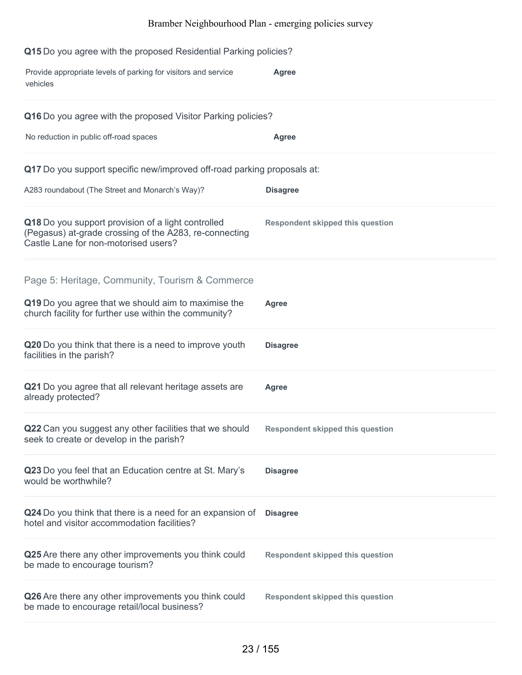| Q15 Do you agree with the proposed Residential Parking policies?                                                                                     |                                         |  |
|------------------------------------------------------------------------------------------------------------------------------------------------------|-----------------------------------------|--|
| Provide appropriate levels of parking for visitors and service<br>vehicles                                                                           | <b>Agree</b>                            |  |
| Q16 Do you agree with the proposed Visitor Parking policies?                                                                                         |                                         |  |
| No reduction in public off-road spaces                                                                                                               | <b>Agree</b>                            |  |
| Q17 Do you support specific new/improved off-road parking proposals at:                                                                              |                                         |  |
| A283 roundabout (The Street and Monarch's Way)?                                                                                                      | <b>Disagree</b>                         |  |
| Q18 Do you support provision of a light controlled<br>(Pegasus) at-grade crossing of the A283, re-connecting<br>Castle Lane for non-motorised users? | <b>Respondent skipped this question</b> |  |
| Page 5: Heritage, Community, Tourism & Commerce                                                                                                      |                                         |  |
| Q19 Do you agree that we should aim to maximise the<br>church facility for further use within the community?                                         | <b>Agree</b>                            |  |
| Q20 Do you think that there is a need to improve youth<br>facilities in the parish?                                                                  | <b>Disagree</b>                         |  |
| Q21 Do you agree that all relevant heritage assets are<br>already protected?                                                                         | <b>Agree</b>                            |  |
| Q22 Can you suggest any other facilities that we should Respondent skipped this question<br>seek to create or develop in the parish?                 |                                         |  |
| Q23 Do you feel that an Education centre at St. Mary's<br>would be worthwhile?                                                                       | <b>Disagree</b>                         |  |
| Q24 Do you think that there is a need for an expansion of<br>hotel and visitor accommodation facilities?                                             | <b>Disagree</b>                         |  |
| Q25 Are there any other improvements you think could<br>be made to encourage tourism?                                                                | <b>Respondent skipped this question</b> |  |
| Q26 Are there any other improvements you think could<br>be made to encourage retail/local business?                                                  | <b>Respondent skipped this question</b> |  |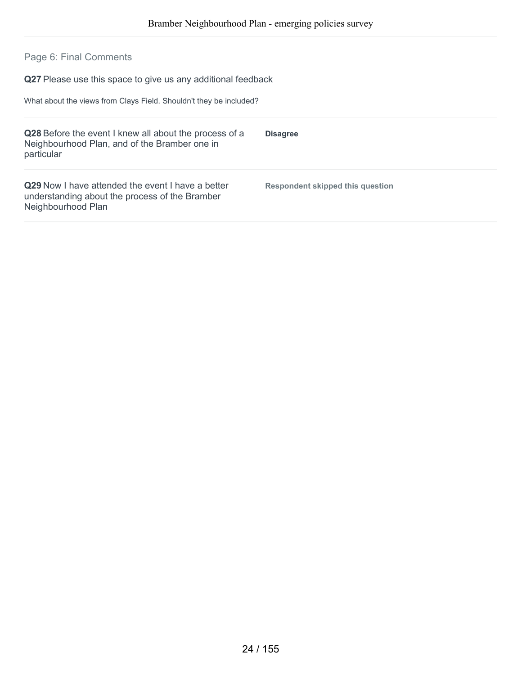### Page 6: Final Comments

**Q27** Please use this space to give us any additional feedback

What about the views from Clays Field. Shouldn't they be included?

| Q28 Before the event I knew all about the process of a<br>Neighbourhood Plan, and of the Bramber one in<br>particular            | <b>Disagree</b>                  |
|----------------------------------------------------------------------------------------------------------------------------------|----------------------------------|
| <b>Q29</b> Now I have attended the event I have a better<br>understanding about the process of the Bramber<br>Neighbourhood Plan | Respondent skipped this question |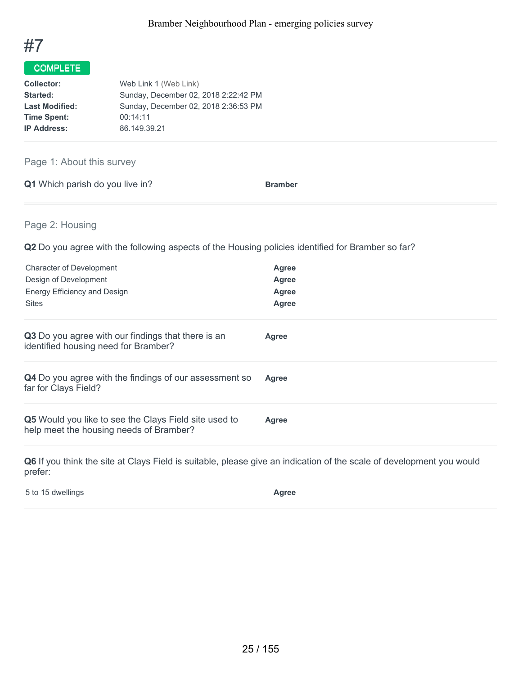

| Web Link 1 (Web Link)                |
|--------------------------------------|
| Sunday, December 02, 2018 2:22:42 PM |
| Sunday, December 02, 2018 2:36:53 PM |
| 00:14:11                             |
| 86.149.39.21                         |
|                                      |

Page 1: About this survey

|  | <b>Q1</b> Which parish do you live in? |  | <b>Bramber</b> |
|--|----------------------------------------|--|----------------|
|  |                                        |  |                |

Page 2: Housing

**Q2** Do you agree with the following aspects of the Housing policies identified for Bramber so far?

| Agree<br>Agree<br>Agree<br>Agree |
|----------------------------------|
| Agree                            |
| Agree                            |
| Agree                            |
|                                  |

**Q6** If you think the site at Clays Field is suitable, please give an indication of the scale of development you would prefer:

5 to 15 dwellings **Agree**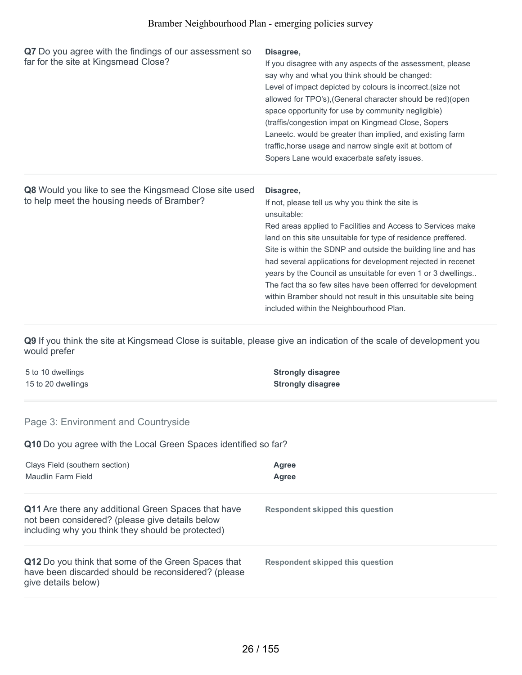| Q7 Do you agree with the findings of our assessment so<br>far for the site at Kingsmead Close?       | Disagree,<br>If you disagree with any aspects of the assessment, please<br>say why and what you think should be changed:<br>Level of impact depicted by colours is incorrect.(size not<br>allowed for TPO's), (General character should be red) (open<br>space opportunity for use by community negligible)<br>(traffis/congestion impat on Kingmead Close, Sopers<br>Laneetc. would be greater than implied, and existing farm<br>traffic, horse usage and narrow single exit at bottom of<br>Sopers Lane would exacerbate safety issues.                                                 |
|------------------------------------------------------------------------------------------------------|--------------------------------------------------------------------------------------------------------------------------------------------------------------------------------------------------------------------------------------------------------------------------------------------------------------------------------------------------------------------------------------------------------------------------------------------------------------------------------------------------------------------------------------------------------------------------------------------|
| Q8 Would you like to see the Kingsmead Close site used<br>to help meet the housing needs of Bramber? | Disagree,<br>If not, please tell us why you think the site is<br>unsuitable:<br>Red areas applied to Facilities and Access to Services make<br>land on this site unsuitable for type of residence preffered.<br>Site is within the SDNP and outside the building line and has<br>had several applications for development rejected in recenet<br>years by the Council as unsuitable for even 1 or 3 dwellings<br>The fact tha so few sites have been offerred for development<br>within Bramber should not result in this unsuitable site being<br>included within the Neighbourhood Plan. |

**Q9** If you think the site at Kingsmead Close is suitable, please give an indication of the scale of development you would prefer

| 5 to 10 dwellings  | <b>Strongly disagree</b> |
|--------------------|--------------------------|
| 15 to 20 dwellings | <b>Strongly disagree</b> |

### Page 3: Environment and Countryside

**Q10** Do you agree with the Local Green Spaces identified so far?

| Clays Field (southern section)<br>Maudlin Farm Field                                                                                                               | Agree<br>Agree                   |
|--------------------------------------------------------------------------------------------------------------------------------------------------------------------|----------------------------------|
| <b>Q11</b> Are there any additional Green Spaces that have<br>not been considered? (please give details below<br>including why you think they should be protected) | Respondent skipped this question |
| Q12 Do you think that some of the Green Spaces that<br>have been discarded should be reconsidered? (please<br>give details below)                                  | Respondent skipped this question |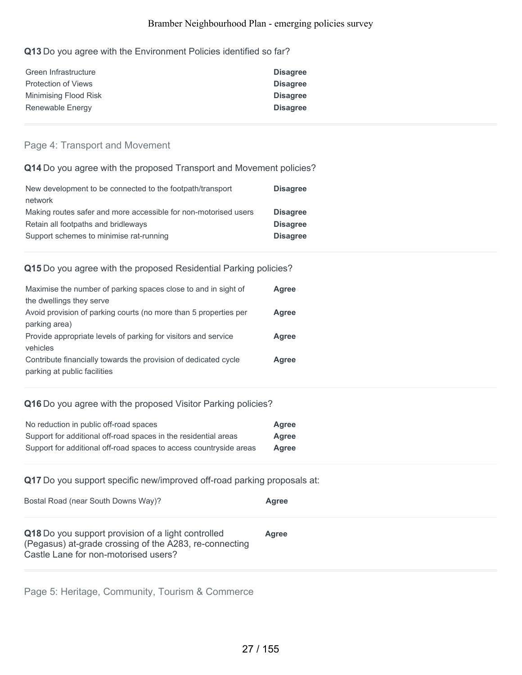#### **Q13** Do you agree with the Environment Policies identified so far?

| Green Infrastructure       | <b>Disagree</b> |
|----------------------------|-----------------|
| <b>Protection of Views</b> | <b>Disagree</b> |
| Minimising Flood Risk      | <b>Disagree</b> |
| Renewable Energy           | <b>Disagree</b> |

#### Page 4: Transport and Movement

### **Q14** Do you agree with the proposed Transport and Movement policies?

| New development to be connected to the footpath/transport       | <b>Disagree</b> |
|-----------------------------------------------------------------|-----------------|
| network                                                         |                 |
| Making routes safer and more accessible for non-motorised users | <b>Disagree</b> |
| Retain all footpaths and bridleways                             | <b>Disagree</b> |
| Support schemes to minimise rat-running                         | <b>Disagree</b> |

#### **Q15** Do you agree with the proposed Residential Parking policies?

| Maximise the number of parking spaces close to and in sight of   | Agree |
|------------------------------------------------------------------|-------|
| the dwellings they serve                                         |       |
| Avoid provision of parking courts (no more than 5 properties per | Agree |
| parking area)                                                    |       |
| Provide appropriate levels of parking for visitors and service   | Agree |
| vehicles                                                         |       |
| Contribute financially towards the provision of dedicated cycle  | Agree |
| parking at public facilities                                     |       |

#### **Q16** Do you agree with the proposed Visitor Parking policies?

| No reduction in public off-road spaces                             | Agree |
|--------------------------------------------------------------------|-------|
| Support for additional off-road spaces in the residential areas    | Agree |
| Support for additional off-road spaces to access countryside areas | Agree |

### **Q17** Do you support specific new/improved off-road parking proposals at:

| Bostal Road (near South Downs Way)?                                                                                                                  | Agree |
|------------------------------------------------------------------------------------------------------------------------------------------------------|-------|
| Q18 Do you support provision of a light controlled<br>(Pegasus) at-grade crossing of the A283, re-connecting<br>Castle Lane for non-motorised users? | Aaree |

Page 5: Heritage, Community, Tourism & Commerce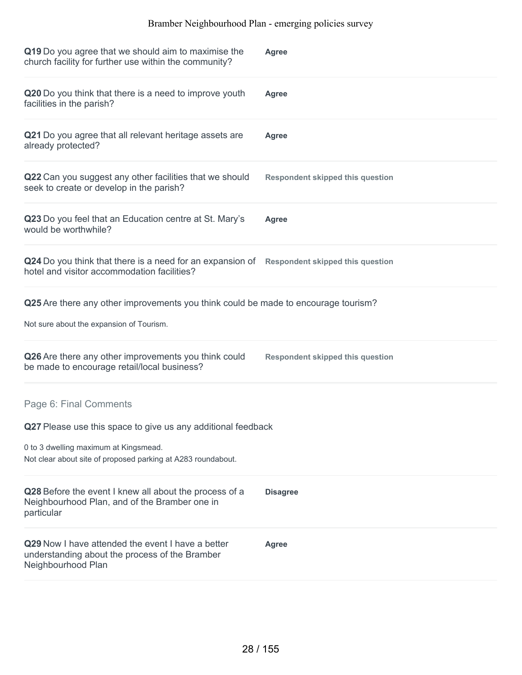| Q19 Do you agree that we should aim to maximise the<br>church facility for further use within the community?              | Agree                                   |
|---------------------------------------------------------------------------------------------------------------------------|-----------------------------------------|
| Q20 Do you think that there is a need to improve youth<br>facilities in the parish?                                       | Agree                                   |
| Q21 Do you agree that all relevant heritage assets are<br>already protected?                                              | Agree                                   |
| Q22 Can you suggest any other facilities that we should<br>seek to create or develop in the parish?                       | <b>Respondent skipped this question</b> |
| Q23 Do you feel that an Education centre at St. Mary's<br>would be worthwhile?                                            | Agree                                   |
| Q24 Do you think that there is a need for an expansion of<br>hotel and visitor accommodation facilities?                  | <b>Respondent skipped this question</b> |
| Q25 Are there any other improvements you think could be made to encourage tourism?                                        |                                         |
| Not sure about the expansion of Tourism.                                                                                  |                                         |
| Q26 Are there any other improvements you think could<br>be made to encourage retail/local business?                       | <b>Respondent skipped this question</b> |
| Page 6: Final Comments                                                                                                    |                                         |
| Q27 Please use this space to give us any additional feedback                                                              |                                         |
| 0 to 3 dwelling maximum at Kingsmead.<br>Not clear about site of proposed parking at A283 roundabout.                     |                                         |
| Q28 Before the event I knew all about the process of a<br>Neighbourhood Plan, and of the Bramber one in<br>particular     | <b>Disagree</b>                         |
| Q29 Now I have attended the event I have a better<br>understanding about the process of the Bramber<br>Neighbourhood Plan | Agree                                   |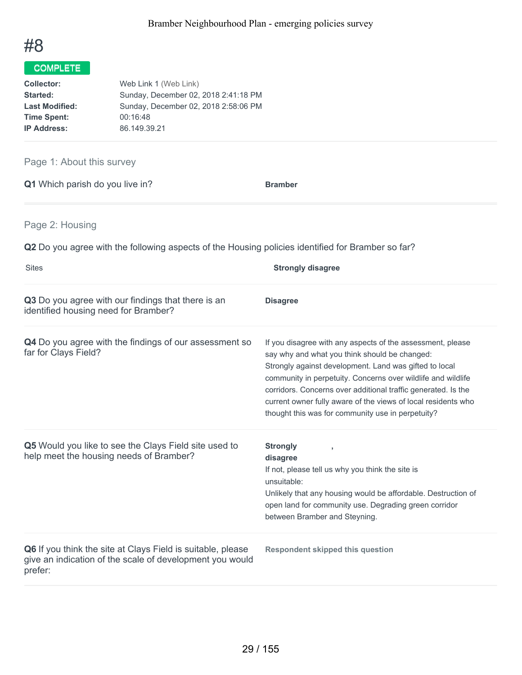

| Web Link 1 (Web Link)                |
|--------------------------------------|
| Sunday, December 02, 2018 2:41:18 PM |
| Sunday, December 02, 2018 2:58:06 PM |
| 00:16:48                             |
| 86.149.39.21                         |
|                                      |

### Page 1: About this survey

| Q1 Which parish do you live in? | <b>Bramber</b> |
|---------------------------------|----------------|
|---------------------------------|----------------|

Page 2: Housing

**Q2** Do you agree with the following aspects of the Housing policies identified for Bramber so far?

| <b>Sites</b>                                                                                                                       | <b>Strongly disagree</b>                                                                                                                                                                                                                                                                                                                                                                                                     |
|------------------------------------------------------------------------------------------------------------------------------------|------------------------------------------------------------------------------------------------------------------------------------------------------------------------------------------------------------------------------------------------------------------------------------------------------------------------------------------------------------------------------------------------------------------------------|
| Q3 Do you agree with our findings that there is an<br>identified housing need for Bramber?                                         | <b>Disagree</b>                                                                                                                                                                                                                                                                                                                                                                                                              |
| Q4 Do you agree with the findings of our assessment so<br>far for Clays Field?                                                     | If you disagree with any aspects of the assessment, please<br>say why and what you think should be changed:<br>Strongly against development. Land was gifted to local<br>community in perpetuity. Concerns over wildlife and wildlife<br>corridors. Concerns over additional traffic generated. Is the<br>current owner fully aware of the views of local residents who<br>thought this was for community use in perpetuity? |
| Q5 Would you like to see the Clays Field site used to<br>help meet the housing needs of Bramber?                                   | <b>Strongly</b><br>$\overline{\phantom{a}}$<br>disagree<br>If not, please tell us why you think the site is<br>unsuitable:<br>Unlikely that any housing would be affordable. Destruction of<br>open land for community use. Degrading green corridor<br>between Bramber and Steyning.                                                                                                                                        |
| Q6 If you think the site at Clays Field is suitable, please<br>give an indication of the scale of development you would<br>prefer: | <b>Respondent skipped this question</b>                                                                                                                                                                                                                                                                                                                                                                                      |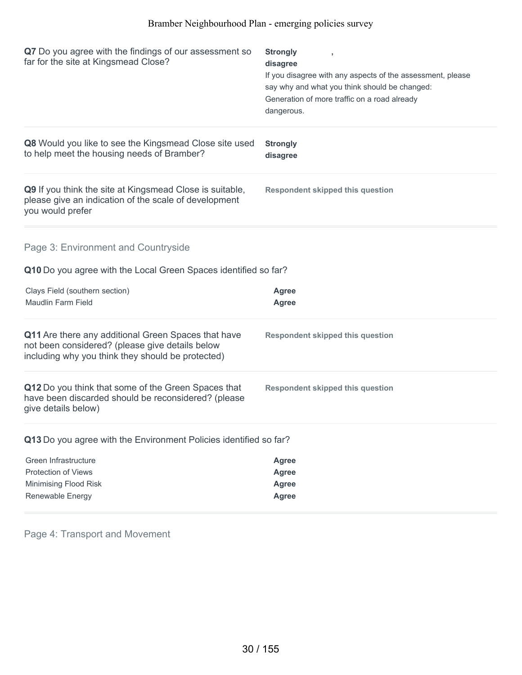| Q7 Do you agree with the findings of our assessment so<br>far for the site at Kingsmead Close?                                                              | <b>Strongly</b><br>,<br>disagree<br>If you disagree with any aspects of the assessment, please<br>say why and what you think should be changed:<br>Generation of more traffic on a road already<br>dangerous. |
|-------------------------------------------------------------------------------------------------------------------------------------------------------------|---------------------------------------------------------------------------------------------------------------------------------------------------------------------------------------------------------------|
| Q8 Would you like to see the Kingsmead Close site used<br>to help meet the housing needs of Bramber?                                                        | <b>Strongly</b><br>disagree                                                                                                                                                                                   |
| Q9 If you think the site at Kingsmead Close is suitable,<br>please give an indication of the scale of development<br>you would prefer                       | <b>Respondent skipped this question</b>                                                                                                                                                                       |
| Page 3: Environment and Countryside<br>Q10 Do you agree with the Local Green Spaces identified so far?                                                      |                                                                                                                                                                                                               |
| Clays Field (southern section)<br>Maudlin Farm Field                                                                                                        | Agree<br>Agree                                                                                                                                                                                                |
| Q11 Are there any additional Green Spaces that have<br>not been considered? (please give details below<br>including why you think they should be protected) | <b>Respondent skipped this question</b>                                                                                                                                                                       |
| Q12 Do you think that some of the Green Spaces that<br>have been discarded should be reconsidered? (please<br>give details below)                           | <b>Respondent skipped this question</b>                                                                                                                                                                       |
| Q13 Do you agree with the Environment Policies identified so far?                                                                                           |                                                                                                                                                                                                               |
| Green Infrastructure<br><b>Protection of Views</b><br>Minimising Flood Risk<br>Renewable Energy                                                             | <b>Agree</b><br><b>Agree</b><br><b>Agree</b><br><b>Agree</b>                                                                                                                                                  |

Page 4: Transport and Movement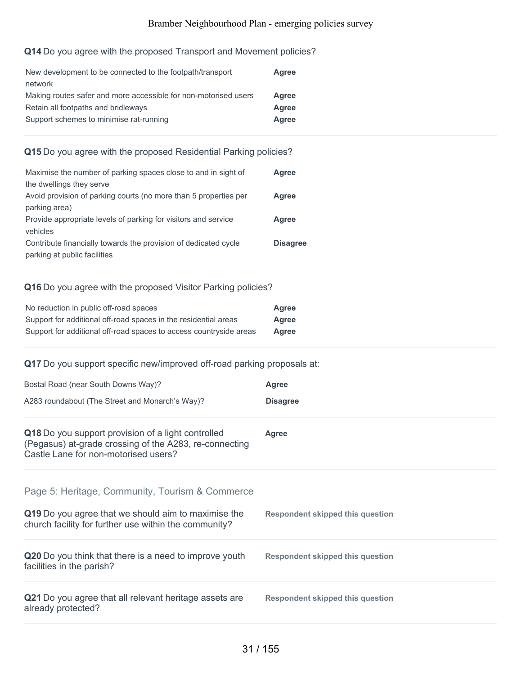### **Q14** Do you agree with the proposed Transport and Movement policies?

| New development to be connected to the footpath/transport       | Agree |
|-----------------------------------------------------------------|-------|
| network                                                         |       |
| Making routes safer and more accessible for non-motorised users | Agree |
| Retain all footpaths and bridleways                             | Agree |
| Support schemes to minimise rat-running                         | Agree |
|                                                                 |       |

### **Q15** Do you agree with the proposed Residential Parking policies?

| Maximise the number of parking spaces close to and in sight of   | <b>Agree</b>    |
|------------------------------------------------------------------|-----------------|
| the dwellings they serve                                         |                 |
| Avoid provision of parking courts (no more than 5 properties per | Agree           |
| parking area)                                                    |                 |
| Provide appropriate levels of parking for visitors and service   | Agree           |
| vehicles                                                         |                 |
| Contribute financially towards the provision of dedicated cycle  | <b>Disagree</b> |
| parking at public facilities                                     |                 |

### **Q16** Do you agree with the proposed Visitor Parking policies?

| No reduction in public off-road spaces                             | Agree |
|--------------------------------------------------------------------|-------|
| Support for additional off-road spaces in the residential areas    | Agree |
| Support for additional off-road spaces to access countryside areas | Agree |

### **Q17** Do you support specific new/improved off-road parking proposals at:

| Bostal Road (near South Downs Way)?                                                                                                                  | <b>Agree</b>                            |
|------------------------------------------------------------------------------------------------------------------------------------------------------|-----------------------------------------|
| A283 roundabout (The Street and Monarch's Way)?                                                                                                      | <b>Disagree</b>                         |
| Q18 Do you support provision of a light controlled<br>(Pegasus) at-grade crossing of the A283, re-connecting<br>Castle Lane for non-motorised users? | <b>Agree</b>                            |
| Page 5: Heritage, Community, Tourism & Commerce                                                                                                      |                                         |
| Q19 Do you agree that we should aim to maximise the<br>church facility for further use within the community?                                         | <b>Respondent skipped this question</b> |
| Q20 Do you think that there is a need to improve youth<br>facilities in the parish?                                                                  | <b>Respondent skipped this question</b> |
| Q21 Do you agree that all relevant heritage assets are<br>already protected?                                                                         | <b>Respondent skipped this question</b> |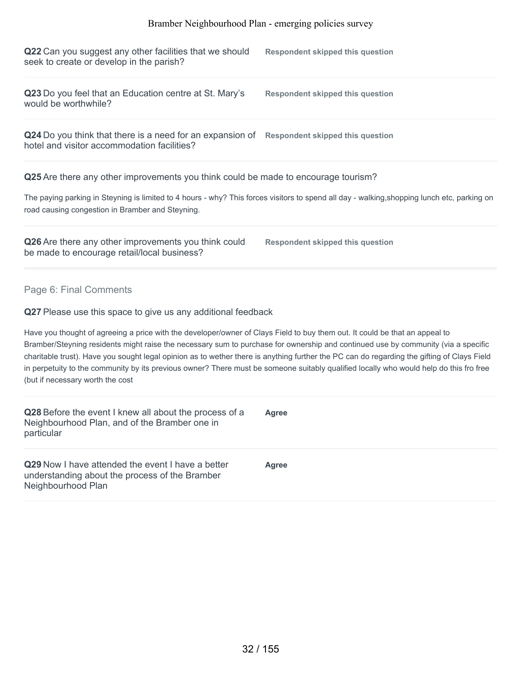| Q22 Can you suggest any other facilities that we should<br>seek to create or develop in the parish?                                                                                                                                                                                                                                                                                                                                                                                                                                                                                          | <b>Respondent skipped this question</b> |
|----------------------------------------------------------------------------------------------------------------------------------------------------------------------------------------------------------------------------------------------------------------------------------------------------------------------------------------------------------------------------------------------------------------------------------------------------------------------------------------------------------------------------------------------------------------------------------------------|-----------------------------------------|
| Q23 Do you feel that an Education centre at St. Mary's<br>would be worthwhile?                                                                                                                                                                                                                                                                                                                                                                                                                                                                                                               | <b>Respondent skipped this question</b> |
| Q24 Do you think that there is a need for an expansion of Respondent skipped this question<br>hotel and visitor accommodation facilities?                                                                                                                                                                                                                                                                                                                                                                                                                                                    |                                         |
| Q25 Are there any other improvements you think could be made to encourage tourism?                                                                                                                                                                                                                                                                                                                                                                                                                                                                                                           |                                         |
| The paying parking in Steyning is limited to 4 hours - why? This forces visitors to spend all day - walking, shopping lunch etc, parking on<br>road causing congestion in Bramber and Steyning.                                                                                                                                                                                                                                                                                                                                                                                              |                                         |
| Q26 Are there any other improvements you think could<br>be made to encourage retail/local business?                                                                                                                                                                                                                                                                                                                                                                                                                                                                                          | <b>Respondent skipped this question</b> |
| Page 6: Final Comments                                                                                                                                                                                                                                                                                                                                                                                                                                                                                                                                                                       |                                         |
| Q27 Please use this space to give us any additional feedback                                                                                                                                                                                                                                                                                                                                                                                                                                                                                                                                 |                                         |
| Have you thought of agreeing a price with the developer/owner of Clays Field to buy them out. It could be that an appeal to<br>Bramber/Steyning residents might raise the necessary sum to purchase for ownership and continued use by community (via a specific<br>charitable trust). Have you sought legal opinion as to wether there is anything further the PC can do regarding the gifting of Clays Field<br>in perpetuity to the community by its previous owner? There must be someone suitably qualified locally who would help do this fro free<br>(but if necessary worth the cost |                                         |
| Q28 Before the event I knew all about the process of a<br>Neighbourhood Plan, and of the Bramber one in<br>particular                                                                                                                                                                                                                                                                                                                                                                                                                                                                        | Agree                                   |
| Q29 Now I have attended the event I have a better<br>understanding about the process of the Bramber<br>Neighbourhood Plan                                                                                                                                                                                                                                                                                                                                                                                                                                                                    | <b>Agree</b>                            |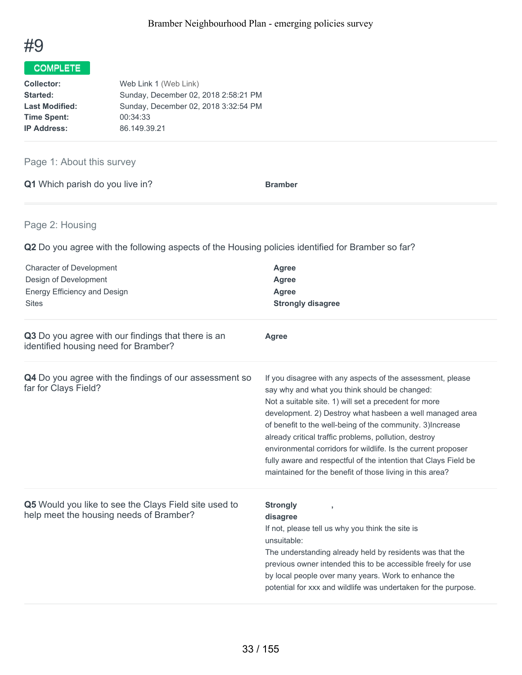

| Web Link 1 (Web Link)                |
|--------------------------------------|
| Sunday, December 02, 2018 2:58:21 PM |
| Sunday, December 02, 2018 3:32:54 PM |
| 00:34:33                             |
| 86.149.39.21                         |
|                                      |

### Page 1: About this survey

|  | Q1 Which parish do you live in? | <b>Bramber</b> |
|--|---------------------------------|----------------|
|  |                                 |                |

### Page 2: Housing

**Q2** Do you agree with the following aspects of the Housing policies identified for Bramber so far?

| <b>Character of Development</b><br>Design of Development<br>Energy Efficiency and Design<br><b>Sites</b> | Agree<br><b>Agree</b><br><b>Agree</b><br><b>Strongly disagree</b>                                                                                                                                                                                                                                                                                                                                                                                                                                                                                       |
|----------------------------------------------------------------------------------------------------------|---------------------------------------------------------------------------------------------------------------------------------------------------------------------------------------------------------------------------------------------------------------------------------------------------------------------------------------------------------------------------------------------------------------------------------------------------------------------------------------------------------------------------------------------------------|
| Q3 Do you agree with our findings that there is an<br>identified housing need for Bramber?               | <b>Agree</b>                                                                                                                                                                                                                                                                                                                                                                                                                                                                                                                                            |
| Q4 Do you agree with the findings of our assessment so<br>far for Clays Field?                           | If you disagree with any aspects of the assessment, please<br>say why and what you think should be changed:<br>Not a suitable site. 1) will set a precedent for more<br>development. 2) Destroy what hasbeen a well managed area<br>of benefit to the well-being of the community. 3) Increase<br>already critical traffic problems, pollution, destroy<br>environmental corridors for wildlife. Is the current proposer<br>fully aware and respectful of the intention that Clays Field be<br>maintained for the benefit of those living in this area? |
| Q5 Would you like to see the Clays Field site used to<br>help meet the housing needs of Bramber?         | <b>Strongly</b><br>y<br>disagree<br>If not, please tell us why you think the site is<br>unsuitable:<br>The understanding already held by residents was that the<br>previous owner intended this to be accessible freely for use<br>by local people over many years. Work to enhance the<br>potential for xxx and wildlife was undertaken for the purpose.                                                                                                                                                                                               |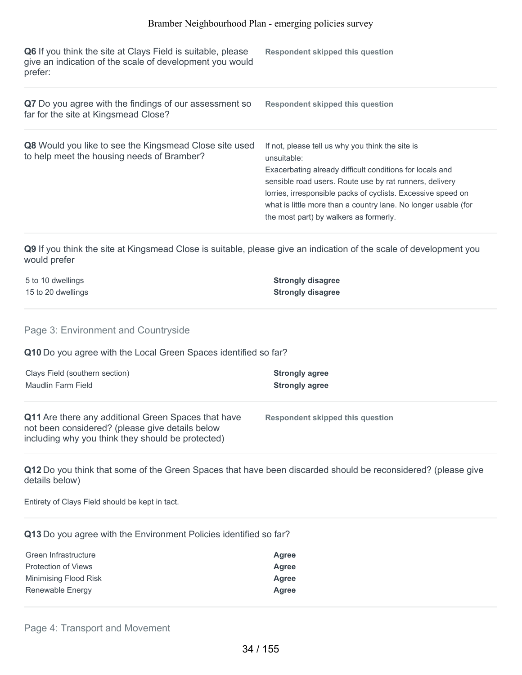| Q6 If you think the site at Clays Field is suitable, please<br>give an indication of the scale of development you would<br>prefer: | Respondent skipped this question                                                                                                                                                                                                                                                                                                                                   |
|------------------------------------------------------------------------------------------------------------------------------------|--------------------------------------------------------------------------------------------------------------------------------------------------------------------------------------------------------------------------------------------------------------------------------------------------------------------------------------------------------------------|
| Q7 Do you agree with the findings of our assessment so<br>far for the site at Kingsmead Close?                                     | <b>Respondent skipped this question</b>                                                                                                                                                                                                                                                                                                                            |
| Q8 Would you like to see the Kingsmead Close site used<br>to help meet the housing needs of Bramber?                               | If not, please tell us why you think the site is<br>unsuitable:<br>Exacerbating already difficult conditions for locals and<br>sensible road users. Route use by rat runners, delivery<br>lorries, irresponsible packs of cyclists. Excessive speed on<br>what is little more than a country lane. No longer usable (for<br>the most part) by walkers as formerly. |

**Q9** If you think the site at Kingsmead Close is suitable, please give an indication of the scale of development you would prefer

| 5 to 10 dwellings  | <b>Strongly disagree</b> |
|--------------------|--------------------------|
| 15 to 20 dwellings | <b>Strongly disagree</b> |

Page 3: Environment and Countryside

**Q10** Do you agree with the Local Green Spaces identified so far?

| Clays Field (southern section)                                                                                                                              | <b>Strongly agree</b>            |
|-------------------------------------------------------------------------------------------------------------------------------------------------------------|----------------------------------|
| Maudlin Farm Field                                                                                                                                          | <b>Strongly agree</b>            |
| Q11 Are there any additional Green Spaces that have<br>not been considered? (please give details below<br>including why you think they should be protected) | Respondent skipped this question |

**Q12** Do you think that some of the Green Spaces that have been discarded should be reconsidered? (please give details below)

Entirety of Clays Field should be kept in tact.

**Q13** Do you agree with the Environment Policies identified so far?

| Green Infrastructure       | Agree |
|----------------------------|-------|
| <b>Protection of Views</b> | Agree |
| Minimising Flood Risk      | Agree |
| Renewable Energy           | Agree |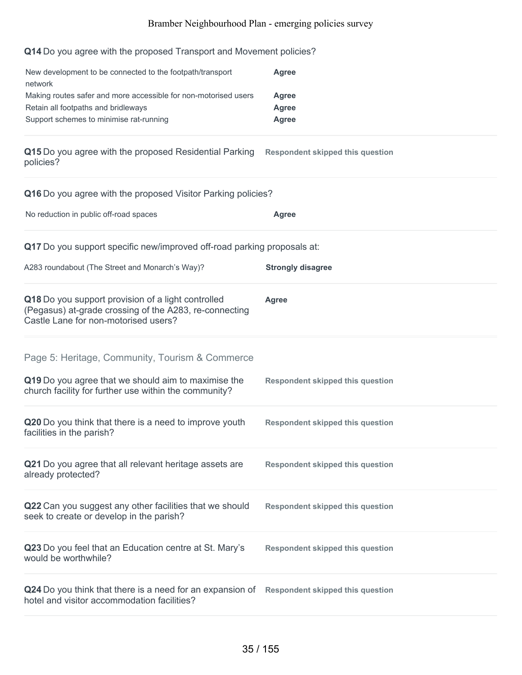#### **Q14** Do you agree with the proposed Transport and Movement policies?

| New development to be connected to the footpath/transport       | Agree |
|-----------------------------------------------------------------|-------|
| network                                                         |       |
| Making routes safer and more accessible for non-motorised users | Agree |
| Retain all footpaths and bridleways                             | Agree |
| Support schemes to minimise rat-running                         | Agree |

#### **Q15** Do you agree with the proposed Residential Parking **Respondent skipped this question** policies?

| Q16 Do you agree with the proposed Visitor Parking policies?                                                                                         |                                         |  |
|------------------------------------------------------------------------------------------------------------------------------------------------------|-----------------------------------------|--|
| No reduction in public off-road spaces                                                                                                               | Agree                                   |  |
| Q17 Do you support specific new/improved off-road parking proposals at:                                                                              |                                         |  |
| A283 roundabout (The Street and Monarch's Way)?                                                                                                      | <b>Strongly disagree</b>                |  |
| Q18 Do you support provision of a light controlled<br>(Pegasus) at-grade crossing of the A283, re-connecting<br>Castle Lane for non-motorised users? | Agree                                   |  |
| Page 5: Heritage, Community, Tourism & Commerce                                                                                                      |                                         |  |
| Q19 Do you agree that we should aim to maximise the<br>church facility for further use within the community?                                         | <b>Respondent skipped this question</b> |  |
| Q20 Do you think that there is a need to improve youth<br>facilities in the parish?                                                                  | <b>Respondent skipped this question</b> |  |
| Q21 Do you agree that all relevant heritage assets are<br>already protected?                                                                         | <b>Respondent skipped this question</b> |  |
| Q22 Can you suggest any other facilities that we should<br>seek to create or develop in the parish?                                                  | <b>Respondent skipped this question</b> |  |
| Q23 Do you feel that an Education centre at St. Mary's<br>would be worthwhile?                                                                       | <b>Respondent skipped this question</b> |  |
| Q24 Do you think that there is a need for an expansion of<br>hotel and visitor accommodation facilities?                                             | <b>Respondent skipped this question</b> |  |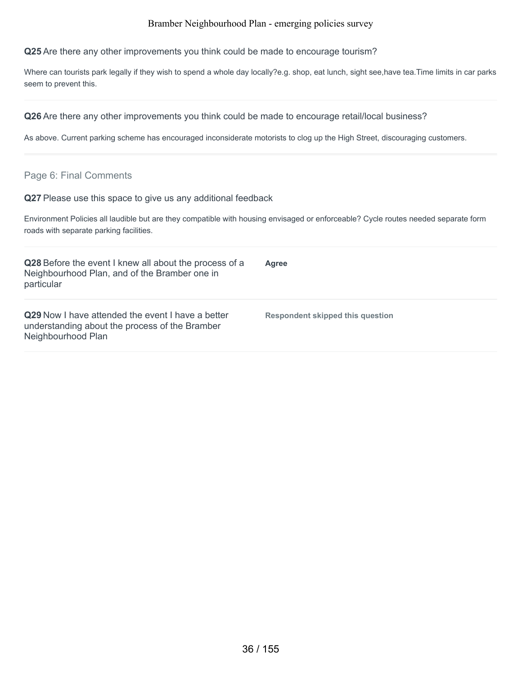**Q25** Are there any other improvements you think could be made to encourage tourism?

Where can tourists park legally if they wish to spend a whole day locally?e.g. shop, eat lunch, sight see,have tea.Time limits in car parks seem to prevent this.

**Q26** Are there any other improvements you think could be made to encourage retail/local business?

As above. Current parking scheme has encouraged inconsiderate motorists to clog up the High Street, discouraging customers.

#### Page 6: Final Comments

**Q27** Please use this space to give us any additional feedback

Environment Policies all laudible but are they compatible with housing envisaged or enforceable? Cycle routes needed separate form roads with separate parking facilities.

| Q28 Before the event I knew all about the process of a<br>Neighbourhood Plan, and of the Bramber one in<br>particular            | <b>Agree</b>                     |
|----------------------------------------------------------------------------------------------------------------------------------|----------------------------------|
| <b>Q29</b> Now I have attended the event I have a better<br>understanding about the process of the Bramber<br>Neighbourhood Plan | Respondent skipped this question |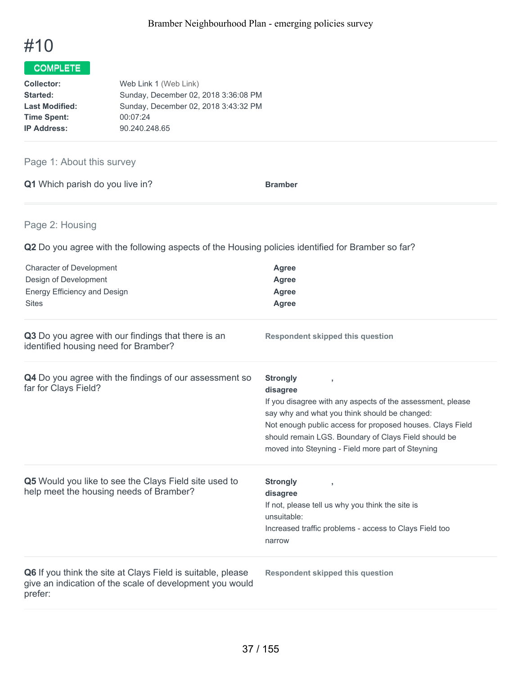

# Page 1: About this survey

| Q1 Which parish do you live in? | <b>Bramber</b> |
|---------------------------------|----------------|
|---------------------------------|----------------|

# Page 2: Housing

**Q2** Do you agree with the following aspects of the Housing policies identified for Bramber so far?

| <b>Character of Development</b><br>Design of Development<br>Energy Efficiency and Design<br><b>Sites</b>                           | <b>Agree</b><br><b>Agree</b><br>Agree<br>Agree                                                                                                                                                                                                                                                                       |
|------------------------------------------------------------------------------------------------------------------------------------|----------------------------------------------------------------------------------------------------------------------------------------------------------------------------------------------------------------------------------------------------------------------------------------------------------------------|
| Q3 Do you agree with our findings that there is an<br>identified housing need for Bramber?                                         | <b>Respondent skipped this question</b>                                                                                                                                                                                                                                                                              |
| Q4 Do you agree with the findings of our assessment so<br>far for Clays Field?                                                     | <b>Strongly</b><br>disagree<br>If you disagree with any aspects of the assessment, please<br>say why and what you think should be changed:<br>Not enough public access for proposed houses. Clays Field<br>should remain LGS. Boundary of Clays Field should be<br>moved into Steyning - Field more part of Steyning |
| Q5 Would you like to see the Clays Field site used to<br>help meet the housing needs of Bramber?                                   | <b>Strongly</b><br>$\overline{1}$<br>disagree<br>If not, please tell us why you think the site is<br>unsuitable:<br>Increased traffic problems - access to Clays Field too<br>narrow                                                                                                                                 |
| Q6 If you think the site at Clays Field is suitable, please<br>give an indication of the scale of development you would<br>prefer: | <b>Respondent skipped this question</b>                                                                                                                                                                                                                                                                              |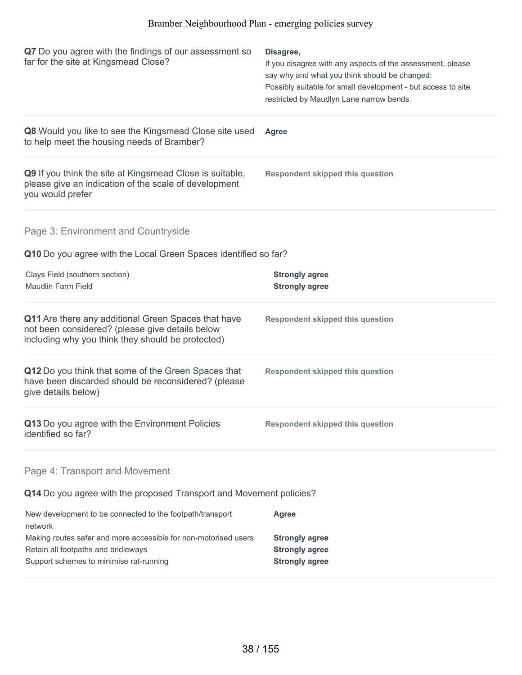| Q7 Do you agree with the findings of our assessment so<br>far for the site at Kingsmead Close?                                                               | Disagree,<br>If you disagree with any aspects of the assessment, please<br>say why and what you think should be changed:<br>Possibly suitable for small development - but access to site<br>restricted by Maudlyn Lane narrow bends. |
|--------------------------------------------------------------------------------------------------------------------------------------------------------------|--------------------------------------------------------------------------------------------------------------------------------------------------------------------------------------------------------------------------------------|
| Q8 Would you like to see the Kingsmead Close site used<br>to help meet the housing needs of Bramber?                                                         | Agree                                                                                                                                                                                                                                |
| Q9 If you think the site at Kingsmead Close is suitable,<br>please give an indication of the scale of development<br>you would prefer                        | <b>Respondent skipped this question</b>                                                                                                                                                                                              |
| Page 3: Environment and Countryside                                                                                                                          |                                                                                                                                                                                                                                      |
| Q10 Do you agree with the Local Green Spaces identified so far?                                                                                              |                                                                                                                                                                                                                                      |
| Clays Field (southern section)<br><b>Maudlin Farm Field</b>                                                                                                  | <b>Strongly agree</b><br><b>Strongly agree</b>                                                                                                                                                                                       |
| Q11 Are there any additional Green Spaces that have<br>not been considered? (please give details below<br>including why you think they should be protected)  | <b>Respondent skipped this question</b>                                                                                                                                                                                              |
| Q12 Do you think that some of the Green Spaces that<br>have been discarded should be reconsidered? (please<br>give details below)                            | <b>Respondent skipped this question</b>                                                                                                                                                                                              |
| Q13 Do you agree with the Environment Policies<br>identified so far?                                                                                         | <b>Respondent skipped this question</b>                                                                                                                                                                                              |
| Page 4: Transport and Movement                                                                                                                               |                                                                                                                                                                                                                                      |
| Q14 Do you agree with the proposed Transport and Movement policies?                                                                                          |                                                                                                                                                                                                                                      |
| New development to be connected to the footpath/transport                                                                                                    | <b>Agree</b>                                                                                                                                                                                                                         |
| network<br>Making routes safer and more accessible for non-motorised users<br>Retain all footpaths and bridleways<br>Support schemes to minimise rat-running | <b>Strongly agree</b><br><b>Strongly agree</b><br><b>Strongly agree</b>                                                                                                                                                              |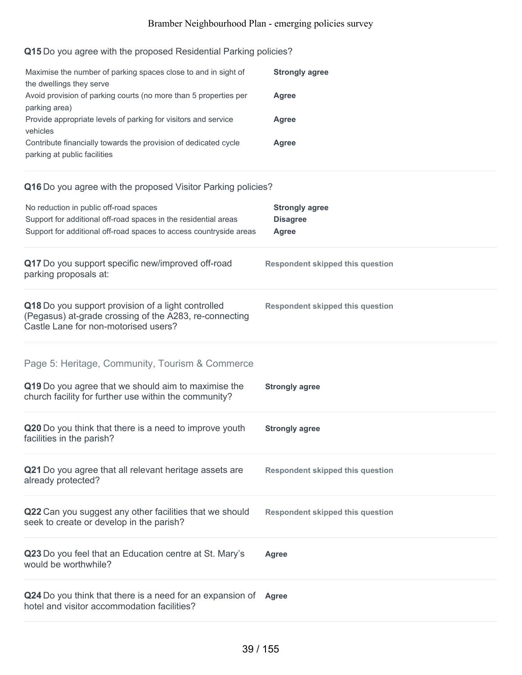# **Q15** Do you agree with the proposed Residential Parking policies?

| Maximise the number of parking spaces close to and in sight of<br>the dwellings they serve      | <b>Strongly agree</b> |
|-------------------------------------------------------------------------------------------------|-----------------------|
| Avoid provision of parking courts (no more than 5 properties per<br>parking area)               | Agree                 |
| Provide appropriate levels of parking for visitors and service<br>vehicles                      | Agree                 |
| Contribute financially towards the provision of dedicated cycle<br>parking at public facilities | Agree                 |

# **Q16** Do you agree with the proposed Visitor Parking policies?

| No reduction in public off-road spaces<br>Support for additional off-road spaces in the residential areas<br>Support for additional off-road spaces to access countryside areas | <b>Strongly agree</b><br><b>Disagree</b><br><b>Agree</b> |
|---------------------------------------------------------------------------------------------------------------------------------------------------------------------------------|----------------------------------------------------------|
| Q17 Do you support specific new/improved off-road<br>parking proposals at:                                                                                                      | <b>Respondent skipped this question</b>                  |
| Q18 Do you support provision of a light controlled<br>(Pegasus) at-grade crossing of the A283, re-connecting<br>Castle Lane for non-motorised users?                            | <b>Respondent skipped this question</b>                  |
| Page 5: Heritage, Community, Tourism & Commerce<br>Q19 Do you agree that we should aim to maximise the<br>church facility for further use within the community?                 | <b>Strongly agree</b>                                    |
| Q20 Do you think that there is a need to improve youth<br>facilities in the parish?                                                                                             | <b>Strongly agree</b>                                    |
| Q21 Do you agree that all relevant heritage assets are<br>already protected?                                                                                                    | <b>Respondent skipped this question</b>                  |
| Q22 Can you suggest any other facilities that we should<br>seek to create or develop in the parish?                                                                             | <b>Respondent skipped this question</b>                  |
| Q23 Do you feel that an Education centre at St. Mary's<br>would be worthwhile?                                                                                                  | <b>Agree</b>                                             |
| Q24 Do you think that there is a need for an expansion of Agree<br>hotel and visitor accommodation facilities?                                                                  |                                                          |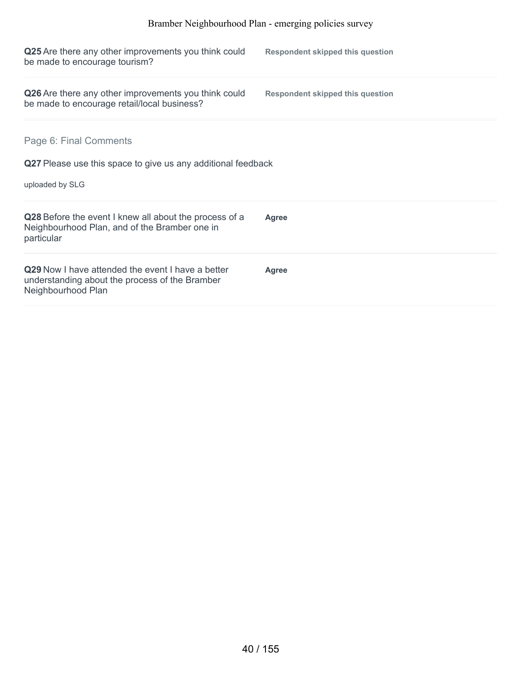| Q25 Are there any other improvements you think could<br>be made to encourage tourism?                                     | <b>Respondent skipped this question</b> |
|---------------------------------------------------------------------------------------------------------------------------|-----------------------------------------|
| Q26 Are there any other improvements you think could<br>be made to encourage retail/local business?                       | <b>Respondent skipped this question</b> |
| Page 6: Final Comments                                                                                                    |                                         |
| Q27 Please use this space to give us any additional feedback<br>uploaded by SLG                                           |                                         |
| Q28 Before the event I knew all about the process of a<br>Neighbourhood Plan, and of the Bramber one in<br>particular     | Agree                                   |
| Q29 Now I have attended the event I have a better<br>understanding about the process of the Bramber<br>Neighbourhood Plan | <b>Agree</b>                            |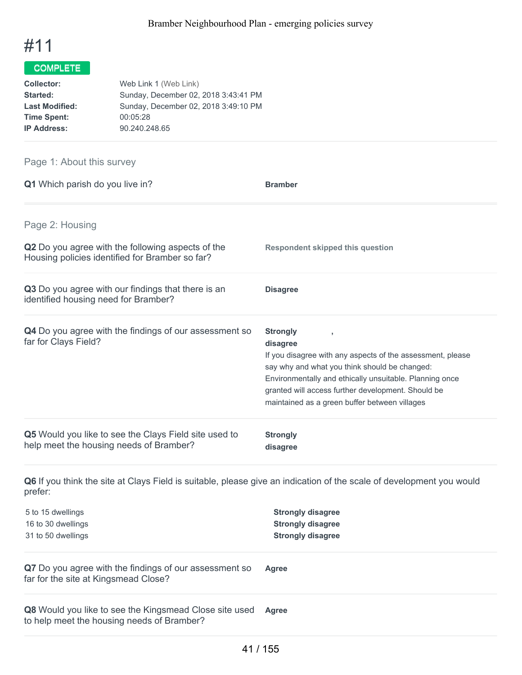

| Web Link 1 (Web Link)                |
|--------------------------------------|
| Sunday, December 02, 2018 3:43:41 PM |
| Sunday, December 02, 2018 3:49:10 PM |
| 00:05:28                             |
| 90.240.248.65                        |
|                                      |

# Page 1: About this survey

| Q1 Which parish do you live in?                                                                             | <b>Bramber</b>                                                                                                                                                                                                                                                                                               |
|-------------------------------------------------------------------------------------------------------------|--------------------------------------------------------------------------------------------------------------------------------------------------------------------------------------------------------------------------------------------------------------------------------------------------------------|
| Page 2: Housing                                                                                             |                                                                                                                                                                                                                                                                                                              |
| <b>Q2</b> Do you agree with the following aspects of the<br>Housing policies identified for Bramber so far? | <b>Respondent skipped this question</b>                                                                                                                                                                                                                                                                      |
| Q3 Do you agree with our findings that there is an<br>identified housing need for Bramber?                  | <b>Disagree</b>                                                                                                                                                                                                                                                                                              |
| Q4 Do you agree with the findings of our assessment so<br>far for Clays Field?                              | <b>Strongly</b><br>disagree<br>If you disagree with any aspects of the assessment, please<br>say why and what you think should be changed:<br>Environmentally and ethically unsuitable. Planning once<br>granted will access further development. Should be<br>maintained as a green buffer between villages |
| Q5 Would you like to see the Clays Field site used to<br>help meet the housing needs of Bramber?            | <b>Strongly</b><br>disagree                                                                                                                                                                                                                                                                                  |

**Q6** If you think the site at Clays Field is suitable, please give an indication of the scale of development you would prefer:

| 5 to 15 dwellings                                                                                           | <b>Strongly disagree</b> |
|-------------------------------------------------------------------------------------------------------------|--------------------------|
| 16 to 30 dwellings                                                                                          | <b>Strongly disagree</b> |
| 31 to 50 dwellings                                                                                          | <b>Strongly disagree</b> |
| Q7 Do you agree with the findings of our assessment so<br>far for the site at Kingsmead Close?              | <b>Agree</b>             |
| <b>Q8</b> Would you like to see the Kingsmead Close site used<br>to help meet the housing needs of Bramber? | Agree                    |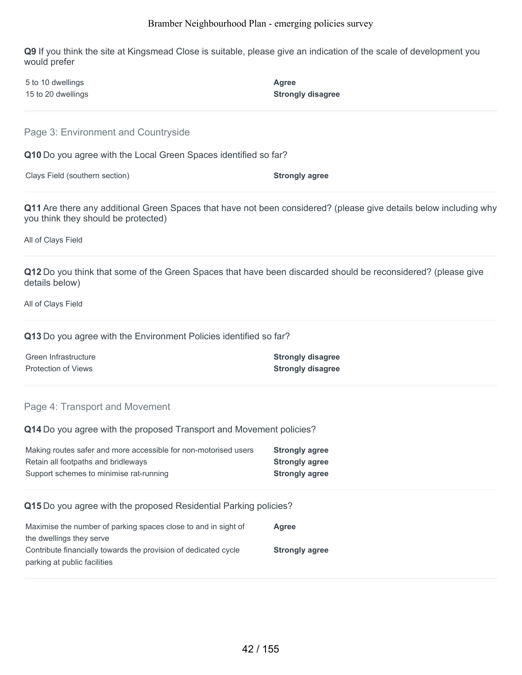**Q9** If you think the site at Kingsmead Close is suitable, please give an indication of the scale of development you would prefer

| 5 to 10 dwellings  | Agree                    |
|--------------------|--------------------------|
| 15 to 20 dwellings | <b>Strongly disagree</b> |

Page 3: Environment and Countryside

**Q10** Do you agree with the Local Green Spaces identified so far?

Clays Field (southern section) **Strongly agree**

**Q11** Are there any additional Green Spaces that have not been considered? (please give details below including why you think they should be protected)

All of Clays Field

**Q12** Do you think that some of the Green Spaces that have been discarded should be reconsidered? (please give details below)

All of Clays Field

**Q13** Do you agree with the Environment Policies identified so far?

| Green Infrastructure | <b>Strongly disagree</b> |
|----------------------|--------------------------|
| Protection of Views  | <b>Strongly disagree</b> |

#### Page 4: Transport and Movement

**Q14** Do you agree with the proposed Transport and Movement policies?

| Making routes safer and more accessible for non-motorised users | <b>Strongly agree</b> |
|-----------------------------------------------------------------|-----------------------|
| Retain all footpaths and bridleways                             | <b>Strongly agree</b> |
| Support schemes to minimise rat-running                         | <b>Strongly agree</b> |

#### **Q15** Do you agree with the proposed Residential Parking policies?

| Maximise the number of parking spaces close to and in sight of  | Agree                 |
|-----------------------------------------------------------------|-----------------------|
| the dwellings they serve                                        |                       |
| Contribute financially towards the provision of dedicated cycle | <b>Strongly agree</b> |
| parking at public facilities                                    |                       |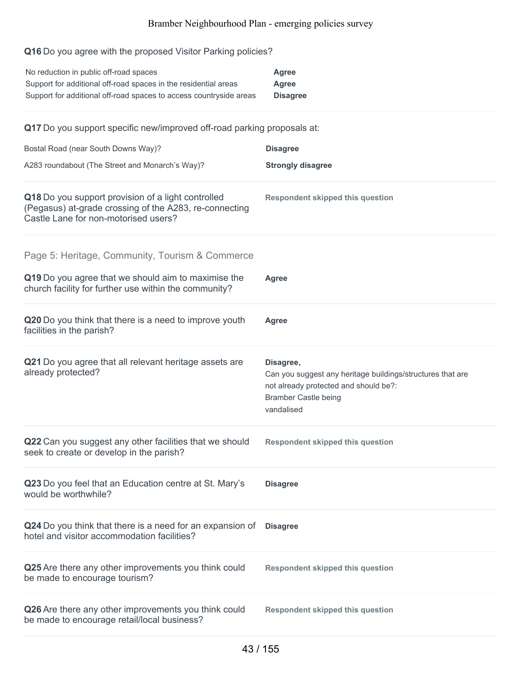# **Q16** Do you agree with the proposed Visitor Parking policies?

| No reduction in public off-road spaces<br>Support for additional off-road spaces in the residential areas<br>Support for additional off-road spaces to access countryside areas | <b>Agree</b><br><b>Agree</b><br><b>Disagree</b>                                                                                                               |
|---------------------------------------------------------------------------------------------------------------------------------------------------------------------------------|---------------------------------------------------------------------------------------------------------------------------------------------------------------|
| Q17 Do you support specific new/improved off-road parking proposals at:                                                                                                         |                                                                                                                                                               |
| Bostal Road (near South Downs Way)?                                                                                                                                             | <b>Disagree</b>                                                                                                                                               |
| A283 roundabout (The Street and Monarch's Way)?                                                                                                                                 | <b>Strongly disagree</b>                                                                                                                                      |
| Q18 Do you support provision of a light controlled<br>(Pegasus) at-grade crossing of the A283, re-connecting<br>Castle Lane for non-motorised users?                            | <b>Respondent skipped this question</b>                                                                                                                       |
| Page 5: Heritage, Community, Tourism & Commerce                                                                                                                                 |                                                                                                                                                               |
| Q19 Do you agree that we should aim to maximise the<br>church facility for further use within the community?                                                                    | Agree                                                                                                                                                         |
| Q20 Do you think that there is a need to improve youth<br>facilities in the parish?                                                                                             | <b>Agree</b>                                                                                                                                                  |
| Q21 Do you agree that all relevant heritage assets are<br>already protected?                                                                                                    | Disagree,<br>Can you suggest any heritage buildings/structures that are<br>not already protected and should be?:<br><b>Bramber Castle being</b><br>vandalised |
| Q22 Can you suggest any other facilities that we should<br>seek to create or develop in the parish?                                                                             | <b>Respondent skipped this question</b>                                                                                                                       |
| Q23 Do you feel that an Education centre at St. Mary's<br>would be worthwhile?                                                                                                  | <b>Disagree</b>                                                                                                                                               |
| Q24 Do you think that there is a need for an expansion of<br>hotel and visitor accommodation facilities?                                                                        | <b>Disagree</b>                                                                                                                                               |
| Q25 Are there any other improvements you think could<br>be made to encourage tourism?                                                                                           | <b>Respondent skipped this question</b>                                                                                                                       |
| Q26 Are there any other improvements you think could<br>be made to encourage retail/local business?                                                                             | <b>Respondent skipped this question</b>                                                                                                                       |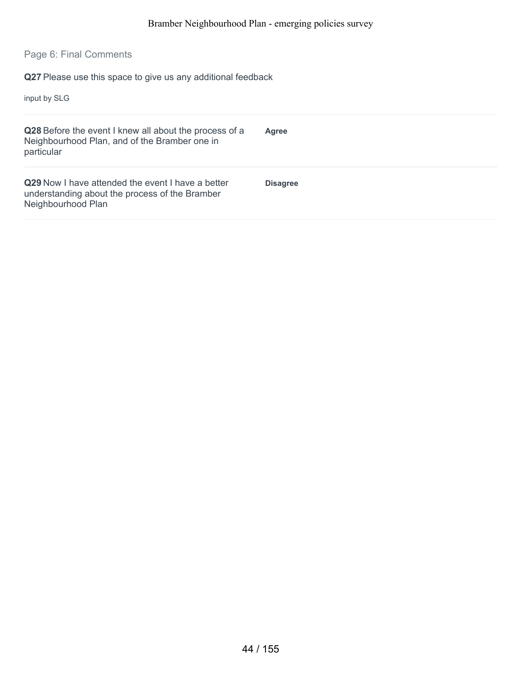# Page 6: Final Comments

**Q27** Please use this space to give us any additional feedback

input by SLG

| Q28 Before the event I knew all about the process of a<br>Neighbourhood Plan, and of the Bramber one in<br>particular            | Agree           |
|----------------------------------------------------------------------------------------------------------------------------------|-----------------|
| <b>Q29</b> Now I have attended the event I have a better<br>understanding about the process of the Bramber<br>Neighbourhood Plan | <b>Disagree</b> |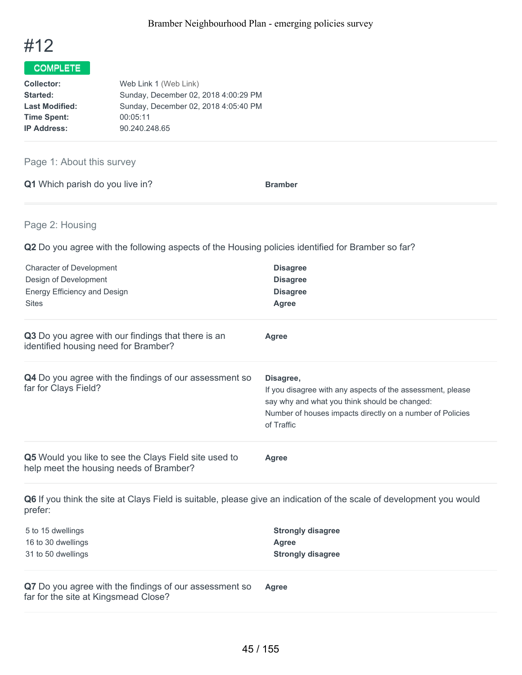

| Web Link 1 (Web Link)                |
|--------------------------------------|
| Sunday, December 02, 2018 4:00:29 PM |
| Sunday, December 02, 2018 4:05:40 PM |
| 00:05:11                             |
| 90.240.248.65                        |
|                                      |

### Page 1: About this survey

| Q1 Which parish do you live in? | <b>Bramber</b> |
|---------------------------------|----------------|
|---------------------------------|----------------|

### Page 2: Housing

**Q2** Do you agree with the following aspects of the Housing policies identified for Bramber so far?

| <b>Disagree</b><br><b>Disagree</b><br><b>Disagree</b><br><b>Agree</b>                                                                                                                               |
|-----------------------------------------------------------------------------------------------------------------------------------------------------------------------------------------------------|
| Agree                                                                                                                                                                                               |
| Disagree,<br>If you disagree with any aspects of the assessment, please<br>say why and what you think should be changed:<br>Number of houses impacts directly on a number of Policies<br>of Traffic |
| Agree                                                                                                                                                                                               |
|                                                                                                                                                                                                     |

**Q6** If you think the site at Clays Field is suitable, please give an indication of the scale of development you would prefer:

| 5 to 15 dwellings  | <b>Strongly disagree</b> |
|--------------------|--------------------------|
| 16 to 30 dwellings | Agree                    |
| 31 to 50 dwellings | <b>Strongly disagree</b> |

**Q7** Do you agree with the findings of our assessment so far for the site at Kingsmead Close? **Agree**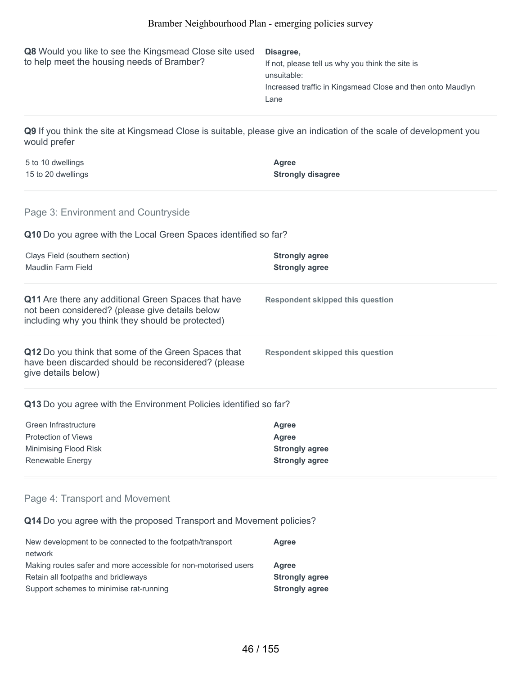| Q8 Would you like to see the Kingsmead Close site used<br>to help meet the housing needs of Bramber?                                                        | Disagree,<br>If not, please tell us why you think the site is<br>unsuitable:<br>Increased traffic in Kingsmead Close and then onto Maudlyn<br>Lane |
|-------------------------------------------------------------------------------------------------------------------------------------------------------------|----------------------------------------------------------------------------------------------------------------------------------------------------|
| Q9 If you think the site at Kingsmead Close is suitable, please give an indication of the scale of development you<br>would prefer                          |                                                                                                                                                    |
| 5 to 10 dwellings<br>15 to 20 dwellings                                                                                                                     | Agree<br><b>Strongly disagree</b>                                                                                                                  |
| Page 3: Environment and Countryside                                                                                                                         |                                                                                                                                                    |
| Q10 Do you agree with the Local Green Spaces identified so far?                                                                                             |                                                                                                                                                    |
| Clays Field (southern section)<br>Maudlin Farm Field                                                                                                        | <b>Strongly agree</b><br><b>Strongly agree</b>                                                                                                     |
| Q11 Are there any additional Green Spaces that have<br>not been considered? (please give details below<br>including why you think they should be protected) | <b>Respondent skipped this question</b>                                                                                                            |
| Q12 Do you think that some of the Green Spaces that<br>have been discarded should be reconsidered? (please<br>give details below)                           | <b>Respondent skipped this question</b>                                                                                                            |
| Q13 Do you agree with the Environment Policies identified so far?                                                                                           |                                                                                                                                                    |
| Green Infrastructure<br><b>Protection of Views</b><br>Minimising Flood Risk<br>Renewable Energy                                                             | Agree<br>Agree<br><b>Strongly agree</b><br><b>Strongly agree</b>                                                                                   |
| Page 4: Transport and Movement                                                                                                                              |                                                                                                                                                    |
| Q14 Do you agree with the proposed Transport and Movement policies?                                                                                         |                                                                                                                                                    |
| New development to be connected to the footpath/transport<br>network<br>Making routes safer and more accessible for non-motorised users                     | <b>Agree</b><br><b>Agree</b>                                                                                                                       |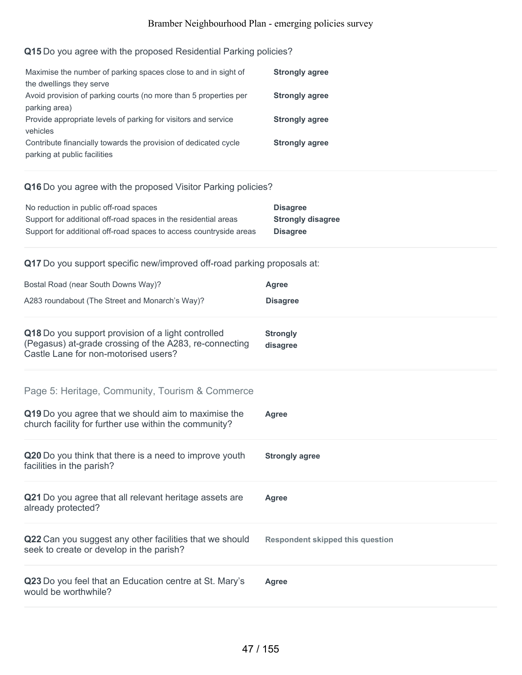# **Q15** Do you agree with the proposed Residential Parking policies?

| Maximise the number of parking spaces close to and in sight of   | <b>Strongly agree</b> |
|------------------------------------------------------------------|-----------------------|
| the dwellings they serve                                         |                       |
| Avoid provision of parking courts (no more than 5 properties per | <b>Strongly agree</b> |
| parking area)                                                    |                       |
| Provide appropriate levels of parking for visitors and service   | <b>Strongly agree</b> |
| vehicles                                                         |                       |
| Contribute financially towards the provision of dedicated cycle  | <b>Strongly agree</b> |
| parking at public facilities                                     |                       |

### **Q16** Do you agree with the proposed Visitor Parking policies?

| No reduction in public off-road spaces                             | <b>Disagree</b>          |
|--------------------------------------------------------------------|--------------------------|
| Support for additional off-road spaces in the residential areas    | <b>Strongly disagree</b> |
| Support for additional off-road spaces to access countryside areas | <b>Disagree</b>          |

### **Q17** Do you support specific new/improved off-road parking proposals at:

| Bostal Road (near South Downs Way)?                                                                                                                  | Agree                                   |
|------------------------------------------------------------------------------------------------------------------------------------------------------|-----------------------------------------|
| A283 roundabout (The Street and Monarch's Way)?                                                                                                      | <b>Disagree</b>                         |
| Q18 Do you support provision of a light controlled<br>(Pegasus) at-grade crossing of the A283, re-connecting<br>Castle Lane for non-motorised users? | <b>Strongly</b><br>disagree             |
| Page 5: Heritage, Community, Tourism & Commerce<br>Q19 Do you agree that we should aim to maximise the                                               | <b>Agree</b>                            |
| church facility for further use within the community?                                                                                                |                                         |
| Q20 Do you think that there is a need to improve youth<br>facilities in the parish?                                                                  | <b>Strongly agree</b>                   |
| Q21 Do you agree that all relevant heritage assets are<br>already protected?                                                                         | <b>Agree</b>                            |
| Q22 Can you suggest any other facilities that we should<br>seek to create or develop in the parish?                                                  | <b>Respondent skipped this question</b> |
| Q23 Do you feel that an Education centre at St. Mary's<br>would be worthwhile?                                                                       | Agree                                   |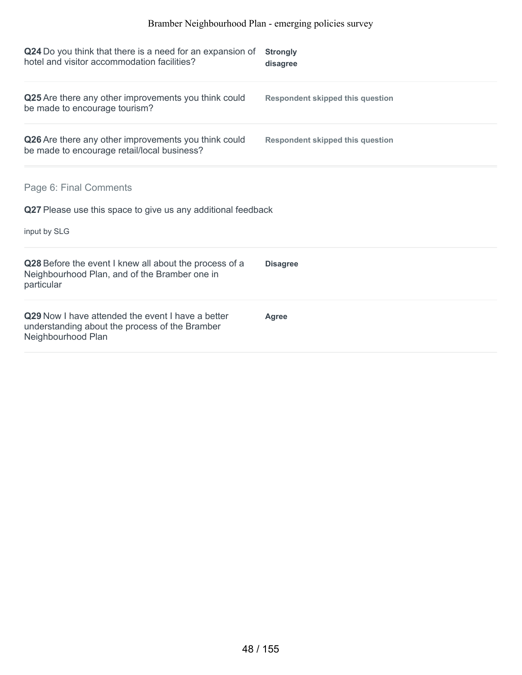| Q24 Do you think that there is a need for an expansion of<br>hotel and visitor accommodation facilities?                  | <b>Strongly</b><br>disagree             |
|---------------------------------------------------------------------------------------------------------------------------|-----------------------------------------|
| Q25 Are there any other improvements you think could<br>be made to encourage tourism?                                     | <b>Respondent skipped this question</b> |
| Q26 Are there any other improvements you think could<br>be made to encourage retail/local business?                       | <b>Respondent skipped this question</b> |
| Page 6: Final Comments<br>Q27 Please use this space to give us any additional feedback                                    |                                         |
| input by SLG                                                                                                              |                                         |
| Q28 Before the event I knew all about the process of a<br>Neighbourhood Plan, and of the Bramber one in<br>particular     | <b>Disagree</b>                         |
| Q29 Now I have attended the event I have a better<br>understanding about the process of the Bramber<br>Neighbourhood Plan | <b>Agree</b>                            |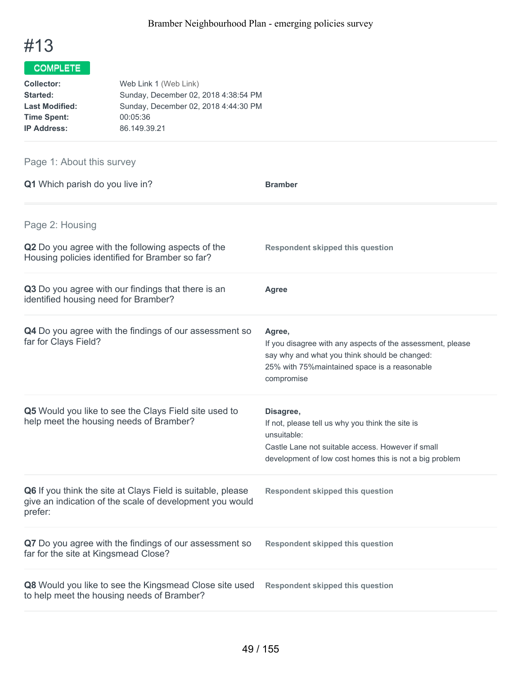

| Web Link 1 (Web Link)                |
|--------------------------------------|
| Sunday, December 02, 2018 4:38:54 PM |
| Sunday, December 02, 2018 4:44:30 PM |
| 00:05:36                             |
| 86.149.39.21                         |
|                                      |

# Page 1: About this survey

| Q1 Which parish do you live in?                                                                                                    | <b>Bramber</b>                                                                                                                                                                               |
|------------------------------------------------------------------------------------------------------------------------------------|----------------------------------------------------------------------------------------------------------------------------------------------------------------------------------------------|
| Page 2: Housing<br>Q2 Do you agree with the following aspects of the<br>Housing policies identified for Bramber so far?            | <b>Respondent skipped this question</b>                                                                                                                                                      |
| Q3 Do you agree with our findings that there is an<br>identified housing need for Bramber?                                         | Agree                                                                                                                                                                                        |
| Q4 Do you agree with the findings of our assessment so<br>far for Clays Field?                                                     | Agree,<br>If you disagree with any aspects of the assessment, please<br>say why and what you think should be changed:<br>25% with 75% maintained space is a reasonable<br>compromise         |
| Q5 Would you like to see the Clays Field site used to<br>help meet the housing needs of Bramber?                                   | Disagree,<br>If not, please tell us why you think the site is<br>unsuitable:<br>Castle Lane not suitable access. However if small<br>development of low cost homes this is not a big problem |
| Q6 If you think the site at Clays Field is suitable, please<br>give an indication of the scale of development you would<br>prefer: | <b>Respondent skipped this question</b>                                                                                                                                                      |
| Q7 Do you agree with the findings of our assessment so<br>far for the site at Kingsmead Close?                                     | <b>Respondent skipped this question</b>                                                                                                                                                      |
| Q8 Would you like to see the Kingsmead Close site used<br>to help meet the housing needs of Bramber?                               | <b>Respondent skipped this question</b>                                                                                                                                                      |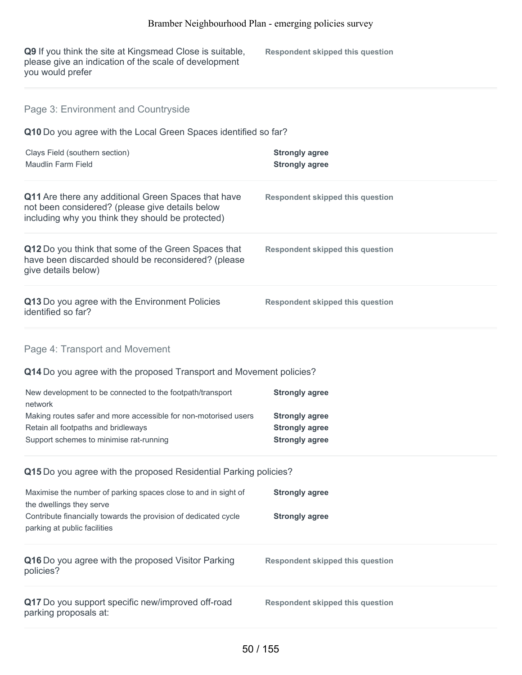| Q9 If you think the site at Kingsmead Close is suitable,<br>please give an indication of the scale of development<br>you would prefer                       | <b>Respondent skipped this question</b>                                 |
|-------------------------------------------------------------------------------------------------------------------------------------------------------------|-------------------------------------------------------------------------|
| Page 3: Environment and Countryside                                                                                                                         |                                                                         |
| Q10 Do you agree with the Local Green Spaces identified so far?                                                                                             |                                                                         |
| Clays Field (southern section)<br><b>Maudlin Farm Field</b>                                                                                                 | <b>Strongly agree</b><br><b>Strongly agree</b>                          |
| Q11 Are there any additional Green Spaces that have<br>not been considered? (please give details below<br>including why you think they should be protected) | <b>Respondent skipped this question</b>                                 |
| Q12 Do you think that some of the Green Spaces that<br>have been discarded should be reconsidered? (please<br>give details below)                           | <b>Respondent skipped this question</b>                                 |
| Q13 Do you agree with the Environment Policies<br>identified so far?                                                                                        | <b>Respondent skipped this question</b>                                 |
| Page 4: Transport and Movement                                                                                                                              |                                                                         |
| Q14 Do you agree with the proposed Transport and Movement policies?                                                                                         |                                                                         |
| New development to be connected to the footpath/transport<br>network                                                                                        | <b>Strongly agree</b>                                                   |
| Making routes safer and more accessible for non-motorised users<br>Retain all footpaths and bridleways<br>Support schemes to minimise rat-running           | <b>Strongly agree</b><br><b>Strongly agree</b><br><b>Strongly agree</b> |
| Q15 Do you agree with the proposed Residential Parking policies?                                                                                            |                                                                         |
| Maximise the number of parking spaces close to and in sight of                                                                                              | <b>Strongly agree</b>                                                   |
| the dwellings they serve<br>Contribute financially towards the provision of dedicated cycle<br>parking at public facilities                                 | <b>Strongly agree</b>                                                   |
| Q16 Do you agree with the proposed Visitor Parking<br>policies?                                                                                             | <b>Respondent skipped this question</b>                                 |
| Q17 Do you support specific new/improved off-road<br>parking proposals at:                                                                                  | <b>Respondent skipped this question</b>                                 |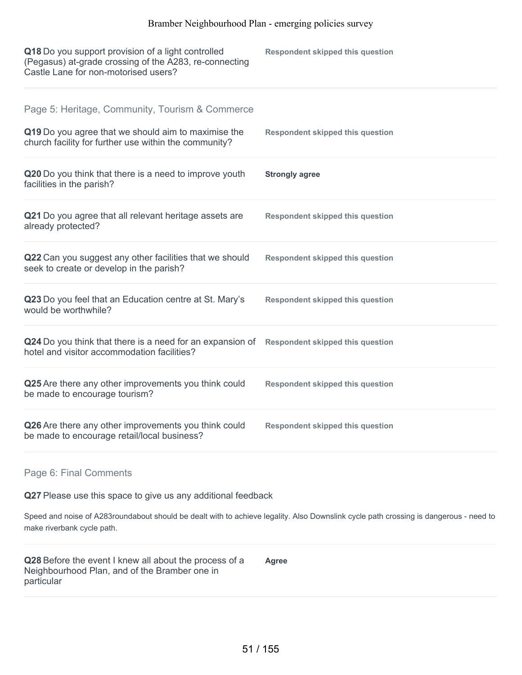| Q18 Do you support provision of a light controlled<br>(Pegasus) at-grade crossing of the A283, re-connecting<br>Castle Lane for non-motorised users?            | <b>Respondent skipped this question</b> |
|-----------------------------------------------------------------------------------------------------------------------------------------------------------------|-----------------------------------------|
| Page 5: Heritage, Community, Tourism & Commerce<br>Q19 Do you agree that we should aim to maximise the<br>church facility for further use within the community? | <b>Respondent skipped this question</b> |
| Q20 Do you think that there is a need to improve youth<br>facilities in the parish?                                                                             | <b>Strongly agree</b>                   |
| Q21 Do you agree that all relevant heritage assets are<br>already protected?                                                                                    | <b>Respondent skipped this question</b> |
| Q22 Can you suggest any other facilities that we should<br>seek to create or develop in the parish?                                                             | <b>Respondent skipped this question</b> |
| Q23 Do you feel that an Education centre at St. Mary's<br>would be worthwhile?                                                                                  | <b>Respondent skipped this question</b> |
| Q24 Do you think that there is a need for an expansion of<br>hotel and visitor accommodation facilities?                                                        | <b>Respondent skipped this question</b> |
| Q25 Are there any other improvements you think could<br>be made to encourage tourism?                                                                           | <b>Respondent skipped this question</b> |
| Q26 Are there any other improvements you think could<br>be made to encourage retail/local business?                                                             | <b>Respondent skipped this question</b> |

#### Page 6: Final Comments

**Q27** Please use this space to give us any additional feedback

Speed and noise of A283roundabout should be dealt with to achieve legality. Also Downslink cycle path crossing is dangerous - need to make riverbank cycle path.

**Q28** Before the event I knew all about the process of a Neighbourhood Plan, and of the Bramber one in particular **Agree**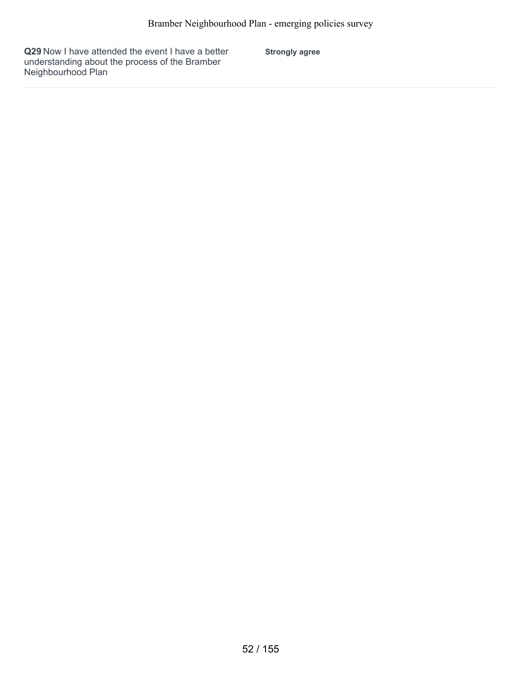**Q29** Now I have attended the event I have a better understanding about the process of the Bramber Neighbourhood Plan

**Strongly agree**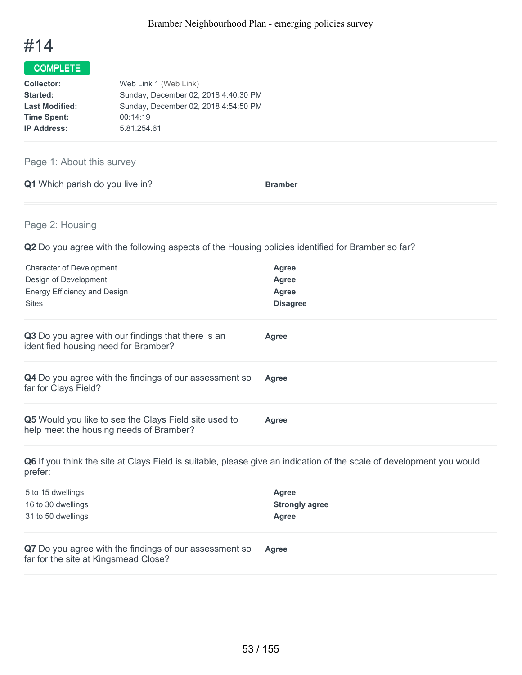

| Web Link 1 (Web Link)                |
|--------------------------------------|
| Sunday, December 02, 2018 4:40:30 PM |
| Sunday, December 02, 2018 4:54:50 PM |
| 00:14:19                             |
| 5.81.254.61                          |
|                                      |

### Page 1: About this survey

|  | <b>Q1</b> Which parish do you live in? | <b>Bramber</b> |
|--|----------------------------------------|----------------|
|  |                                        |                |

### Page 2: Housing

**Q2** Do you agree with the following aspects of the Housing policies identified for Bramber so far?

| Agree<br>Agree<br>Agree<br><b>Disagree</b> |
|--------------------------------------------|
| Agree                                      |
| Agree                                      |
| Agree                                      |
|                                            |

**Q6** If you think the site at Clays Field is suitable, please give an indication of the scale of development you would prefer:

| Agree                 |
|-----------------------|
| <b>Strongly agree</b> |
| Agree                 |
|                       |

**Q7** Do you agree with the findings of our assessment so far for the site at Kingsmead Close? **Agree**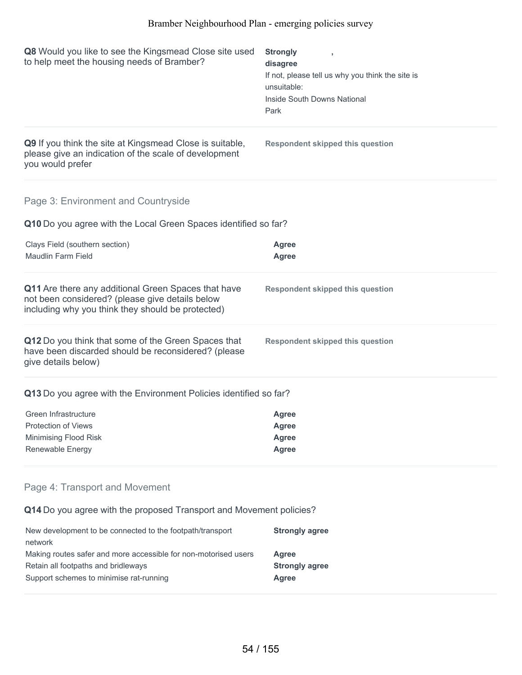| Q8 Would you like to see the Kingsmead Close site used<br>to help meet the housing needs of Bramber?                                                        | <b>Strongly</b><br>disagree<br>If not, please tell us why you think the site is<br>unsuitable:<br>Inside South Downs National<br>Park |  |
|-------------------------------------------------------------------------------------------------------------------------------------------------------------|---------------------------------------------------------------------------------------------------------------------------------------|--|
| Q9 If you think the site at Kingsmead Close is suitable,<br>please give an indication of the scale of development<br>you would prefer                       | <b>Respondent skipped this question</b>                                                                                               |  |
| Page 3: Environment and Countryside                                                                                                                         |                                                                                                                                       |  |
| Q10 Do you agree with the Local Green Spaces identified so far?                                                                                             |                                                                                                                                       |  |
| Clays Field (southern section)<br><b>Maudlin Farm Field</b>                                                                                                 | <b>Agree</b><br><b>Agree</b>                                                                                                          |  |
|                                                                                                                                                             |                                                                                                                                       |  |
| Q11 Are there any additional Green Spaces that have<br>not been considered? (please give details below<br>including why you think they should be protected) | <b>Respondent skipped this question</b>                                                                                               |  |
| Q12 Do you think that some of the Green Spaces that<br>have been discarded should be reconsidered? (please<br>give details below)                           | <b>Respondent skipped this question</b>                                                                                               |  |
| Q13 Do you agree with the Environment Policies identified so far?                                                                                           |                                                                                                                                       |  |
| Green Infrastructure                                                                                                                                        | <b>Agree</b>                                                                                                                          |  |
| Protection of Views                                                                                                                                         | Agree                                                                                                                                 |  |
| Minimising Flood Risk                                                                                                                                       | <b>Agree</b>                                                                                                                          |  |
| Renewable Energy                                                                                                                                            | <b>Agree</b>                                                                                                                          |  |
| Page 4: Transport and Movement                                                                                                                              |                                                                                                                                       |  |
| Q14 Do you agree with the proposed Transport and Movement policies?                                                                                         |                                                                                                                                       |  |
| New development to be connected to the footpath/transport<br>network                                                                                        | <b>Strongly agree</b>                                                                                                                 |  |

Making routes safer and more accessible for non-motorised users **Agree**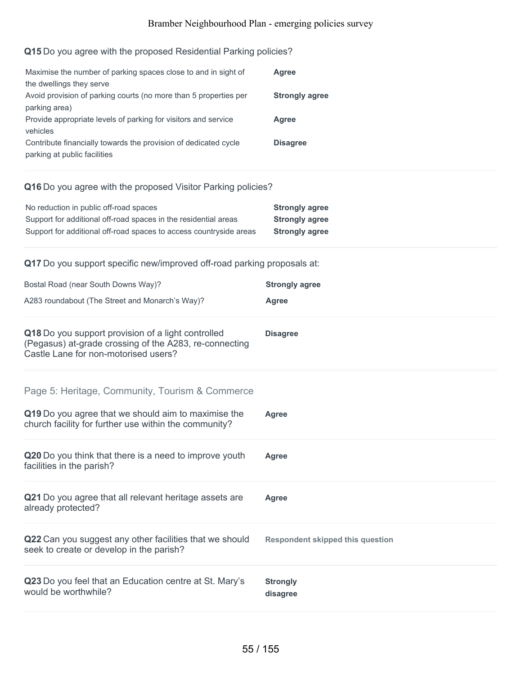# **Q15** Do you agree with the proposed Residential Parking policies?

| Maximise the number of parking spaces close to and in sight of<br>the dwellings they serve      | Agree                 |
|-------------------------------------------------------------------------------------------------|-----------------------|
| Avoid provision of parking courts (no more than 5 properties per<br>parking area)               | <b>Strongly agree</b> |
| Provide appropriate levels of parking for visitors and service<br>vehicles                      | Agree                 |
| Contribute financially towards the provision of dedicated cycle<br>parking at public facilities | <b>Disagree</b>       |

### **Q16** Do you agree with the proposed Visitor Parking policies?

| No reduction in public off-road spaces                             | <b>Strongly agree</b> |
|--------------------------------------------------------------------|-----------------------|
| Support for additional off-road spaces in the residential areas    | <b>Strongly agree</b> |
| Support for additional off-road spaces to access countryside areas | <b>Strongly agree</b> |

### **Q17** Do you support specific new/improved off-road parking proposals at:

| Bostal Road (near South Downs Way)?                                                                                                                  | <b>Strongly agree</b>                   |
|------------------------------------------------------------------------------------------------------------------------------------------------------|-----------------------------------------|
| A283 roundabout (The Street and Monarch's Way)?                                                                                                      | Agree                                   |
| Q18 Do you support provision of a light controlled<br>(Pegasus) at-grade crossing of the A283, re-connecting<br>Castle Lane for non-motorised users? | <b>Disagree</b>                         |
| Page 5: Heritage, Community, Tourism & Commerce                                                                                                      |                                         |
| Q19 Do you agree that we should aim to maximise the<br>church facility for further use within the community?                                         | <b>Agree</b>                            |
| Q20 Do you think that there is a need to improve youth<br>facilities in the parish?                                                                  | <b>Agree</b>                            |
| Q21 Do you agree that all relevant heritage assets are<br>already protected?                                                                         | <b>Agree</b>                            |
| Q22 Can you suggest any other facilities that we should<br>seek to create or develop in the parish?                                                  | <b>Respondent skipped this question</b> |
| Q23 Do you feel that an Education centre at St. Mary's<br>would be worthwhile?                                                                       | <b>Strongly</b><br>disagree             |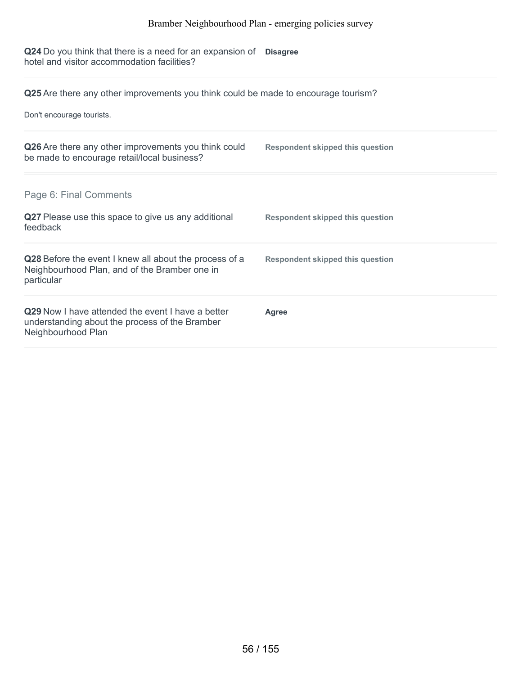**Q24** Do you think that there is a need for an expansion of hotel and visitor accommodation facilities? **Disagree**

**Q25** Are there any other improvements you think could be made to encourage tourism?

Don't encourage tourists.

| Q26 Are there any other improvements you think could<br>be made to encourage retail/local business?                              | <b>Respondent skipped this question</b> |
|----------------------------------------------------------------------------------------------------------------------------------|-----------------------------------------|
| Page 6: Final Comments                                                                                                           |                                         |
| Q27 Please use this space to give us any additional<br>feedback                                                                  | <b>Respondent skipped this question</b> |
| Q28 Before the event I knew all about the process of a<br>Neighbourhood Plan, and of the Bramber one in<br>particular            | <b>Respondent skipped this question</b> |
| <b>Q29</b> Now I have attended the event I have a better<br>understanding about the process of the Bramber<br>Neighbourhood Plan | Agree                                   |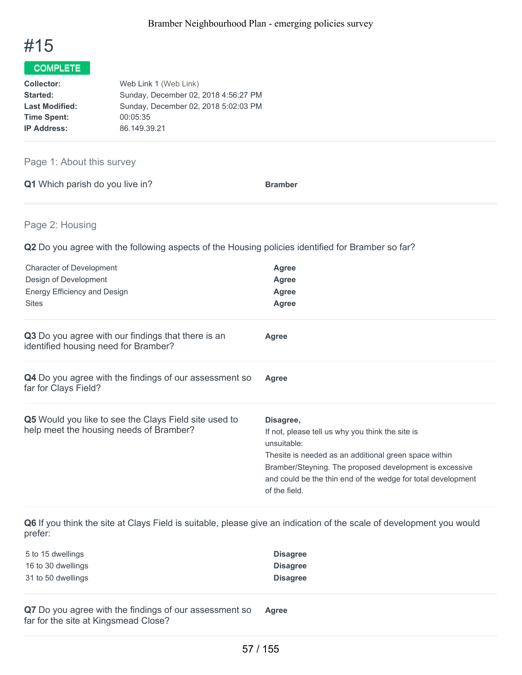

| Web Link 1 (Web Link)                |
|--------------------------------------|
| Sunday, December 02, 2018 4:56:27 PM |
| Sunday, December 02, 2018 5:02:03 PM |
| 00:05:35                             |
| 86.149.39.21                         |
|                                      |

### Page 1: About this survey

|  | Q1 Which parish do you live in? | <b>Bramber</b> |
|--|---------------------------------|----------------|
|  |                                 |                |

### Page 2: Housing

**Q2** Do you agree with the following aspects of the Housing policies identified for Bramber so far?

| <b>Character of Development</b><br>Design of Development<br>Energy Efficiency and Design<br><b>Sites</b> | <b>Agree</b><br><b>Agree</b><br><b>Agree</b><br>Agree                                                                                                                                                                                                                             |
|----------------------------------------------------------------------------------------------------------|-----------------------------------------------------------------------------------------------------------------------------------------------------------------------------------------------------------------------------------------------------------------------------------|
| Q3 Do you agree with our findings that there is an<br>identified housing need for Bramber?               | Agree                                                                                                                                                                                                                                                                             |
| <b>Q4</b> Do you agree with the findings of our assessment so<br>far for Clays Field?                    | Agree                                                                                                                                                                                                                                                                             |
| <b>Q5</b> Would you like to see the Clays Field site used to<br>help meet the housing needs of Bramber?  | Disagree,<br>If not, please tell us why you think the site is<br>unsuitable:<br>Thesite is needed as an additional green space within<br>Bramber/Steyning. The proposed development is excessive<br>and could be the thin end of the wedge for total development<br>of the field. |

**Q6** If you think the site at Clays Field is suitable, please give an indication of the scale of development you would prefer:

| 5 to 15 dwellings  | <b>Disagree</b> |
|--------------------|-----------------|
| 16 to 30 dwellings | <b>Disagree</b> |
| 31 to 50 dwellings | <b>Disagree</b> |

**Q7** Do you agree with the findings of our assessment so far for the site at Kingsmead Close? **Agree**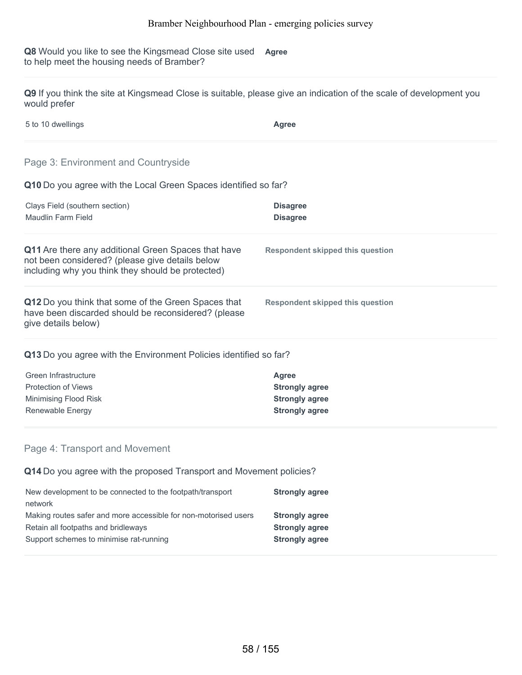**Q8** Would you like to see the Kingsmead Close site used **Agree** to help meet the housing needs of Bramber?

**Q9** If you think the site at Kingsmead Close is suitable, please give an indication of the scale of development you would prefer

| 5 to 10 dwellings | <b>Agree</b> |
|-------------------|--------------|
|                   |              |

### Page 3: Environment and Countryside

#### **Q10** Do you agree with the Local Green Spaces identified so far?

| Clays Field (southern section)<br>Maudlin Farm Field                                                                                                        | <b>Disagree</b><br><b>Disagree</b>      |
|-------------------------------------------------------------------------------------------------------------------------------------------------------------|-----------------------------------------|
| Q11 Are there any additional Green Spaces that have<br>not been considered? (please give details below<br>including why you think they should be protected) | <b>Respondent skipped this question</b> |
| Q12 Do you think that some of the Green Spaces that<br>have been discarded should be reconsidered? (please<br>give details below)                           | Respondent skipped this question        |

#### **Q13** Do you agree with the Environment Policies identified so far?

| Agree                 |
|-----------------------|
| <b>Strongly agree</b> |
| <b>Strongly agree</b> |
| <b>Strongly agree</b> |
|                       |

#### Page 4: Transport and Movement

**Q14** Do you agree with the proposed Transport and Movement policies?

| New development to be connected to the footpath/transport       | <b>Strongly agree</b> |
|-----------------------------------------------------------------|-----------------------|
| network                                                         |                       |
| Making routes safer and more accessible for non-motorised users | <b>Strongly agree</b> |
| Retain all footpaths and bridleways                             | <b>Strongly agree</b> |
| Support schemes to minimise rat-running                         | <b>Strongly agree</b> |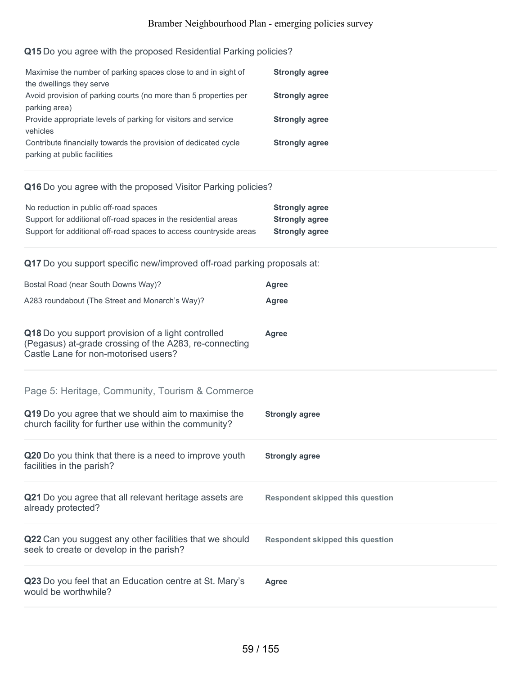# **Q15** Do you agree with the proposed Residential Parking policies?

| Maximise the number of parking spaces close to and in sight of   | <b>Strongly agree</b> |
|------------------------------------------------------------------|-----------------------|
| the dwellings they serve                                         |                       |
| Avoid provision of parking courts (no more than 5 properties per | <b>Strongly agree</b> |
| parking area)                                                    |                       |
| Provide appropriate levels of parking for visitors and service   | <b>Strongly agree</b> |
| vehicles                                                         |                       |
| Contribute financially towards the provision of dedicated cycle  | <b>Strongly agree</b> |
| parking at public facilities                                     |                       |

### **Q16** Do you agree with the proposed Visitor Parking policies?

| No reduction in public off-road spaces                             | <b>Strongly agree</b> |
|--------------------------------------------------------------------|-----------------------|
| Support for additional off-road spaces in the residential areas    | <b>Strongly agree</b> |
| Support for additional off-road spaces to access countryside areas | <b>Strongly agree</b> |

### **Q17** Do you support specific new/improved off-road parking proposals at:

| Bostal Road (near South Downs Way)?                                                                                                                  | <b>Agree</b>                            |
|------------------------------------------------------------------------------------------------------------------------------------------------------|-----------------------------------------|
| A283 roundabout (The Street and Monarch's Way)?                                                                                                      | <b>Agree</b>                            |
| Q18 Do you support provision of a light controlled<br>(Pegasus) at-grade crossing of the A283, re-connecting<br>Castle Lane for non-motorised users? | Agree                                   |
| Page 5: Heritage, Community, Tourism & Commerce<br>Q19 Do you agree that we should aim to maximise the                                               | <b>Strongly agree</b>                   |
| church facility for further use within the community?                                                                                                |                                         |
| Q20 Do you think that there is a need to improve youth<br>facilities in the parish?                                                                  | <b>Strongly agree</b>                   |
| Q21 Do you agree that all relevant heritage assets are<br>already protected?                                                                         | <b>Respondent skipped this question</b> |
| Q22 Can you suggest any other facilities that we should<br>seek to create or develop in the parish?                                                  | <b>Respondent skipped this question</b> |
| Q23 Do you feel that an Education centre at St. Mary's<br>would be worthwhile?                                                                       | <b>Agree</b>                            |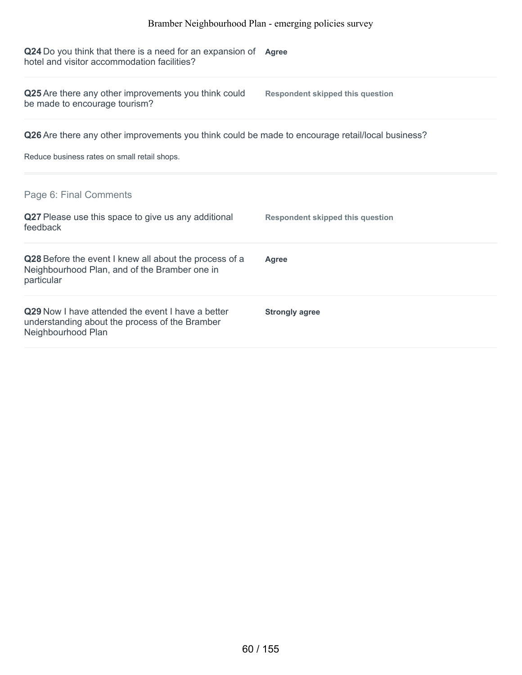**Q24** Do you think that there is a need for an expansion of **Agree** hotel and visitor accommodation facilities?

**Q25** Are there any other improvements you think could be made to encourage tourism? **Respondent skipped this question Q26** Are there any other improvements you think could be made to encourage retail/local business? Reduce business rates on small retail shops. **Q27** Please use this space to give us any additional feedback **Respondent skipped this question Q28** Before the event I knew all about the process of a Neighbourhood Plan, and of the Bramber one in particular **Agree Q29** Now I have attended the event I have a better understanding about the process of the Bramber Neighbourhood Plan **Strongly agree** Page 6: Final Comments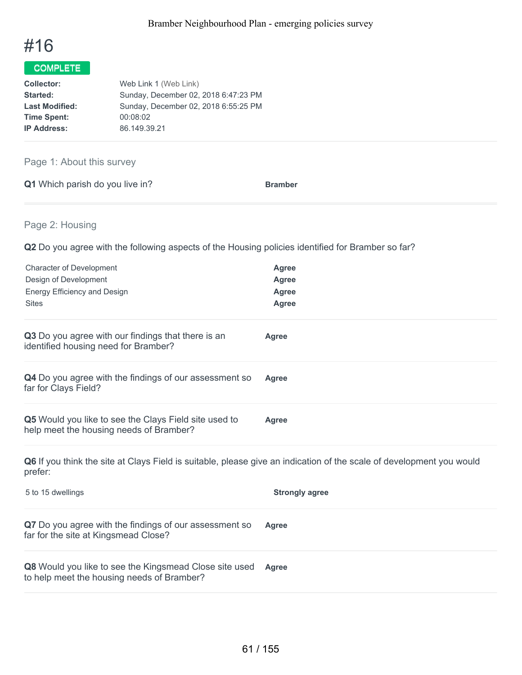

| Web Link 1 (Web Link)                |
|--------------------------------------|
| Sunday, December 02, 2018 6:47:23 PM |
| Sunday, December 02, 2018 6:55:25 PM |
| 00:08:02                             |
| 86.149.39.21                         |
|                                      |

# Page 1: About this survey

|  | Q1 Which parish do you live in? |  | <b>Bramber</b> |
|--|---------------------------------|--|----------------|
|  |                                 |  |                |

# Page 2: Housing

**Q2** Do you agree with the following aspects of the Housing policies identified for Bramber so far?

| <b>Character of Development</b><br>Design of Development<br><b>Energy Efficiency and Design</b><br><b>Sites</b>                 | <b>Agree</b><br><b>Agree</b><br><b>Agree</b><br><b>Agree</b> |
|---------------------------------------------------------------------------------------------------------------------------------|--------------------------------------------------------------|
| Q3 Do you agree with our findings that there is an<br>identified housing need for Bramber?                                      | Agree                                                        |
| Q4 Do you agree with the findings of our assessment so<br>far for Clays Field?                                                  | <b>Agree</b>                                                 |
| Q5 Would you like to see the Clays Field site used to<br>help meet the housing needs of Bramber?                                | <b>Agree</b>                                                 |
| Q6 If you think the site at Clays Field is suitable, please give an indication of the scale of development you would<br>prefer: |                                                              |
| 5 to 15 dwellings                                                                                                               | <b>Strongly agree</b>                                        |
| Q7 Do you agree with the findings of our assessment so<br>far for the site at Kingsmead Close?                                  | <b>Agree</b>                                                 |
| Q8 Would you like to see the Kingsmead Close site used<br>to help meet the housing needs of Bramber?                            | Agree                                                        |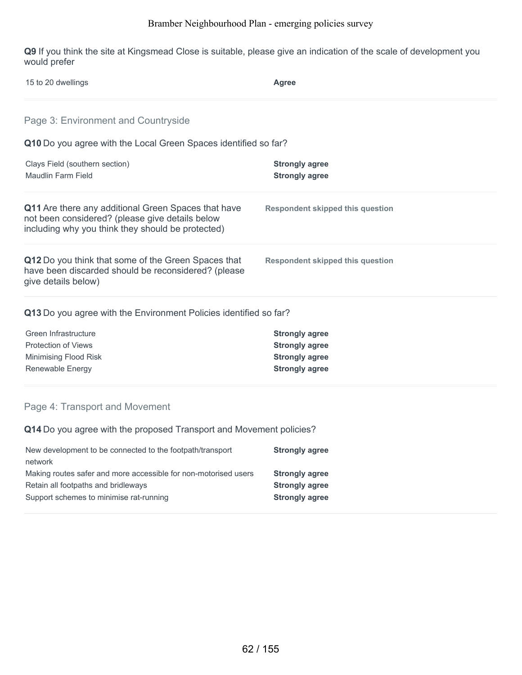**Q9** If you think the site at Kingsmead Close is suitable, please give an indication of the scale of development you would prefer

| 15 to 20 dwellings                                                                                                                                          | Agree                                          |  |
|-------------------------------------------------------------------------------------------------------------------------------------------------------------|------------------------------------------------|--|
| Page 3: Environment and Countryside                                                                                                                         |                                                |  |
| Q10 Do you agree with the Local Green Spaces identified so far?                                                                                             |                                                |  |
| Clays Field (southern section)<br>Maudlin Farm Field                                                                                                        | <b>Strongly agree</b><br><b>Strongly agree</b> |  |
| Q11 Are there any additional Green Spaces that have<br>not been considered? (please give details below<br>including why you think they should be protected) | <b>Respondent skipped this question</b>        |  |
| Q12 Do you think that some of the Green Spaces that<br>have been discarded should be reconsidered? (please<br>give details below)                           | <b>Respondent skipped this question</b>        |  |
| Q13 Do you agree with the Environment Policies identified so far?                                                                                           |                                                |  |
| Green Infrastructure                                                                                                                                        | <b>Strongly agree</b>                          |  |
| <b>Protection of Views</b>                                                                                                                                  | <b>Strongly agree</b>                          |  |
| Minimising Flood Risk                                                                                                                                       | <b>Strongly agree</b>                          |  |
| Renewable Energy                                                                                                                                            | <b>Strongly agree</b>                          |  |

**Q14** Do you agree with the proposed Transport and Movement policies?

| New development to be connected to the footpath/transport       | <b>Strongly agree</b> |
|-----------------------------------------------------------------|-----------------------|
| network                                                         |                       |
| Making routes safer and more accessible for non-motorised users | <b>Strongly agree</b> |
| Retain all footpaths and bridleways                             | <b>Strongly agree</b> |
| Support schemes to minimise rat-running                         | <b>Strongly agree</b> |
|                                                                 |                       |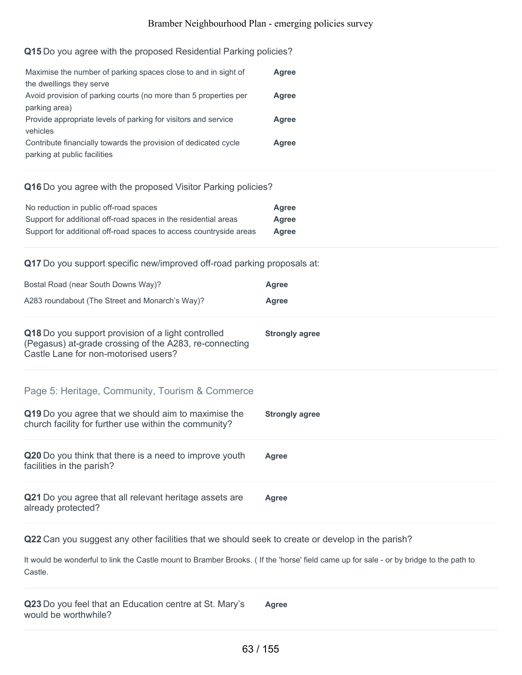#### **Q15** Do you agree with the proposed Residential Parking policies?

| Maximise the number of parking spaces close to and in sight of                                  | Agree |
|-------------------------------------------------------------------------------------------------|-------|
| the dwellings they serve<br>Avoid provision of parking courts (no more than 5 properties per    | Agree |
| parking area)                                                                                   |       |
| Provide appropriate levels of parking for visitors and service                                  | Agree |
| vehicles                                                                                        |       |
| Contribute financially towards the provision of dedicated cycle<br>parking at public facilities | Agree |

#### **Q16** Do you agree with the proposed Visitor Parking policies?

| No reduction in public off-road spaces                             | Agree |
|--------------------------------------------------------------------|-------|
| Support for additional off-road spaces in the residential areas    | Agree |
| Support for additional off-road spaces to access countryside areas | Agree |

**Q17** Do you support specific new/improved off-road parking proposals at:

| Bostal Road (near South Downs Way)?                                                                                                                  | <b>Agree</b>          |
|------------------------------------------------------------------------------------------------------------------------------------------------------|-----------------------|
| A283 roundabout (The Street and Monarch's Way)?                                                                                                      | <b>Agree</b>          |
| Q18 Do you support provision of a light controlled<br>(Pegasus) at-grade crossing of the A283, re-connecting<br>Castle Lane for non-motorised users? | <b>Strongly agree</b> |
| Page 5: Heritage, Community, Tourism & Commerce                                                                                                      |                       |
| Q19 Do you agree that we should aim to maximise the<br>church facility for further use within the community?                                         | <b>Strongly agree</b> |
| Q20 Do you think that there is a need to improve youth<br>facilities in the parish?                                                                  | Agree                 |
| Q21 Do you agree that all relevant heritage assets are<br>already protected?                                                                         | Agree                 |

**Q22** Can you suggest any other facilities that we should seek to create or develop in the parish?

It would be wonderful to link the Castle mount to Bramber Brooks. ( If the 'horse' field came up for sale - or by bridge to the path to Castle.

**Q23** Do you feel that an Education centre at St. Mary's would be worthwhile? **Agree**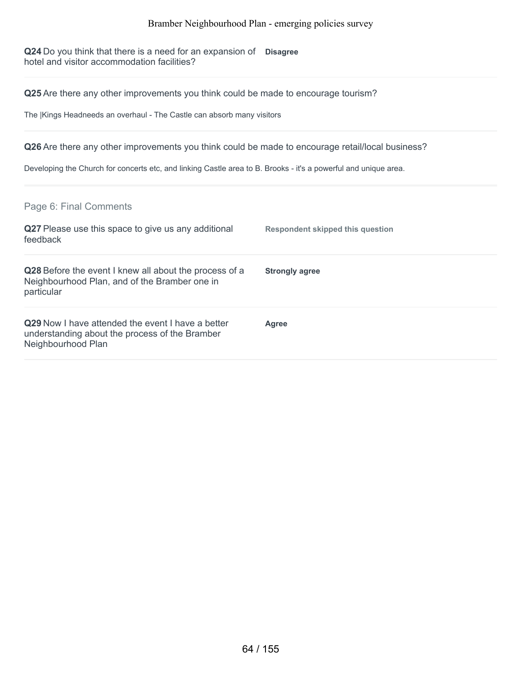**Q24** Do you think that there is a need for an expansion of **Disagree** hotel and visitor accommodation facilities?

**Q25** Are there any other improvements you think could be made to encourage tourism?

The |Kings Headneeds an overhaul - The Castle can absorb many visitors

**Q26** Are there any other improvements you think could be made to encourage retail/local business?

Developing the Church for concerts etc, and linking Castle area to B. Brooks - it's a powerful and unique area.

Page 6: Final Comments

| Q27 Please use this space to give us any additional<br>feedback                                                                  | Respondent skipped this question |
|----------------------------------------------------------------------------------------------------------------------------------|----------------------------------|
| Q28 Before the event I knew all about the process of a<br>Neighbourhood Plan, and of the Bramber one in<br>particular            | <b>Strongly agree</b>            |
| <b>Q29</b> Now I have attended the event I have a better<br>understanding about the process of the Bramber<br>Neighbourhood Plan | Agree                            |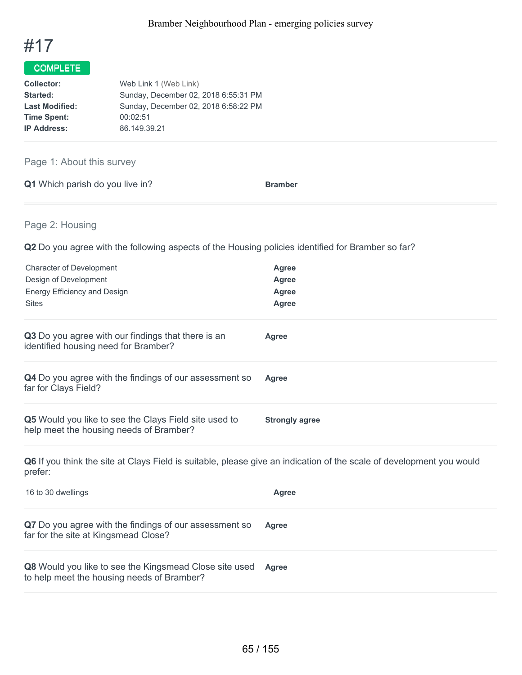

| Web Link 1 (Web Link)                |
|--------------------------------------|
| Sunday, December 02, 2018 6:55:31 PM |
| Sunday, December 02, 2018 6:58:22 PM |
| 00:02:51                             |
| 86.149.39.21                         |
|                                      |

# Page 1: About this survey

| Q1 Which parish do you live in? |  | <b>Bramber</b> |
|---------------------------------|--|----------------|
|                                 |  |                |

# Page 2: Housing

**Q2** Do you agree with the following aspects of the Housing policies identified for Bramber so far?

| <b>Character of Development</b><br>Design of Development<br>Energy Efficiency and Design<br><b>Sites</b>                        | <b>Agree</b><br>Agree<br><b>Agree</b><br><b>Agree</b> |
|---------------------------------------------------------------------------------------------------------------------------------|-------------------------------------------------------|
| Q3 Do you agree with our findings that there is an<br>identified housing need for Bramber?                                      | <b>Agree</b>                                          |
| Q4 Do you agree with the findings of our assessment so<br>far for Clays Field?                                                  | Agree                                                 |
| Q5 Would you like to see the Clays Field site used to<br>help meet the housing needs of Bramber?                                | <b>Strongly agree</b>                                 |
| Q6 If you think the site at Clays Field is suitable, please give an indication of the scale of development you would<br>prefer: |                                                       |
| 16 to 30 dwellings                                                                                                              | <b>Agree</b>                                          |
| Q7 Do you agree with the findings of our assessment so<br>far for the site at Kingsmead Close?                                  | Agree                                                 |
| Q8 Would you like to see the Kingsmead Close site used                                                                          | <b>Agree</b>                                          |

to help meet the housing needs of Bramber?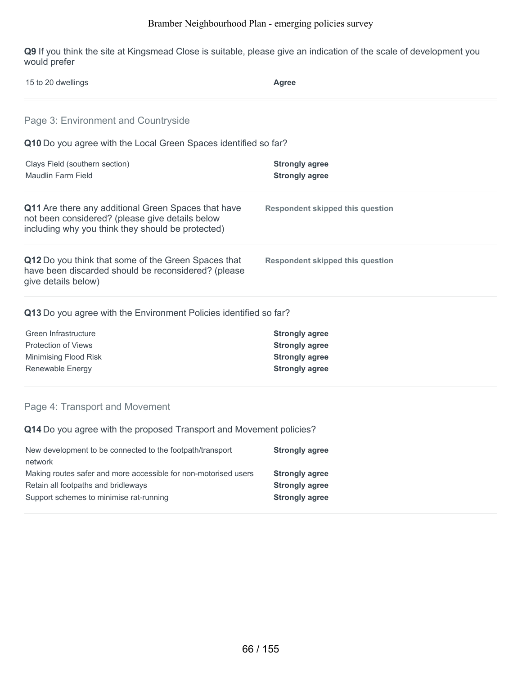**Q9** If you think the site at Kingsmead Close is suitable, please give an indication of the scale of development you would prefer

| 15 to 20 dwellings                                                                                                                                          | Agree                                          |  |
|-------------------------------------------------------------------------------------------------------------------------------------------------------------|------------------------------------------------|--|
| Page 3: Environment and Countryside                                                                                                                         |                                                |  |
| Q10 Do you agree with the Local Green Spaces identified so far?                                                                                             |                                                |  |
| Clays Field (southern section)<br><b>Maudlin Farm Field</b>                                                                                                 | <b>Strongly agree</b><br><b>Strongly agree</b> |  |
| Q11 Are there any additional Green Spaces that have<br>not been considered? (please give details below<br>including why you think they should be protected) | <b>Respondent skipped this question</b>        |  |
| Q12 Do you think that some of the Green Spaces that<br>have been discarded should be reconsidered? (please<br>give details below)                           | <b>Respondent skipped this question</b>        |  |
| Q13 Do you agree with the Environment Policies identified so far?                                                                                           |                                                |  |
| Green Infrastructure                                                                                                                                        | <b>Strongly agree</b>                          |  |
| <b>Protection of Views</b>                                                                                                                                  | <b>Strongly agree</b>                          |  |
| Minimising Flood Risk                                                                                                                                       | <b>Strongly agree</b>                          |  |
| Renewable Energy                                                                                                                                            | <b>Strongly agree</b>                          |  |
| Page 4: Transport and Movement                                                                                                                              |                                                |  |

**Q14** Do you agree with the proposed Transport and Movement policies?

| New development to be connected to the footpath/transport       | <b>Strongly agree</b> |
|-----------------------------------------------------------------|-----------------------|
| network                                                         |                       |
| Making routes safer and more accessible for non-motorised users | <b>Strongly agree</b> |
| Retain all footpaths and bridleways                             | <b>Strongly agree</b> |
| Support schemes to minimise rat-running                         | <b>Strongly agree</b> |
|                                                                 |                       |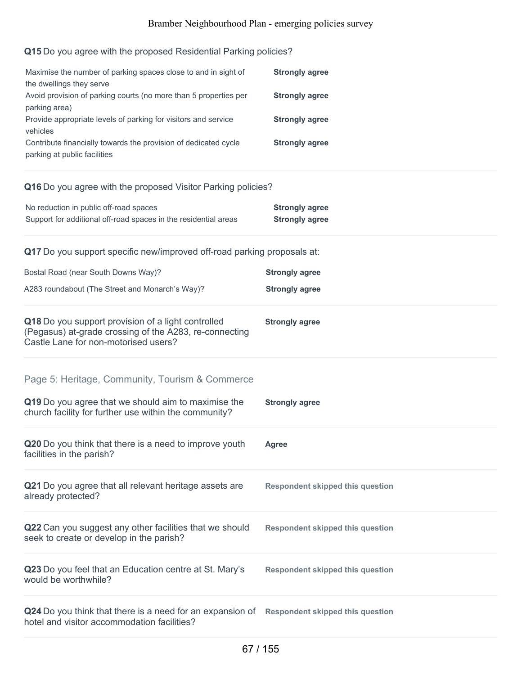#### **Q15** Do you agree with the proposed Residential Parking policies?

| Maximise the number of parking spaces close to and in sight of<br>the dwellings they serve                                                           | <b>Strongly agree</b> |
|------------------------------------------------------------------------------------------------------------------------------------------------------|-----------------------|
| Avoid provision of parking courts (no more than 5 properties per                                                                                     | <b>Strongly agree</b> |
| parking area)<br>Provide appropriate levels of parking for visitors and service<br>vehicles                                                          | <b>Strongly agree</b> |
| Contribute financially towards the provision of dedicated cycle<br>parking at public facilities                                                      | <b>Strongly agree</b> |
| Q16 Do you agree with the proposed Visitor Parking policies?                                                                                         |                       |
| No reduction in public off-road spaces                                                                                                               | <b>Strongly agree</b> |
| Support for additional off-road spaces in the residential areas                                                                                      | <b>Strongly agree</b> |
| Q17 Do you support specific new/improved off-road parking proposals at:                                                                              |                       |
| Bostal Road (near South Downs Way)?                                                                                                                  | <b>Strongly agree</b> |
| A283 roundabout (The Street and Monarch's Way)?                                                                                                      | <b>Strongly agree</b> |
| Q18 Do you support provision of a light controlled<br>(Pegasus) at-grade crossing of the A283, re-connecting<br>Castle Lane for non-motorised users? | <b>Strongly agree</b> |
| Page 5: Heritage, Community, Tourism & Commerce                                                                                                      |                       |
| Q19 Do you agree that we should aim to maximise the<br>church facility for further use within the community?                                         | <b>Strongly agree</b> |
| Q20 Do you think that there is a need to improve youth<br>facilities in the parish?                                                                  | Agree                 |

**Q21** Do you agree that all relevant heritage assets are already protected? **Respondent skipped this question**

**Q22** Can you suggest any other facilities that we should seek to create or develop in the parish?

**Q23** Do you feel that an Education centre at St. Mary's would be worthwhile?

**Q24** Do you think that there is a need for an expansion of **Respondent skipped this question** hotel and visitor accommodation facilities?

**Respondent skipped this question**

**Respondent skipped this question**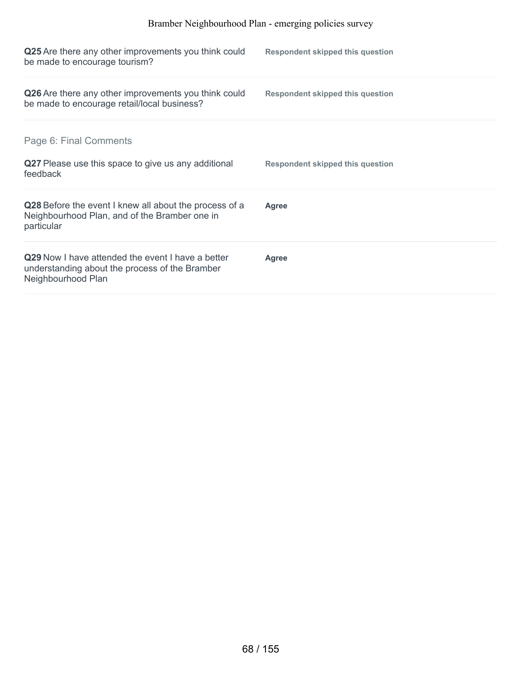| Q25 Are there any other improvements you think could<br>be made to encourage tourism?                                     | <b>Respondent skipped this question</b> |
|---------------------------------------------------------------------------------------------------------------------------|-----------------------------------------|
| Q26 Are there any other improvements you think could<br>be made to encourage retail/local business?                       | <b>Respondent skipped this question</b> |
| Page 6: Final Comments                                                                                                    |                                         |
| Q27 Please use this space to give us any additional<br>feedback                                                           | <b>Respondent skipped this question</b> |
| Q28 Before the event I knew all about the process of a<br>Neighbourhood Plan, and of the Bramber one in<br>particular     | <b>Agree</b>                            |
| Q29 Now I have attended the event I have a better<br>understanding about the process of the Bramber<br>Neighbourhood Plan | Agree                                   |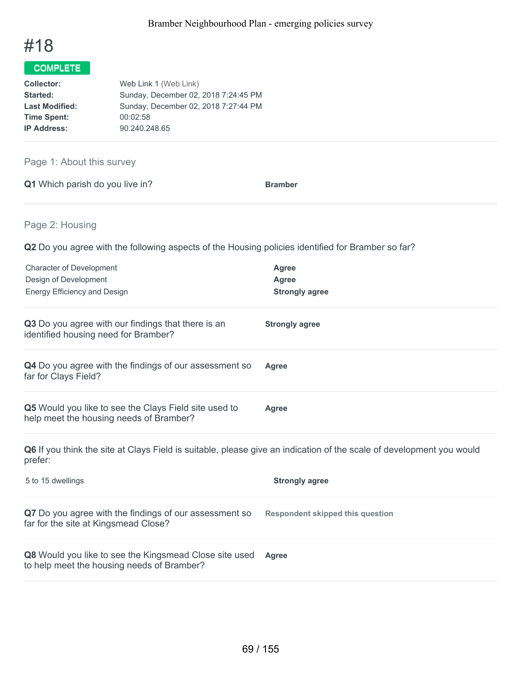

| Web Link 1 (Web Link)                |
|--------------------------------------|
| Sunday, December 02, 2018 7:24:45 PM |
| Sunday, December 02, 2018 7:27:44 PM |
| 00:02:58                             |
| 90.240.248.65                        |
|                                      |

# Page 1: About this survey

| Q1 Which parish do you live in?<br><b>Bramber</b> |  |
|---------------------------------------------------|--|
|---------------------------------------------------|--|

Page 2: Housing

**Q2** Do you agree with the following aspects of the Housing policies identified for Bramber so far?

| <b>Character of Development</b><br>Design of Development<br>Energy Efficiency and Design         | Agree<br>Agree<br><b>Strongly agree</b> |
|--------------------------------------------------------------------------------------------------|-----------------------------------------|
| Q3 Do you agree with our findings that there is an<br>identified housing need for Bramber?       | <b>Strongly agree</b>                   |
| <b>Q4</b> Do you agree with the findings of our assessment so<br>far for Clays Field?            | Agree                                   |
| Q5 Would you like to see the Clays Field site used to<br>help meet the housing needs of Bramber? | Agree                                   |

**Q6** If you think the site at Clays Field is suitable, please give an indication of the scale of development you would prefer:

| 5 to 15 dwellings                                                                                           | <b>Strongly agree</b>            |
|-------------------------------------------------------------------------------------------------------------|----------------------------------|
| Q7 Do you agree with the findings of our assessment so<br>far for the site at Kingsmead Close?              | Respondent skipped this question |
| <b>Q8</b> Would you like to see the Kingsmead Close site used<br>to help meet the housing needs of Bramber? | <b>Agree</b>                     |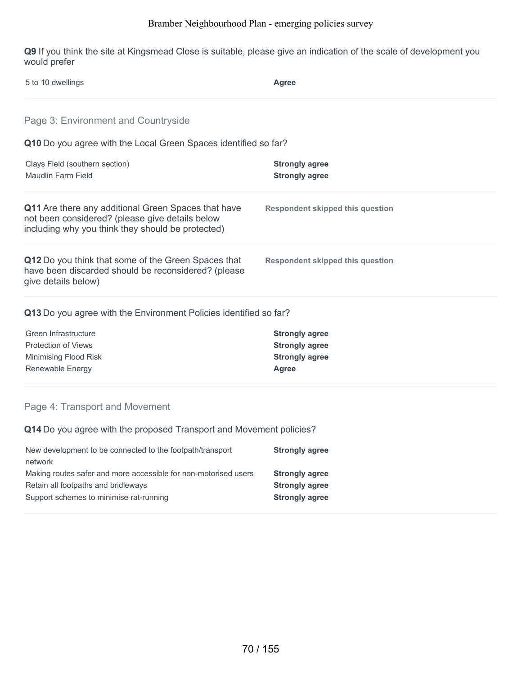**Q9** If you think the site at Kingsmead Close is suitable, please give an indication of the scale of development you would prefer

| 5 to 10 dwellings                                                                                                                                           | <b>Agree</b>                                   |  |
|-------------------------------------------------------------------------------------------------------------------------------------------------------------|------------------------------------------------|--|
| Page 3: Environment and Countryside                                                                                                                         |                                                |  |
| Q10 Do you agree with the Local Green Spaces identified so far?                                                                                             |                                                |  |
| Clays Field (southern section)<br><b>Maudlin Farm Field</b>                                                                                                 | <b>Strongly agree</b><br><b>Strongly agree</b> |  |
| Q11 Are there any additional Green Spaces that have<br>not been considered? (please give details below<br>including why you think they should be protected) | <b>Respondent skipped this question</b>        |  |
| Q12 Do you think that some of the Green Spaces that<br>have been discarded should be reconsidered? (please<br>give details below)                           | <b>Respondent skipped this question</b>        |  |
| Q13 Do you agree with the Environment Policies identified so far?                                                                                           |                                                |  |
| Green Infrastructure                                                                                                                                        | <b>Strongly agree</b>                          |  |
| <b>Protection of Views</b>                                                                                                                                  | <b>Strongly agree</b>                          |  |
| Minimising Flood Risk                                                                                                                                       | <b>Strongly agree</b>                          |  |
| Renewable Energy                                                                                                                                            | <b>Agree</b>                                   |  |
| Page 4: Transport and Movement                                                                                                                              |                                                |  |

**Q14** Do you agree with the proposed Transport and Movement policies?

| New development to be connected to the footpath/transport       | <b>Strongly agree</b> |
|-----------------------------------------------------------------|-----------------------|
| network                                                         |                       |
| Making routes safer and more accessible for non-motorised users | <b>Strongly agree</b> |
| Retain all footpaths and bridleways                             | <b>Strongly agree</b> |
| Support schemes to minimise rat-running                         | <b>Strongly agree</b> |
|                                                                 |                       |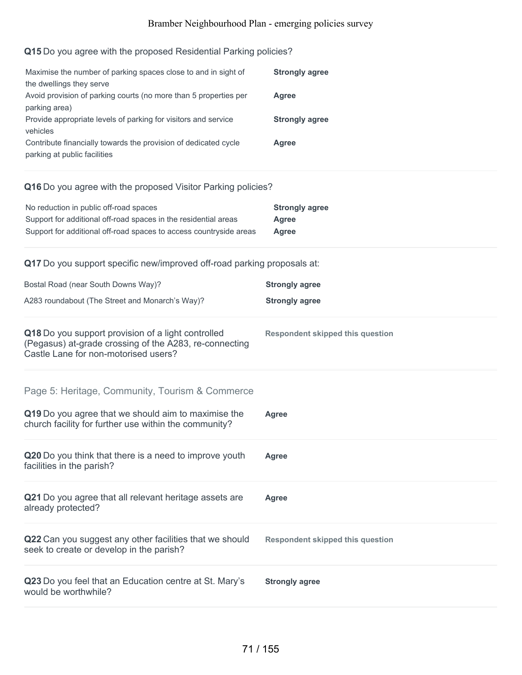# **Q15** Do you agree with the proposed Residential Parking policies?

| Maximise the number of parking spaces close to and in sight of<br>the dwellings they serve<br>Avoid provision of parking courts (no more than 5 properties per<br>parking area)<br>Provide appropriate levels of parking for visitors and service<br>vehicles<br>Contribute financially towards the provision of dedicated cycle<br>parking at public facilities | <b>Strongly agree</b><br><b>Agree</b><br><b>Strongly agree</b><br>Agree |  |
|------------------------------------------------------------------------------------------------------------------------------------------------------------------------------------------------------------------------------------------------------------------------------------------------------------------------------------------------------------------|-------------------------------------------------------------------------|--|
| Q16 Do you agree with the proposed Visitor Parking policies?                                                                                                                                                                                                                                                                                                     |                                                                         |  |
| No reduction in public off-road spaces<br>Support for additional off-road spaces in the residential areas<br>Support for additional off-road spaces to access countryside areas                                                                                                                                                                                  | <b>Strongly agree</b><br><b>Agree</b><br><b>Agree</b>                   |  |
| Q17 Do you support specific new/improved off-road parking proposals at:                                                                                                                                                                                                                                                                                          |                                                                         |  |
| Bostal Road (near South Downs Way)?                                                                                                                                                                                                                                                                                                                              | <b>Strongly agree</b>                                                   |  |
| A283 roundabout (The Street and Monarch's Way)?                                                                                                                                                                                                                                                                                                                  | <b>Strongly agree</b>                                                   |  |
| Q18 Do you support provision of a light controlled<br>(Pegasus) at-grade crossing of the A283, re-connecting<br>Castle Lane for non-motorised users?                                                                                                                                                                                                             | <b>Respondent skipped this question</b>                                 |  |
| Page 5: Heritage, Community, Tourism & Commerce                                                                                                                                                                                                                                                                                                                  |                                                                         |  |
| Q19 Do you agree that we should aim to maximise the<br>church facility for further use within the community?                                                                                                                                                                                                                                                     | <b>Agree</b>                                                            |  |
| Q20 Do you think that there is a need to improve youth<br>facilities in the parish?                                                                                                                                                                                                                                                                              | Agree                                                                   |  |
| Q21 Do you agree that all relevant heritage assets are<br>already protected?                                                                                                                                                                                                                                                                                     | <b>Agree</b>                                                            |  |
| Q22 Can you suggest any other facilities that we should<br>seek to create or develop in the parish?                                                                                                                                                                                                                                                              | <b>Respondent skipped this question</b>                                 |  |
| Q23 Do you feel that an Education centre at St. Mary's<br>would be worthwhile?                                                                                                                                                                                                                                                                                   | <b>Strongly agree</b>                                                   |  |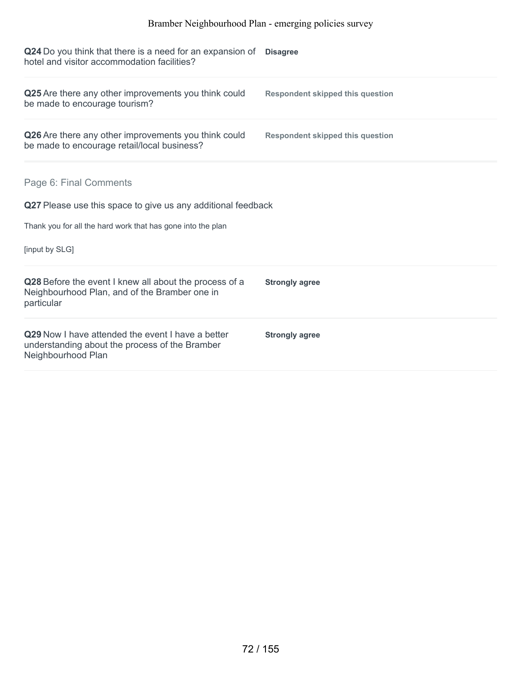| Q24 Do you think that there is a need for an expansion of<br>hotel and visitor accommodation facilities?                  | <b>Disagree</b>                         |
|---------------------------------------------------------------------------------------------------------------------------|-----------------------------------------|
| Q25 Are there any other improvements you think could<br>be made to encourage tourism?                                     | <b>Respondent skipped this question</b> |
| Q26 Are there any other improvements you think could<br>be made to encourage retail/local business?                       | <b>Respondent skipped this question</b> |
| Page 6: Final Comments<br>Q27 Please use this space to give us any additional feedback                                    |                                         |
| Thank you for all the hard work that has gone into the plan                                                               |                                         |
| [input by SLG]                                                                                                            |                                         |
| Q28 Before the event I knew all about the process of a<br>Neighbourhood Plan, and of the Bramber one in<br>particular     | <b>Strongly agree</b>                   |
| Q29 Now I have attended the event I have a better<br>understanding about the process of the Bramber<br>Neighbourhood Plan | <b>Strongly agree</b>                   |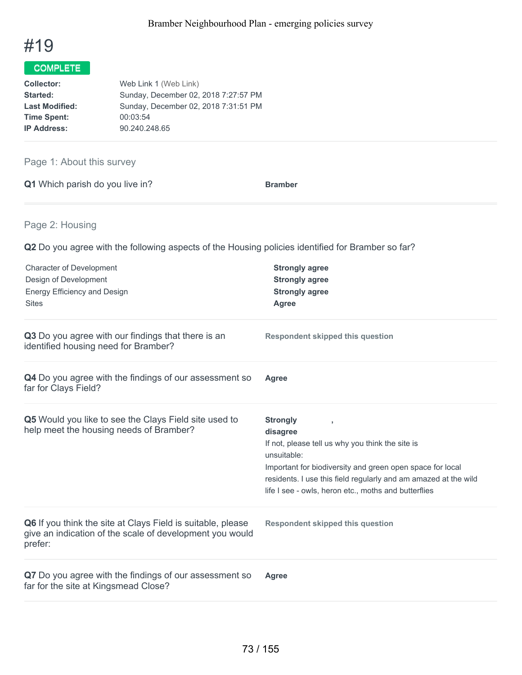

| Web Link 1 (Web Link)                |
|--------------------------------------|
| Sunday, December 02, 2018 7:27:57 PM |
| Sunday, December 02, 2018 7:31:51 PM |
| 00:03:54                             |
| 90.240.248.65                        |
|                                      |

## Page 1: About this survey

|  | Q1 Which parish do you live in? | <b>Bramber</b> |
|--|---------------------------------|----------------|
|  |                                 |                |

## Page 2: Housing

**Q2** Do you agree with the following aspects of the Housing policies identified for Bramber so far?

| <b>Character of Development</b><br>Design of Development<br><b>Energy Efficiency and Design</b><br><b>Sites</b>                    | <b>Strongly agree</b><br><b>Strongly agree</b><br><b>Strongly agree</b><br><b>Agree</b>                                                                                                                                                                                                |
|------------------------------------------------------------------------------------------------------------------------------------|----------------------------------------------------------------------------------------------------------------------------------------------------------------------------------------------------------------------------------------------------------------------------------------|
| Q3 Do you agree with our findings that there is an<br>identified housing need for Bramber?                                         | <b>Respondent skipped this question</b>                                                                                                                                                                                                                                                |
| Q4 Do you agree with the findings of our assessment so<br>far for Clays Field?                                                     | Agree                                                                                                                                                                                                                                                                                  |
| Q5 Would you like to see the Clays Field site used to<br>help meet the housing needs of Bramber?                                   | <b>Strongly</b><br>disagree<br>If not, please tell us why you think the site is<br>unsuitable:<br>Important for biodiversity and green open space for local<br>residents. I use this field regularly and am amazed at the wild<br>life I see - owls, heron etc., moths and butterflies |
| Q6 If you think the site at Clays Field is suitable, please<br>give an indication of the scale of development you would<br>prefer: | <b>Respondent skipped this question</b>                                                                                                                                                                                                                                                |
| Q7 Do you agree with the findings of our assessment so<br>far for the site at Kingsmead Close?                                     | <b>Agree</b>                                                                                                                                                                                                                                                                           |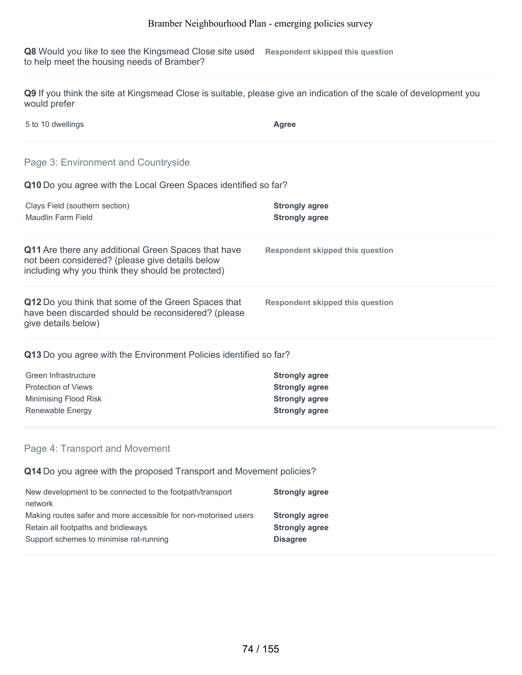**Q8** Would you like to see the Kingsmead Close site used to help meet the housing needs of Bramber? **Respondent skipped this question**

**Q9** If you think the site at Kingsmead Close is suitable, please give an indication of the scale of development you would prefer

5 to 10 dwellings **Agree**

## Page 3: Environment and Countryside

**Q10** Do you agree with the Local Green Spaces identified so far?

| Clays Field (southern section)<br>Maudlin Farm Field                                                                                                               | <b>Strongly agree</b><br><b>Strongly agree</b> |
|--------------------------------------------------------------------------------------------------------------------------------------------------------------------|------------------------------------------------|
| <b>Q11</b> Are there any additional Green Spaces that have<br>not been considered? (please give details below<br>including why you think they should be protected) | Respondent skipped this question               |
| Q12 Do you think that some of the Green Spaces that<br>have been discarded should be reconsidered? (please<br>give details below)                                  | Respondent skipped this question               |

#### **Q13** Do you agree with the Environment Policies identified so far?

| Green Infrastructure  | <b>Strongly agree</b> |
|-----------------------|-----------------------|
| Protection of Views   | <b>Strongly agree</b> |
| Minimising Flood Risk | <b>Strongly agree</b> |
| Renewable Energy      | <b>Strongly agree</b> |
|                       |                       |

#### Page 4: Transport and Movement

**Q14** Do you agree with the proposed Transport and Movement policies?

| New development to be connected to the footpath/transport       | <b>Strongly agree</b> |
|-----------------------------------------------------------------|-----------------------|
| network                                                         |                       |
| Making routes safer and more accessible for non-motorised users | <b>Strongly agree</b> |
| Retain all footpaths and bridleways                             | <b>Strongly agree</b> |
| Support schemes to minimise rat-running                         | <b>Disagree</b>       |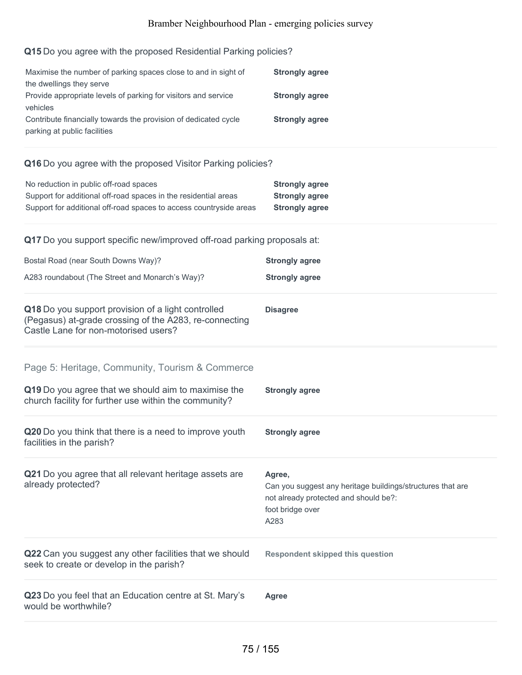## **Q15** Do you agree with the proposed Residential Parking policies?

| Maximise the number of parking spaces close to and in sight of  | <b>Strongly agree</b> |
|-----------------------------------------------------------------|-----------------------|
| the dwellings they serve                                        |                       |
| Provide appropriate levels of parking for visitors and service  | <b>Strongly agree</b> |
| vehicles                                                        |                       |
| Contribute financially towards the provision of dedicated cycle | <b>Strongly agree</b> |
| parking at public facilities                                    |                       |

#### **Q16** Do you agree with the proposed Visitor Parking policies?

| No reduction in public off-road spaces                             | <b>Strongly agree</b> |
|--------------------------------------------------------------------|-----------------------|
| Support for additional off-road spaces in the residential areas    | <b>Strongly agree</b> |
| Support for additional off-road spaces to access countryside areas | <b>Strongly agree</b> |

| Q17 Do you support specific new/improved off-road parking proposals at:                                                                              |                                                                                                                                           |
|------------------------------------------------------------------------------------------------------------------------------------------------------|-------------------------------------------------------------------------------------------------------------------------------------------|
| Bostal Road (near South Downs Way)?                                                                                                                  | <b>Strongly agree</b>                                                                                                                     |
| A283 roundabout (The Street and Monarch's Way)?                                                                                                      | <b>Strongly agree</b>                                                                                                                     |
| Q18 Do you support provision of a light controlled<br>(Pegasus) at-grade crossing of the A283, re-connecting<br>Castle Lane for non-motorised users? | <b>Disagree</b>                                                                                                                           |
| Page 5: Heritage, Community, Tourism & Commerce                                                                                                      |                                                                                                                                           |
| Q19 Do you agree that we should aim to maximise the<br>church facility for further use within the community?                                         | <b>Strongly agree</b>                                                                                                                     |
| Q20 Do you think that there is a need to improve youth<br>facilities in the parish?                                                                  | <b>Strongly agree</b>                                                                                                                     |
| Q21 Do you agree that all relevant heritage assets are<br>already protected?                                                                         | Agree,<br>Can you suggest any heritage buildings/structures that are<br>not already protected and should be?:<br>foot bridge over<br>A283 |
| Q22 Can you suggest any other facilities that we should<br>seek to create or develop in the parish?                                                  | <b>Respondent skipped this question</b>                                                                                                   |
| Q23 Do you feel that an Education centre at St. Mary's<br>would be worthwhile?                                                                       | <b>Agree</b>                                                                                                                              |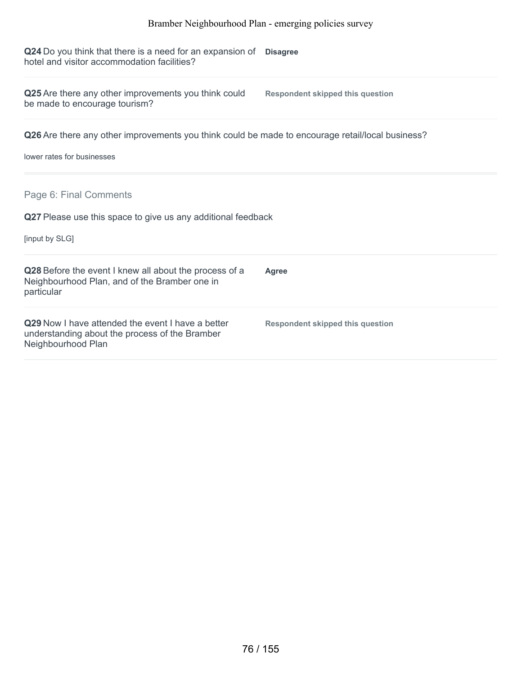**Q24** Do you think that there is a need for an expansion of **Disagree** hotel and visitor accommodation facilities?

**Q25** Are there any other improvements you think could be made to encourage tourism?

**Respondent skipped this question**

**Q26** Are there any other improvements you think could be made to encourage retail/local business?

lower rates for businesses

Page 6: Final Comments

**Q27** Please use this space to give us any additional feedback

[input by SLG]

| Q28 Before the event I knew all about the process of a<br>Neighbourhood Plan, and of the Bramber one in<br>particular            | <b>Agree</b>                     |
|----------------------------------------------------------------------------------------------------------------------------------|----------------------------------|
| <b>Q29</b> Now I have attended the event I have a better<br>understanding about the process of the Bramber<br>Neighbourhood Plan | Respondent skipped this question |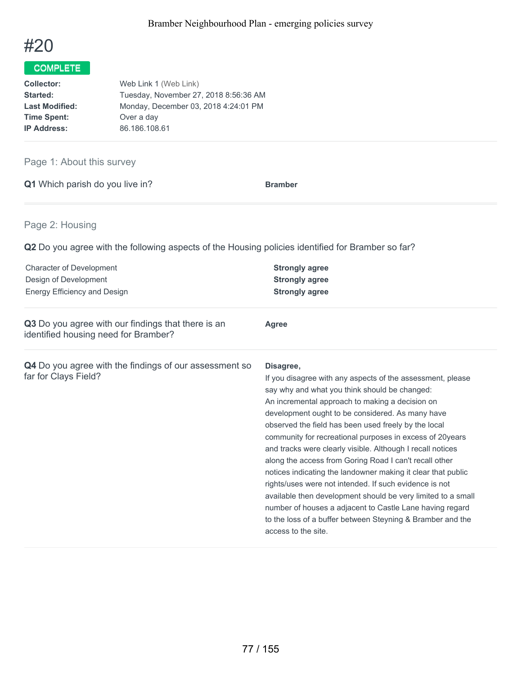

| Collector:            | Web Link 1 (Web Link)                 |
|-----------------------|---------------------------------------|
| Started:              | Tuesday, November 27, 2018 8:56:36 AM |
| <b>Last Modified:</b> | Monday, December 03, 2018 4:24:01 PM  |
| <b>Time Spent:</b>    | Over a day                            |
| <b>IP Address:</b>    | 86.186.108.61                         |

## Page 1: About this survey

**Q1** Which parish do you live in? **Bramber** 

## Page 2: Housing

**Q2** Do you agree with the following aspects of the Housing policies identified for Bramber so far?

| <b>Character of Development</b><br>Design of Development<br>Energy Efficiency and Design   | <b>Strongly agree</b><br><b>Strongly agree</b><br><b>Strongly agree</b>                                                                                                                                                                                                                                                                                                                                                                                                                                                                                                                                                                                                                                                                                                                                                |
|--------------------------------------------------------------------------------------------|------------------------------------------------------------------------------------------------------------------------------------------------------------------------------------------------------------------------------------------------------------------------------------------------------------------------------------------------------------------------------------------------------------------------------------------------------------------------------------------------------------------------------------------------------------------------------------------------------------------------------------------------------------------------------------------------------------------------------------------------------------------------------------------------------------------------|
| Q3 Do you agree with our findings that there is an<br>identified housing need for Bramber? | <b>Agree</b>                                                                                                                                                                                                                                                                                                                                                                                                                                                                                                                                                                                                                                                                                                                                                                                                           |
| Q4 Do you agree with the findings of our assessment so<br>far for Clays Field?             | Disagree,<br>If you disagree with any aspects of the assessment, please<br>say why and what you think should be changed:<br>An incremental approach to making a decision on<br>development ought to be considered. As many have<br>observed the field has been used freely by the local<br>community for recreational purposes in excess of 20years<br>and tracks were clearly visible. Although I recall notices<br>along the access from Goring Road I can't recall other<br>notices indicating the landowner making it clear that public<br>rights/uses were not intended. If such evidence is not<br>available then development should be very limited to a small<br>number of houses a adjacent to Castle Lane having regard<br>to the loss of a buffer between Steyning & Bramber and the<br>access to the site. |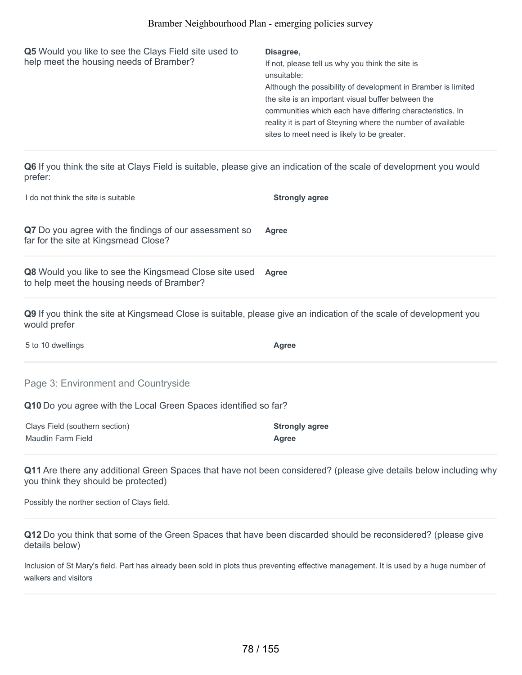| Q5 Would you like to see the Clays Field site used to<br>help meet the housing needs of Bramber? | Disagree,<br>If not, please tell us why you think the site is<br>unsuitable:<br>Although the possibility of development in Bramber is limited<br>the site is an important visual buffer between the<br>communities which each have differing characteristics. In<br>reality it is part of Steyning where the number of available<br>sites to meet need is likely to be greater. |
|--------------------------------------------------------------------------------------------------|---------------------------------------------------------------------------------------------------------------------------------------------------------------------------------------------------------------------------------------------------------------------------------------------------------------------------------------------------------------------------------|
|--------------------------------------------------------------------------------------------------|---------------------------------------------------------------------------------------------------------------------------------------------------------------------------------------------------------------------------------------------------------------------------------------------------------------------------------------------------------------------------------|

**Q6** If you think the site at Clays Field is suitable, please give an indication of the scale of development you would prefer:

| I do not think the site is suitable                                                                                                | <b>Strongly agree</b> |
|------------------------------------------------------------------------------------------------------------------------------------|-----------------------|
| Q7 Do you agree with the findings of our assessment so<br>far for the site at Kingsmead Close?                                     | <b>Agree</b>          |
| Q8 Would you like to see the Kingsmead Close site used<br>to help meet the housing needs of Bramber?                               | <b>Agree</b>          |
| Q9 If you think the site at Kingsmead Close is suitable, please give an indication of the scale of development you<br>would prefer |                       |
| 5 to 10 dwellings                                                                                                                  | Agree                 |

Page 3: Environment and Countryside

**Q10** Do you agree with the Local Green Spaces identified so far?

| Clays Field (southern section) | <b>Strongly agree</b> |
|--------------------------------|-----------------------|
| Maudlin Farm Field             | Agree                 |

**Q11** Are there any additional Green Spaces that have not been considered? (please give details below including why you think they should be protected)

Possibly the norther section of Clays field.

**Q12** Do you think that some of the Green Spaces that have been discarded should be reconsidered? (please give details below)

Inclusion of St Mary's field. Part has already been sold in plots thus preventing effective management. It is used by a huge number of walkers and visitors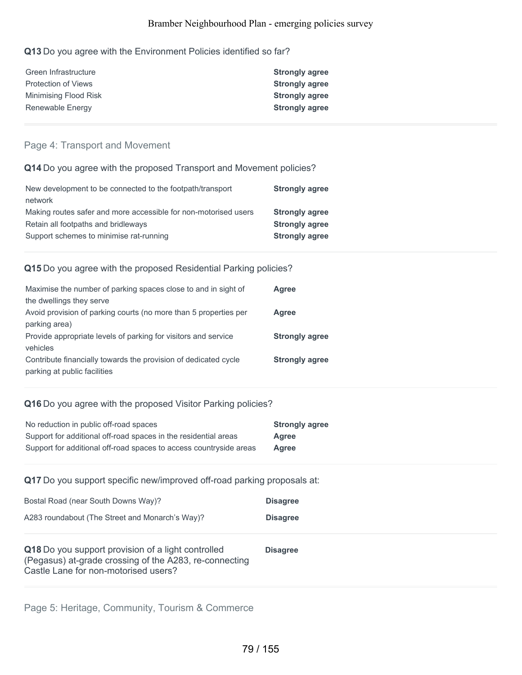#### **Q13** Do you agree with the Environment Policies identified so far?

| <b>Strongly agree</b> |
|-----------------------|
| <b>Strongly agree</b> |
| <b>Strongly agree</b> |
| <b>Strongly agree</b> |
|                       |

#### Page 4: Transport and Movement

#### **Q14** Do you agree with the proposed Transport and Movement policies?

| New development to be connected to the footpath/transport       | <b>Strongly agree</b> |
|-----------------------------------------------------------------|-----------------------|
| network                                                         |                       |
| Making routes safer and more accessible for non-motorised users | <b>Strongly agree</b> |
| Retain all footpaths and bridleways                             | <b>Strongly agree</b> |
| Support schemes to minimise rat-running                         | <b>Strongly agree</b> |

#### **Q15** Do you agree with the proposed Residential Parking policies?

| Maximise the number of parking spaces close to and in sight of   | Agree                 |
|------------------------------------------------------------------|-----------------------|
| the dwellings they serve                                         |                       |
| Avoid provision of parking courts (no more than 5 properties per | Agree                 |
| parking area)                                                    |                       |
| Provide appropriate levels of parking for visitors and service   | <b>Strongly agree</b> |
| vehicles                                                         |                       |
| Contribute financially towards the provision of dedicated cycle  | <b>Strongly agree</b> |
| parking at public facilities                                     |                       |

#### **Q16** Do you agree with the proposed Visitor Parking policies?

| No reduction in public off-road spaces                             | <b>Strongly agree</b> |
|--------------------------------------------------------------------|-----------------------|
| Support for additional off-road spaces in the residential areas    | Agree                 |
| Support for additional off-road spaces to access countryside areas | Agree                 |

#### **Q17** Do you support specific new/improved off-road parking proposals at:

| Bostal Road (near South Downs Way)?                                                                                                                  | <b>Disagree</b> |
|------------------------------------------------------------------------------------------------------------------------------------------------------|-----------------|
| A283 roundabout (The Street and Monarch's Way)?                                                                                                      | <b>Disagree</b> |
| Q18 Do you support provision of a light controlled<br>(Pegasus) at-grade crossing of the A283, re-connecting<br>Castle Lane for non-motorised users? | <b>Disagree</b> |

Page 5: Heritage, Community, Tourism & Commerce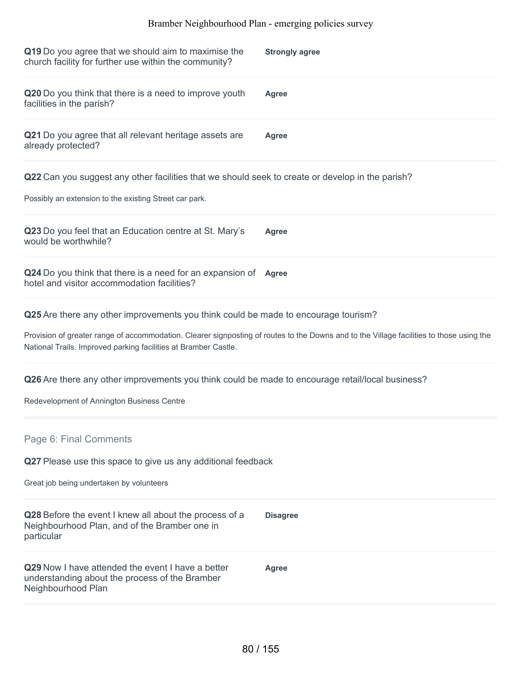| Q19 Do you agree that we should aim to maximise the<br>church facility for further use within the community?                                                                                                | <b>Strongly agree</b> |  |
|-------------------------------------------------------------------------------------------------------------------------------------------------------------------------------------------------------------|-----------------------|--|
| Q20 Do you think that there is a need to improve youth<br>facilities in the parish?                                                                                                                         | <b>Agree</b>          |  |
| Q21 Do you agree that all relevant heritage assets are<br>already protected?                                                                                                                                | <b>Agree</b>          |  |
| Q22 Can you suggest any other facilities that we should seek to create or develop in the parish?<br>Possibly an extension to the existing Street car park.                                                  |                       |  |
| Q23 Do you feel that an Education centre at St. Mary's<br>would be worthwhile?                                                                                                                              | <b>Agree</b>          |  |
| Q24 Do you think that there is a need for an expansion of Agree<br>hotel and visitor accommodation facilities?                                                                                              |                       |  |
| Q25 Are there any other improvements you think could be made to encourage tourism?                                                                                                                          |                       |  |
| Provision of greater range of accommodation. Clearer signposting of routes to the Downs and to the Village facilities to those using the<br>National Trails. Improved parking facilities at Bramber Castle. |                       |  |
| Q26 Are there any other improvements you think could be made to encourage retail/local business?<br>Redevelopment of Annington Business Centre                                                              |                       |  |
| Page 6: Final Comments                                                                                                                                                                                      |                       |  |
| Q27 Please use this space to give us any additional feedback                                                                                                                                                |                       |  |
| Great job being undertaken by volunteers                                                                                                                                                                    |                       |  |
| Q28 Before the event I knew all about the process of a<br>Neighbourhood Plan, and of the Bramber one in<br>particular                                                                                       | <b>Disagree</b>       |  |
| Q29 Now I have attended the event I have a better<br>understanding about the process of the Bramber<br>Neighbourhood Plan                                                                                   | <b>Agree</b>          |  |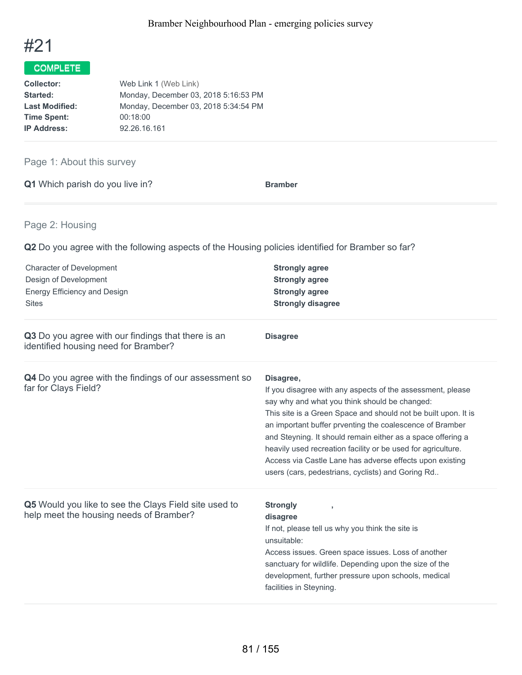

| Web Link 1 (Web Link)                |
|--------------------------------------|
| Monday, December 03, 2018 5:16:53 PM |
| Monday, December 03, 2018 5:34:54 PM |
| 00:18:00                             |
| 92.26.16.161                         |
|                                      |

## Page 1: About this survey

**Q1** Which parish do you live in? **Bramber** 

## Page 2: Housing

**Q2** Do you agree with the following aspects of the Housing policies identified for Bramber so far?

| <b>Character of Development</b><br>Design of Development<br><b>Energy Efficiency and Design</b><br><b>Sites</b> | <b>Strongly agree</b><br><b>Strongly agree</b><br><b>Strongly agree</b><br><b>Strongly disagree</b>                                                                                                                                                                                                                                                                                                                                                                                                    |
|-----------------------------------------------------------------------------------------------------------------|--------------------------------------------------------------------------------------------------------------------------------------------------------------------------------------------------------------------------------------------------------------------------------------------------------------------------------------------------------------------------------------------------------------------------------------------------------------------------------------------------------|
| Q3 Do you agree with our findings that there is an<br>identified housing need for Bramber?                      | <b>Disagree</b>                                                                                                                                                                                                                                                                                                                                                                                                                                                                                        |
| Q4 Do you agree with the findings of our assessment so<br>far for Clays Field?                                  | Disagree,<br>If you disagree with any aspects of the assessment, please<br>say why and what you think should be changed:<br>This site is a Green Space and should not be built upon. It is<br>an important buffer prventing the coalescence of Bramber<br>and Steyning. It should remain either as a space offering a<br>heavily used recreation facility or be used for agriculture.<br>Access via Castle Lane has adverse effects upon existing<br>users (cars, pedestrians, cyclists) and Goring Rd |
| Q5 Would you like to see the Clays Field site used to<br>help meet the housing needs of Bramber?                | <b>Strongly</b><br>disagree<br>If not, please tell us why you think the site is<br>unsuitable:<br>Access issues. Green space issues. Loss of another<br>sanctuary for wildlife. Depending upon the size of the<br>development, further pressure upon schools, medical<br>facilities in Steyning.                                                                                                                                                                                                       |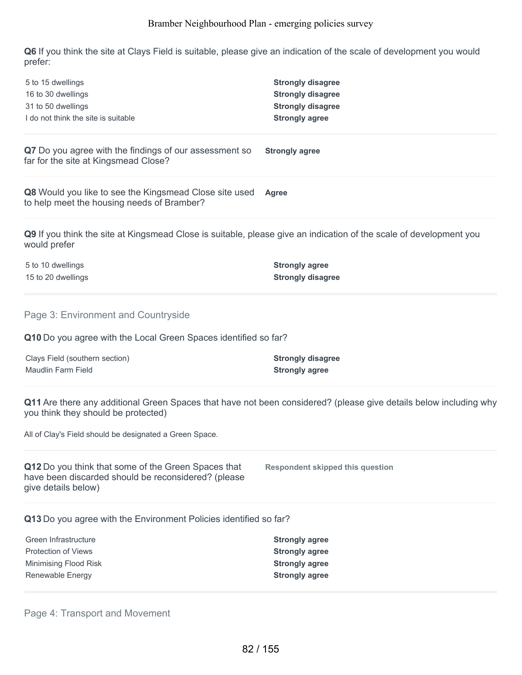**Q6** If you think the site at Clays Field is suitable, please give an indication of the scale of development you would prefer:

| 5 to 15 dwellings<br>16 to 30 dwellings<br>31 to 50 dwellings<br>I do not think the site is suitable                               | <b>Strongly disagree</b><br><b>Strongly disagree</b><br><b>Strongly disagree</b><br><b>Strongly agree</b>         |
|------------------------------------------------------------------------------------------------------------------------------------|-------------------------------------------------------------------------------------------------------------------|
| Q7 Do you agree with the findings of our assessment so<br>far for the site at Kingsmead Close?                                     | <b>Strongly agree</b>                                                                                             |
| Q8 Would you like to see the Kingsmead Close site used<br>to help meet the housing needs of Bramber?                               | Agree                                                                                                             |
| Q9 If you think the site at Kingsmead Close is suitable, please give an indication of the scale of development you<br>would prefer |                                                                                                                   |
| 5 to 10 dwellings<br>15 to 20 dwellings                                                                                            | <b>Strongly agree</b><br><b>Strongly disagree</b>                                                                 |
| Page 3: Environment and Countryside                                                                                                |                                                                                                                   |
| Q10 Do you agree with the Local Green Spaces identified so far?                                                                    |                                                                                                                   |
| Clays Field (southern section)<br><b>Maudlin Farm Field</b>                                                                        | <b>Strongly disagree</b><br><b>Strongly agree</b>                                                                 |
| you think they should be protected)                                                                                                | Q11 Are there any additional Green Spaces that have not been considered? (please give details below including why |
| All of Clay's Field should be designated a Green Space.                                                                            |                                                                                                                   |
| Q12 Do you think that some of the Green Spaces that<br>have been discarded should be reconsidered? (please<br>give details below)  | <b>Respondent skipped this question</b>                                                                           |
| Q13 Do you agree with the Environment Policies identified so far?                                                                  |                                                                                                                   |
| Green Infrastructure<br><b>Protection of Views</b><br>Minimising Flood Risk<br>Renewable Energy                                    | <b>Strongly agree</b><br><b>Strongly agree</b><br><b>Strongly agree</b><br><b>Strongly agree</b>                  |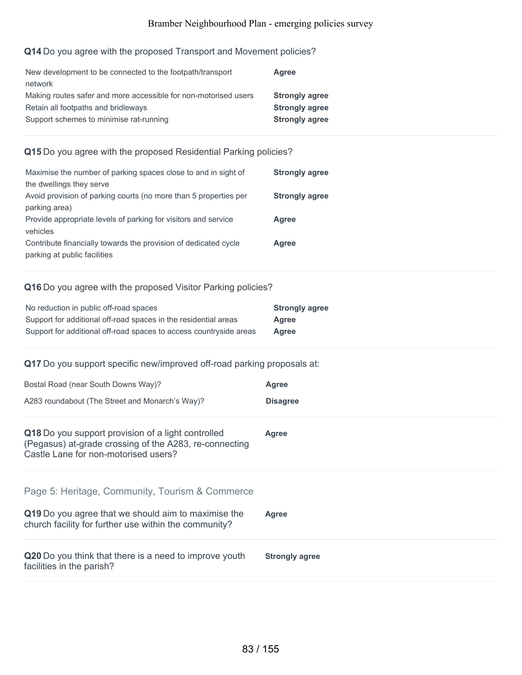#### **Q14** Do you agree with the proposed Transport and Movement policies?

| New development to be connected to the footpath/transport       | Agree                 |
|-----------------------------------------------------------------|-----------------------|
| network                                                         |                       |
| Making routes safer and more accessible for non-motorised users | <b>Strongly agree</b> |
| Retain all footpaths and bridleways                             | <b>Strongly agree</b> |
| Support schemes to minimise rat-running                         | <b>Strongly agree</b> |
|                                                                 |                       |

### **Q15** Do you agree with the proposed Residential Parking policies?

| Maximise the number of parking spaces close to and in sight of   | <b>Strongly agree</b> |
|------------------------------------------------------------------|-----------------------|
| the dwellings they serve                                         |                       |
| Avoid provision of parking courts (no more than 5 properties per | <b>Strongly agree</b> |
| parking area)                                                    |                       |
| Provide appropriate levels of parking for visitors and service   | Agree                 |
| vehicles                                                         |                       |
| Contribute financially towards the provision of dedicated cycle  | Agree                 |
| parking at public facilities                                     |                       |

#### **Q16** Do you agree with the proposed Visitor Parking policies?

| No reduction in public off-road spaces                             | <b>Strongly agree</b> |
|--------------------------------------------------------------------|-----------------------|
| Support for additional off-road spaces in the residential areas    | Agree                 |
| Support for additional off-road spaces to access countryside areas | Agree                 |

## **Q17** Do you support specific new/improved off-road parking proposals at:

| Bostal Road (near South Downs Way)?<br>A283 roundabout (The Street and Monarch's Way)?                                                                          | Agree<br><b>Disagree</b> |
|-----------------------------------------------------------------------------------------------------------------------------------------------------------------|--------------------------|
| Q18 Do you support provision of a light controlled<br>(Pegasus) at-grade crossing of the A283, re-connecting<br>Castle Lane for non-motorised users?            | Agree                    |
| Page 5: Heritage, Community, Tourism & Commerce<br>Q19 Do you agree that we should aim to maximise the<br>church facility for further use within the community? | Agree                    |
| Q20 Do you think that there is a need to improve youth<br>facilities in the parish?                                                                             | <b>Strongly agree</b>    |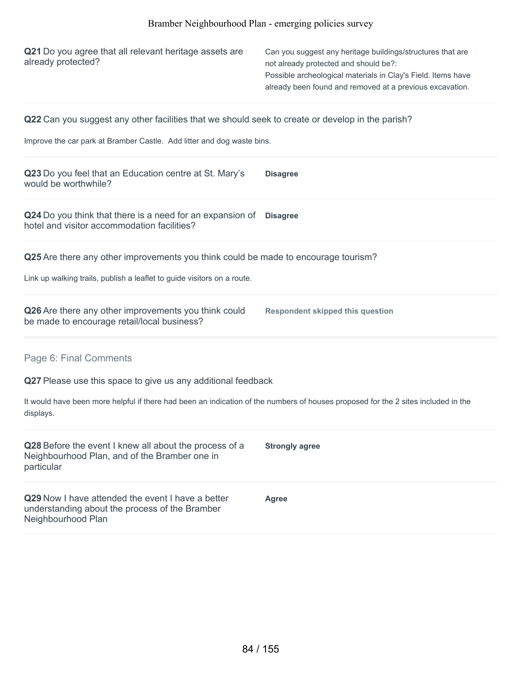| Q21 Do you agree that all relevant heritage assets are<br>already protected?                                                                                                                                                             | Can you suggest any heritage buildings/structures that are<br>not already protected and should be?:<br>Possible archeological materials in Clay's Field. Items have<br>already been found and removed at a previous excavation. |
|------------------------------------------------------------------------------------------------------------------------------------------------------------------------------------------------------------------------------------------|---------------------------------------------------------------------------------------------------------------------------------------------------------------------------------------------------------------------------------|
| <b>Q22</b> Can you suggest any other facilities that we should seek to create or develop in the parish?<br>Improve the car park at Bramber Castle. Add litter and dog waste bins.                                                        |                                                                                                                                                                                                                                 |
| Q23 Do you feel that an Education centre at St. Mary's<br>would be worthwhile?                                                                                                                                                           | <b>Disagree</b>                                                                                                                                                                                                                 |
| Q24 Do you think that there is a need for an expansion of Disagree<br>hotel and visitor accommodation facilities?                                                                                                                        |                                                                                                                                                                                                                                 |
| Q25 Are there any other improvements you think could be made to encourage tourism?<br>Link up walking trails, publish a leaflet to guide visitors on a route.                                                                            |                                                                                                                                                                                                                                 |
| Q26 Are there any other improvements you think could<br>be made to encourage retail/local business?                                                                                                                                      | <b>Respondent skipped this question</b>                                                                                                                                                                                         |
| Page 6: Final Comments<br>Q27 Please use this space to give us any additional feedback<br>It would have been more helpful if there had been an indication of the numbers of houses proposed for the 2 sites included in the<br>displays. |                                                                                                                                                                                                                                 |
| Q28 Before the event I knew all about the process of a<br>Neighbourhood Plan, and of the Bramber one in<br>particular                                                                                                                    | <b>Strongly agree</b>                                                                                                                                                                                                           |
| Q29 Now I have attended the event I have a better<br>understanding about the process of the Bramber<br>Neighbourhood Plan                                                                                                                | <b>Agree</b>                                                                                                                                                                                                                    |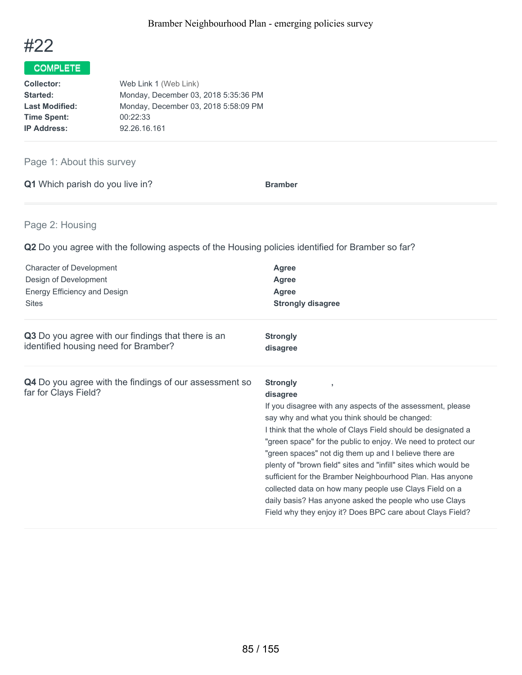

| Web Link 1 (Web Link)                |
|--------------------------------------|
| Monday, December 03, 2018 5:35:36 PM |
| Monday, December 03, 2018 5:58:09 PM |
| 00:22:33                             |
| 92.26.16.161                         |
|                                      |

## Page 1: About this survey

| Q1 Which parish do you live in? | <b>Bramber</b> |
|---------------------------------|----------------|
|                                 |                |

## Page 2: Housing

**Q2** Do you agree with the following aspects of the Housing policies identified for Bramber so far?

| <b>Character of Development</b>                                                       | <b>Agree</b>                                                                                                                                                                                                                                                                                                                                                                                                                                                                                                                                                                                                                                           |
|---------------------------------------------------------------------------------------|--------------------------------------------------------------------------------------------------------------------------------------------------------------------------------------------------------------------------------------------------------------------------------------------------------------------------------------------------------------------------------------------------------------------------------------------------------------------------------------------------------------------------------------------------------------------------------------------------------------------------------------------------------|
| Design of Development                                                                 | Agree                                                                                                                                                                                                                                                                                                                                                                                                                                                                                                                                                                                                                                                  |
| Energy Efficiency and Design                                                          | <b>Agree</b>                                                                                                                                                                                                                                                                                                                                                                                                                                                                                                                                                                                                                                           |
| <b>Sites</b>                                                                          | <b>Strongly disagree</b>                                                                                                                                                                                                                                                                                                                                                                                                                                                                                                                                                                                                                               |
| Q3 Do you agree with our findings that there is an                                    | <b>Strongly</b>                                                                                                                                                                                                                                                                                                                                                                                                                                                                                                                                                                                                                                        |
| identified housing need for Bramber?                                                  | disagree                                                                                                                                                                                                                                                                                                                                                                                                                                                                                                                                                                                                                                               |
| <b>Q4</b> Do you agree with the findings of our assessment so<br>far for Clays Field? | <b>Strongly</b><br>disagree<br>If you disagree with any aspects of the assessment, please<br>say why and what you think should be changed:<br>I think that the whole of Clays Field should be designated a<br>"green space" for the public to enjoy. We need to protect our<br>"green spaces" not dig them up and I believe there are<br>plenty of "brown field" sites and "infill" sites which would be<br>sufficient for the Bramber Neighbourhood Plan. Has anyone<br>collected data on how many people use Clays Field on a<br>daily basis? Has anyone asked the people who use Clays<br>Field why they enjoy it? Does BPC care about Clays Field? |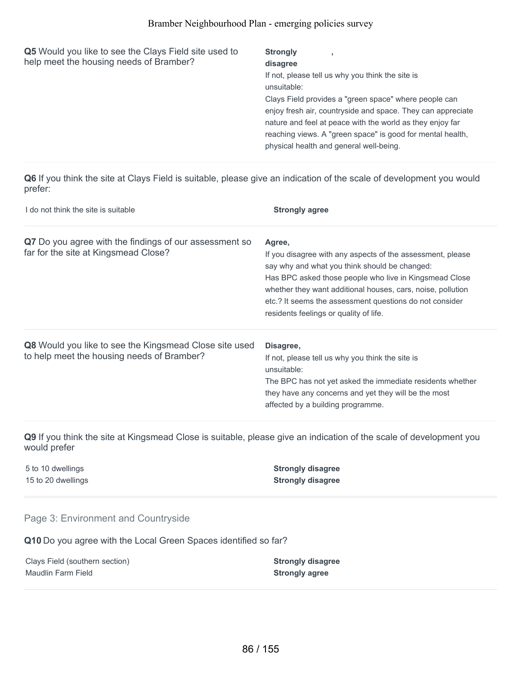| Q5 Would you like to see the Clays Field site used to<br>help meet the housing needs of Bramber? | <b>Strongly</b><br>disagree                                 |
|--------------------------------------------------------------------------------------------------|-------------------------------------------------------------|
|                                                                                                  |                                                             |
|                                                                                                  | If not, please tell us why you think the site is            |
|                                                                                                  | unsuitable:                                                 |
|                                                                                                  | Clays Field provides a "green space" where people can       |
|                                                                                                  | enjoy fresh air, countryside and space. They can appreciate |
|                                                                                                  | nature and feel at peace with the world as they enjoy far   |
|                                                                                                  | reaching views. A "green space" is good for mental health,  |
|                                                                                                  | physical health and general well-being.                     |
|                                                                                                  |                                                             |

**Q6** If you think the site at Clays Field is suitable, please give an indication of the scale of development you would prefer:

| I do not think the site is suitable                                                                  | <b>Strongly agree</b>                                                                                                                                                                                                                                                                                                                               |
|------------------------------------------------------------------------------------------------------|-----------------------------------------------------------------------------------------------------------------------------------------------------------------------------------------------------------------------------------------------------------------------------------------------------------------------------------------------------|
| Q7 Do you agree with the findings of our assessment so<br>far for the site at Kingsmead Close?       | Agree,<br>If you disagree with any aspects of the assessment, please<br>say why and what you think should be changed:<br>Has BPC asked those people who live in Kingsmead Close<br>whether they want additional houses, cars, noise, pollution<br>etc.? It seems the assessment questions do not consider<br>residents feelings or quality of life. |
| Q8 Would you like to see the Kingsmead Close site used<br>to help meet the housing needs of Bramber? | Disagree,<br>If not, please tell us why you think the site is<br>unsuitable:<br>The BPC has not yet asked the immediate residents whether<br>they have any concerns and yet they will be the most<br>affected by a building programme.                                                                                                              |

**Q9** If you think the site at Kingsmead Close is suitable, please give an indication of the scale of development you would prefer

5 to 10 dwellings **Strongly disagree**

15 to 20 dwellings **Strongly disagree**

#### Page 3: Environment and Countryside

**Q10** Do you agree with the Local Green Spaces identified so far?

Clays Field (southern section) **Strongly disagree Maudlin Farm Field <b>Strongly** agree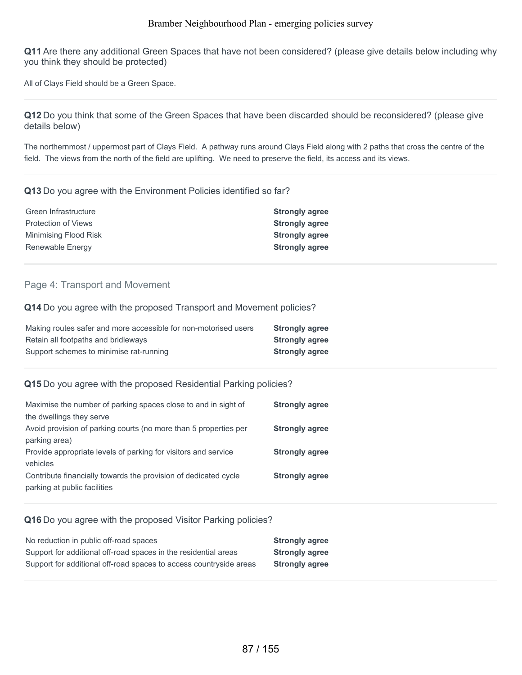**Q11** Are there any additional Green Spaces that have not been considered? (please give details below including why you think they should be protected)

All of Clays Field should be a Green Space.

**Q12** Do you think that some of the Green Spaces that have been discarded should be reconsidered? (please give details below)

The northernmost / uppermost part of Clays Field. A pathway runs around Clays Field along with 2 paths that cross the centre of the field. The views from the north of the field are uplifting. We need to preserve the field, its access and its views.

#### **Q13** Do you agree with the Environment Policies identified so far?

| <b>Strongly agree</b> |
|-----------------------|
| <b>Strongly agree</b> |
| <b>Strongly agree</b> |
| <b>Strongly agree</b> |
|                       |

#### Page 4: Transport and Movement

#### **Q14** Do you agree with the proposed Transport and Movement policies?

| Making routes safer and more accessible for non-motorised users | <b>Strongly agree</b> |
|-----------------------------------------------------------------|-----------------------|
| Retain all footpaths and bridleways                             | <b>Strongly agree</b> |
| Support schemes to minimise rat-running                         | <b>Strongly agree</b> |

#### **Q15** Do you agree with the proposed Residential Parking policies?

| <b>Strongly agree</b> |
|-----------------------|
|                       |
| <b>Strongly agree</b> |
|                       |
| <b>Strongly agree</b> |
|                       |
| <b>Strongly agree</b> |
|                       |
|                       |

#### **Q16** Do you agree with the proposed Visitor Parking policies?

| No reduction in public off-road spaces                             | <b>Strongly agree</b> |
|--------------------------------------------------------------------|-----------------------|
| Support for additional off-road spaces in the residential areas    | <b>Strongly agree</b> |
| Support for additional off-road spaces to access countryside areas | <b>Strongly agree</b> |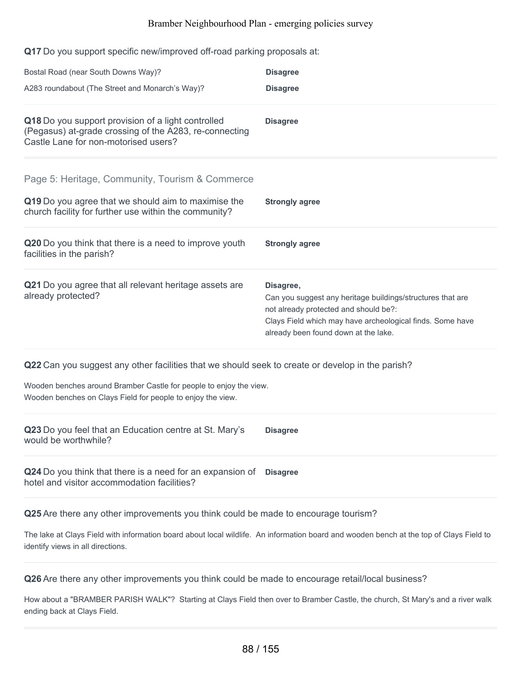**Q17** Do you support specific new/improved off-road parking proposals at:

| Bostal Road (near South Downs Way)?                                                                                                                  | <b>Disagree</b>                                                                                                                                                                                                       |
|------------------------------------------------------------------------------------------------------------------------------------------------------|-----------------------------------------------------------------------------------------------------------------------------------------------------------------------------------------------------------------------|
| A283 roundabout (The Street and Monarch's Way)?                                                                                                      | <b>Disagree</b>                                                                                                                                                                                                       |
| Q18 Do you support provision of a light controlled<br>(Pegasus) at-grade crossing of the A283, re-connecting<br>Castle Lane for non-motorised users? | <b>Disagree</b>                                                                                                                                                                                                       |
| Page 5: Heritage, Community, Tourism & Commerce                                                                                                      |                                                                                                                                                                                                                       |
| Q19 Do you agree that we should aim to maximise the<br>church facility for further use within the community?                                         | <b>Strongly agree</b>                                                                                                                                                                                                 |
| Q20 Do you think that there is a need to improve youth<br>facilities in the parish?                                                                  | <b>Strongly agree</b>                                                                                                                                                                                                 |
| Q21 Do you agree that all relevant heritage assets are<br>already protected?                                                                         | Disagree,<br>Can you suggest any heritage buildings/structures that are<br>not already protected and should be?:<br>Clays Field which may have archeological finds. Some have<br>already been found down at the lake. |
| Q22 Can you suggest any other facilities that we should seek to create or develop in the parish?                                                     |                                                                                                                                                                                                                       |
| Wooden benches around Bramber Castle for people to enjoy the view.<br>Wooden benches on Clays Field for people to enjoy the view.                    |                                                                                                                                                                                                                       |
| Q23 Do you feel that an Education centre at St. Mary's<br>would be worthwhile?                                                                       | <b>Disagree</b>                                                                                                                                                                                                       |
| Q24 Do you think that there is a need for an expansion of Disagree<br>hotel and visitor accommodation facilities?                                    |                                                                                                                                                                                                                       |
| Q25 Are there any other improvements you think could be made to encourage tourism?                                                                   |                                                                                                                                                                                                                       |

The lake at Clays Field with information board about local wildlife. An information board and wooden bench at the top of Clays Field to identify views in all directions.

**Q26** Are there any other improvements you think could be made to encourage retail/local business?

How about a "BRAMBER PARISH WALK"? Starting at Clays Field then over to Bramber Castle, the church, St Mary's and a river walk ending back at Clays Field.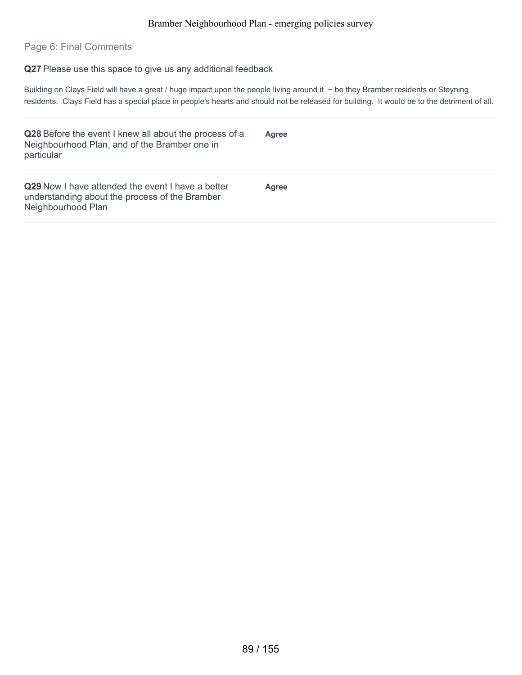#### Page 6: Final Comments

**Q27** Please use this space to give us any additional feedback

Building on Clays Field will have a great / huge impact upon the people living around it ~ be they Bramber residents or Steyning residents. Clays Field has a special place in people's hearts and should not be released for building. It would be to the detriment of all.

| Q28 Before the event I knew all about the process of a<br>Neighbourhood Plan, and of the Bramber one in<br>particular            | <b>Agree</b> |
|----------------------------------------------------------------------------------------------------------------------------------|--------------|
| <b>Q29</b> Now I have attended the event I have a better<br>understanding about the process of the Bramber<br>Neighbourhood Plan | <b>Agree</b> |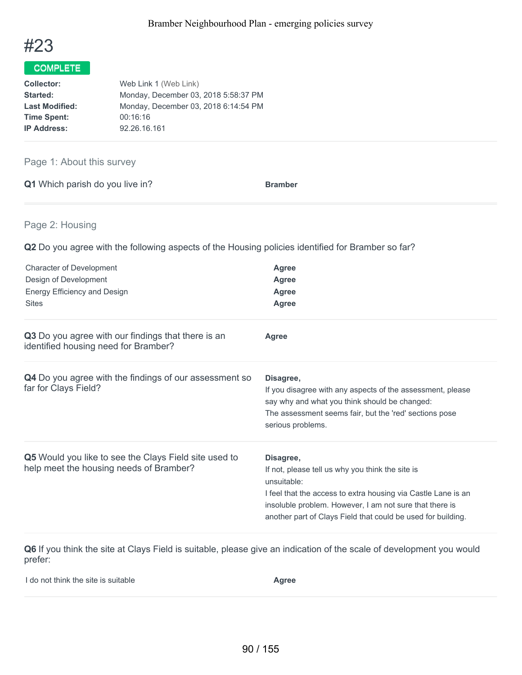

| Web Link 1 (Web Link)                |  |
|--------------------------------------|--|
| Monday, December 03, 2018 5:58:37 PM |  |
| Monday, December 03, 2018 6:14:54 PM |  |
| 00:16:16                             |  |
| 92.26.16.161                         |  |
|                                      |  |

## Page 1: About this survey

|  | Q1 Which parish do you live in? | <b>Bramber</b> |
|--|---------------------------------|----------------|
|  |                                 |                |

#### Page 2: Housing

**Q2** Do you agree with the following aspects of the Housing policies identified for Bramber so far?

| <b>Character of Development</b><br>Design of Development<br>Energy Efficiency and Design<br><b>Sites</b> | <b>Agree</b><br>Agree<br>Agree<br><b>Agree</b>                                                                                                                                                                                                                           |
|----------------------------------------------------------------------------------------------------------|--------------------------------------------------------------------------------------------------------------------------------------------------------------------------------------------------------------------------------------------------------------------------|
| Q3 Do you agree with our findings that there is an<br>identified housing need for Bramber?               | <b>Agree</b>                                                                                                                                                                                                                                                             |
| Q4 Do you agree with the findings of our assessment so<br>far for Clays Field?                           | Disagree,<br>If you disagree with any aspects of the assessment, please<br>say why and what you think should be changed:<br>The assessment seems fair, but the 'red' sections pose<br>serious problems.                                                                  |
| <b>Q5</b> Would you like to see the Clays Field site used to<br>help meet the housing needs of Bramber?  | Disagree,<br>If not, please tell us why you think the site is<br>unsuitable:<br>I feel that the access to extra housing via Castle Lane is an<br>insoluble problem. However, I am not sure that there is<br>another part of Clays Field that could be used for building. |

**Q6** If you think the site at Clays Field is suitable, please give an indication of the scale of development you would prefer:

| I do not think the site is suitable | Agree |
|-------------------------------------|-------|
|                                     |       |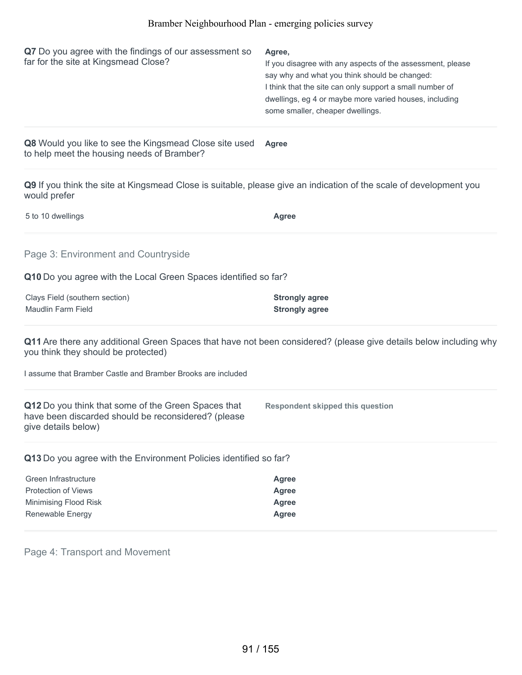| Q7 Do you agree with the findings of our assessment so<br>far for the site at Kingsmead Close? | Agree,<br>If you disagree with any aspects of the assessment, please<br>say why and what you think should be changed:<br>I think that the site can only support a small number of<br>dwellings, eg 4 or maybe more varied houses, including<br>some smaller, cheaper dwellings. |
|------------------------------------------------------------------------------------------------|---------------------------------------------------------------------------------------------------------------------------------------------------------------------------------------------------------------------------------------------------------------------------------|
|                                                                                                |                                                                                                                                                                                                                                                                                 |

**Q8** Would you like to see the Kingsmead Close site used to help meet the housing needs of Bramber? **Agree**

**Q9** If you think the site at Kingsmead Close is suitable, please give an indication of the scale of development you would prefer

| 5 to 10 dwellings                                                                                                                                        | Agree                                                 |
|----------------------------------------------------------------------------------------------------------------------------------------------------------|-------------------------------------------------------|
| Page 3: Environment and Countryside                                                                                                                      |                                                       |
| Q10 Do you agree with the Local Green Spaces identified so far?                                                                                          |                                                       |
| Clays Field (southern section)<br><b>Maudlin Farm Field</b>                                                                                              | <b>Strongly agree</b><br><b>Strongly agree</b>        |
| Q11 Are there any additional Green Spaces that have not been considered? (please give details below including why<br>you think they should be protected) |                                                       |
| I assume that Bramber Castle and Bramber Brooks are included                                                                                             |                                                       |
| Q12 Do you think that some of the Green Spaces that<br>have been discarded should be reconsidered? (please<br>give details below)                        | <b>Respondent skipped this question</b>               |
| Q13 Do you agree with the Environment Policies identified so far?                                                                                        |                                                       |
| Green Infrastructure<br><b>Protection of Views</b><br>Minimising Flood Risk<br>Renewable Energy                                                          | Agree<br><b>Agree</b><br><b>Agree</b><br><b>Agree</b> |

Page 4: Transport and Movement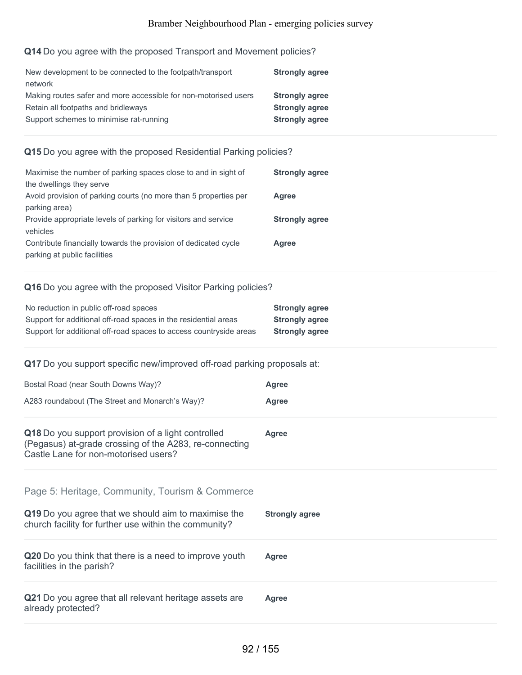## **Q14** Do you agree with the proposed Transport and Movement policies?

| New development to be connected to the footpath/transport       | <b>Strongly agree</b> |
|-----------------------------------------------------------------|-----------------------|
| network                                                         |                       |
| Making routes safer and more accessible for non-motorised users | <b>Strongly agree</b> |
| Retain all footpaths and bridleways                             | <b>Strongly agree</b> |
| Support schemes to minimise rat-running                         | <b>Strongly agree</b> |
|                                                                 |                       |

## **Q15** Do you agree with the proposed Residential Parking policies?

| <b>Strongly agree</b> |
|-----------------------|
|                       |
| Agree                 |
|                       |
| <b>Strongly agree</b> |
|                       |
| Agree                 |
|                       |
|                       |

## **Q16** Do you agree with the proposed Visitor Parking policies?

| No reduction in public off-road spaces                             | <b>Strongly agree</b> |
|--------------------------------------------------------------------|-----------------------|
| Support for additional off-road spaces in the residential areas    | <b>Strongly agree</b> |
| Support for additional off-road spaces to access countryside areas | <b>Strongly agree</b> |

## **Q17** Do you support specific new/improved off-road parking proposals at:

| Bostal Road (near South Downs Way)?                                                                                                                  | Agree                 |
|------------------------------------------------------------------------------------------------------------------------------------------------------|-----------------------|
| A283 roundabout (The Street and Monarch's Way)?                                                                                                      | Agree                 |
| Q18 Do you support provision of a light controlled<br>(Pegasus) at-grade crossing of the A283, re-connecting<br>Castle Lane for non-motorised users? | <b>Agree</b>          |
| Page 5: Heritage, Community, Tourism & Commerce                                                                                                      |                       |
| Q19 Do you agree that we should aim to maximise the<br>church facility for further use within the community?                                         | <b>Strongly agree</b> |
| Q20 Do you think that there is a need to improve youth<br>facilities in the parish?                                                                  | Agree                 |
| Q21 Do you agree that all relevant heritage assets are<br>already protected?                                                                         | <b>Agree</b>          |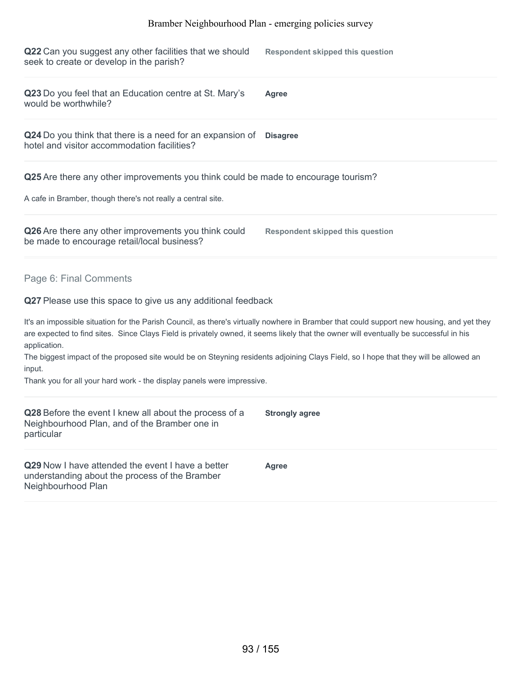**Q22** Can you suggest any other facilities that we should seek to create or develop in the parish? **Respondent skipped this question**

| Q23 Do you feel that an Education centre at St. Mary's | <b>Agree</b> |
|--------------------------------------------------------|--------------|
| would be worthwhile?                                   |              |

**Q24** Do you think that there is a need for an expansion of **Disagree** hotel and visitor accommodation facilities?

**Q25** Are there any other improvements you think could be made to encourage tourism?

A cafe in Bramber, though there's not really a central site.

| Q26 Are there any other improvements you think could | <b>Respondent skipped this question</b> |
|------------------------------------------------------|-----------------------------------------|
| be made to encourage retail/local business?          |                                         |

Page 6: Final Comments

**Q27** Please use this space to give us any additional feedback

It's an impossible situation for the Parish Council, as there's virtually nowhere in Bramber that could support new housing, and yet they are expected to find sites. Since Clays Field is privately owned, it seems likely that the owner will eventually be successful in his application.

The biggest impact of the proposed site would be on Steyning residents adjoining Clays Field, so I hope that they will be allowed an input.

Thank you for all your hard work - the display panels were impressive.

| Q28 Before the event I knew all about the process of a<br>Neighbourhood Plan, and of the Bramber one in<br>particular            | <b>Strongly agree</b> |
|----------------------------------------------------------------------------------------------------------------------------------|-----------------------|
| <b>Q29</b> Now I have attended the event I have a better<br>understanding about the process of the Bramber<br>Neighbourhood Plan | Agree                 |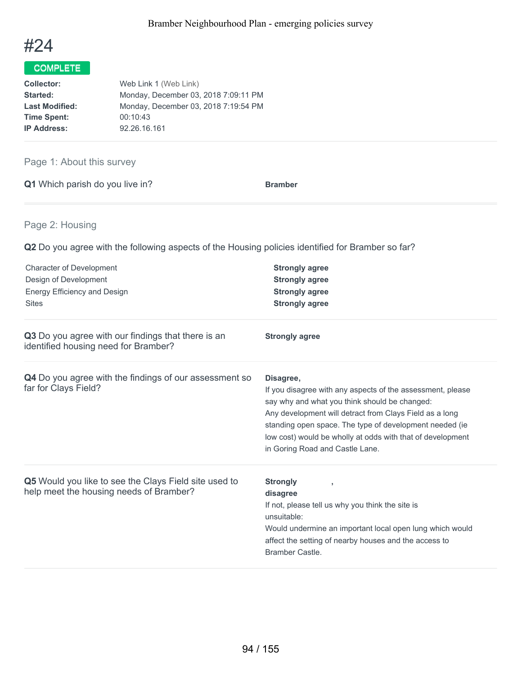

| <b>Collector:</b>     | Web Link 1 (Web Link)                |
|-----------------------|--------------------------------------|
| Started:              | Monday, December 03, 2018 7:09:11 PM |
| <b>Last Modified:</b> | Monday, December 03, 2018 7:19:54 PM |
| <b>Time Spent:</b>    | 00:10:43                             |
| <b>IP Address:</b>    | 92.26.16.161                         |

## Page 1: About this survey

|  | Q1 Which parish do you live in? | <b>Bramber</b> |
|--|---------------------------------|----------------|
|  |                                 |                |

## Page 2: Housing

**Q2** Do you agree with the following aspects of the Housing policies identified for Bramber so far?

| <b>Character of Development</b><br>Design of Development<br>Energy Efficiency and Design<br><b>Sites</b> | <b>Strongly agree</b><br><b>Strongly agree</b><br><b>Strongly agree</b><br><b>Strongly agree</b>                                                                                                                                                                                                                                                |
|----------------------------------------------------------------------------------------------------------|-------------------------------------------------------------------------------------------------------------------------------------------------------------------------------------------------------------------------------------------------------------------------------------------------------------------------------------------------|
| Q3 Do you agree with our findings that there is an<br>identified housing need for Bramber?               | <b>Strongly agree</b>                                                                                                                                                                                                                                                                                                                           |
| Q4 Do you agree with the findings of our assessment so<br>far for Clays Field?                           | Disagree,<br>If you disagree with any aspects of the assessment, please<br>say why and what you think should be changed:<br>Any development will detract from Clays Field as a long<br>standing open space. The type of development needed (ie<br>low cost) would be wholly at odds with that of development<br>in Goring Road and Castle Lane. |
| Q5 Would you like to see the Clays Field site used to<br>help meet the housing needs of Bramber?         | <b>Strongly</b><br>$\overline{1}$<br>disagree<br>If not, please tell us why you think the site is<br>unsuitable:<br>Would undermine an important local open lung which would<br>affect the setting of nearby houses and the access to<br>Bramber Castle.                                                                                        |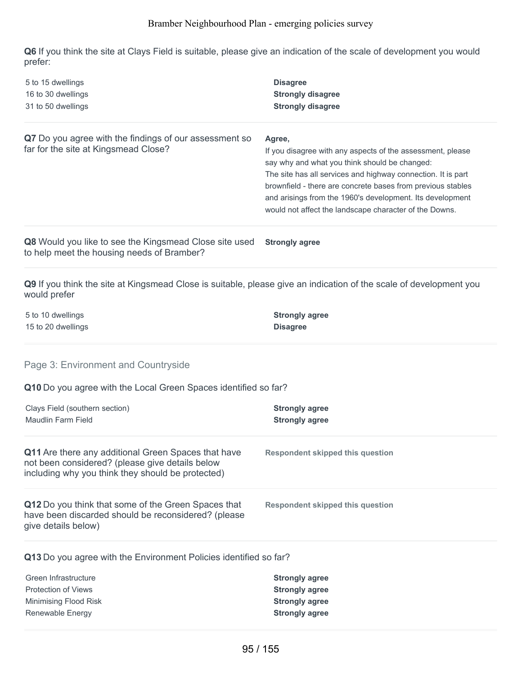**Q6** If you think the site at Clays Field is suitable, please give an indication of the scale of development you would prefer:

| 5 to 15 dwellings<br>16 to 30 dwellings<br>31 to 50 dwellings                                                                                               | <b>Disagree</b><br><b>Strongly disagree</b><br><b>Strongly disagree</b>                                                                                                                                                                                                                                                                                                     |
|-------------------------------------------------------------------------------------------------------------------------------------------------------------|-----------------------------------------------------------------------------------------------------------------------------------------------------------------------------------------------------------------------------------------------------------------------------------------------------------------------------------------------------------------------------|
| Q7 Do you agree with the findings of our assessment so<br>far for the site at Kingsmead Close?                                                              | Agree,<br>If you disagree with any aspects of the assessment, please<br>say why and what you think should be changed:<br>The site has all services and highway connection. It is part<br>brownfield - there are concrete bases from previous stables<br>and arisings from the 1960's development. Its development<br>would not affect the landscape character of the Downs. |
| Q8 Would you like to see the Kingsmead Close site used<br>to help meet the housing needs of Bramber?                                                        | <b>Strongly agree</b>                                                                                                                                                                                                                                                                                                                                                       |
| Q9 If you think the site at Kingsmead Close is suitable, please give an indication of the scale of development you<br>would prefer                          |                                                                                                                                                                                                                                                                                                                                                                             |
| 5 to 10 dwellings<br>15 to 20 dwellings                                                                                                                     | <b>Strongly agree</b><br><b>Disagree</b>                                                                                                                                                                                                                                                                                                                                    |
| Page 3: Environment and Countryside                                                                                                                         |                                                                                                                                                                                                                                                                                                                                                                             |
| Q10 Do you agree with the Local Green Spaces identified so far?                                                                                             |                                                                                                                                                                                                                                                                                                                                                                             |
| Clays Field (southern section)<br><b>Maudlin Farm Field</b>                                                                                                 | <b>Strongly agree</b><br><b>Strongly agree</b>                                                                                                                                                                                                                                                                                                                              |
| Q11 Are there any additional Green Spaces that have<br>not been considered? (please give details below<br>including why you think they should be protected) | <b>Respondent skipped this question</b>                                                                                                                                                                                                                                                                                                                                     |
| Q12 Do you think that some of the Green Spaces that<br>have been discarded should be reconsidered? (please<br>give details below)                           | <b>Respondent skipped this question</b>                                                                                                                                                                                                                                                                                                                                     |
| Q13 Do you agree with the Environment Policies identified so far?                                                                                           |                                                                                                                                                                                                                                                                                                                                                                             |
| Green Infrastructure<br><b>Protection of Views</b><br>Minimising Flood Risk<br>Renewable Energy                                                             | <b>Strongly agree</b><br><b>Strongly agree</b><br><b>Strongly agree</b><br><b>Strongly agree</b>                                                                                                                                                                                                                                                                            |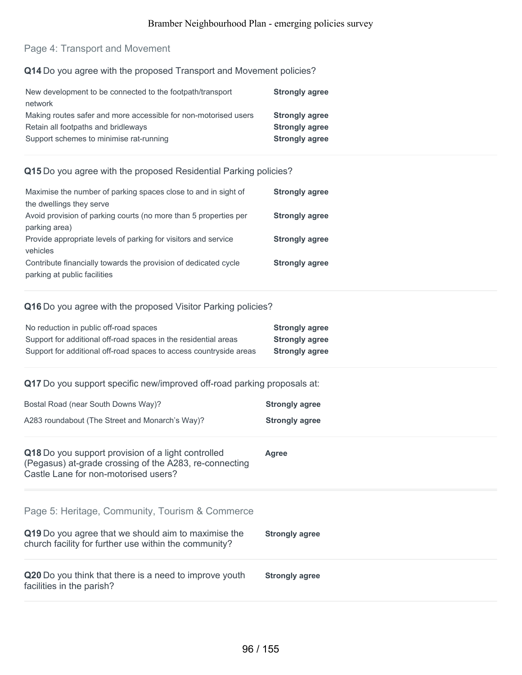## Page 4: Transport and Movement

### **Q14** Do you agree with the proposed Transport and Movement policies?

| New development to be connected to the footpath/transport       | <b>Strongly agree</b> |
|-----------------------------------------------------------------|-----------------------|
| network                                                         |                       |
| Making routes safer and more accessible for non-motorised users | <b>Strongly agree</b> |
| Retain all footpaths and bridleways                             | <b>Strongly agree</b> |
| Support schemes to minimise rat-running                         | <b>Strongly agree</b> |

#### **Q15** Do you agree with the proposed Residential Parking policies?

| Maximise the number of parking spaces close to and in sight of   | <b>Strongly agree</b> |
|------------------------------------------------------------------|-----------------------|
| the dwellings they serve                                         |                       |
| Avoid provision of parking courts (no more than 5 properties per | <b>Strongly agree</b> |
| parking area)                                                    |                       |
| Provide appropriate levels of parking for visitors and service   | <b>Strongly agree</b> |
| vehicles                                                         |                       |
| Contribute financially towards the provision of dedicated cycle  | <b>Strongly agree</b> |
| parking at public facilities                                     |                       |

#### **Q16** Do you agree with the proposed Visitor Parking policies?

| No reduction in public off-road spaces                             | <b>Strongly agree</b> |
|--------------------------------------------------------------------|-----------------------|
| Support for additional off-road spaces in the residential areas    | <b>Strongly agree</b> |
| Support for additional off-road spaces to access countryside areas | <b>Strongly agree</b> |

### **Q17** Do you support specific new/improved off-road parking proposals at:

| Bostal Road (near South Downs Way)?             | <b>Strongly agree</b> |
|-------------------------------------------------|-----------------------|
| A283 roundabout (The Street and Monarch's Way)? | <b>Strongly agree</b> |

| Q18 Do you support provision of a light controlled<br>(Pegasus) at-grade crossing of the A283, re-connecting<br>Castle Lane for non-motorised users?            | Agree                 |
|-----------------------------------------------------------------------------------------------------------------------------------------------------------------|-----------------------|
| Page 5: Heritage, Community, Tourism & Commerce<br>Q19 Do you agree that we should aim to maximise the<br>church facility for further use within the community? | <b>Strongly agree</b> |
| Q20 Do you think that there is a need to improve youth<br>facilities in the parish?                                                                             | <b>Strongly agree</b> |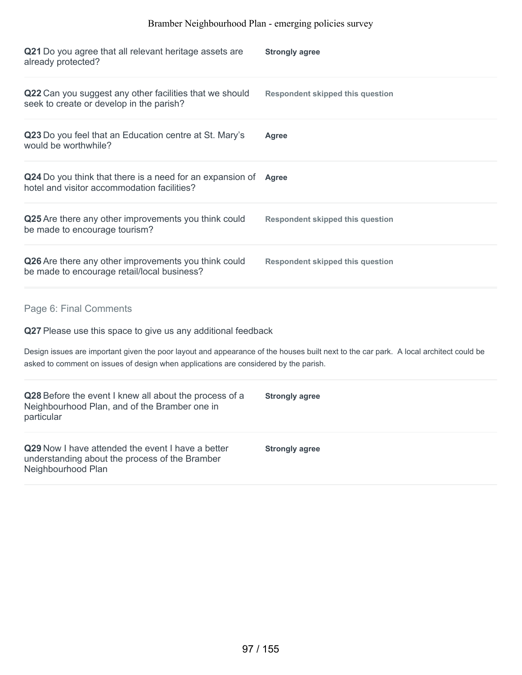| Q21 Do you agree that all relevant heritage assets are<br>already protected?                                                                                                                                                                                                                                            | <b>Strongly agree</b>                   |
|-------------------------------------------------------------------------------------------------------------------------------------------------------------------------------------------------------------------------------------------------------------------------------------------------------------------------|-----------------------------------------|
| Q22 Can you suggest any other facilities that we should<br>seek to create or develop in the parish?                                                                                                                                                                                                                     | <b>Respondent skipped this question</b> |
| Q23 Do you feel that an Education centre at St. Mary's<br>would be worthwhile?                                                                                                                                                                                                                                          | Agree                                   |
| Q24 Do you think that there is a need for an expansion of<br>hotel and visitor accommodation facilities?                                                                                                                                                                                                                | <b>Agree</b>                            |
| Q25 Are there any other improvements you think could<br>be made to encourage tourism?                                                                                                                                                                                                                                   | <b>Respondent skipped this question</b> |
| Q26 Are there any other improvements you think could<br>be made to encourage retail/local business?                                                                                                                                                                                                                     | <b>Respondent skipped this question</b> |
| Page 6: Final Comments<br>Q27 Please use this space to give us any additional feedback<br>Design issues are important given the poor layout and appearance of the houses built next to the car park. A local architect could be<br>asked to comment on issues of design when applications are considered by the parish. |                                         |
| Q28 Before the event I knew all about the process of a<br>Neighbourhood Plan, and of the Bramber one in<br>particular                                                                                                                                                                                                   | <b>Strongly agree</b>                   |
| Q29 Now I have attended the event I have a better<br>understanding about the process of the Bramber<br>Neighbourhood Plan                                                                                                                                                                                               | <b>Strongly agree</b>                   |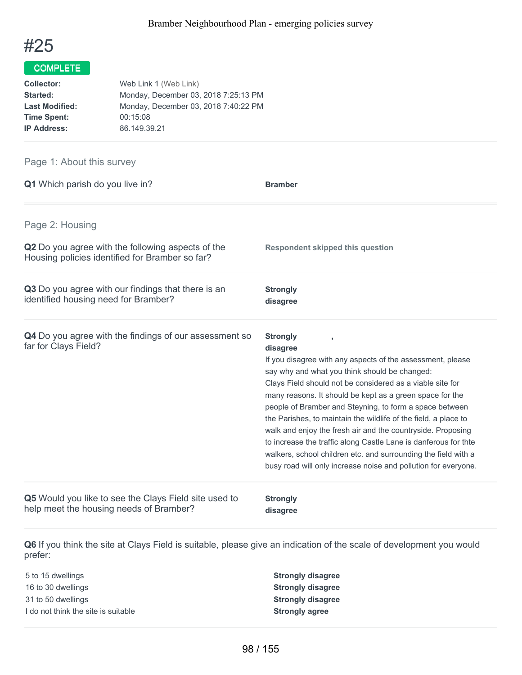

| <b>Collector:</b>     | Web Link 1 (Web Link)                |
|-----------------------|--------------------------------------|
| Started:              | Monday, December 03, 2018 7:25:13 PM |
| <b>Last Modified:</b> | Monday, December 03, 2018 7:40:22 PM |
| <b>Time Spent:</b>    | 00:15:08                             |
| <b>IP Address:</b>    | 86.149.39.21                         |

### Page 1: About this survey

| Q1 Which parish do you live in?                                                                      | <b>Bramber</b>                                                                                                                                                                                                                                                                                                                                                                                                                                                                                                                                                                                                                                                          |
|------------------------------------------------------------------------------------------------------|-------------------------------------------------------------------------------------------------------------------------------------------------------------------------------------------------------------------------------------------------------------------------------------------------------------------------------------------------------------------------------------------------------------------------------------------------------------------------------------------------------------------------------------------------------------------------------------------------------------------------------------------------------------------------|
| Page 2: Housing                                                                                      |                                                                                                                                                                                                                                                                                                                                                                                                                                                                                                                                                                                                                                                                         |
| Q2 Do you agree with the following aspects of the<br>Housing policies identified for Bramber so far? | <b>Respondent skipped this question</b>                                                                                                                                                                                                                                                                                                                                                                                                                                                                                                                                                                                                                                 |
| Q3 Do you agree with our findings that there is an<br>identified housing need for Bramber?           | <b>Strongly</b><br>disagree                                                                                                                                                                                                                                                                                                                                                                                                                                                                                                                                                                                                                                             |
| Q4 Do you agree with the findings of our assessment so<br>far for Clays Field?                       | <b>Strongly</b><br>disagree<br>If you disagree with any aspects of the assessment, please<br>say why and what you think should be changed:<br>Clays Field should not be considered as a viable site for<br>many reasons. It should be kept as a green space for the<br>people of Bramber and Steyning, to form a space between<br>the Parishes, to maintain the wildlife of the field, a place to<br>walk and enjoy the fresh air and the countryside. Proposing<br>to increase the traffic along Castle Lane is danferous for thte<br>walkers, school children etc. and surrounding the field with a<br>busy road will only increase noise and pollution for everyone. |
| Q5 Would you like to see the Clays Field site used to<br>help meet the housing needs of Bramber?     | <b>Strongly</b><br>disagree                                                                                                                                                                                                                                                                                                                                                                                                                                                                                                                                                                                                                                             |

**Q6** If you think the site at Clays Field is suitable, please give an indication of the scale of development you would prefer:

 to 15 dwellings **Strongly disagree** to 30 dwellings **Strongly disagree** to 50 dwellings **Strongly disagree** I do not think the site is suitable **Strongly agree**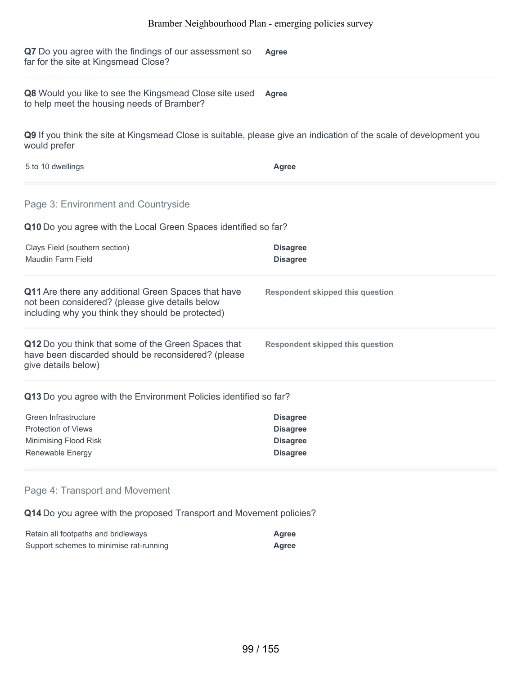**Q7** Do you agree with the findings of our assessment so far for the site at Kingsmead Close? **Agree**

**Q8** Would you like to see the Kingsmead Close site used **Agree** to help meet the housing needs of Bramber?

**Q9** If you think the site at Kingsmead Close is suitable, please give an indication of the scale of development you would prefer

5 to 10 dwellings **Agree**

Page 3: Environment and Countryside

**Q10** Do you agree with the Local Green Spaces identified so far?

| Clays Field (southern section)<br>Maudlin Farm Field                                                                                                        | <b>Disagree</b><br><b>Disagree</b>      |
|-------------------------------------------------------------------------------------------------------------------------------------------------------------|-----------------------------------------|
| Q11 Are there any additional Green Spaces that have<br>not been considered? (please give details below<br>including why you think they should be protected) | <b>Respondent skipped this question</b> |
| Q12 Do you think that some of the Green Spaces that<br>have been discarded should be reconsidered? (please<br>give details below)                           | <b>Respondent skipped this question</b> |
| Q13 Do you agree with the Environment Policies identified so far?                                                                                           |                                         |
| Green Infrastructure                                                                                                                                        | <b>Disagree</b>                         |
| <b>Protection of Views</b>                                                                                                                                  | <b>Disagree</b>                         |
| Minimising Flood Risk                                                                                                                                       | <b>Disagree</b>                         |
|                                                                                                                                                             | <b>Disagree</b>                         |

#### Page 4: Transport and Movement

**Q14** Do you agree with the proposed Transport and Movement policies?

| Retain all footpaths and bridleways     | Agree |
|-----------------------------------------|-------|
| Support schemes to minimise rat-running | Agree |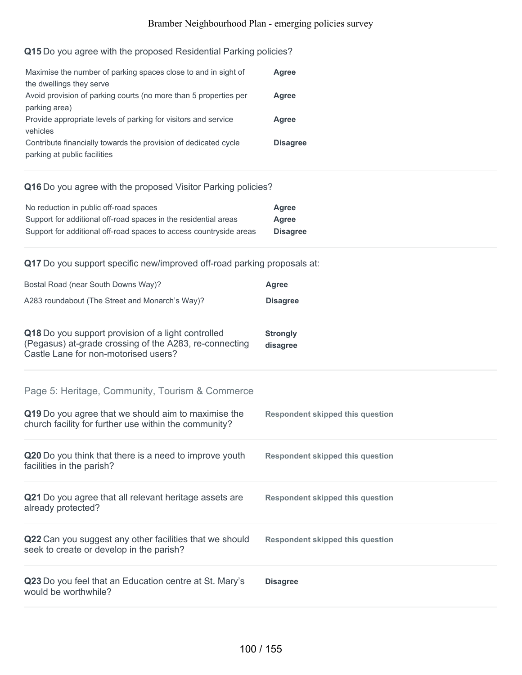#### **Q15** Do you agree with the proposed Residential Parking policies?

| Maximise the number of parking spaces close to and in sight of   | Agree           |
|------------------------------------------------------------------|-----------------|
| the dwellings they serve                                         |                 |
| Avoid provision of parking courts (no more than 5 properties per | Agree           |
| parking area)                                                    |                 |
| Provide appropriate levels of parking for visitors and service   | Agree           |
| vehicles                                                         |                 |
| Contribute financially towards the provision of dedicated cycle  | <b>Disagree</b> |
| parking at public facilities                                     |                 |

#### **Q16** Do you agree with the proposed Visitor Parking policies?

| No reduction in public off-road spaces                             | Agree           |
|--------------------------------------------------------------------|-----------------|
| Support for additional off-road spaces in the residential areas    | Agree           |
| Support for additional off-road spaces to access countryside areas | <b>Disagree</b> |

### **Q17** Do you support specific new/improved off-road parking proposals at:

| Bostal Road (near South Downs Way)?                                                                                                                  | <b>Agree</b>                            |
|------------------------------------------------------------------------------------------------------------------------------------------------------|-----------------------------------------|
| A283 roundabout (The Street and Monarch's Way)?                                                                                                      | <b>Disagree</b>                         |
| Q18 Do you support provision of a light controlled<br>(Pegasus) at-grade crossing of the A283, re-connecting<br>Castle Lane for non-motorised users? | <b>Strongly</b><br>disagree             |
| Page 5: Heritage, Community, Tourism & Commerce                                                                                                      |                                         |
| Q19 Do you agree that we should aim to maximise the<br>church facility for further use within the community?                                         | <b>Respondent skipped this question</b> |
| Q20 Do you think that there is a need to improve youth<br>facilities in the parish?                                                                  | <b>Respondent skipped this question</b> |
| Q21 Do you agree that all relevant heritage assets are<br>already protected?                                                                         | Respondent skipped this question        |
| Q22 Can you suggest any other facilities that we should<br>seek to create or develop in the parish?                                                  | <b>Respondent skipped this question</b> |
| Q23 Do you feel that an Education centre at St. Mary's<br>would be worthwhile?                                                                       | <b>Disagree</b>                         |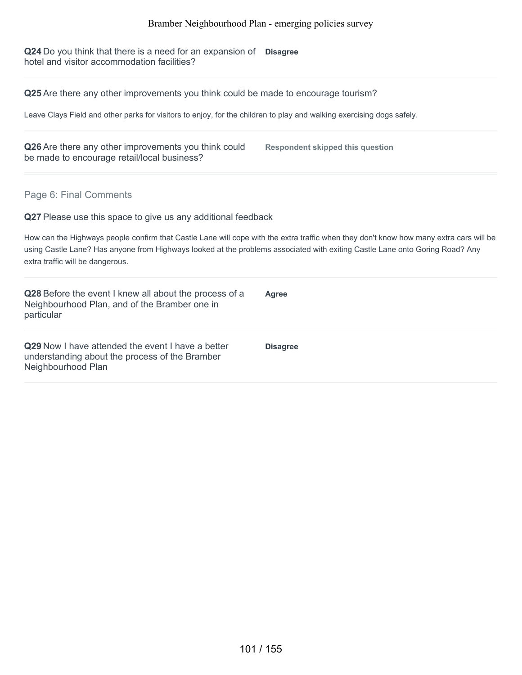**Q24** Do you think that there is a need for an expansion of **Disagree** hotel and visitor accommodation facilities?

**Q25** Are there any other improvements you think could be made to encourage tourism?

Leave Clays Field and other parks for visitors to enjoy, for the children to play and walking exercising dogs safely.

**Q26** Are there any other improvements you think could be made to encourage retail/local business?

**Respondent skipped this question**

Page 6: Final Comments

**Q27** Please use this space to give us any additional feedback

How can the Highways people confirm that Castle Lane will cope with the extra traffic when they don't know how many extra cars will be using Castle Lane? Has anyone from Highways looked at the problems associated with exiting Castle Lane onto Goring Road? Any extra traffic will be dangerous.

| Q28 Before the event I knew all about the process of a<br>Neighbourhood Plan, and of the Bramber one in<br>particular     | Agree           |
|---------------------------------------------------------------------------------------------------------------------------|-----------------|
| Q29 Now I have attended the event I have a better<br>understanding about the process of the Bramber<br>Neighbourhood Plan | <b>Disagree</b> |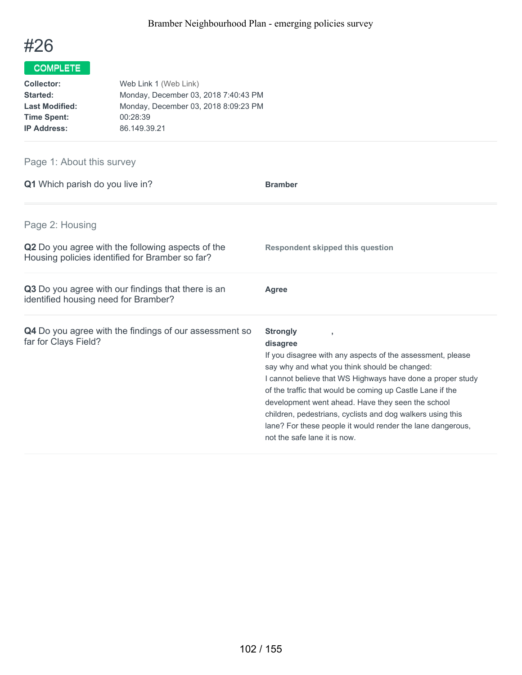

| Web Link 1 (Web Link)                |
|--------------------------------------|
| Monday, December 03, 2018 7:40:43 PM |
| Monday, December 03, 2018 8:09:23 PM |
| 00:28:39                             |
| 86.149.39.21                         |
|                                      |

# Page 1: About this survey

| <b>Q1</b> Which parish do you live in?                                                                      | <b>Bramber</b>                                                                                                                                                                                                                                                                                                                                                                                                                                                                         |
|-------------------------------------------------------------------------------------------------------------|----------------------------------------------------------------------------------------------------------------------------------------------------------------------------------------------------------------------------------------------------------------------------------------------------------------------------------------------------------------------------------------------------------------------------------------------------------------------------------------|
| Page 2: Housing                                                                                             |                                                                                                                                                                                                                                                                                                                                                                                                                                                                                        |
| <b>Q2</b> Do you agree with the following aspects of the<br>Housing policies identified for Bramber so far? | <b>Respondent skipped this question</b>                                                                                                                                                                                                                                                                                                                                                                                                                                                |
| Q3 Do you agree with our findings that there is an<br>identified housing need for Bramber?                  | Agree                                                                                                                                                                                                                                                                                                                                                                                                                                                                                  |
| <b>Q4</b> Do you agree with the findings of our assessment so<br>far for Clays Field?                       | <b>Strongly</b><br>disagree<br>If you disagree with any aspects of the assessment, please<br>say why and what you think should be changed:<br>I cannot believe that WS Highways have done a proper study<br>of the traffic that would be coming up Castle Lane if the<br>development went ahead. Have they seen the school<br>children, pedestrians, cyclists and dog walkers using this<br>lane? For these people it would render the lane dangerous,<br>not the safe lane it is now. |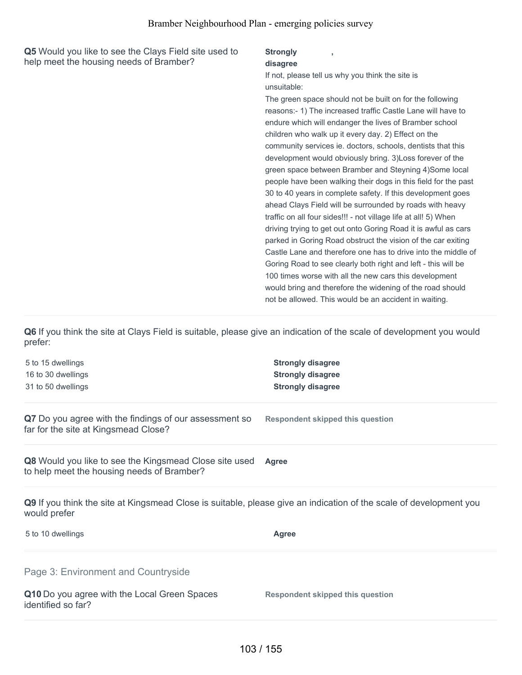**Q5** Would you like to see the Clays Field site used to help meet the housing needs of Bramber?

#### **Strongly**

#### **disagree**

If not, please tell us why you think the site is unsuitable:

**,**

The green space should not be built on for the following reasons:- 1) The increased traffic Castle Lane will have to endure which will endanger the lives of Bramber school children who walk up it every day. 2) Effect on the community services ie. doctors, schools, dentists that this development would obviously bring. 3)Loss forever of the green space between Bramber and Steyning 4)Some local people have been walking their dogs in this field for the past 30 to 40 years in complete safety. If this development goes ahead Clays Field will be surrounded by roads with heavy traffic on all four sides!!! - not village life at all! 5) When driving trying to get out onto Goring Road it is awful as cars parked in Goring Road obstruct the vision of the car exiting Castle Lane and therefore one has to drive into the middle of Goring Road to see clearly both right and left - this will be 100 times worse with all the new cars this development would bring and therefore the widening of the road should not be allowed. This would be an accident in waiting.

**Q6** If you think the site at Clays Field is suitable, please give an indication of the scale of development you would prefer:

5 to 15 dwellings **Strongly disagree** 16 to 30 dwellings **Strongly disagree** 31 to 50 dwellings **Strongly disagree Q7** Do you agree with the findings of our assessment so far for the site at Kingsmead Close? **Respondent skipped this question Q8** Would you like to see the Kingsmead Close site used to help meet the housing needs of Bramber? **Agree Q9** If you think the site at Kingsmead Close is suitable, please give an indication of the scale of development you would prefer 5 to 10 dwellings **Agree Q10** Do you agree with the Local Green Spaces identified so far? **Respondent skipped this question** Page 3: Environment and Countryside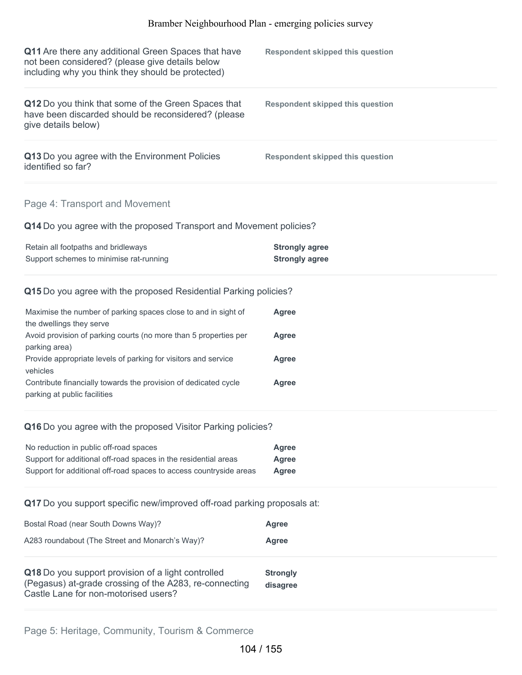| Q11 Are there any additional Green Spaces that have<br>not been considered? (please give details below<br>including why you think they should be protected) | Respondent skipped this question |
|-------------------------------------------------------------------------------------------------------------------------------------------------------------|----------------------------------|
| Q12 Do you think that some of the Green Spaces that<br>have been discarded should be reconsidered? (please<br>give details below)                           | Respondent skipped this question |
| Q13 Do you agree with the Environment Policies<br>identified so far?                                                                                        | Respondent skipped this question |

## Page 4: Transport and Movement

**Q14** Do you agree with the proposed Transport and Movement policies?

| Retain all footpaths and bridleways     | <b>Strongly agree</b> |
|-----------------------------------------|-----------------------|
| Support schemes to minimise rat-running | <b>Strongly agree</b> |

### **Q15** Do you agree with the proposed Residential Parking policies?

| Maximise the number of parking spaces close to and in sight of   | Agree |
|------------------------------------------------------------------|-------|
| the dwellings they serve                                         |       |
| Avoid provision of parking courts (no more than 5 properties per | Agree |
| parking area)                                                    |       |
| Provide appropriate levels of parking for visitors and service   | Agree |
| vehicles                                                         |       |
| Contribute financially towards the provision of dedicated cycle  | Agree |
| parking at public facilities                                     |       |

#### **Q16** Do you agree with the proposed Visitor Parking policies?

| No reduction in public off-road spaces                             | Agree |
|--------------------------------------------------------------------|-------|
| Support for additional off-road spaces in the residential areas    | Agree |
| Support for additional off-road spaces to access countryside areas | Agree |

## **Q17** Do you support specific new/improved off-road parking proposals at:

| Bostal Road (near South Downs Way)?                                                                                                                  | <b>Agree</b>                |
|------------------------------------------------------------------------------------------------------------------------------------------------------|-----------------------------|
| A283 roundabout (The Street and Monarch's Way)?                                                                                                      | <b>Agree</b>                |
| Q18 Do you support provision of a light controlled<br>(Pegasus) at-grade crossing of the A283, re-connecting<br>Castle Lane for non-motorised users? | <b>Strongly</b><br>disagree |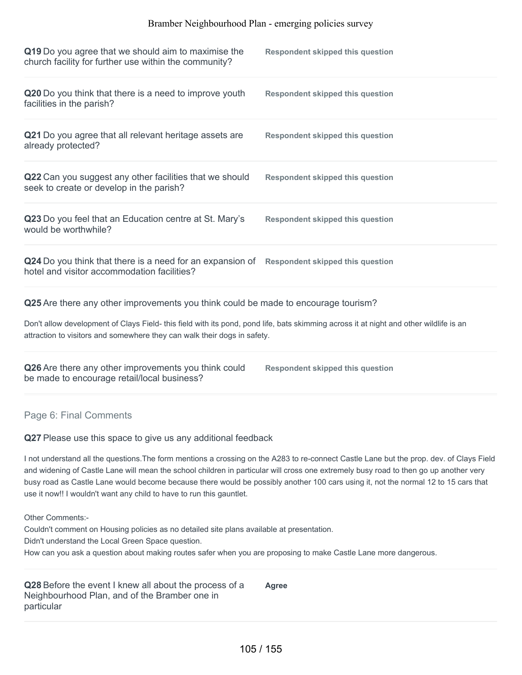| Q19 Do you agree that we should aim to maximise the<br>church facility for further use within the community?                                                                                                       | <b>Respondent skipped this question</b> |  |  |
|--------------------------------------------------------------------------------------------------------------------------------------------------------------------------------------------------------------------|-----------------------------------------|--|--|
| Q20 Do you think that there is a need to improve youth<br>facilities in the parish?                                                                                                                                | <b>Respondent skipped this question</b> |  |  |
| Q21 Do you agree that all relevant heritage assets are<br>already protected?                                                                                                                                       | <b>Respondent skipped this question</b> |  |  |
| Q22 Can you suggest any other facilities that we should<br>seek to create or develop in the parish?                                                                                                                | <b>Respondent skipped this question</b> |  |  |
| Q23 Do you feel that an Education centre at St. Mary's<br>would be worthwhile?                                                                                                                                     | <b>Respondent skipped this question</b> |  |  |
| Q24 Do you think that there is a need for an expansion of Respondent skipped this question<br>hotel and visitor accommodation facilities?                                                                          |                                         |  |  |
| Q25 Are there any other improvements you think could be made to encourage tourism?                                                                                                                                 |                                         |  |  |
| Don't allow development of Clays Field- this field with its pond, pond life, bats skimming across it at night and other wildlife is an<br>attraction to visitors and somewhere they can walk their dogs in safety. |                                         |  |  |
| Q26 Are there any other improvements you think could<br>be made to encourage retail/local business?                                                                                                                | <b>Respondent skipped this question</b> |  |  |
| Page 6: Final Comments                                                                                                                                                                                             |                                         |  |  |
| Q27 Please use this space to give us any additional feedback                                                                                                                                                       |                                         |  |  |

I not understand all the questions.The form mentions a crossing on the A283 to re-connect Castle Lane but the prop. dev. of Clays Field and widening of Castle Lane will mean the school children in particular will cross one extremely busy road to then go up another very busy road as Castle Lane would become because there would be possibly another 100 cars using it, not the normal 12 to 15 cars that use it now!! I wouldn't want any child to have to run this gauntlet.

Other Comments:-

Couldn't comment on Housing policies as no detailed site plans available at presentation.

Didn't understand the Local Green Space question.

How can you ask a question about making routes safer when you are proposing to make Castle Lane more dangerous.

**Q28** Before the event I knew all about the process of a Neighbourhood Plan, and of the Bramber one in particular **Agree**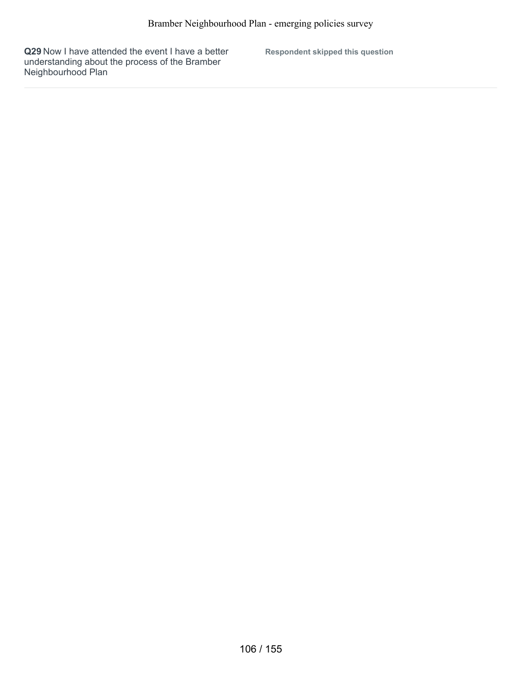**Q29** Now I have attended the event I have a better understanding about the process of the Bramber Neighbourhood Plan

**Respondent skipped this question**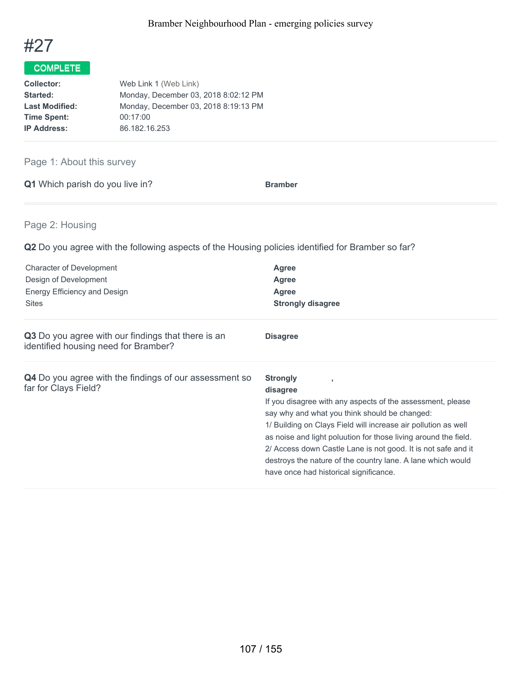

| <b>Collector:</b>     | Web Link 1 (Web Link)                |
|-----------------------|--------------------------------------|
| Started:              | Monday, December 03, 2018 8:02:12 PM |
| <b>Last Modified:</b> | Monday, December 03, 2018 8:19:13 PM |
| <b>Time Spent:</b>    | 00:17:00                             |
| <b>IP Address:</b>    | 86.182.16.253                        |

## Page 1: About this survey

|  | Q1 Which parish do you live in? | <b>Bramber</b> |
|--|---------------------------------|----------------|
|  |                                 |                |

## Page 2: Housing

**Q2** Do you agree with the following aspects of the Housing policies identified for Bramber so far?

| <b>Character of Development</b><br>Design of Development<br>Energy Efficiency and Design<br><b>Sites</b> | <b>Agree</b><br><b>Agree</b><br>Agree<br><b>Strongly disagree</b>                                                                                                                                                                                                                                                                                                                                                                                               |
|----------------------------------------------------------------------------------------------------------|-----------------------------------------------------------------------------------------------------------------------------------------------------------------------------------------------------------------------------------------------------------------------------------------------------------------------------------------------------------------------------------------------------------------------------------------------------------------|
| Q3 Do you agree with our findings that there is an<br>identified housing need for Bramber?               | <b>Disagree</b>                                                                                                                                                                                                                                                                                                                                                                                                                                                 |
| <b>Q4</b> Do you agree with the findings of our assessment so<br>far for Clays Field?                    | <b>Strongly</b><br>-9<br>disagree<br>If you disagree with any aspects of the assessment, please<br>say why and what you think should be changed:<br>1/ Building on Clays Field will increase air pollution as well<br>as noise and light poluution for those living around the field.<br>2/ Access down Castle Lane is not good. It is not safe and it<br>destroys the nature of the country lane. A lane which would<br>have once had historical significance. |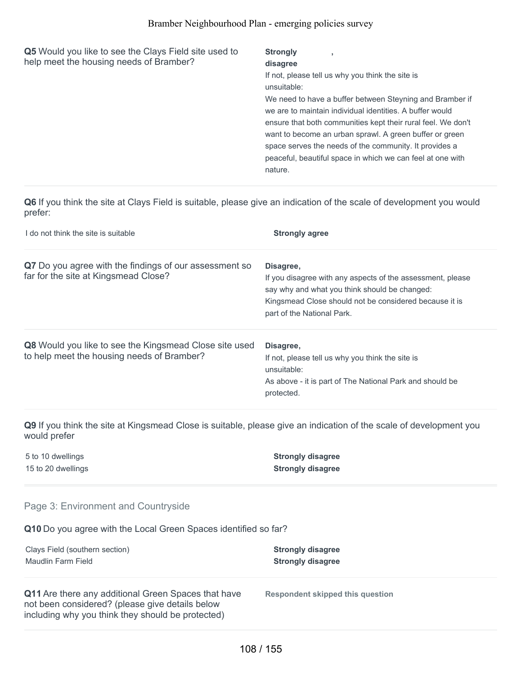**Q5** Would you like to see the Clays Field site used to help meet the housing needs of Bramber?

## **Strongly**

#### **disagree**

If not, please tell us why you think the site is unsuitable:

**,**

We need to have a buffer between Steyning and Bramber if we are to maintain individual identities. A buffer would ensure that both communities kept their rural feel. We don't want to become an urban sprawl. A green buffer or green space serves the needs of the community. It provides a peaceful, beautiful space in which we can feel at one with nature.

**Q6** If you think the site at Clays Field is suitable, please give an indication of the scale of development you would prefer:

| I do not think the site is suitable                                                                         | <b>Strongly agree</b>                                                                                                                                                                                            |
|-------------------------------------------------------------------------------------------------------------|------------------------------------------------------------------------------------------------------------------------------------------------------------------------------------------------------------------|
| Q7 Do you agree with the findings of our assessment so<br>far for the site at Kingsmead Close?              | Disagree,<br>If you disagree with any aspects of the assessment, please<br>say why and what you think should be changed:<br>Kingsmead Close should not be considered because it is<br>part of the National Park. |
| <b>Q8</b> Would you like to see the Kingsmead Close site used<br>to help meet the housing needs of Bramber? | Disagree,<br>If not, please tell us why you think the site is<br>unsuitable:<br>As above - it is part of The National Park and should be<br>protected.                                                           |

**Q9** If you think the site at Kingsmead Close is suitable, please give an indication of the scale of development you would prefer

5 to 10 dwellings **Strongly disagree**

15 to 20 dwellings **Strongly disagree**

#### Page 3: Environment and Countryside

**Q10** Do you agree with the Local Green Spaces identified so far?

| Clays Field (southern section) | <b>Strongly disagree</b> |
|--------------------------------|--------------------------|
| Maudlin Farm Field             | <b>Strongly disagree</b> |

**Q11** Are there any additional Green Spaces that have not been considered? (please give details below including why you think they should be protected)

**Respondent skipped this question**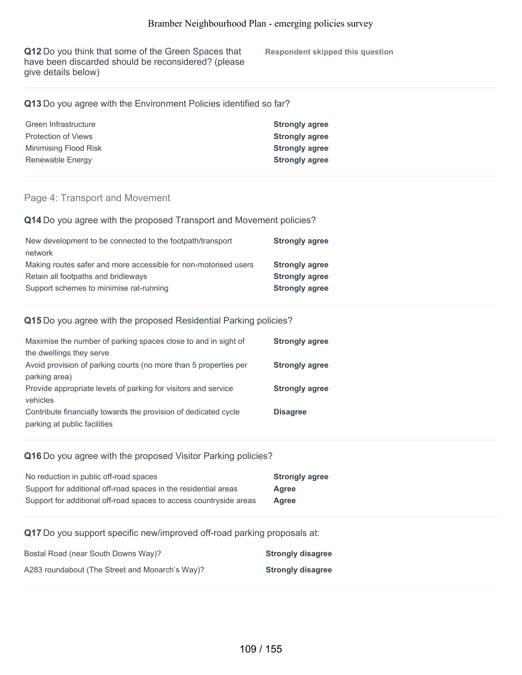**Q12** Do you think that some of the Green Spaces that have been discarded should be reconsidered? (please give details below)

**Respondent skipped this question**

## **Q13** Do you agree with the Environment Policies identified so far?

| Green Infrastructure  | <b>Strongly agree</b> |
|-----------------------|-----------------------|
| Protection of Views   | <b>Strongly agree</b> |
| Minimising Flood Risk | <b>Strongly agree</b> |
| Renewable Energy      | <b>Strongly agree</b> |

### Page 4: Transport and Movement

**Q14** Do you agree with the proposed Transport and Movement policies?

| New development to be connected to the footpath/transport       | <b>Strongly agree</b> |
|-----------------------------------------------------------------|-----------------------|
| network                                                         |                       |
| Making routes safer and more accessible for non-motorised users | <b>Strongly agree</b> |
| Retain all footpaths and bridleways                             | <b>Strongly agree</b> |
| Support schemes to minimise rat-running                         | <b>Strongly agree</b> |

### **Q15** Do you agree with the proposed Residential Parking policies?

| <b>Strongly agree</b> |
|-----------------------|
|                       |
| <b>Strongly agree</b> |
|                       |
| <b>Strongly agree</b> |
|                       |
| <b>Disagree</b>       |
|                       |
|                       |

### **Q16** Do you agree with the proposed Visitor Parking policies?

| No reduction in public off-road spaces                             | <b>Strongly agree</b> |
|--------------------------------------------------------------------|-----------------------|
| Support for additional off-road spaces in the residential areas    | Agree                 |
| Support for additional off-road spaces to access countryside areas | Agree                 |

**Q17** Do you support specific new/improved off-road parking proposals at:

| Bostal Road (near South Downs Way)?             | <b>Strongly disagree</b> |
|-------------------------------------------------|--------------------------|
| A283 roundabout (The Street and Monarch's Way)? | <b>Strongly disagree</b> |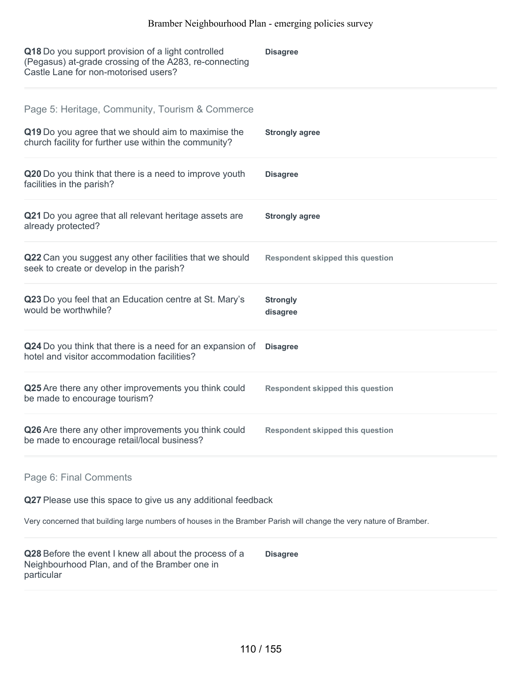| Q18 Do you support provision of a light controlled<br>(Pegasus) at-grade crossing of the A283, re-connecting<br>Castle Lane for non-motorised users?            | <b>Disagree</b>                         |
|-----------------------------------------------------------------------------------------------------------------------------------------------------------------|-----------------------------------------|
| Page 5: Heritage, Community, Tourism & Commerce<br>Q19 Do you agree that we should aim to maximise the<br>church facility for further use within the community? | <b>Strongly agree</b>                   |
| Q20 Do you think that there is a need to improve youth<br>facilities in the parish?                                                                             | <b>Disagree</b>                         |
| Q21 Do you agree that all relevant heritage assets are<br>already protected?                                                                                    | <b>Strongly agree</b>                   |
| Q22 Can you suggest any other facilities that we should<br>seek to create or develop in the parish?                                                             | <b>Respondent skipped this question</b> |
| Q23 Do you feel that an Education centre at St. Mary's<br>would be worthwhile?                                                                                  | <b>Strongly</b><br>disagree             |
| Q24 Do you think that there is a need for an expansion of<br>hotel and visitor accommodation facilities?                                                        | <b>Disagree</b>                         |
| Q25 Are there any other improvements you think could<br>be made to encourage tourism?                                                                           | <b>Respondent skipped this question</b> |
| Q26 Are there any other improvements you think could<br>be made to encourage retail/local business?                                                             | <b>Respondent skipped this question</b> |
| Page 6: Final Comments                                                                                                                                          |                                         |
| Q27 Please use this space to give us any additional feedback                                                                                                    |                                         |
| Very concerned that building large numbers of houses in the Bramber Parish will change the very nature of Bramber.                                              |                                         |
| Q28 Before the event I knew all about the process of a<br>Neighbourhood Plan, and of the Bramber one in<br>particular                                           | <b>Disagree</b>                         |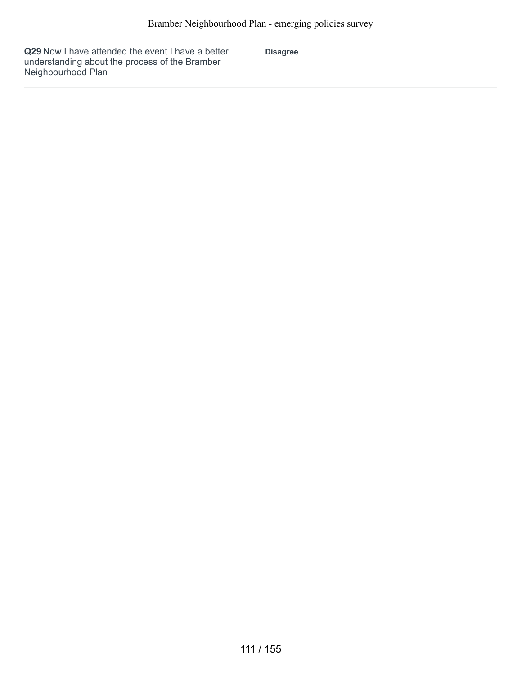**Q29** Now I have attended the event I have a better understanding about the process of the Bramber Neighbourhood Plan

**Disagree**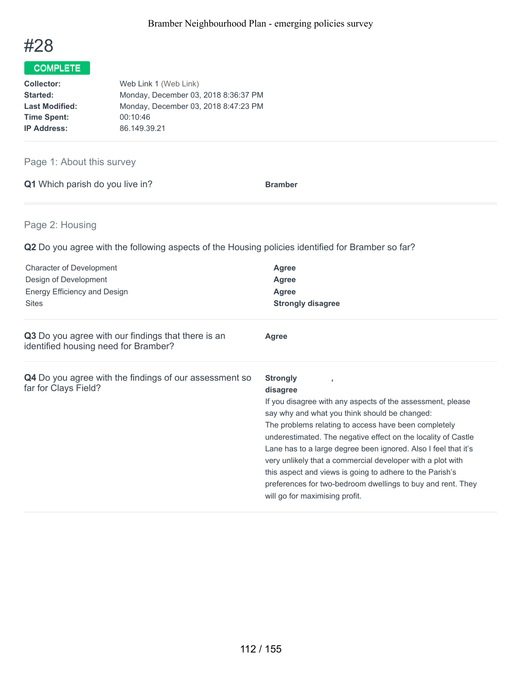

| <b>Collector:</b>     | Web Link 1 (Web Link)                |
|-----------------------|--------------------------------------|
| Started:              | Monday, December 03, 2018 8:36:37 PM |
| <b>Last Modified:</b> | Monday, December 03, 2018 8:47:23 PM |
| <b>Time Spent:</b>    | 00:10:46                             |
| <b>IP Address:</b>    | 86.149.39.21                         |

## Page 1: About this survey

|  | Q1 Which parish do you live in? | <b>Bramber</b> |
|--|---------------------------------|----------------|
|  |                                 |                |

## Page 2: Housing

| <b>Character of Development</b><br>Design of Development<br>Energy Efficiency and Design<br><b>Sites</b> | Agree<br><b>Agree</b><br><b>Agree</b><br><b>Strongly disagree</b>                                                                                                                                                                                                                                                                                                                                                                                                                                                                                                |
|----------------------------------------------------------------------------------------------------------|------------------------------------------------------------------------------------------------------------------------------------------------------------------------------------------------------------------------------------------------------------------------------------------------------------------------------------------------------------------------------------------------------------------------------------------------------------------------------------------------------------------------------------------------------------------|
| Q3 Do you agree with our findings that there is an<br>identified housing need for Bramber?               | <b>Agree</b>                                                                                                                                                                                                                                                                                                                                                                                                                                                                                                                                                     |
| Q4 Do you agree with the findings of our assessment so<br>far for Clays Field?                           | <b>Strongly</b><br>disagree<br>If you disagree with any aspects of the assessment, please<br>say why and what you think should be changed:<br>The problems relating to access have been completely<br>underestimated. The negative effect on the locality of Castle<br>Lane has to a large degree been ignored. Also I feel that it's<br>very unlikely that a commercial developer with a plot with<br>this aspect and views is going to adhere to the Parish's<br>preferences for two-bedroom dwellings to buy and rent. They<br>will go for maximising profit. |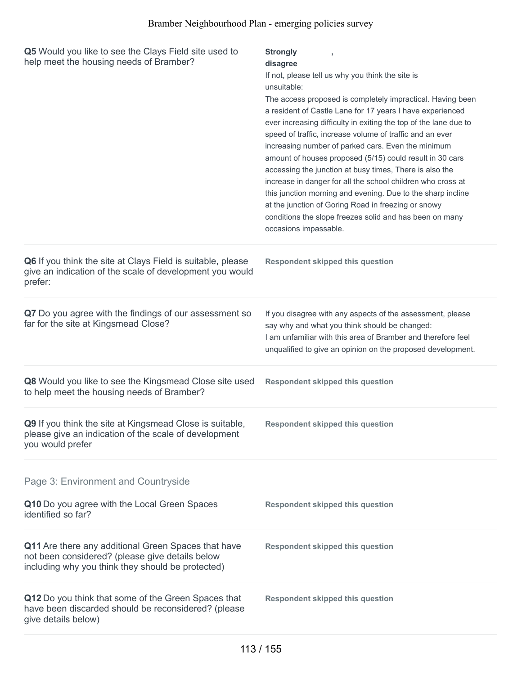| Q5 Would you like to see the Clays Field site used to<br>help meet the housing needs of Bramber?                                                            | <b>Strongly</b><br>disagree<br>If not, please tell us why you think the site is<br>unsuitable:<br>The access proposed is completely impractical. Having been<br>a resident of Castle Lane for 17 years I have experienced<br>ever increasing difficulty in exiting the top of the lane due to<br>speed of traffic, increase volume of traffic and an ever<br>increasing number of parked cars. Even the minimum<br>amount of houses proposed (5/15) could result in 30 cars<br>accessing the junction at busy times, There is also the<br>increase in danger for all the school children who cross at<br>this junction morning and evening. Due to the sharp incline<br>at the junction of Goring Road in freezing or snowy<br>conditions the slope freezes solid and has been on many<br>occasions impassable. |
|-------------------------------------------------------------------------------------------------------------------------------------------------------------|-----------------------------------------------------------------------------------------------------------------------------------------------------------------------------------------------------------------------------------------------------------------------------------------------------------------------------------------------------------------------------------------------------------------------------------------------------------------------------------------------------------------------------------------------------------------------------------------------------------------------------------------------------------------------------------------------------------------------------------------------------------------------------------------------------------------|
| Q6 If you think the site at Clays Field is suitable, please<br>give an indication of the scale of development you would<br>prefer:                          | <b>Respondent skipped this question</b>                                                                                                                                                                                                                                                                                                                                                                                                                                                                                                                                                                                                                                                                                                                                                                         |
| Q7 Do you agree with the findings of our assessment so<br>far for the site at Kingsmead Close?                                                              | If you disagree with any aspects of the assessment, please<br>say why and what you think should be changed:<br>I am unfamiliar with this area of Bramber and therefore feel<br>unqualified to give an opinion on the proposed development.                                                                                                                                                                                                                                                                                                                                                                                                                                                                                                                                                                      |
| Q8 Would you like to see the Kingsmead Close site used<br>to help meet the housing needs of Bramber?                                                        | <b>Respondent skipped this question</b>                                                                                                                                                                                                                                                                                                                                                                                                                                                                                                                                                                                                                                                                                                                                                                         |
| Q9 If you think the site at Kingsmead Close is suitable,<br>please give an indication of the scale of development<br>you would prefer                       | <b>Respondent skipped this question</b>                                                                                                                                                                                                                                                                                                                                                                                                                                                                                                                                                                                                                                                                                                                                                                         |
| Page 3: Environment and Countryside                                                                                                                         |                                                                                                                                                                                                                                                                                                                                                                                                                                                                                                                                                                                                                                                                                                                                                                                                                 |
| Q10 Do you agree with the Local Green Spaces<br>identified so far?                                                                                          | <b>Respondent skipped this question</b>                                                                                                                                                                                                                                                                                                                                                                                                                                                                                                                                                                                                                                                                                                                                                                         |
| Q11 Are there any additional Green Spaces that have<br>not been considered? (please give details below<br>including why you think they should be protected) | <b>Respondent skipped this question</b>                                                                                                                                                                                                                                                                                                                                                                                                                                                                                                                                                                                                                                                                                                                                                                         |
| Q12 Do you think that some of the Green Spaces that<br>have been discarded should be reconsidered? (please<br>give details below)                           | <b>Respondent skipped this question</b>                                                                                                                                                                                                                                                                                                                                                                                                                                                                                                                                                                                                                                                                                                                                                                         |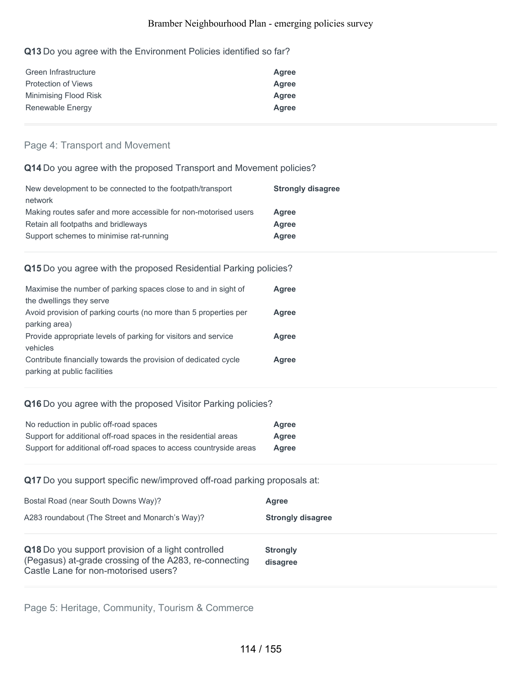## **Q13** Do you agree with the Environment Policies identified so far?

| Green Infrastructure       | Agree |
|----------------------------|-------|
| <b>Protection of Views</b> | Agree |
| Minimising Flood Risk      | Agree |
| Renewable Energy           | Agree |

## Page 4: Transport and Movement

## **Q14** Do you agree with the proposed Transport and Movement policies?

| New development to be connected to the footpath/transport       | <b>Strongly disagree</b> |
|-----------------------------------------------------------------|--------------------------|
| network                                                         |                          |
| Making routes safer and more accessible for non-motorised users | Agree                    |
| Retain all footpaths and bridleways                             | Agree                    |
| Support schemes to minimise rat-running                         | Agree                    |

### **Q15** Do you agree with the proposed Residential Parking policies?

| Maximise the number of parking spaces close to and in sight of   | Agree |
|------------------------------------------------------------------|-------|
| the dwellings they serve                                         |       |
| Avoid provision of parking courts (no more than 5 properties per | Agree |
| parking area)                                                    |       |
| Provide appropriate levels of parking for visitors and service   | Agree |
| vehicles                                                         |       |
| Contribute financially towards the provision of dedicated cycle  | Agree |
| parking at public facilities                                     |       |

### **Q16** Do you agree with the proposed Visitor Parking policies?

| No reduction in public off-road spaces                             | Agree |
|--------------------------------------------------------------------|-------|
| Support for additional off-road spaces in the residential areas    | Agree |
| Support for additional off-road spaces to access countryside areas | Agree |

## **Q17** Do you support specific new/improved off-road parking proposals at:

| Bostal Road (near South Downs Way)?                                                                                                                  | Agree                       |
|------------------------------------------------------------------------------------------------------------------------------------------------------|-----------------------------|
| A283 roundabout (The Street and Monarch's Way)?                                                                                                      | <b>Strongly disagree</b>    |
| Q18 Do you support provision of a light controlled<br>(Pegasus) at-grade crossing of the A283, re-connecting<br>Castle Lane for non-motorised users? | <b>Strongly</b><br>disagree |

Page 5: Heritage, Community, Tourism & Commerce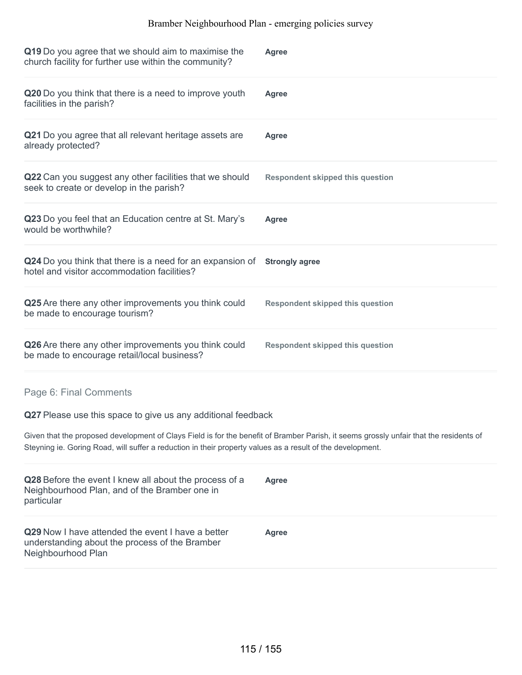| Q19 Do you agree that we should aim to maximise the<br>church facility for further use within the community?                                                                                                                                         | <b>Agree</b>                            |
|------------------------------------------------------------------------------------------------------------------------------------------------------------------------------------------------------------------------------------------------------|-----------------------------------------|
| Q20 Do you think that there is a need to improve youth<br>facilities in the parish?                                                                                                                                                                  | <b>Agree</b>                            |
| Q21 Do you agree that all relevant heritage assets are<br>already protected?                                                                                                                                                                         | <b>Agree</b>                            |
| Q22 Can you suggest any other facilities that we should<br>seek to create or develop in the parish?                                                                                                                                                  | <b>Respondent skipped this question</b> |
| Q23 Do you feel that an Education centre at St. Mary's<br>would be worthwhile?                                                                                                                                                                       | <b>Agree</b>                            |
| Q24 Do you think that there is a need for an expansion of<br>hotel and visitor accommodation facilities?                                                                                                                                             | <b>Strongly agree</b>                   |
| Q25 Are there any other improvements you think could<br>be made to encourage tourism?                                                                                                                                                                | <b>Respondent skipped this question</b> |
| Q26 Are there any other improvements you think could<br>be made to encourage retail/local business?                                                                                                                                                  | <b>Respondent skipped this question</b> |
| Page 6: Final Comments                                                                                                                                                                                                                               |                                         |
| Q27 Please use this space to give us any additional feedback                                                                                                                                                                                         |                                         |
| Given that the proposed development of Clays Field is for the benefit of Bramber Parish, it seems grossly unfair that the residents of<br>Steyning ie. Goring Road, will suffer a reduction in their property values as a result of the development. |                                         |
| Q28 Before the event I knew all about the process of a<br>Neighbourhood Plan, and of the Bramber one in<br>particular                                                                                                                                | <b>Agree</b>                            |
| Q29 Now I have attended the event I have a better<br>understanding about the process of the Bramber<br>Neighbourhood Plan                                                                                                                            | <b>Agree</b>                            |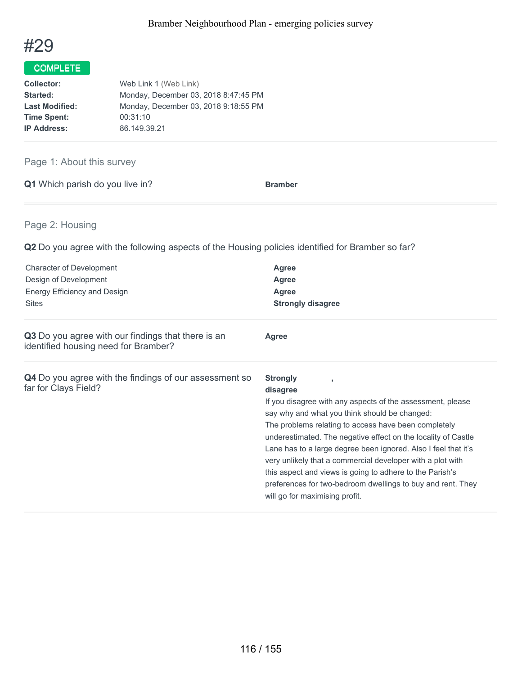

| <b>Collector:</b>     | Web Link 1 (Web Link)                |
|-----------------------|--------------------------------------|
| Started:              | Monday, December 03, 2018 8:47:45 PM |
| <b>Last Modified:</b> | Monday, December 03, 2018 9:18:55 PM |
| <b>Time Spent:</b>    | 00:31:10                             |
| <b>IP Address:</b>    | 86.149.39.21                         |

## Page 1: About this survey

|  | Q1 Which parish do you live in? | <b>Bramber</b> |
|--|---------------------------------|----------------|
|  |                                 |                |

## Page 2: Housing

| <b>Character of Development</b><br>Design of Development<br>Energy Efficiency and Design<br><b>Sites</b> | Agree<br><b>Agree</b><br><b>Agree</b><br><b>Strongly disagree</b>                                                                                                                                                                                                                                                                                                                                                                                                                                                                                                |
|----------------------------------------------------------------------------------------------------------|------------------------------------------------------------------------------------------------------------------------------------------------------------------------------------------------------------------------------------------------------------------------------------------------------------------------------------------------------------------------------------------------------------------------------------------------------------------------------------------------------------------------------------------------------------------|
| Q3 Do you agree with our findings that there is an<br>identified housing need for Bramber?               | <b>Agree</b>                                                                                                                                                                                                                                                                                                                                                                                                                                                                                                                                                     |
| Q4 Do you agree with the findings of our assessment so<br>far for Clays Field?                           | <b>Strongly</b><br>disagree<br>If you disagree with any aspects of the assessment, please<br>say why and what you think should be changed:<br>The problems relating to access have been completely<br>underestimated. The negative effect on the locality of Castle<br>Lane has to a large degree been ignored. Also I feel that it's<br>very unlikely that a commercial developer with a plot with<br>this aspect and views is going to adhere to the Parish's<br>preferences for two-bedroom dwellings to buy and rent. They<br>will go for maximising profit. |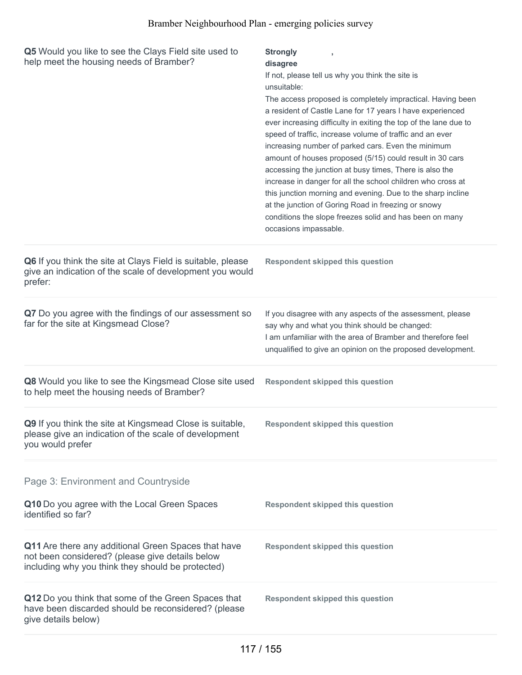| Q5 Would you like to see the Clays Field site used to<br>help meet the housing needs of Bramber?                                                            | <b>Strongly</b><br>disagree<br>If not, please tell us why you think the site is<br>unsuitable:<br>The access proposed is completely impractical. Having been<br>a resident of Castle Lane for 17 years I have experienced<br>ever increasing difficulty in exiting the top of the lane due to<br>speed of traffic, increase volume of traffic and an ever<br>increasing number of parked cars. Even the minimum<br>amount of houses proposed (5/15) could result in 30 cars<br>accessing the junction at busy times, There is also the<br>increase in danger for all the school children who cross at<br>this junction morning and evening. Due to the sharp incline<br>at the junction of Goring Road in freezing or snowy<br>conditions the slope freezes solid and has been on many<br>occasions impassable. |
|-------------------------------------------------------------------------------------------------------------------------------------------------------------|-----------------------------------------------------------------------------------------------------------------------------------------------------------------------------------------------------------------------------------------------------------------------------------------------------------------------------------------------------------------------------------------------------------------------------------------------------------------------------------------------------------------------------------------------------------------------------------------------------------------------------------------------------------------------------------------------------------------------------------------------------------------------------------------------------------------|
| Q6 If you think the site at Clays Field is suitable, please<br>give an indication of the scale of development you would<br>prefer:                          | <b>Respondent skipped this question</b>                                                                                                                                                                                                                                                                                                                                                                                                                                                                                                                                                                                                                                                                                                                                                                         |
| Q7 Do you agree with the findings of our assessment so<br>far for the site at Kingsmead Close?                                                              | If you disagree with any aspects of the assessment, please<br>say why and what you think should be changed:<br>I am unfamiliar with the area of Bramber and therefore feel<br>unqualified to give an opinion on the proposed development.                                                                                                                                                                                                                                                                                                                                                                                                                                                                                                                                                                       |
| Q8 Would you like to see the Kingsmead Close site used<br>to help meet the housing needs of Bramber?                                                        | <b>Respondent skipped this question</b>                                                                                                                                                                                                                                                                                                                                                                                                                                                                                                                                                                                                                                                                                                                                                                         |
| Q9 If you think the site at Kingsmead Close is suitable,<br>please give an indication of the scale of development<br>you would prefer                       | <b>Respondent skipped this question</b>                                                                                                                                                                                                                                                                                                                                                                                                                                                                                                                                                                                                                                                                                                                                                                         |
| Page 3: Environment and Countryside                                                                                                                         |                                                                                                                                                                                                                                                                                                                                                                                                                                                                                                                                                                                                                                                                                                                                                                                                                 |
| Q10 Do you agree with the Local Green Spaces<br>identified so far?                                                                                          | <b>Respondent skipped this question</b>                                                                                                                                                                                                                                                                                                                                                                                                                                                                                                                                                                                                                                                                                                                                                                         |
| Q11 Are there any additional Green Spaces that have<br>not been considered? (please give details below<br>including why you think they should be protected) | <b>Respondent skipped this question</b>                                                                                                                                                                                                                                                                                                                                                                                                                                                                                                                                                                                                                                                                                                                                                                         |
| Q12 Do you think that some of the Green Spaces that<br>have been discarded should be reconsidered? (please<br>give details below)                           | <b>Respondent skipped this question</b>                                                                                                                                                                                                                                                                                                                                                                                                                                                                                                                                                                                                                                                                                                                                                                         |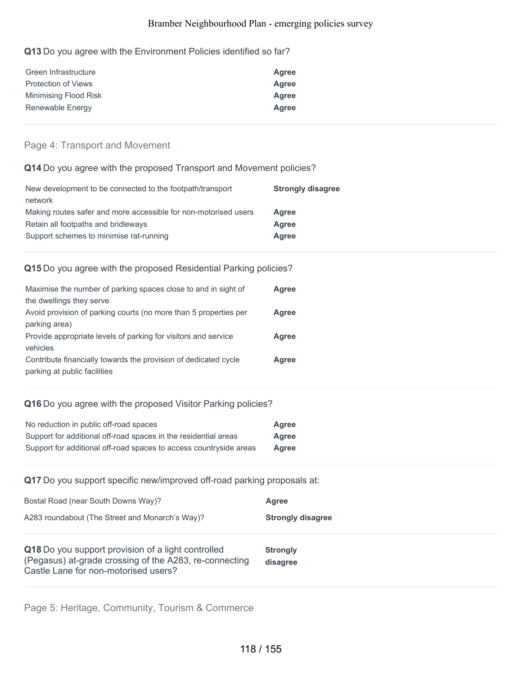### **Q13** Do you agree with the Environment Policies identified so far?

| Green Infrastructure       | Agree |
|----------------------------|-------|
| <b>Protection of Views</b> | Agree |
| Minimising Flood Risk      | Agree |
| Renewable Energy           | Agree |

## Page 4: Transport and Movement

## **Q14** Do you agree with the proposed Transport and Movement policies?

| New development to be connected to the footpath/transport       | <b>Strongly disagree</b> |
|-----------------------------------------------------------------|--------------------------|
| network                                                         |                          |
| Making routes safer and more accessible for non-motorised users | Agree                    |
| Retain all footpaths and bridleways                             | Agree                    |
| Support schemes to minimise rat-running                         | Agree                    |

## **Q15** Do you agree with the proposed Residential Parking policies?

| Maximise the number of parking spaces close to and in sight of   | Agree |
|------------------------------------------------------------------|-------|
| the dwellings they serve                                         |       |
| Avoid provision of parking courts (no more than 5 properties per | Agree |
| parking area)                                                    |       |
| Provide appropriate levels of parking for visitors and service   | Agree |
| vehicles                                                         |       |
| Contribute financially towards the provision of dedicated cycle  | Agree |
| parking at public facilities                                     |       |

## **Q16** Do you agree with the proposed Visitor Parking policies?

| No reduction in public off-road spaces                             | Agree |
|--------------------------------------------------------------------|-------|
| Support for additional off-road spaces in the residential areas    | Agree |
| Support for additional off-road spaces to access countryside areas | Agree |

## **Q17** Do you support specific new/improved off-road parking proposals at:

| Bostal Road (near South Downs Way)?                                                                                                                  | Agree                       |
|------------------------------------------------------------------------------------------------------------------------------------------------------|-----------------------------|
| A283 roundabout (The Street and Monarch's Way)?                                                                                                      | <b>Strongly disagree</b>    |
| Q18 Do you support provision of a light controlled<br>(Pegasus) at-grade crossing of the A283, re-connecting<br>Castle Lane for non-motorised users? | <b>Strongly</b><br>disagree |

Page 5: Heritage, Community, Tourism & Commerce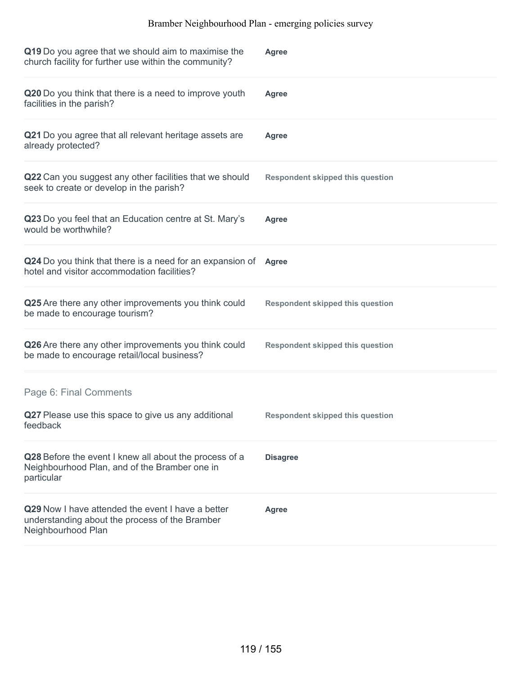| Q19 Do you agree that we should aim to maximise the<br>church facility for further use within the community?              | <b>Agree</b>                            |
|---------------------------------------------------------------------------------------------------------------------------|-----------------------------------------|
| Q20 Do you think that there is a need to improve youth<br>facilities in the parish?                                       | Agree                                   |
| Q21 Do you agree that all relevant heritage assets are<br>already protected?                                              | Agree                                   |
| Q22 Can you suggest any other facilities that we should<br>seek to create or develop in the parish?                       | <b>Respondent skipped this question</b> |
| Q23 Do you feel that an Education centre at St. Mary's<br>would be worthwhile?                                            | <b>Agree</b>                            |
| Q24 Do you think that there is a need for an expansion of<br>hotel and visitor accommodation facilities?                  | <b>Agree</b>                            |
| Q25 Are there any other improvements you think could<br>be made to encourage tourism?                                     | <b>Respondent skipped this question</b> |
| Q26 Are there any other improvements you think could<br>be made to encourage retail/local business?                       | <b>Respondent skipped this question</b> |
| Page 6: Final Comments                                                                                                    |                                         |
| Q27 Please use this space to give us any additional<br>feedback                                                           | <b>Respondent skipped this question</b> |
| Q28 Before the event I knew all about the process of a<br>Neighbourhood Plan, and of the Bramber one in<br>particular     | <b>Disagree</b>                         |
| Q29 Now I have attended the event I have a better<br>understanding about the process of the Bramber<br>Neighbourhood Plan | <b>Agree</b>                            |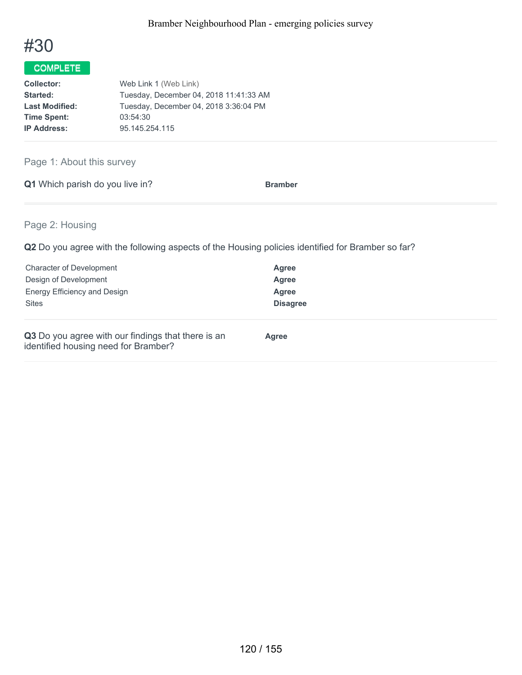

| <b>Collector:</b>     | Web Link 1 (Web Link)                  |
|-----------------------|----------------------------------------|
| Started:              | Tuesday, December 04, 2018 11:41:33 AM |
| <b>Last Modified:</b> | Tuesday, December 04, 2018 3:36:04 PM  |
| <b>Time Spent:</b>    | 03:54:30                               |
| <b>IP Address:</b>    | 95.145.254.115                         |

Page 1: About this survey

**Q1** Which parish do you live in? **Bramber** 

Page 2: Housing

| <b>Character of Development</b>                                                            | Agree           |
|--------------------------------------------------------------------------------------------|-----------------|
| Design of Development                                                                      | Agree           |
| Energy Efficiency and Design                                                               | Agree           |
| <b>Sites</b>                                                                               | <b>Disagree</b> |
| Q3 Do you agree with our findings that there is an<br>identified housing need for Bramber? | <b>Agree</b>    |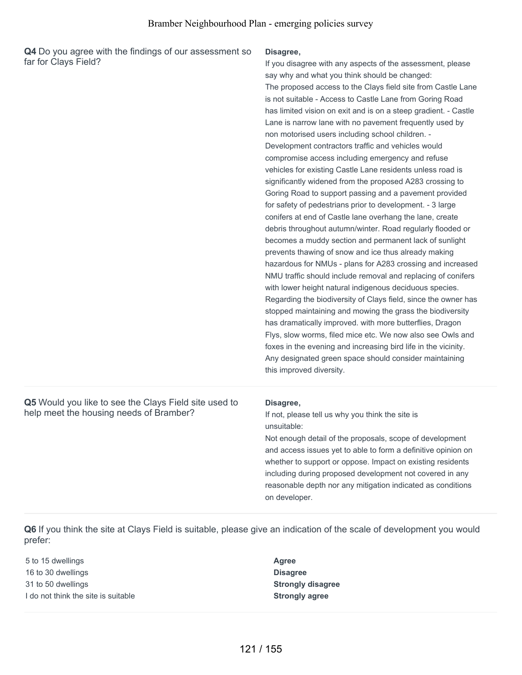**Q4** Do you agree with the findings of our assessment so far for Clays Field?

#### **Disagree,**

The proposed access to the Clays field site from Castle Lane is not suitable - Access to Castle Lane from Goring Road has limited vision on exit and is on a steep gradient. - Castle Lane is narrow lane with no pavement frequently used by non motorised users including school children. - Development contractors traffic and vehicles would compromise access including emergency and refuse vehicles for existing Castle Lane residents unless road is significantly widened from the proposed A283 crossing to Goring Road to support passing and a pavement provided for safety of pedestrians prior to development. - 3 large conifers at end of Castle lane overhang the lane, create debris throughout autumn/winter. Road regularly flooded or becomes a muddy section and permanent lack of sunlight prevents thawing of snow and ice thus already making hazardous for NMUs - plans for A283 crossing and increased NMU traffic should include removal and replacing of conifers with lower height natural indigenous deciduous species. Regarding the biodiversity of Clays field, since the owner has stopped maintaining and mowing the grass the biodiversity has dramatically improved. with more butterflies, Dragon Flys, slow worms, filed mice etc. We now also see Owls and foxes in the evening and increasing bird life in the vicinity. Any designated green space should consider maintaining this improved diversity. If you disagree with any aspects of the assessment, please say why and what you think should be changed:

**Q5** Would you like to see the Clays Field site used to help meet the housing needs of Bramber?

### **Disagree,**

If not, please tell us why you think the site is unsuitable:

Not enough detail of the proposals, scope of development and access issues yet to able to form a definitive opinion on whether to support or oppose. Impact on existing residents including during proposed development not covered in any reasonable depth nor any mitigation indicated as conditions on developer.

**Q6** If you think the site at Clays Field is suitable, please give an indication of the scale of development you would prefer:

 to 15 dwellings **Agree** to 30 dwellings **Disagree** to 50 dwellings **Strongly disagree** I do not think the site is suitable **Strongly agree**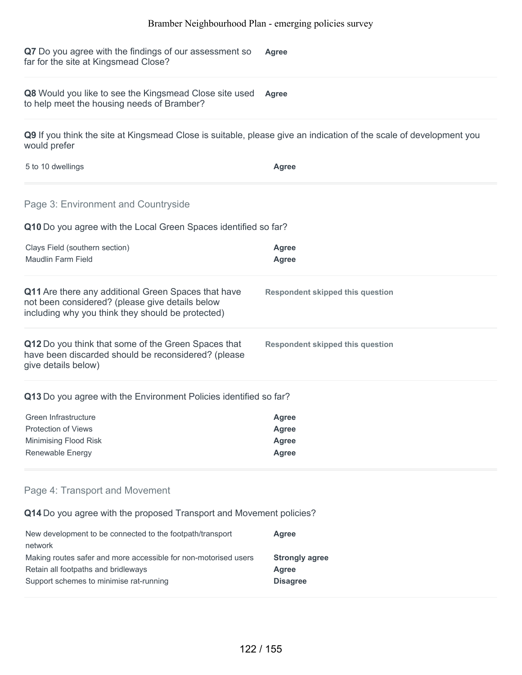**Q7** Do you agree with the findings of our assessment so far for the site at Kingsmead Close? **Agree**

**Q8** Would you like to see the Kingsmead Close site used **Agree** to help meet the housing needs of Bramber?

**Q9** If you think the site at Kingsmead Close is suitable, please give an indication of the scale of development you would prefer

| 5 to 10 dwellings | Agree |
|-------------------|-------|
|                   |       |

### Page 3: Environment and Countryside

**Q10** Do you agree with the Local Green Spaces identified so far?

| Clays Field (southern section)<br>Maudlin Farm Field                                                                                                        | Agree<br><b>Agree</b>                   |  |
|-------------------------------------------------------------------------------------------------------------------------------------------------------------|-----------------------------------------|--|
| Q11 Are there any additional Green Spaces that have<br>not been considered? (please give details below<br>including why you think they should be protected) | <b>Respondent skipped this question</b> |  |
| Q12 Do you think that some of the Green Spaces that<br>have been discarded should be reconsidered? (please<br>give details below)                           | <b>Respondent skipped this question</b> |  |
| <b>Q13</b> Do you agree with the Environment Policies identified so far?                                                                                    |                                         |  |
| Green Infrastructure                                                                                                                                        | <b>Agree</b>                            |  |
| <b>Protection of Views</b>                                                                                                                                  | Agree                                   |  |
| Minimising Flood Risk                                                                                                                                       | <b>Agree</b>                            |  |
| Renewable Energy                                                                                                                                            | <b>Agree</b>                            |  |

### Page 4: Transport and Movement

**Q14** Do you agree with the proposed Transport and Movement policies?

| New development to be connected to the footpath/transport       | Agree                 |
|-----------------------------------------------------------------|-----------------------|
| network                                                         |                       |
| Making routes safer and more accessible for non-motorised users | <b>Strongly agree</b> |
| Retain all footpaths and bridleways                             | Agree                 |
| Support schemes to minimise rat-running                         | <b>Disagree</b>       |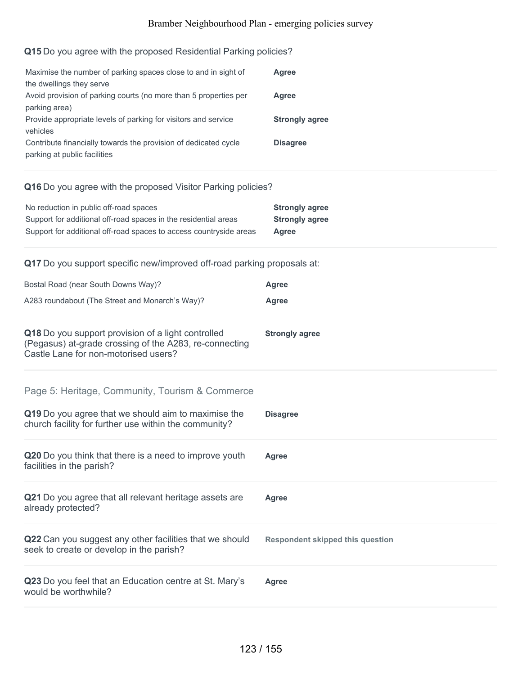## **Q15** Do you agree with the proposed Residential Parking policies?

| Maximise the number of parking spaces close to and in sight of   | Agree                 |
|------------------------------------------------------------------|-----------------------|
| the dwellings they serve                                         |                       |
| Avoid provision of parking courts (no more than 5 properties per | Agree                 |
| parking area)                                                    |                       |
| Provide appropriate levels of parking for visitors and service   | <b>Strongly agree</b> |
| vehicles                                                         |                       |
| Contribute financially towards the provision of dedicated cycle  | <b>Disagree</b>       |
| parking at public facilities                                     |                       |

## **Q16** Do you agree with the proposed Visitor Parking policies?

| No reduction in public off-road spaces                             | <b>Strongly agree</b> |
|--------------------------------------------------------------------|-----------------------|
| Support for additional off-road spaces in the residential areas    | <b>Strongly agree</b> |
| Support for additional off-road spaces to access countryside areas | Agree                 |

## **Q17** Do you support specific new/improved off-road parking proposals at:

| Bostal Road (near South Downs Way)?                                                                                                                             | Agree                                   |
|-----------------------------------------------------------------------------------------------------------------------------------------------------------------|-----------------------------------------|
| A283 roundabout (The Street and Monarch's Way)?                                                                                                                 | Agree                                   |
| Q18 Do you support provision of a light controlled<br>(Pegasus) at-grade crossing of the A283, re-connecting<br>Castle Lane for non-motorised users?            | <b>Strongly agree</b>                   |
| Page 5: Heritage, Community, Tourism & Commerce<br>Q19 Do you agree that we should aim to maximise the<br>church facility for further use within the community? | <b>Disagree</b>                         |
| Q20 Do you think that there is a need to improve youth<br>facilities in the parish?                                                                             | <b>Agree</b>                            |
| Q21 Do you agree that all relevant heritage assets are<br>already protected?                                                                                    | <b>Agree</b>                            |
| Q22 Can you suggest any other facilities that we should<br>seek to create or develop in the parish?                                                             | <b>Respondent skipped this question</b> |
| Q23 Do you feel that an Education centre at St. Mary's<br>would be worthwhile?                                                                                  | Agree                                   |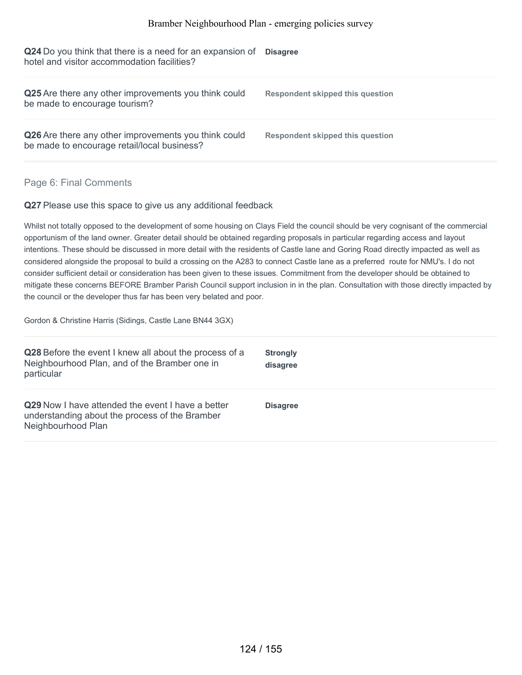**Q24** Do you think that there is a need for an expansion of **Disagree** hotel and visitor accommodation facilities?

| Q25 Are there any other improvements you think could<br>be made to encourage tourism?               | Respondent skipped this question |
|-----------------------------------------------------------------------------------------------------|----------------------------------|
| Q26 Are there any other improvements you think could<br>be made to encourage retail/local business? | Respondent skipped this question |

### Page 6: Final Comments

**Q27** Please use this space to give us any additional feedback

Whilst not totally opposed to the development of some housing on Clays Field the council should be very cognisant of the commercial opportunism of the land owner. Greater detail should be obtained regarding proposals in particular regarding access and layout intentions. These should be discussed in more detail with the residents of Castle lane and Goring Road directly impacted as well as considered alongside the proposal to build a crossing on the A283 to connect Castle lane as a preferred route for NMU's. I do not consider sufficient detail or consideration has been given to these issues. Commitment from the developer should be obtained to mitigate these concerns BEFORE Bramber Parish Council support inclusion in in the plan. Consultation with those directly impacted by the council or the developer thus far has been very belated and poor.

Gordon & Christine Harris (Sidings, Castle Lane BN44 3GX)

| Q28 Before the event I knew all about the process of a<br>Neighbourhood Plan, and of the Bramber one in<br>particular            | <b>Strongly</b><br>disagree |
|----------------------------------------------------------------------------------------------------------------------------------|-----------------------------|
| <b>Q29</b> Now I have attended the event I have a better<br>understanding about the process of the Bramber<br>Neighbourhood Plan | <b>Disagree</b>             |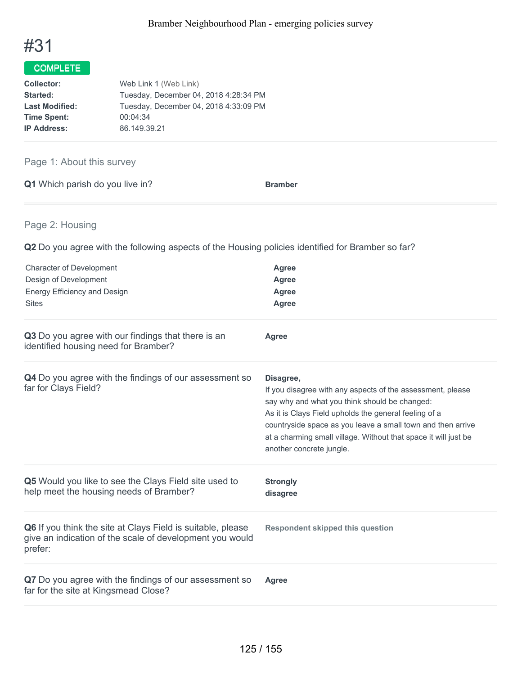

| Web Link 1 (Web Link)                 |
|---------------------------------------|
| Tuesday, December 04, 2018 4:28:34 PM |
| Tuesday, December 04, 2018 4:33:09 PM |
| 00:04:34                              |
| 86.149.39.21                          |
|                                       |

## Page 1: About this survey

| <b>Q1</b> Which parish do you live in?<br><b>Bramber</b> |
|----------------------------------------------------------|
|----------------------------------------------------------|

## Page 2: Housing

| <b>Character of Development</b><br>Design of Development<br>Energy Efficiency and Design<br><b>Sites</b>                           | <b>Agree</b><br><b>Agree</b><br><b>Agree</b><br><b>Agree</b>                                                                                                                                                                                                                                                                                    |
|------------------------------------------------------------------------------------------------------------------------------------|-------------------------------------------------------------------------------------------------------------------------------------------------------------------------------------------------------------------------------------------------------------------------------------------------------------------------------------------------|
| Q3 Do you agree with our findings that there is an<br>identified housing need for Bramber?                                         | Agree                                                                                                                                                                                                                                                                                                                                           |
| Q4 Do you agree with the findings of our assessment so<br>far for Clays Field?                                                     | Disagree,<br>If you disagree with any aspects of the assessment, please<br>say why and what you think should be changed:<br>As it is Clays Field upholds the general feeling of a<br>countryside space as you leave a small town and then arrive<br>at a charming small village. Without that space it will just be<br>another concrete jungle. |
| Q5 Would you like to see the Clays Field site used to<br>help meet the housing needs of Bramber?                                   | <b>Strongly</b><br>disagree                                                                                                                                                                                                                                                                                                                     |
| Q6 If you think the site at Clays Field is suitable, please<br>give an indication of the scale of development you would<br>prefer: | <b>Respondent skipped this question</b>                                                                                                                                                                                                                                                                                                         |
| Q7 Do you agree with the findings of our assessment so<br>far for the site at Kingsmead Close?                                     | <b>Agree</b>                                                                                                                                                                                                                                                                                                                                    |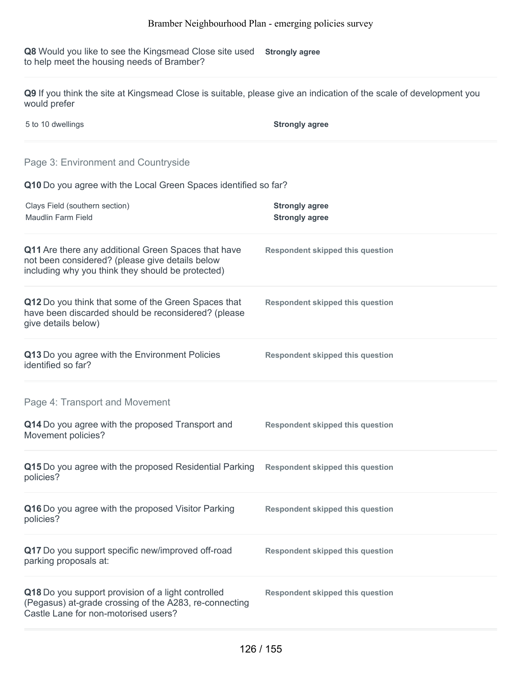**Q8** Would you like to see the Kingsmead Close site used Strongly agree to help meet the housing needs of Bramber?

**Q9** If you think the site at Kingsmead Close is suitable, please give an indication of the scale of development you would prefer

5 to 10 dwellings **Strongly agree**

## Page 3: Environment and Countryside

**Q10** Do you agree with the Local Green Spaces identified so far?

| Clays Field (southern section)<br>Maudlin Farm Field                                                                                                        | <b>Strongly agree</b><br><b>Strongly agree</b> |
|-------------------------------------------------------------------------------------------------------------------------------------------------------------|------------------------------------------------|
| Q11 Are there any additional Green Spaces that have<br>not been considered? (please give details below<br>including why you think they should be protected) | <b>Respondent skipped this question</b>        |
| Q12 Do you think that some of the Green Spaces that<br>have been discarded should be reconsidered? (please<br>give details below)                           | <b>Respondent skipped this question</b>        |
| Q13 Do you agree with the Environment Policies<br>identified so far?                                                                                        | <b>Respondent skipped this question</b>        |
| Page 4: Transport and Movement                                                                                                                              |                                                |
| Q14 Do you agree with the proposed Transport and<br>Movement policies?                                                                                      | <b>Respondent skipped this question</b>        |
| Q15 Do you agree with the proposed Residential Parking<br>policies?                                                                                         | <b>Respondent skipped this question</b>        |
| Q16 Do you agree with the proposed Visitor Parking<br>policies?                                                                                             | <b>Respondent skipped this question</b>        |
| Q17 Do you support specific new/improved off-road<br>parking proposals at:                                                                                  | <b>Respondent skipped this question</b>        |
| Q18 Do you support provision of a light controlled<br>(Pegasus) at-grade crossing of the A283, re-connecting<br>Castle Lane for non-motorised users?        | <b>Respondent skipped this question</b>        |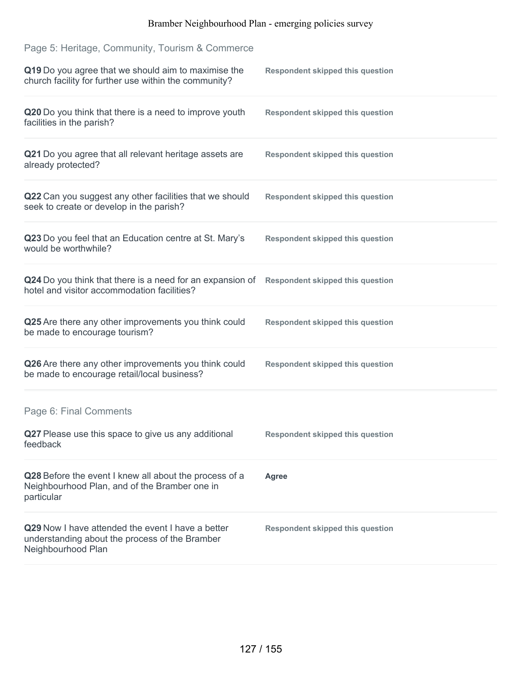| Page 5: Heritage, Community, Tourism & Commerce                                                                           |                                         |
|---------------------------------------------------------------------------------------------------------------------------|-----------------------------------------|
| Q19 Do you agree that we should aim to maximise the<br>church facility for further use within the community?              | <b>Respondent skipped this question</b> |
| Q20 Do you think that there is a need to improve youth<br>facilities in the parish?                                       | <b>Respondent skipped this question</b> |
| Q21 Do you agree that all relevant heritage assets are<br>already protected?                                              | <b>Respondent skipped this question</b> |
| Q22 Can you suggest any other facilities that we should<br>seek to create or develop in the parish?                       | <b>Respondent skipped this question</b> |
| Q23 Do you feel that an Education centre at St. Mary's<br>would be worthwhile?                                            | <b>Respondent skipped this question</b> |
| Q24 Do you think that there is a need for an expansion of<br>hotel and visitor accommodation facilities?                  | <b>Respondent skipped this question</b> |
| Q25 Are there any other improvements you think could<br>be made to encourage tourism?                                     | <b>Respondent skipped this question</b> |
| Q26 Are there any other improvements you think could<br>be made to encourage retail/local business?                       | <b>Respondent skipped this question</b> |
| Page 6: Final Comments                                                                                                    |                                         |
| Q27 Please use this space to give us any additional<br>feedback                                                           | <b>Respondent skipped this question</b> |
| Q28 Before the event I knew all about the process of a<br>Neighbourhood Plan, and of the Bramber one in<br>particular     | <b>Agree</b>                            |
| Q29 Now I have attended the event I have a better<br>understanding about the process of the Bramber<br>Neighbourhood Plan | <b>Respondent skipped this question</b> |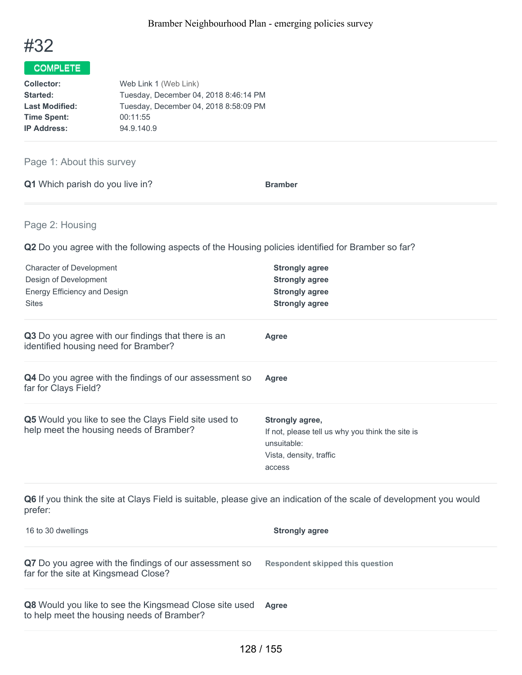

| Web Link 1 (Web Link)                 |
|---------------------------------------|
| Tuesday, December 04, 2018 8:46:14 PM |
| Tuesday, December 04, 2018 8:58:09 PM |
| 00:11:55                              |
| 94.9.140.9                            |
|                                       |

Page 1: About this survey

**Q1** Which parish do you live in? **Bramber** 

Page 2: Housing

| <b>Character of Development</b><br>Design of Development<br>Energy Efficiency and Design<br><b>Sites</b>                        | <b>Strongly agree</b><br><b>Strongly agree</b><br><b>Strongly agree</b><br><b>Strongly agree</b>                        |
|---------------------------------------------------------------------------------------------------------------------------------|-------------------------------------------------------------------------------------------------------------------------|
| Q3 Do you agree with our findings that there is an<br>identified housing need for Bramber?                                      | Agree                                                                                                                   |
| Q4 Do you agree with the findings of our assessment so<br>far for Clays Field?                                                  | <b>Agree</b>                                                                                                            |
| Q5 Would you like to see the Clays Field site used to<br>help meet the housing needs of Bramber?                                | Strongly agree,<br>If not, please tell us why you think the site is<br>unsuitable:<br>Vista, density, traffic<br>access |
| Q6 If you think the site at Clays Field is suitable, please give an indication of the scale of development you would<br>prefer: |                                                                                                                         |

| 16 to 30 dwellings                                                                                          | <b>Strongly agree</b>                   |
|-------------------------------------------------------------------------------------------------------------|-----------------------------------------|
| Q7 Do you agree with the findings of our assessment so<br>far for the site at Kingsmead Close?              | <b>Respondent skipped this question</b> |
| <b>Q8</b> Would you like to see the Kingsmead Close site used<br>to help meet the housing needs of Bramber? | <b>Agree</b>                            |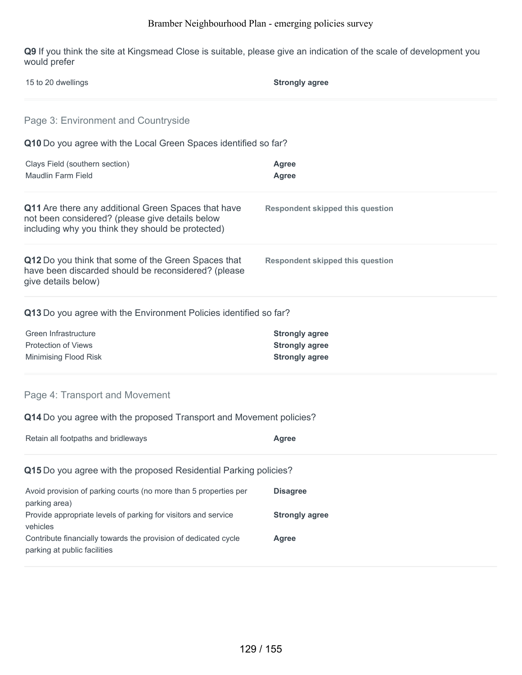**Q9** If you think the site at Kingsmead Close is suitable, please give an indication of the scale of development you would prefer

| 15 to 20 dwellings                                                                                                                                          | <b>Strongly agree</b>                                                   |
|-------------------------------------------------------------------------------------------------------------------------------------------------------------|-------------------------------------------------------------------------|
| Page 3: Environment and Countryside                                                                                                                         |                                                                         |
| Q10 Do you agree with the Local Green Spaces identified so far?                                                                                             |                                                                         |
| Clays Field (southern section)<br><b>Maudlin Farm Field</b>                                                                                                 | <b>Agree</b><br><b>Agree</b>                                            |
| Q11 Are there any additional Green Spaces that have<br>not been considered? (please give details below<br>including why you think they should be protected) | <b>Respondent skipped this question</b>                                 |
| Q12 Do you think that some of the Green Spaces that<br>have been discarded should be reconsidered? (please<br>give details below)                           | <b>Respondent skipped this question</b>                                 |
| Q13 Do you agree with the Environment Policies identified so far?                                                                                           |                                                                         |
| Green Infrastructure<br><b>Protection of Views</b><br>Minimising Flood Risk                                                                                 | <b>Strongly agree</b><br><b>Strongly agree</b><br><b>Strongly agree</b> |
| Page 4: Transport and Movement                                                                                                                              |                                                                         |
| Q14 Do you agree with the proposed Transport and Movement policies?                                                                                         |                                                                         |
| Retain all footpaths and bridleways                                                                                                                         | <b>Agree</b>                                                            |
| Q15 Do you agree with the proposed Residential Parking policies?                                                                                            |                                                                         |
| Avoid provision of parking courts (no more than 5 properties per<br>parking area)                                                                           | <b>Disagree</b>                                                         |
| Provide appropriate levels of parking for visitors and service<br>vehicles                                                                                  | <b>Strongly agree</b>                                                   |
| Contribute financially towards the provision of dedicated cycle<br>parking at public facilities                                                             | <b>Agree</b>                                                            |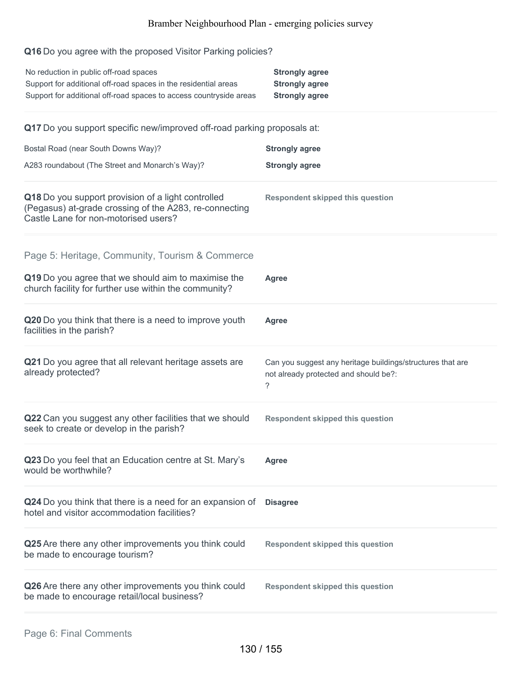## **Q16** Do you agree with the proposed Visitor Parking policies?

| No reduction in public off-road spaces<br>Support for additional off-road spaces in the residential areas<br>Support for additional off-road spaces to access countryside areas | <b>Strongly agree</b><br><b>Strongly agree</b><br><b>Strongly agree</b>                                  |
|---------------------------------------------------------------------------------------------------------------------------------------------------------------------------------|----------------------------------------------------------------------------------------------------------|
| Q17 Do you support specific new/improved off-road parking proposals at:                                                                                                         |                                                                                                          |
| Bostal Road (near South Downs Way)?                                                                                                                                             | <b>Strongly agree</b>                                                                                    |
| A283 roundabout (The Street and Monarch's Way)?                                                                                                                                 | <b>Strongly agree</b>                                                                                    |
| Q18 Do you support provision of a light controlled<br>(Pegasus) at-grade crossing of the A283, re-connecting<br>Castle Lane for non-motorised users?                            | <b>Respondent skipped this question</b>                                                                  |
| Page 5: Heritage, Community, Tourism & Commerce                                                                                                                                 |                                                                                                          |
| Q19 Do you agree that we should aim to maximise the<br>church facility for further use within the community?                                                                    | <b>Agree</b>                                                                                             |
| Q20 Do you think that there is a need to improve youth<br>facilities in the parish?                                                                                             | <b>Agree</b>                                                                                             |
| Q21 Do you agree that all relevant heritage assets are<br>already protected?                                                                                                    | Can you suggest any heritage buildings/structures that are<br>not already protected and should be?:<br>? |
| Q22 Can you suggest any other facilities that we should<br>seek to create or develop in the parish?                                                                             | <b>Respondent skipped this question</b>                                                                  |
| Q23 Do you feel that an Education centre at St. Mary's<br>would be worthwhile?                                                                                                  | Agree                                                                                                    |
| Q24 Do you think that there is a need for an expansion of<br>hotel and visitor accommodation facilities?                                                                        | <b>Disagree</b>                                                                                          |
| Q25 Are there any other improvements you think could<br>be made to encourage tourism?                                                                                           | <b>Respondent skipped this question</b>                                                                  |
| Q26 Are there any other improvements you think could<br>be made to encourage retail/local business?                                                                             | <b>Respondent skipped this question</b>                                                                  |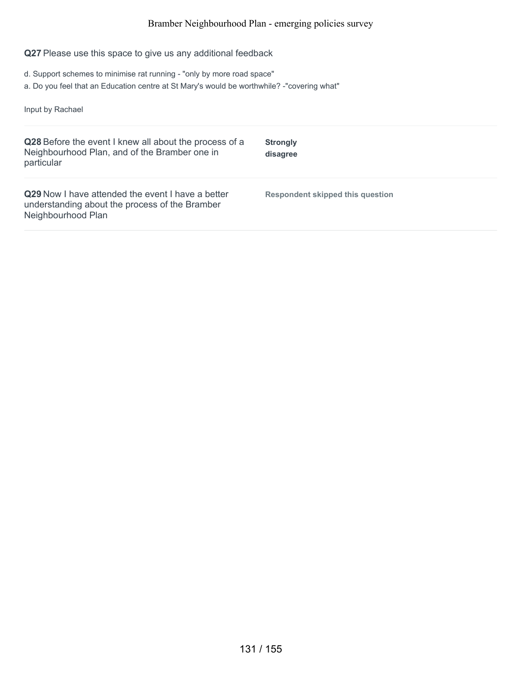## **Q27** Please use this space to give us any additional feedback

- d. Support schemes to minimise rat running "only by more road space"
- a. Do you feel that an Education centre at St Mary's would be worthwhile? -"covering what"

Input by Rachael

| Q28 Before the event I knew all about the process of a<br>Neighbourhood Plan, and of the Bramber one in<br>particular            | <b>Strongly</b><br>disagree      |
|----------------------------------------------------------------------------------------------------------------------------------|----------------------------------|
| <b>Q29</b> Now I have attended the event I have a better<br>understanding about the process of the Bramber<br>Neighbourhood Plan | Respondent skipped this question |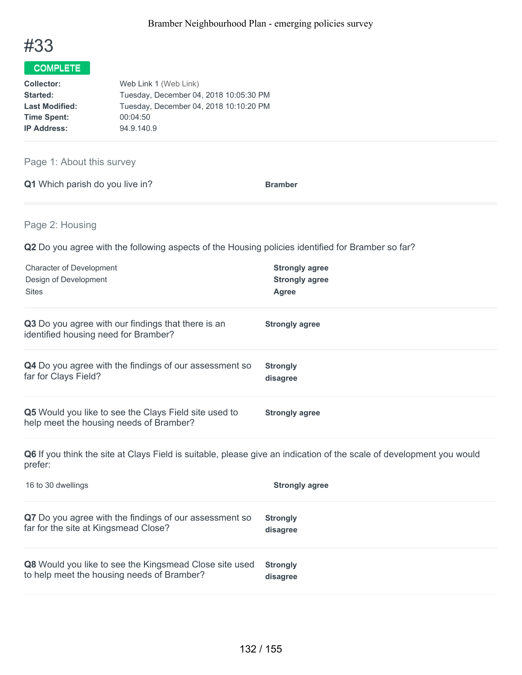

| <b>Collector:</b>     | Web Link 1 (Web Link)                  |
|-----------------------|----------------------------------------|
| Started:              | Tuesday, December 04, 2018 10:05:30 PM |
| <b>Last Modified:</b> | Tuesday, December 04, 2018 10:10:20 PM |
| <b>Time Spent:</b>    | 00:04:50                               |
| <b>IP Address:</b>    | 94.9.140.9                             |

Page 1: About this survey

|  | <b>Q1</b> Which parish do you live in? | <b>Bramber</b> |
|--|----------------------------------------|----------------|
|  |                                        |                |

Page 2: Housing

**Q2** Do you agree with the following aspects of the Housing policies identified for Bramber so far?

| <b>Character of Development</b>                                                                  | <b>Strongly agree</b> |
|--------------------------------------------------------------------------------------------------|-----------------------|
| Design of Development                                                                            | <b>Strongly agree</b> |
| <b>Sites</b>                                                                                     | Agree                 |
| Q3 Do you agree with our findings that there is an<br>identified housing need for Bramber?       | <b>Strongly agree</b> |
| Q4 Do you agree with the findings of our assessment so                                           | <b>Strongly</b>       |
| far for Clays Field?                                                                             | disagree              |
| Q5 Would you like to see the Clays Field site used to<br>help meet the housing needs of Bramber? | <b>Strongly agree</b> |

**Q6** If you think the site at Clays Field is suitable, please give an indication of the scale of development you would prefer:

| 16 to 30 dwellings                                     | <b>Strongly agree</b> |
|--------------------------------------------------------|-----------------------|
| Q7 Do you agree with the findings of our assessment so | <b>Strongly</b>       |
| far for the site at Kingsmead Close?                   | disagree              |
| Q8 Would you like to see the Kingsmead Close site used | <b>Strongly</b>       |
| to help meet the housing needs of Bramber?             | disagree              |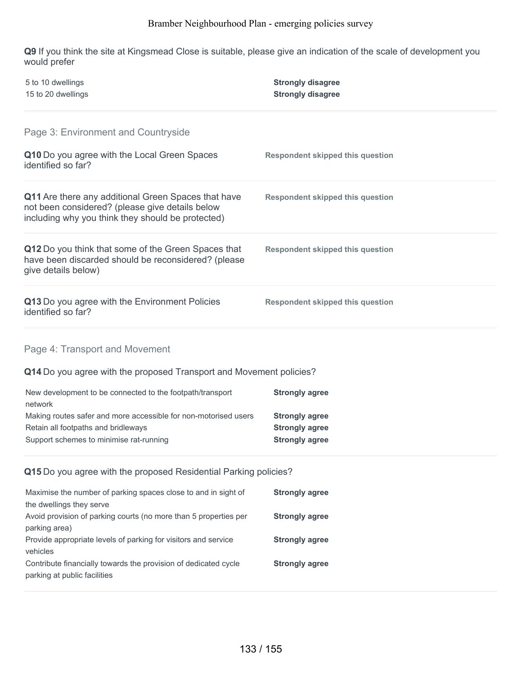**Q9** If you think the site at Kingsmead Close is suitable, please give an indication of the scale of development you would prefer

| 5 to 10 dwellings<br>15 to 20 dwellings                                                                                                                     | <b>Strongly disagree</b><br><b>Strongly disagree</b> |  |
|-------------------------------------------------------------------------------------------------------------------------------------------------------------|------------------------------------------------------|--|
| Page 3: Environment and Countryside                                                                                                                         |                                                      |  |
| Q10 Do you agree with the Local Green Spaces<br>identified so far?                                                                                          | <b>Respondent skipped this question</b>              |  |
| Q11 Are there any additional Green Spaces that have<br>not been considered? (please give details below<br>including why you think they should be protected) | <b>Respondent skipped this question</b>              |  |
| Q12 Do you think that some of the Green Spaces that<br>have been discarded should be reconsidered? (please<br>give details below)                           | <b>Respondent skipped this question</b>              |  |
| Q13 Do you agree with the Environment Policies<br>identified so far?                                                                                        | <b>Respondent skipped this question</b>              |  |
| Page 4: Transport and Movement                                                                                                                              |                                                      |  |
| Q14 Do you agree with the proposed Transport and Movement policies?                                                                                         |                                                      |  |
| New development to be connected to the footpath/transport<br>network                                                                                        | <b>Strongly agree</b>                                |  |
| Making routes safer and more accessible for non-motorised users                                                                                             | <b>Strongly agree</b>                                |  |
| Retain all footpaths and bridleways<br>Support schemes to minimise rat-running                                                                              | <b>Strongly agree</b><br><b>Strongly agree</b>       |  |
| Q15 Do you agree with the proposed Residential Parking policies?                                                                                            |                                                      |  |
| Maximise the number of parking spaces close to and in sight of<br>the dwellings they serve                                                                  | <b>Strongly agree</b>                                |  |
| Avoid provision of parking courts (no more than 5 properties per<br>parking area)                                                                           | <b>Strongly agree</b>                                |  |
| Provide appropriate levels of parking for visitors and service<br>vehicles                                                                                  | <b>Strongly agree</b>                                |  |
| Contribute financially towards the provision of dedicated cycle<br>parking at public facilities                                                             | <b>Strongly agree</b>                                |  |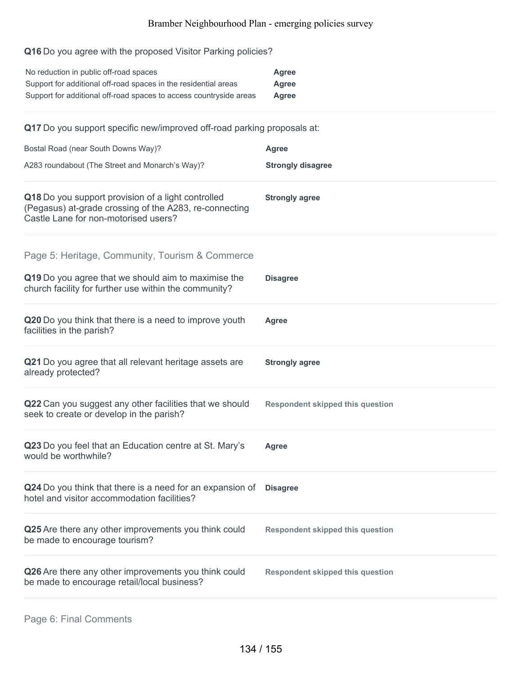## **Q16** Do you agree with the proposed Visitor Parking policies?

| No reduction in public off-road spaces                             | Agree |
|--------------------------------------------------------------------|-------|
| Support for additional off-road spaces in the residential areas    | Agree |
| Support for additional off-road spaces to access countryside areas | Agree |

**Q17** Do you support specific new/improved off-road parking proposals at:

| Bostal Road (near South Downs Way)?                                                                                                                             | <b>Agree</b>                            |
|-----------------------------------------------------------------------------------------------------------------------------------------------------------------|-----------------------------------------|
| A283 roundabout (The Street and Monarch's Way)?                                                                                                                 | <b>Strongly disagree</b>                |
| Q18 Do you support provision of a light controlled<br>(Pegasus) at-grade crossing of the A283, re-connecting<br>Castle Lane for non-motorised users?            | <b>Strongly agree</b>                   |
| Page 5: Heritage, Community, Tourism & Commerce<br>Q19 Do you agree that we should aim to maximise the<br>church facility for further use within the community? | <b>Disagree</b>                         |
| Q20 Do you think that there is a need to improve youth<br>facilities in the parish?                                                                             | Agree                                   |
| Q21 Do you agree that all relevant heritage assets are<br>already protected?                                                                                    | <b>Strongly agree</b>                   |
| Q22 Can you suggest any other facilities that we should<br>seek to create or develop in the parish?                                                             | <b>Respondent skipped this question</b> |
| Q23 Do you feel that an Education centre at St. Mary's<br>would be worthwhile?                                                                                  | <b>Agree</b>                            |
| Q24 Do you think that there is a need for an expansion of<br>hotel and visitor accommodation facilities?                                                        | <b>Disagree</b>                         |
| Q25 Are there any other improvements you think could<br>be made to encourage tourism?                                                                           | <b>Respondent skipped this question</b> |
| Q26 Are there any other improvements you think could<br>be made to encourage retail/local business?                                                             | <b>Respondent skipped this question</b> |
|                                                                                                                                                                 |                                         |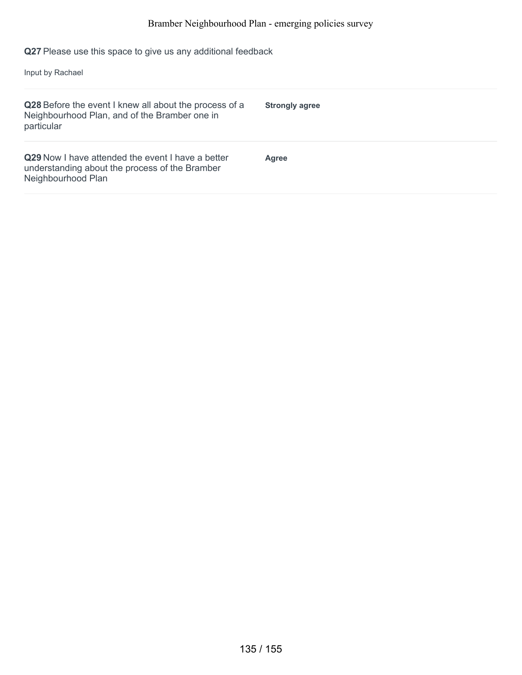**Q27** Please use this space to give us any additional feedback

Input by Rachael

| Q28 Before the event I knew all about the process of a<br>Neighbourhood Plan, and of the Bramber one in<br>particular            | <b>Strongly agree</b> |
|----------------------------------------------------------------------------------------------------------------------------------|-----------------------|
| <b>Q29</b> Now I have attended the event I have a better<br>understanding about the process of the Bramber<br>Neighbourhood Plan | <b>Agree</b>          |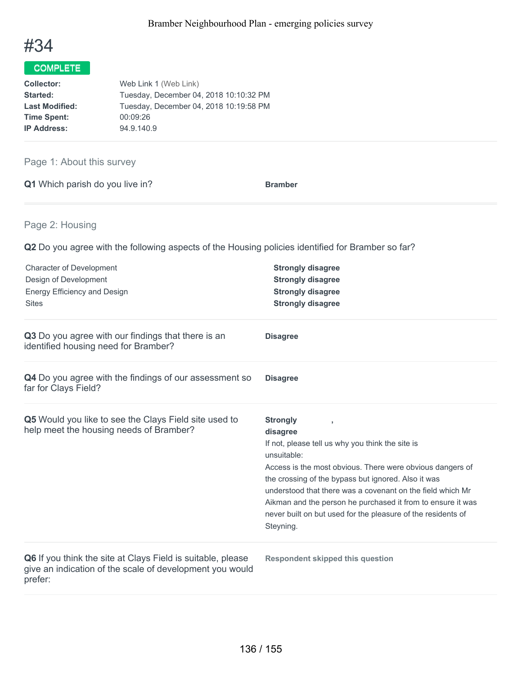

| <b>Collector:</b>     | Web Link 1 (Web Link)                  |
|-----------------------|----------------------------------------|
| <b>Started:</b>       | Tuesday, December 04, 2018 10:10:32 PM |
| <b>Last Modified:</b> | Tuesday, December 04, 2018 10:19:58 PM |
| <b>Time Spent:</b>    | 00:09:26                               |
| <b>IP Address:</b>    | 94.9.140.9                             |

## Page 1: About this survey

| Q1 Which parish do you live in? | <b>Bramber</b> |
|---------------------------------|----------------|
|---------------------------------|----------------|

## Page 2: Housing

| <b>Character of Development</b><br>Design of Development<br>Energy Efficiency and Design<br><b>Sites</b>                           | <b>Strongly disagree</b><br><b>Strongly disagree</b><br><b>Strongly disagree</b><br><b>Strongly disagree</b>                                                                                                                                                                                                                                                                                                                 |
|------------------------------------------------------------------------------------------------------------------------------------|------------------------------------------------------------------------------------------------------------------------------------------------------------------------------------------------------------------------------------------------------------------------------------------------------------------------------------------------------------------------------------------------------------------------------|
| Q3 Do you agree with our findings that there is an<br>identified housing need for Bramber?                                         | <b>Disagree</b>                                                                                                                                                                                                                                                                                                                                                                                                              |
| Q4 Do you agree with the findings of our assessment so<br>far for Clays Field?                                                     | <b>Disagree</b>                                                                                                                                                                                                                                                                                                                                                                                                              |
| Q5 Would you like to see the Clays Field site used to<br>help meet the housing needs of Bramber?                                   | <b>Strongly</b><br>disagree<br>If not, please tell us why you think the site is<br>unsuitable:<br>Access is the most obvious. There were obvious dangers of<br>the crossing of the bypass but ignored. Also it was<br>understood that there was a covenant on the field which Mr<br>Aikman and the person he purchased it from to ensure it was<br>never built on but used for the pleasure of the residents of<br>Steyning. |
| Q6 If you think the site at Clays Field is suitable, please<br>give an indication of the scale of development you would<br>prefer: | <b>Respondent skipped this question</b>                                                                                                                                                                                                                                                                                                                                                                                      |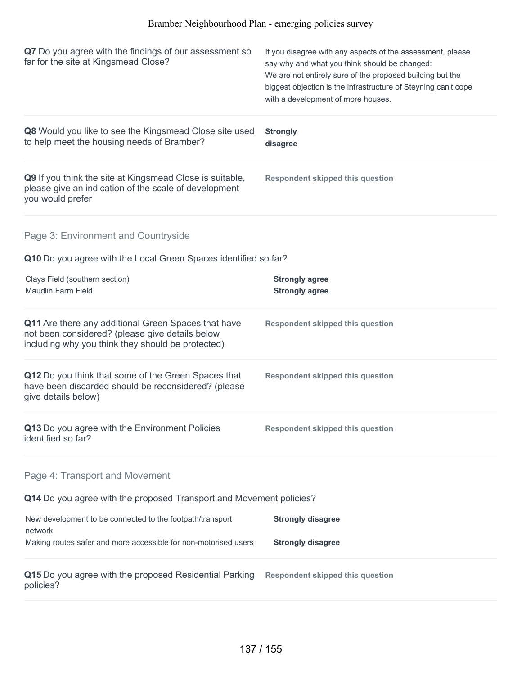| Q7 Do you agree with the findings of our assessment so<br>far for the site at Kingsmead Close?                                                              | If you disagree with any aspects of the assessment, please<br>say why and what you think should be changed:<br>We are not entirely sure of the proposed building but the<br>biggest objection is the infrastructure of Steyning can't cope<br>with a development of more houses. |
|-------------------------------------------------------------------------------------------------------------------------------------------------------------|----------------------------------------------------------------------------------------------------------------------------------------------------------------------------------------------------------------------------------------------------------------------------------|
| Q8 Would you like to see the Kingsmead Close site used<br>to help meet the housing needs of Bramber?                                                        | <b>Strongly</b><br>disagree                                                                                                                                                                                                                                                      |
| Q9 If you think the site at Kingsmead Close is suitable,<br>please give an indication of the scale of development<br>you would prefer                       | <b>Respondent skipped this question</b>                                                                                                                                                                                                                                          |
| Page 3: Environment and Countryside                                                                                                                         |                                                                                                                                                                                                                                                                                  |
| Q10 Do you agree with the Local Green Spaces identified so far?                                                                                             |                                                                                                                                                                                                                                                                                  |
| Clays Field (southern section)<br><b>Maudlin Farm Field</b>                                                                                                 | <b>Strongly agree</b><br><b>Strongly agree</b>                                                                                                                                                                                                                                   |
| Q11 Are there any additional Green Spaces that have<br>not been considered? (please give details below<br>including why you think they should be protected) | <b>Respondent skipped this question</b>                                                                                                                                                                                                                                          |
| Q12 Do you think that some of the Green Spaces that<br>have been discarded should be reconsidered? (please<br>give details below)                           | <b>Respondent skipped this question</b>                                                                                                                                                                                                                                          |
| Q13 Do you agree with the Environment Policies<br>identified so far?                                                                                        | <b>Respondent skipped this question</b>                                                                                                                                                                                                                                          |
| Page 4: Transport and Movement                                                                                                                              |                                                                                                                                                                                                                                                                                  |
| Q14 Do you agree with the proposed Transport and Movement policies?                                                                                         |                                                                                                                                                                                                                                                                                  |
| New development to be connected to the footpath/transport<br>network                                                                                        | <b>Strongly disagree</b>                                                                                                                                                                                                                                                         |
| Making routes safer and more accessible for non-motorised users                                                                                             | <b>Strongly disagree</b>                                                                                                                                                                                                                                                         |
| Q15 Do you agree with the proposed Residential Parking<br>policies?                                                                                         | <b>Respondent skipped this question</b>                                                                                                                                                                                                                                          |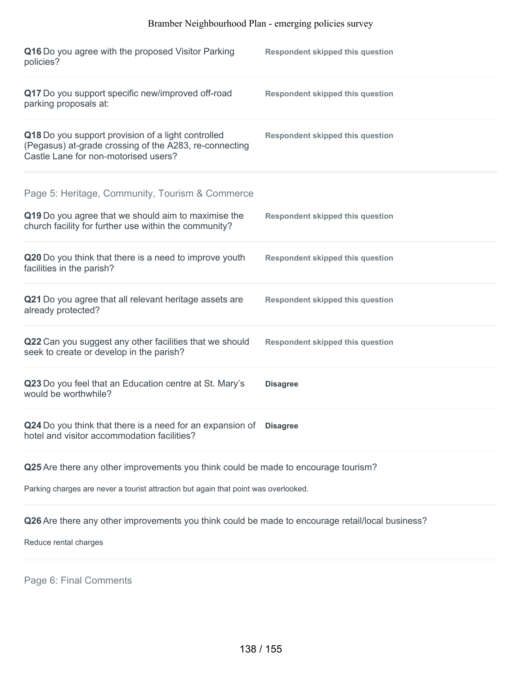| Q16 Do you agree with the proposed Visitor Parking<br>policies?                                                                                                 | <b>Respondent skipped this question</b> |
|-----------------------------------------------------------------------------------------------------------------------------------------------------------------|-----------------------------------------|
| Q17 Do you support specific new/improved off-road<br>parking proposals at:                                                                                      | <b>Respondent skipped this question</b> |
| Q18 Do you support provision of a light controlled<br>(Pegasus) at-grade crossing of the A283, re-connecting<br>Castle Lane for non-motorised users?            | <b>Respondent skipped this question</b> |
| Page 5: Heritage, Community, Tourism & Commerce<br>Q19 Do you agree that we should aim to maximise the<br>church facility for further use within the community? | <b>Respondent skipped this question</b> |
| Q20 Do you think that there is a need to improve youth<br>facilities in the parish?                                                                             | <b>Respondent skipped this question</b> |
| Q21 Do you agree that all relevant heritage assets are<br>already protected?                                                                                    | <b>Respondent skipped this question</b> |
| Q22 Can you suggest any other facilities that we should<br>seek to create or develop in the parish?                                                             | <b>Respondent skipped this question</b> |
| Q23 Do you feel that an Education centre at St. Mary's<br>would be worthwhile?                                                                                  | <b>Disagree</b>                         |
| Q24 Do you think that there is a need for an expansion of<br>hotel and visitor accommodation facilities?                                                        | <b>Disagree</b>                         |
|                                                                                                                                                                 |                                         |

**Q25** Are there any other improvements you think could be made to encourage tourism?

Parking charges are never a tourist attraction but again that point was overlooked.

**Q26** Are there any other improvements you think could be made to encourage retail/local business?

Reduce rental charges

Page 6: Final Comments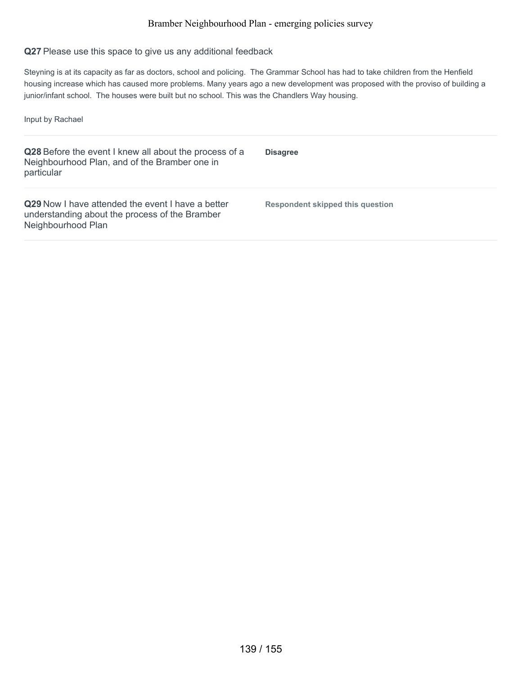### **Q27** Please use this space to give us any additional feedback

Steyning is at its capacity as far as doctors, school and policing. The Grammar School has had to take children from the Henfield housing increase which has caused more problems. Many years ago a new development was proposed with the proviso of building a junior/infant school. The houses were built but no school. This was the Chandlers Way housing.

Input by Rachael

| Q28 Before the event I knew all about the process of a<br>Neighbourhood Plan, and of the Bramber one in<br>particular            | <b>Disagree</b>                  |
|----------------------------------------------------------------------------------------------------------------------------------|----------------------------------|
| <b>Q29</b> Now I have attended the event I have a better<br>understanding about the process of the Bramber<br>Neighbourhood Plan | Respondent skipped this question |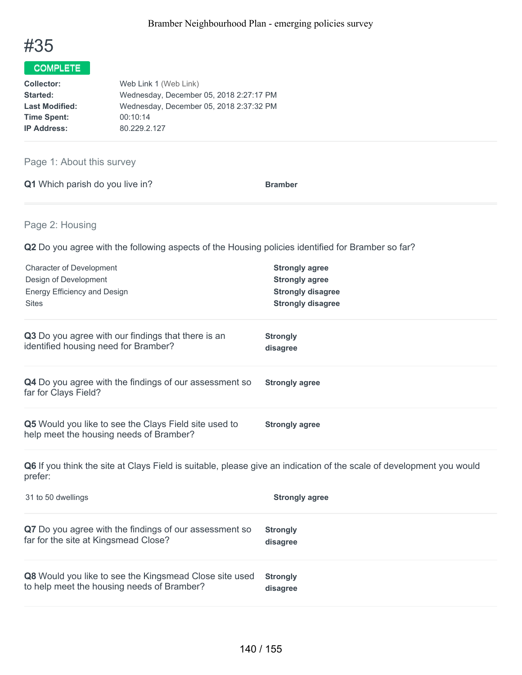

| Web Link 1 (Web Link)                   |
|-----------------------------------------|
| Wednesday, December 05, 2018 2:27:17 PM |
| Wednesday, December 05, 2018 2:37:32 PM |
| 00:10:14                                |
| 80.229.2.127                            |
|                                         |

## Page 1: About this survey

|  | Q1 Which parish do you live in? | <b>Bramber</b> |
|--|---------------------------------|----------------|
|  |                                 |                |

## Page 2: Housing

**Q2** Do you agree with the following aspects of the Housing policies identified for Bramber so far?

| <b>Character of Development</b><br>Design of Development<br>Energy Efficiency and Design<br><b>Sites</b>                        | <b>Strongly agree</b><br><b>Strongly agree</b><br><b>Strongly disagree</b><br><b>Strongly disagree</b> |
|---------------------------------------------------------------------------------------------------------------------------------|--------------------------------------------------------------------------------------------------------|
| Q3 Do you agree with our findings that there is an<br>identified housing need for Bramber?                                      | <b>Strongly</b><br>disagree                                                                            |
| Q4 Do you agree with the findings of our assessment so<br>far for Clays Field?                                                  | <b>Strongly agree</b>                                                                                  |
| Q5 Would you like to see the Clays Field site used to<br>help meet the housing needs of Bramber?                                | <b>Strongly agree</b>                                                                                  |
| Q6 If you think the site at Clays Field is suitable, please give an indication of the scale of development you would<br>prefer: |                                                                                                        |
| 31 to 50 dwellings                                                                                                              | <b>Strongly agree</b>                                                                                  |
| Q7 Do you agree with the findings of our assessment so<br>far for the site at Kingsmead Close?                                  | <b>Strongly</b><br>disagree                                                                            |

**Q8** Would you like to see the Kingsmead Close site used to help meet the housing needs of Bramber? **Strongly disagree**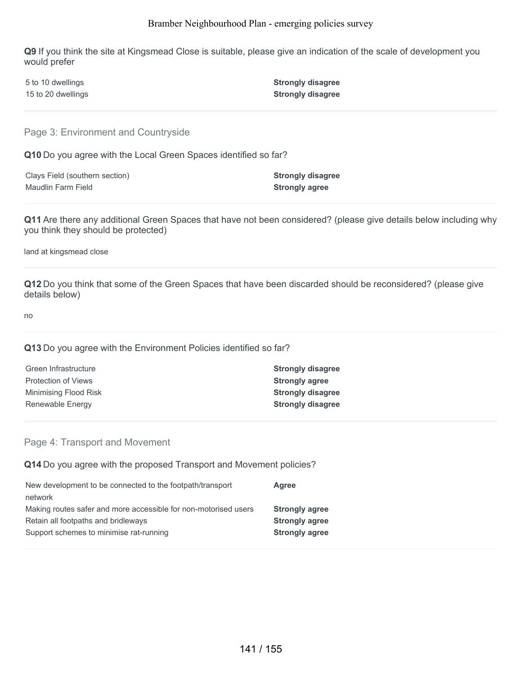**Q9** If you think the site at Kingsmead Close is suitable, please give an indication of the scale of development you would prefer

| 5 to 10 dwellings  | <b>Strongly disagree</b> |
|--------------------|--------------------------|
| 15 to 20 dwellings | <b>Strongly disagree</b> |

Page 3: Environment and Countryside

**Q10** Do you agree with the Local Green Spaces identified so far?

| Clays Field (southern section) | <b>Strongly disagree</b> |
|--------------------------------|--------------------------|
| Maudlin Farm Field             | <b>Strongly agree</b>    |

**Q11** Are there any additional Green Spaces that have not been considered? (please give details below including why you think they should be protected)

land at kingsmead close

**Q12** Do you think that some of the Green Spaces that have been discarded should be reconsidered? (please give details below)

no

### **Q13** Do you agree with the Environment Policies identified so far?

| <b>Strongly disagree</b> |
|--------------------------|
| <b>Strongly agree</b>    |
| <b>Strongly disagree</b> |
| <b>Strongly disagree</b> |
|                          |

### Page 4: Transport and Movement

**Q14** Do you agree with the proposed Transport and Movement policies?

| New development to be connected to the footpath/transport       | Agree                 |
|-----------------------------------------------------------------|-----------------------|
| network                                                         |                       |
| Making routes safer and more accessible for non-motorised users | <b>Strongly agree</b> |
| Retain all footpaths and bridleways                             | <b>Strongly agree</b> |
| Support schemes to minimise rat-running                         | <b>Strongly agree</b> |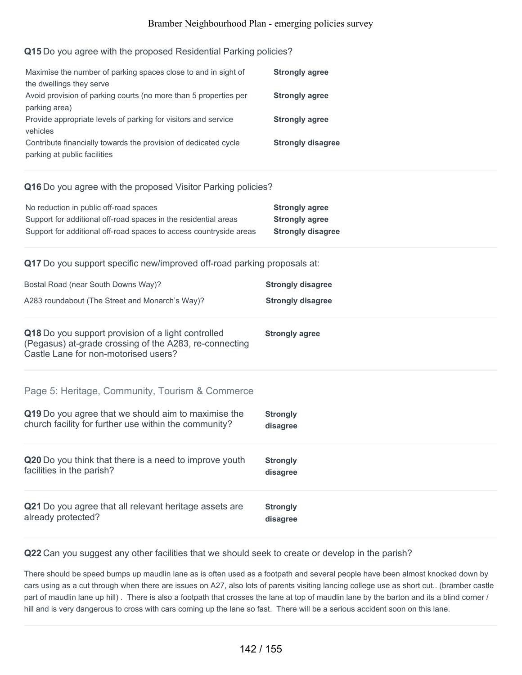### **Q15** Do you agree with the proposed Residential Parking policies?

| Maximise the number of parking spaces close to and in sight of   | <b>Strongly agree</b>    |
|------------------------------------------------------------------|--------------------------|
| the dwellings they serve                                         |                          |
| Avoid provision of parking courts (no more than 5 properties per | <b>Strongly agree</b>    |
| parking area)                                                    |                          |
| Provide appropriate levels of parking for visitors and service   | <b>Strongly agree</b>    |
| vehicles                                                         |                          |
| Contribute financially towards the provision of dedicated cycle  | <b>Strongly disagree</b> |
| parking at public facilities                                     |                          |

### **Q16** Do you agree with the proposed Visitor Parking policies?

| No reduction in public off-road spaces                             | <b>Strongly agree</b>    |
|--------------------------------------------------------------------|--------------------------|
| Support for additional off-road spaces in the residential areas    | <b>Strongly agree</b>    |
| Support for additional off-road spaces to access countryside areas | <b>Strongly disagree</b> |

**Q17** Do you support specific new/improved off-road parking proposals at:

| Bostal Road (near South Downs Way)?                                                                                                                             | <b>Strongly disagree</b>    |
|-----------------------------------------------------------------------------------------------------------------------------------------------------------------|-----------------------------|
| A283 roundabout (The Street and Monarch's Way)?                                                                                                                 | <b>Strongly disagree</b>    |
| Q18 Do you support provision of a light controlled<br>(Pegasus) at-grade crossing of the A283, re-connecting<br>Castle Lane for non-motorised users?            | <b>Strongly agree</b>       |
| Page 5: Heritage, Community, Tourism & Commerce<br>Q19 Do you agree that we should aim to maximise the<br>church facility for further use within the community? | <b>Strongly</b><br>disagree |
| Q20 Do you think that there is a need to improve youth                                                                                                          | <b>Strongly</b>             |
| facilities in the parish?                                                                                                                                       | disagree                    |
| Q21 Do you agree that all relevant heritage assets are                                                                                                          | <b>Strongly</b>             |
| already protected?                                                                                                                                              | disagree                    |

**Q22** Can you suggest any other facilities that we should seek to create or develop in the parish?

There should be speed bumps up maudlin lane as is often used as a footpath and several people have been almost knocked down by cars using as a cut through when there are issues on A27, also lots of parents visiting lancing college use as short cut.. (bramber castle part of maudlin lane up hill). There is also a footpath that crosses the lane at top of maudlin lane by the barton and its a blind corner / hill and is very dangerous to cross with cars coming up the lane so fast. There will be a serious accident soon on this lane.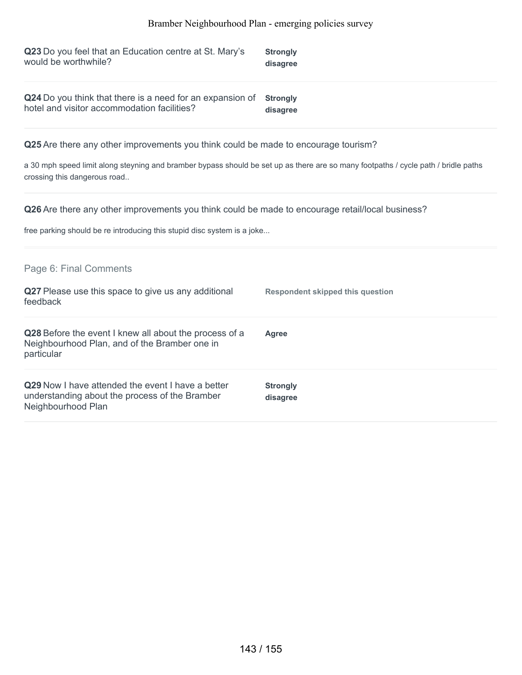| Q23 Do you feel that an Education centre at St. Mary's                                                            | <b>Strongly</b> |
|-------------------------------------------------------------------------------------------------------------------|-----------------|
| would be worthwhile?                                                                                              | disagree        |
| Q24 Do you think that there is a need for an expansion of Strongly<br>hotel and visitor accommodation facilities? | disagree        |

**Q25** Are there any other improvements you think could be made to encourage tourism?

a 30 mph speed limit along steyning and bramber bypass should be set up as there are so many footpaths / cycle path / bridle paths crossing this dangerous road..

**Q26** Are there any other improvements you think could be made to encourage retail/local business?

free parking should be re introducing this stupid disc system is a joke...

| Page 6: Final Comments                                                                                                    |                                  |
|---------------------------------------------------------------------------------------------------------------------------|----------------------------------|
| Q27 Please use this space to give us any additional<br>feedback                                                           | Respondent skipped this question |
| Q28 Before the event I knew all about the process of a<br>Neighbourhood Plan, and of the Bramber one in<br>particular     | Agree                            |
| Q29 Now I have attended the event I have a better<br>understanding about the process of the Bramber<br>Neighbourhood Plan | <b>Strongly</b><br>disagree      |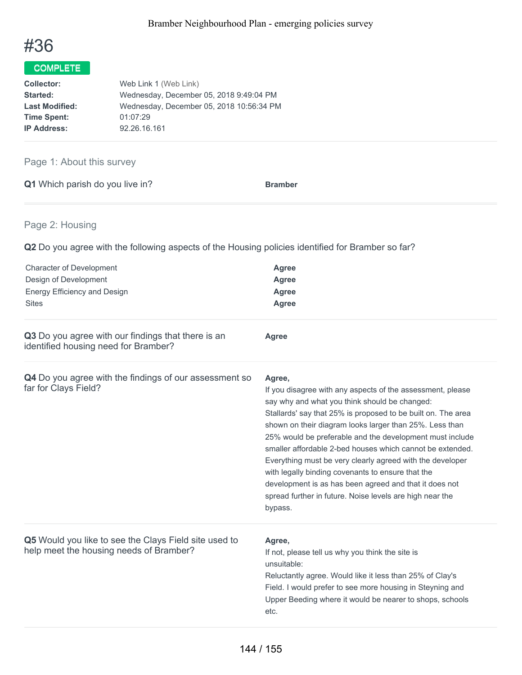

| Collector:            | Web Link 1 (Web Link)                    |
|-----------------------|------------------------------------------|
| Started:              | Wednesday, December 05, 2018 9:49:04 PM  |
| <b>Last Modified:</b> | Wednesday, December 05, 2018 10:56:34 PM |
| <b>Time Spent:</b>    | 01:07:29                                 |
| <b>IP Address:</b>    | 92.26.16.161                             |

## Page 1: About this survey

| Q1 Which parish do you live in? | <b>Bramber</b> |  |
|---------------------------------|----------------|--|
|---------------------------------|----------------|--|

## Page 2: Housing

| <b>Character of Development</b><br>Design of Development<br>Energy Efficiency and Design<br><b>Sites</b> | <b>Agree</b><br><b>Agree</b><br><b>Agree</b><br><b>Agree</b>                                                                                                                                                                                                                                                                                                                                                                                                                                                                                                                                                                 |
|----------------------------------------------------------------------------------------------------------|------------------------------------------------------------------------------------------------------------------------------------------------------------------------------------------------------------------------------------------------------------------------------------------------------------------------------------------------------------------------------------------------------------------------------------------------------------------------------------------------------------------------------------------------------------------------------------------------------------------------------|
| Q3 Do you agree with our findings that there is an<br>identified housing need for Bramber?               | Agree                                                                                                                                                                                                                                                                                                                                                                                                                                                                                                                                                                                                                        |
| Q4 Do you agree with the findings of our assessment so<br>far for Clays Field?                           | Agree,<br>If you disagree with any aspects of the assessment, please<br>say why and what you think should be changed:<br>Stallards' say that 25% is proposed to be built on. The area<br>shown on their diagram looks larger than 25%. Less than<br>25% would be preferable and the development must include<br>smaller affordable 2-bed houses which cannot be extended.<br>Everything must be very clearly agreed with the developer<br>with legally binding covenants to ensure that the<br>development is as has been agreed and that it does not<br>spread further in future. Noise levels are high near the<br>bypass. |
| Q5 Would you like to see the Clays Field site used to<br>help meet the housing needs of Bramber?         | Agree,<br>If not, please tell us why you think the site is<br>unsuitable:<br>Reluctantly agree. Would like it less than 25% of Clay's<br>Field. I would prefer to see more housing in Steyning and<br>Upper Beeding where it would be nearer to shops, schools<br>etc.                                                                                                                                                                                                                                                                                                                                                       |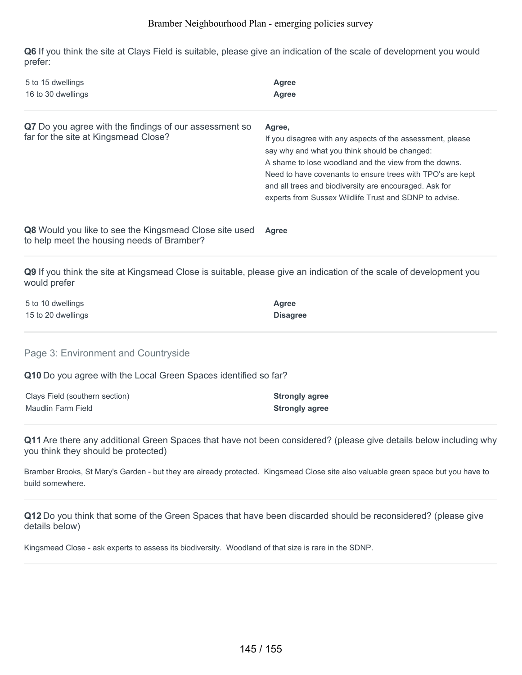**Q6** If you think the site at Clays Field is suitable, please give an indication of the scale of development you would prefer:

| 5 to 15 dwellings<br>16 to 30 dwellings                                                                                            | <b>Agree</b><br><b>Agree</b>                                                                                                                                                                                                                                                                                                                                     |
|------------------------------------------------------------------------------------------------------------------------------------|------------------------------------------------------------------------------------------------------------------------------------------------------------------------------------------------------------------------------------------------------------------------------------------------------------------------------------------------------------------|
| Q7 Do you agree with the findings of our assessment so<br>far for the site at Kingsmead Close?                                     | Agree,<br>If you disagree with any aspects of the assessment, please<br>say why and what you think should be changed:<br>A shame to lose woodland and the view from the downs.<br>Need to have covenants to ensure trees with TPO's are kept<br>and all trees and biodiversity are encouraged. Ask for<br>experts from Sussex Wildlife Trust and SDNP to advise. |
| Q8 Would you like to see the Kingsmead Close site used<br>to help meet the housing needs of Bramber?                               | Agree                                                                                                                                                                                                                                                                                                                                                            |
| Q9 If you think the site at Kingsmead Close is suitable, please give an indication of the scale of development you<br>would prefer |                                                                                                                                                                                                                                                                                                                                                                  |
| 5 to 10 dwellings<br>15 to 20 dwellings                                                                                            | <b>Agree</b><br><b>Disagree</b>                                                                                                                                                                                                                                                                                                                                  |
| Page 3: Environment and Countryside                                                                                                |                                                                                                                                                                                                                                                                                                                                                                  |
| Q10 Do you agree with the Local Green Spaces identified so far?                                                                    |                                                                                                                                                                                                                                                                                                                                                                  |
| Clays Field (southern section)<br>Maudlin Farm Field                                                                               | <b>Strongly agree</b><br><b>Strongly agree</b>                                                                                                                                                                                                                                                                                                                   |
| you think they should be protected)                                                                                                | Q11 Are there any additional Green Spaces that have not been considered? (please give details below including why                                                                                                                                                                                                                                                |
|                                                                                                                                    | Bramber Brooks, St Mary's Garden - but they are already protected. Kingsmead Close site also valuable green space but you have to                                                                                                                                                                                                                                |

build somewhere.

**Q12** Do you think that some of the Green Spaces that have been discarded should be reconsidered? (please give details below)

Kingsmead Close - ask experts to assess its biodiversity. Woodland of that size is rare in the SDNP.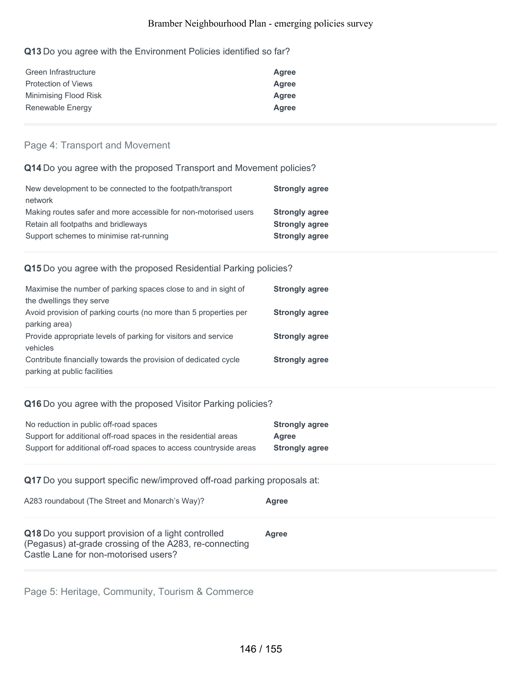#### **Q13** Do you agree with the Environment Policies identified so far?

| Green Infrastructure       | Agree |
|----------------------------|-------|
| <b>Protection of Views</b> | Agree |
| Minimising Flood Risk      | Agree |
| Renewable Energy           | Agree |

#### Page 4: Transport and Movement

#### **Q14** Do you agree with the proposed Transport and Movement policies?

| <b>Strongly agree</b> |
|-----------------------|
|                       |
| <b>Strongly agree</b> |
| <b>Strongly agree</b> |
| <b>Strongly agree</b> |
|                       |

#### **Q15** Do you agree with the proposed Residential Parking policies?

| Maximise the number of parking spaces close to and in sight of   | <b>Strongly agree</b> |
|------------------------------------------------------------------|-----------------------|
| the dwellings they serve                                         |                       |
| Avoid provision of parking courts (no more than 5 properties per | <b>Strongly agree</b> |
| parking area)                                                    |                       |
| Provide appropriate levels of parking for visitors and service   | <b>Strongly agree</b> |
| vehicles                                                         |                       |
| Contribute financially towards the provision of dedicated cycle  | <b>Strongly agree</b> |
| parking at public facilities                                     |                       |

#### **Q16** Do you agree with the proposed Visitor Parking policies?

| No reduction in public off-road spaces                             | <b>Strongly agree</b> |
|--------------------------------------------------------------------|-----------------------|
| Support for additional off-road spaces in the residential areas    | Agree                 |
| Support for additional off-road spaces to access countryside areas | <b>Strongly agree</b> |

**Q17** Do you support specific new/improved off-road parking proposals at:

| A283 roundabout (The Street and Monarch's Way)?                                                                                                      | Agree |
|------------------------------------------------------------------------------------------------------------------------------------------------------|-------|
| Q18 Do you support provision of a light controlled<br>(Pegasus) at-grade crossing of the A283, re-connecting<br>Castle Lane for non-motorised users? | Agree |

Page 5: Heritage, Community, Tourism & Commerce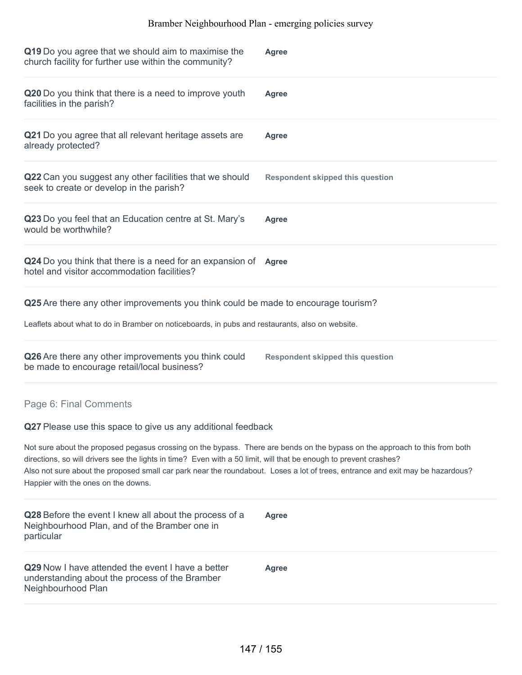| Q19 Do you agree that we should aim to maximise the<br>church facility for further use within the community?                                                                                                                                                                                                                                                                                                              | <b>Agree</b>                            |
|---------------------------------------------------------------------------------------------------------------------------------------------------------------------------------------------------------------------------------------------------------------------------------------------------------------------------------------------------------------------------------------------------------------------------|-----------------------------------------|
| Q20 Do you think that there is a need to improve youth<br>facilities in the parish?                                                                                                                                                                                                                                                                                                                                       | Agree                                   |
| Q21 Do you agree that all relevant heritage assets are<br>already protected?                                                                                                                                                                                                                                                                                                                                              | <b>Agree</b>                            |
| Q22 Can you suggest any other facilities that we should<br>seek to create or develop in the parish?                                                                                                                                                                                                                                                                                                                       | <b>Respondent skipped this question</b> |
| Q23 Do you feel that an Education centre at St. Mary's<br>would be worthwhile?                                                                                                                                                                                                                                                                                                                                            | Agree                                   |
| Q24 Do you think that there is a need for an expansion of Agree<br>hotel and visitor accommodation facilities?                                                                                                                                                                                                                                                                                                            |                                         |
| Q25 Are there any other improvements you think could be made to encourage tourism?                                                                                                                                                                                                                                                                                                                                        |                                         |
| Leaflets about what to do in Bramber on noticeboards, in pubs and restaurants, also on website.                                                                                                                                                                                                                                                                                                                           |                                         |
| Q26 Are there any other improvements you think could<br>be made to encourage retail/local business?                                                                                                                                                                                                                                                                                                                       | <b>Respondent skipped this question</b> |
| Page 6: Final Comments                                                                                                                                                                                                                                                                                                                                                                                                    |                                         |
| Q27 Please use this space to give us any additional feedback                                                                                                                                                                                                                                                                                                                                                              |                                         |
| Not sure about the proposed pegasus crossing on the bypass. There are bends on the bypass on the approach to this from both<br>directions, so will drivers see the lights in time? Even with a 50 limit, will that be enough to prevent crashes?<br>Also not sure about the proposed small car park near the roundabout. Loses a lot of trees, entrance and exit may be hazardous?<br>Happier with the ones on the downs. |                                         |
| Q28 Before the event I knew all about the process of a<br>Neighbourhood Plan, and of the Bramber one in<br>particular                                                                                                                                                                                                                                                                                                     | <b>Agree</b>                            |
| Q29 Now I have attended the event I have a better<br>understanding about the process of the Bramber<br>Neighbourhood Plan                                                                                                                                                                                                                                                                                                 | <b>Agree</b>                            |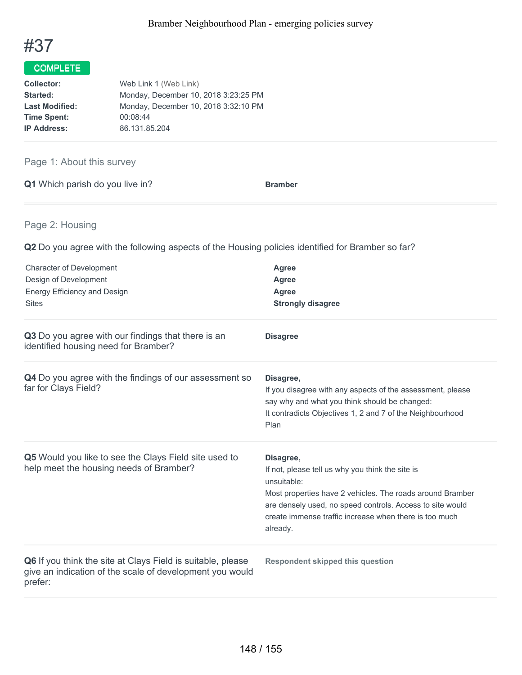

# COMPLETE

| Web Link 1 (Web Link)                |  |  |
|--------------------------------------|--|--|
| Monday, December 10, 2018 3:23:25 PM |  |  |
| Monday, December 10, 2018 3:32:10 PM |  |  |
| 00:08:44                             |  |  |
| 86.131.85.204                        |  |  |
|                                      |  |  |

# Page 1: About this survey

|  | Q1 Which parish do you live in? | <b>Bramber</b> |
|--|---------------------------------|----------------|
|  |                                 |                |

# Page 2: Housing

**Q2** Do you agree with the following aspects of the Housing policies identified for Bramber so far?

| <b>Character of Development</b><br>Design of Development<br><b>Energy Efficiency and Design</b><br><b>Sites</b>                    | Agree<br><b>Agree</b><br>Agree<br><b>Strongly disagree</b>                                                                                                                                                                                                                   |
|------------------------------------------------------------------------------------------------------------------------------------|------------------------------------------------------------------------------------------------------------------------------------------------------------------------------------------------------------------------------------------------------------------------------|
| Q3 Do you agree with our findings that there is an<br>identified housing need for Bramber?                                         | <b>Disagree</b>                                                                                                                                                                                                                                                              |
| Q4 Do you agree with the findings of our assessment so<br>far for Clays Field?                                                     | Disagree,<br>If you disagree with any aspects of the assessment, please<br>say why and what you think should be changed:<br>It contradicts Objectives 1, 2 and 7 of the Neighbourhood<br>Plan                                                                                |
| Q5 Would you like to see the Clays Field site used to<br>help meet the housing needs of Bramber?                                   | Disagree,<br>If not, please tell us why you think the site is<br>unsuitable:<br>Most properties have 2 vehicles. The roads around Bramber<br>are densely used, no speed controls. Access to site would<br>create immense traffic increase when there is too much<br>already. |
| Q6 If you think the site at Clays Field is suitable, please<br>give an indication of the scale of development you would<br>prefer: | <b>Respondent skipped this question</b>                                                                                                                                                                                                                                      |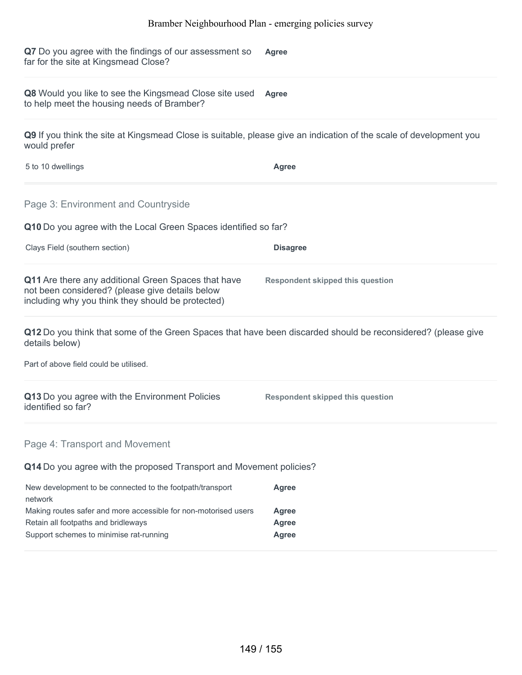**Q7** Do you agree with the findings of our assessment so far for the site at Kingsmead Close? **Agree**

**Q8** Would you like to see the Kingsmead Close site used **Agree** to help meet the housing needs of Bramber?

**Q9** If you think the site at Kingsmead Close is suitable, please give an indication of the scale of development you would prefer

| 5 to 10 dwellings | Agree |
|-------------------|-------|
|                   |       |

Page 3: Environment and Countryside

**Q10** Do you agree with the Local Green Spaces identified so far?

Clays Field (southern section) **Disagree**

| <b>Q11</b> Are there any additional Green Spaces that have<br>not been considered? (please give details below<br>including why you think they should be protected) | Respondent skipped this question |  |
|--------------------------------------------------------------------------------------------------------------------------------------------------------------------|----------------------------------|--|

**Q12** Do you think that some of the Green Spaces that have been discarded should be reconsidered? (please give details below)

Part of above field could be utilised.

| Q13 Do you agree with the Environment Policies | <b>Respondent skipped this question</b> |
|------------------------------------------------|-----------------------------------------|
| identified so far?                             |                                         |

#### Page 4: Transport and Movement

**Q14** Do you agree with the proposed Transport and Movement policies?

| New development to be connected to the footpath/transport       | Agree |
|-----------------------------------------------------------------|-------|
| network                                                         |       |
| Making routes safer and more accessible for non-motorised users | Agree |
| Retain all footpaths and bridleways                             | Agree |
| Support schemes to minimise rat-running                         | Agree |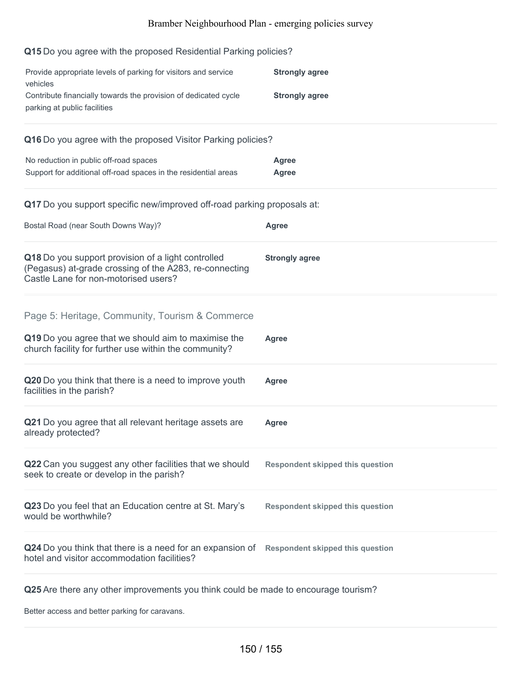## **Q15** Do you agree with the proposed Residential Parking policies?

| Provide appropriate levels of parking for visitors and service<br>vehicles<br>Contribute financially towards the provision of dedicated cycle        | <b>Strongly agree</b><br><b>Strongly agree</b> |
|------------------------------------------------------------------------------------------------------------------------------------------------------|------------------------------------------------|
| parking at public facilities                                                                                                                         |                                                |
| Q16 Do you agree with the proposed Visitor Parking policies?                                                                                         |                                                |
| No reduction in public off-road spaces<br>Support for additional off-road spaces in the residential areas                                            | <b>Agree</b><br><b>Agree</b>                   |
| Q17 Do you support specific new/improved off-road parking proposals at:                                                                              |                                                |
| Bostal Road (near South Downs Way)?                                                                                                                  | <b>Agree</b>                                   |
| Q18 Do you support provision of a light controlled<br>(Pegasus) at-grade crossing of the A283, re-connecting<br>Castle Lane for non-motorised users? | <b>Strongly agree</b>                          |
| Page 5: Heritage, Community, Tourism & Commerce                                                                                                      |                                                |
| Q19 Do you agree that we should aim to maximise the<br>church facility for further use within the community?                                         | <b>Agree</b>                                   |
| Q20 Do you think that there is a need to improve youth<br>facilities in the parish?                                                                  | Agree                                          |
| Q21 Do you agree that all relevant heritage assets are<br>already protected?                                                                         | <b>Agree</b>                                   |
| Q22 Can you suggest any other facilities that we should<br>seek to create or develop in the parish?                                                  | <b>Respondent skipped this question</b>        |
| Q23 Do you feel that an Education centre at St. Mary's<br>would be worthwhile?                                                                       | <b>Respondent skipped this question</b>        |
| Q24 Do you think that there is a need for an expansion of Respondent skipped this question<br>hotel and visitor accommodation facilities?            |                                                |
| Q25 Are there any other improvements you think could be made to encourage tourism?                                                                   |                                                |

Better access and better parking for caravans.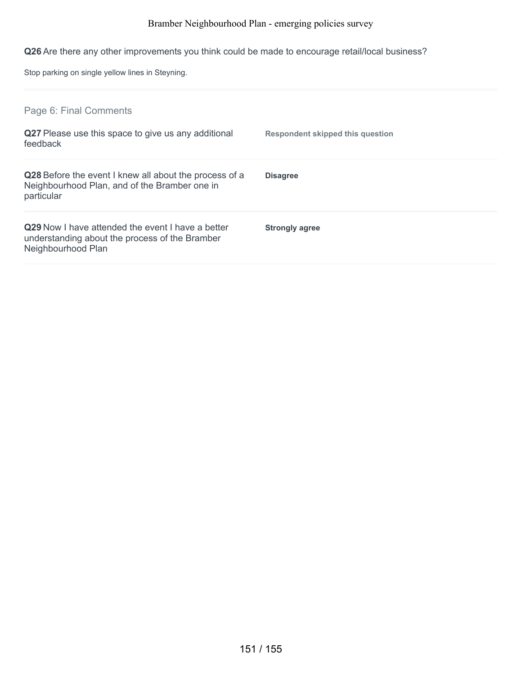**Q26** Are there any other improvements you think could be made to encourage retail/local business?

Stop parking on single yellow lines in Steyning.

| Page 6: Final Comments                                                                                                    |                                  |
|---------------------------------------------------------------------------------------------------------------------------|----------------------------------|
| Q27 Please use this space to give us any additional<br>feedback                                                           | Respondent skipped this question |
| Q28 Before the event I knew all about the process of a<br>Neighbourhood Plan, and of the Bramber one in<br>particular     | <b>Disagree</b>                  |
| Q29 Now I have attended the event I have a better<br>understanding about the process of the Bramber<br>Neighbourhood Plan | <b>Strongly agree</b>            |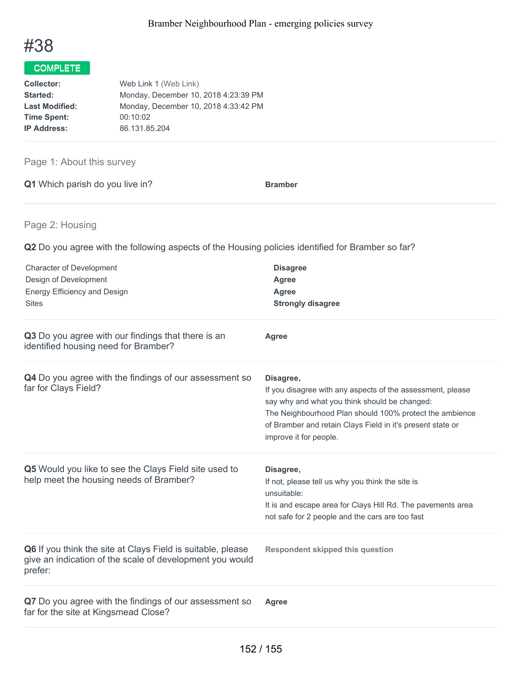

# COMPLETE

| Web Link 1 (Web Link)                |
|--------------------------------------|
| Monday, December 10, 2018 4:23:39 PM |
| Monday, December 10, 2018 4:33:42 PM |
| 00:10:02                             |
| 86.131.85.204                        |
|                                      |

# Page 1: About this survey

|  | Q1 Which parish do you live in? | <b>Bramber</b> |
|--|---------------------------------|----------------|
|  |                                 |                |

# Page 2: Housing

**Q2** Do you agree with the following aspects of the Housing policies identified for Bramber so far?

| <b>Character of Development</b><br>Design of Development<br><b>Energy Efficiency and Design</b><br><b>Sites</b>                    | <b>Disagree</b><br><b>Agree</b><br>Agree<br><b>Strongly disagree</b>                                                                                                                                                                                                        |
|------------------------------------------------------------------------------------------------------------------------------------|-----------------------------------------------------------------------------------------------------------------------------------------------------------------------------------------------------------------------------------------------------------------------------|
| Q3 Do you agree with our findings that there is an<br>identified housing need for Bramber?                                         | <b>Agree</b>                                                                                                                                                                                                                                                                |
| Q4 Do you agree with the findings of our assessment so<br>far for Clays Field?                                                     | Disagree,<br>If you disagree with any aspects of the assessment, please<br>say why and what you think should be changed:<br>The Neighbourhood Plan should 100% protect the ambience<br>of Bramber and retain Clays Field in it's present state or<br>improve it for people. |
| Q5 Would you like to see the Clays Field site used to<br>help meet the housing needs of Bramber?                                   | Disagree,<br>If not, please tell us why you think the site is<br>unsuitable:<br>It is and escape area for Clays Hill Rd. The pavements area<br>not safe for 2 people and the cars are too fast                                                                              |
| Q6 If you think the site at Clays Field is suitable, please<br>give an indication of the scale of development you would<br>prefer: | <b>Respondent skipped this question</b>                                                                                                                                                                                                                                     |
| Q7 Do you agree with the findings of our assessment so<br>far for the site at Kingsmead Close?                                     | Agree                                                                                                                                                                                                                                                                       |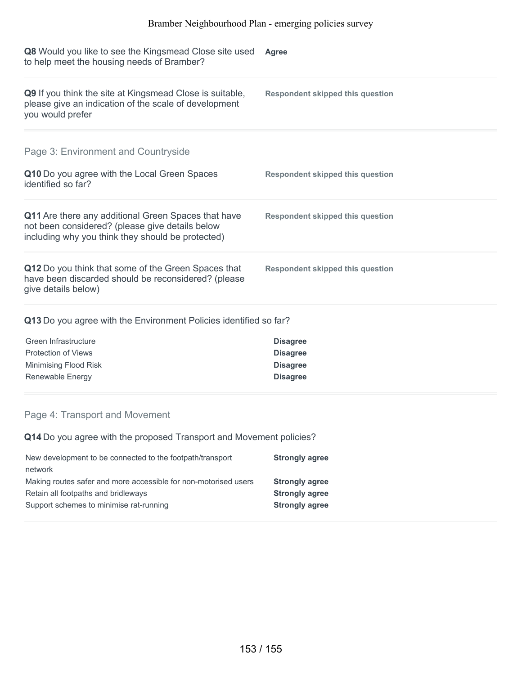| <b>Q8</b> Would you like to see the Kingsmead Close site used<br>to help meet the housing needs of Bramber?                                                 | Agree                                   |
|-------------------------------------------------------------------------------------------------------------------------------------------------------------|-----------------------------------------|
| <b>Q9</b> If you think the site at Kingsmead Close is suitable,<br>please give an indication of the scale of development<br>you would prefer                | Respondent skipped this question        |
| Page 3: Environment and Countryside                                                                                                                         |                                         |
| Q10 Do you agree with the Local Green Spaces<br>identified so far?                                                                                          | <b>Respondent skipped this question</b> |
| Q11 Are there any additional Green Spaces that have<br>not been considered? (please give details below<br>including why you think they should be protected) | Respondent skipped this question        |
| Q12 Do you think that some of the Green Spaces that<br>have been discarded should be reconsidered? (please<br>give details below)                           | Respondent skipped this question        |
|                                                                                                                                                             |                                         |

# **Q13** Do you agree with the Environment Policies identified so far?

| Green Infrastructure  | <b>Disagree</b> |
|-----------------------|-----------------|
| Protection of Views   | <b>Disagree</b> |
| Minimising Flood Risk | <b>Disagree</b> |
| Renewable Energy      | <b>Disagree</b> |

# Page 4: Transport and Movement

**Q14** Do you agree with the proposed Transport and Movement policies?

| New development to be connected to the footpath/transport       | <b>Strongly agree</b> |
|-----------------------------------------------------------------|-----------------------|
| network                                                         |                       |
| Making routes safer and more accessible for non-motorised users | <b>Strongly agree</b> |
| Retain all footpaths and bridleways                             | <b>Strongly agree</b> |
| Support schemes to minimise rat-running                         | <b>Strongly agree</b> |
|                                                                 |                       |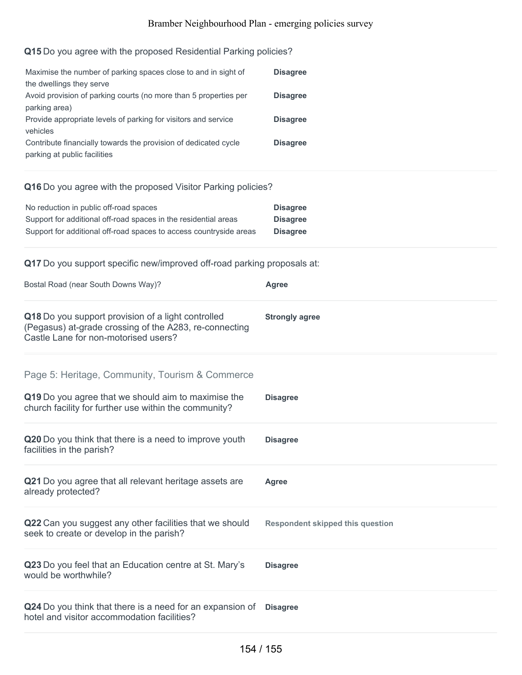# **Q15** Do you agree with the proposed Residential Parking policies?

| Maximise the number of parking spaces close to and in sight of<br>the dwellings they serve      | <b>Disagree</b> |
|-------------------------------------------------------------------------------------------------|-----------------|
| Avoid provision of parking courts (no more than 5 properties per<br>parking area)               | <b>Disagree</b> |
| Provide appropriate levels of parking for visitors and service<br>vehicles                      | <b>Disagree</b> |
| Contribute financially towards the provision of dedicated cycle<br>parking at public facilities | <b>Disagree</b> |

#### **Q16** Do you agree with the proposed Visitor Parking policies?

| No reduction in public off-road spaces                             | <b>Disagree</b> |
|--------------------------------------------------------------------|-----------------|
| Support for additional off-road spaces in the residential areas    | <b>Disagree</b> |
| Support for additional off-road spaces to access countryside areas | <b>Disagree</b> |

#### **Q17** Do you support specific new/improved off-road parking proposals at:

| Bostal Road (near South Downs Way)?                                                                                                                             | <b>Agree</b>                            |
|-----------------------------------------------------------------------------------------------------------------------------------------------------------------|-----------------------------------------|
| Q18 Do you support provision of a light controlled<br>(Pegasus) at-grade crossing of the A283, re-connecting<br>Castle Lane for non-motorised users?            | <b>Strongly agree</b>                   |
| Page 5: Heritage, Community, Tourism & Commerce<br>Q19 Do you agree that we should aim to maximise the<br>church facility for further use within the community? | <b>Disagree</b>                         |
| Q20 Do you think that there is a need to improve youth<br>facilities in the parish?                                                                             | <b>Disagree</b>                         |
| Q21 Do you agree that all relevant heritage assets are<br>already protected?                                                                                    | Agree                                   |
| Q22 Can you suggest any other facilities that we should<br>seek to create or develop in the parish?                                                             | <b>Respondent skipped this question</b> |
| Q23 Do you feel that an Education centre at St. Mary's<br>would be worthwhile?                                                                                  | <b>Disagree</b>                         |
| Q24 Do you think that there is a need for an expansion of<br>hotel and visitor accommodation facilities?                                                        | <b>Disagree</b>                         |